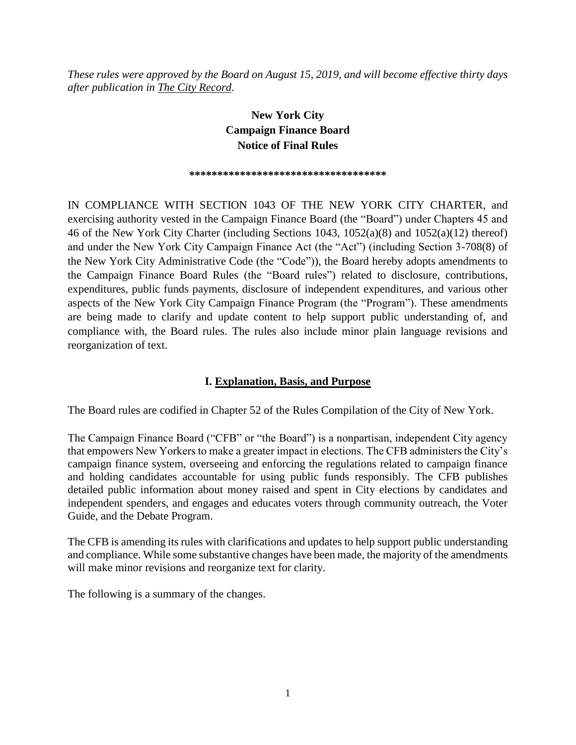*These rules were approved by the Board on August 15, 2019, and will become effective thirty days after publication in The City Record.*

## **New York City Campaign Finance Board Notice of Final Rules**

#### \*\*\*\*\*\*\*\*\*\*\*\*\*\*\*\*\*\*\*\*\*\*\*\*\*\*\*\*\*\*\*\*

IN COMPLIANCE WITH SECTION 1043 OF THE NEW YORK CITY CHARTER, and exercising authority vested in the Campaign Finance Board (the "Board") under Chapters 45 and 46 of the New York City Charter (including Sections 1043, 1052(a)(8) and 1052(a)(12) thereof) and under the New York City Campaign Finance Act (the "Act") (including Section 3-708(8) of the New York City Administrative Code (the "Code")), the Board hereby adopts amendments to the Campaign Finance Board Rules (the "Board rules") related to disclosure, contributions, expenditures, public funds payments, disclosure of independent expenditures, and various other aspects of the New York City Campaign Finance Program (the "Program"). These amendments are being made to clarify and update content to help support public understanding of, and compliance with, the Board rules. The rules also include minor plain language revisions and reorganization of text.

#### **I. Explanation, Basis, and Purpose**

The Board rules are codified in Chapter 52 of the Rules Compilation of the City of New York.

The Campaign Finance Board ("CFB" or "the Board") is a nonpartisan, independent City agency that empowers New Yorkers to make a greater impact in elections. The CFB administers the City's campaign finance system, overseeing and enforcing the regulations related to campaign finance and holding candidates accountable for using public funds responsibly. The CFB publishes detailed public information about money raised and spent in City elections by candidates and independent spenders, and engages and educates voters through community outreach, the Voter Guide, and the Debate Program.

The CFB is amending its rules with clarifications and updates to help support public understanding and compliance. While some substantive changes have been made, the majority of the amendments will make minor revisions and reorganize text for clarity.

The following is a summary of the changes.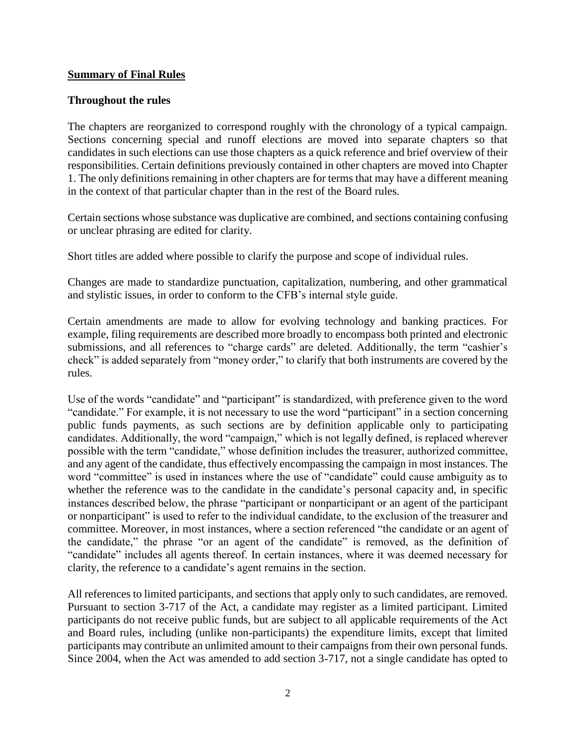#### **Summary of Final Rules**

#### **Throughout the rules**

The chapters are reorganized to correspond roughly with the chronology of a typical campaign. Sections concerning special and runoff elections are moved into separate chapters so that candidates in such elections can use those chapters as a quick reference and brief overview of their responsibilities. Certain definitions previously contained in other chapters are moved into Chapter 1. The only definitions remaining in other chapters are for terms that may have a different meaning in the context of that particular chapter than in the rest of the Board rules.

Certain sections whose substance was duplicative are combined, and sections containing confusing or unclear phrasing are edited for clarity.

Short titles are added where possible to clarify the purpose and scope of individual rules.

Changes are made to standardize punctuation, capitalization, numbering, and other grammatical and stylistic issues, in order to conform to the CFB's internal style guide.

Certain amendments are made to allow for evolving technology and banking practices. For example, filing requirements are described more broadly to encompass both printed and electronic submissions, and all references to "charge cards" are deleted. Additionally, the term "cashier's check" is added separately from "money order," to clarify that both instruments are covered by the rules.

Use of the words "candidate" and "participant" is standardized, with preference given to the word "candidate." For example, it is not necessary to use the word "participant" in a section concerning public funds payments, as such sections are by definition applicable only to participating candidates. Additionally, the word "campaign," which is not legally defined, is replaced wherever possible with the term "candidate," whose definition includes the treasurer, authorized committee, and any agent of the candidate, thus effectively encompassing the campaign in most instances. The word "committee" is used in instances where the use of "candidate" could cause ambiguity as to whether the reference was to the candidate in the candidate's personal capacity and, in specific instances described below, the phrase "participant or nonparticipant or an agent of the participant or nonparticipant" is used to refer to the individual candidate, to the exclusion of the treasurer and committee. Moreover, in most instances, where a section referenced "the candidate or an agent of the candidate," the phrase "or an agent of the candidate" is removed, as the definition of "candidate" includes all agents thereof. In certain instances, where it was deemed necessary for clarity, the reference to a candidate's agent remains in the section.

All references to limited participants, and sections that apply only to such candidates, are removed. Pursuant to section 3-717 of the Act, a candidate may register as a limited participant. Limited participants do not receive public funds, but are subject to all applicable requirements of the Act and Board rules, including (unlike non-participants) the expenditure limits, except that limited participants may contribute an unlimited amount to their campaigns from their own personal funds. Since 2004, when the Act was amended to add section 3-717, not a single candidate has opted to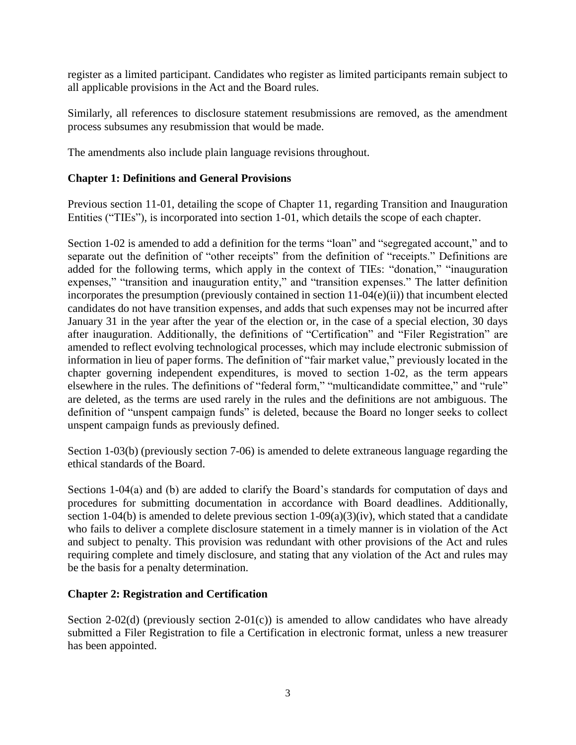register as a limited participant. Candidates who register as limited participants remain subject to all applicable provisions in the Act and the Board rules.

Similarly, all references to disclosure statement resubmissions are removed, as the amendment process subsumes any resubmission that would be made.

The amendments also include plain language revisions throughout.

#### **Chapter 1: Definitions and General Provisions**

Previous section 11-01, detailing the scope of Chapter 11, regarding Transition and Inauguration Entities ("TIEs"), is incorporated into section 1-01, which details the scope of each chapter.

Section 1-02 is amended to add a definition for the terms "loan" and "segregated account," and to separate out the definition of "other receipts" from the definition of "receipts." Definitions are added for the following terms, which apply in the context of TIEs: "donation," "inauguration expenses," "transition and inauguration entity," and "transition expenses." The latter definition incorporates the presumption (previously contained in section 11-04(e)(ii)) that incumbent elected candidates do not have transition expenses, and adds that such expenses may not be incurred after January 31 in the year after the year of the election or, in the case of a special election, 30 days after inauguration. Additionally, the definitions of "Certification" and "Filer Registration" are amended to reflect evolving technological processes, which may include electronic submission of information in lieu of paper forms. The definition of "fair market value," previously located in the chapter governing independent expenditures, is moved to section 1-02, as the term appears elsewhere in the rules. The definitions of "federal form," "multicandidate committee," and "rule" are deleted, as the terms are used rarely in the rules and the definitions are not ambiguous. The definition of "unspent campaign funds" is deleted, because the Board no longer seeks to collect unspent campaign funds as previously defined.

Section 1-03(b) (previously section 7-06) is amended to delete extraneous language regarding the ethical standards of the Board.

Sections 1-04(a) and (b) are added to clarify the Board's standards for computation of days and procedures for submitting documentation in accordance with Board deadlines. Additionally, section 1-04(b) is amended to delete previous section  $1-09(a)(3)(iv)$ , which stated that a candidate who fails to deliver a complete disclosure statement in a timely manner is in violation of the Act and subject to penalty. This provision was redundant with other provisions of the Act and rules requiring complete and timely disclosure, and stating that any violation of the Act and rules may be the basis for a penalty determination.

#### **Chapter 2: Registration and Certification**

Section 2-02(d) (previously section 2-01(c)) is amended to allow candidates who have already submitted a Filer Registration to file a Certification in electronic format, unless a new treasurer has been appointed.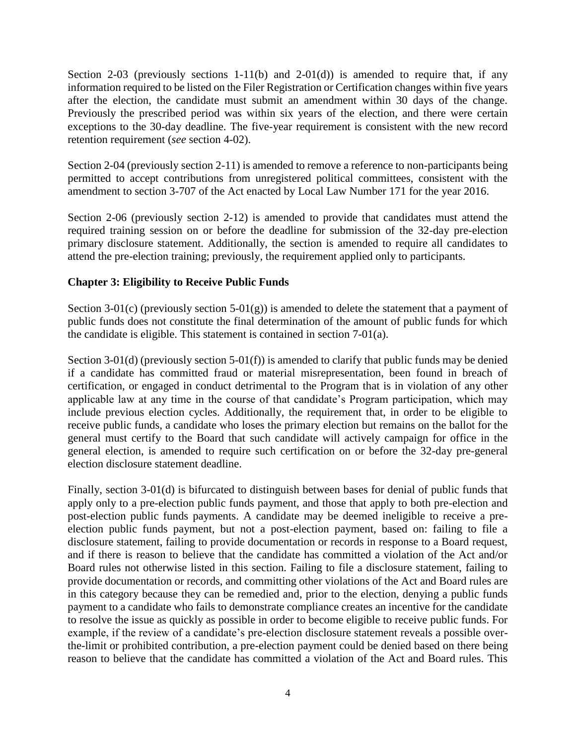Section 2-03 (previously sections 1-11(b) and 2-01(d)) is amended to require that, if any information required to be listed on the Filer Registration or Certification changes within five years after the election, the candidate must submit an amendment within 30 days of the change. Previously the prescribed period was within six years of the election, and there were certain exceptions to the 30-day deadline. The five-year requirement is consistent with the new record retention requirement (*see* section 4-02).

Section 2-04 (previously section 2-11) is amended to remove a reference to non-participants being permitted to accept contributions from unregistered political committees, consistent with the amendment to section 3-707 of the Act enacted by Local Law Number 171 for the year 2016.

Section 2-06 (previously section 2-12) is amended to provide that candidates must attend the required training session on or before the deadline for submission of the 32-day pre-election primary disclosure statement. Additionally, the section is amended to require all candidates to attend the pre-election training; previously, the requirement applied only to participants.

#### **Chapter 3: Eligibility to Receive Public Funds**

Section 3-01(c) (previously section 5-01(g)) is amended to delete the statement that a payment of public funds does not constitute the final determination of the amount of public funds for which the candidate is eligible. This statement is contained in section 7-01(a).

Section 3-01(d) (previously section 5-01(f)) is amended to clarify that public funds may be denied if a candidate has committed fraud or material misrepresentation, been found in breach of certification, or engaged in conduct detrimental to the Program that is in violation of any other applicable law at any time in the course of that candidate's Program participation, which may include previous election cycles. Additionally, the requirement that, in order to be eligible to receive public funds, a candidate who loses the primary election but remains on the ballot for the general must certify to the Board that such candidate will actively campaign for office in the general election, is amended to require such certification on or before the 32-day pre-general election disclosure statement deadline.

Finally, section 3-01(d) is bifurcated to distinguish between bases for denial of public funds that apply only to a pre-election public funds payment, and those that apply to both pre-election and post-election public funds payments. A candidate may be deemed ineligible to receive a preelection public funds payment, but not a post-election payment, based on: failing to file a disclosure statement, failing to provide documentation or records in response to a Board request, and if there is reason to believe that the candidate has committed a violation of the Act and/or Board rules not otherwise listed in this section. Failing to file a disclosure statement, failing to provide documentation or records, and committing other violations of the Act and Board rules are in this category because they can be remedied and, prior to the election, denying a public funds payment to a candidate who fails to demonstrate compliance creates an incentive for the candidate to resolve the issue as quickly as possible in order to become eligible to receive public funds. For example, if the review of a candidate's pre-election disclosure statement reveals a possible overthe-limit or prohibited contribution, a pre-election payment could be denied based on there being reason to believe that the candidate has committed a violation of the Act and Board rules. This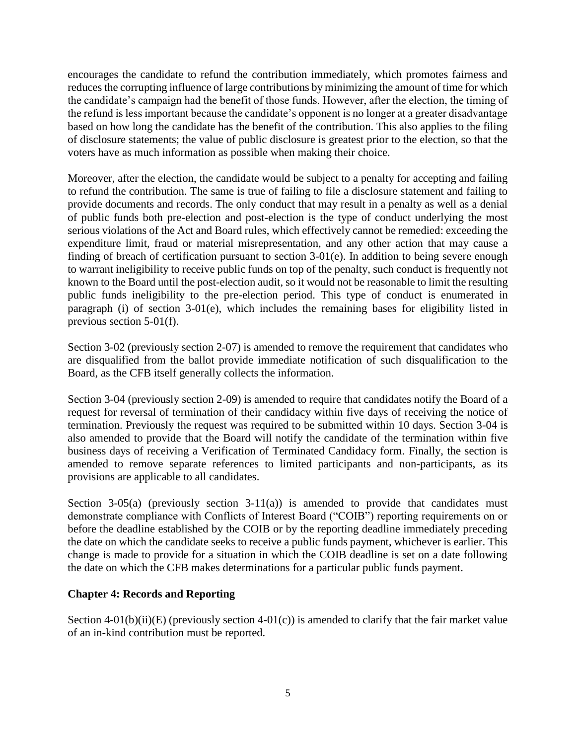encourages the candidate to refund the contribution immediately, which promotes fairness and reduces the corrupting influence of large contributions by minimizing the amount of time for which the candidate's campaign had the benefit of those funds. However, after the election, the timing of the refund is less important because the candidate's opponent is no longer at a greater disadvantage based on how long the candidate has the benefit of the contribution. This also applies to the filing of disclosure statements; the value of public disclosure is greatest prior to the election, so that the voters have as much information as possible when making their choice.

Moreover, after the election, the candidate would be subject to a penalty for accepting and failing to refund the contribution. The same is true of failing to file a disclosure statement and failing to provide documents and records. The only conduct that may result in a penalty as well as a denial of public funds both pre-election and post-election is the type of conduct underlying the most serious violations of the Act and Board rules, which effectively cannot be remedied: exceeding the expenditure limit, fraud or material misrepresentation, and any other action that may cause a finding of breach of certification pursuant to section 3-01(e). In addition to being severe enough to warrant ineligibility to receive public funds on top of the penalty, such conduct is frequently not known to the Board until the post-election audit, so it would not be reasonable to limit the resulting public funds ineligibility to the pre-election period. This type of conduct is enumerated in paragraph (i) of section 3-01(e), which includes the remaining bases for eligibility listed in previous section 5-01(f).

Section 3-02 (previously section 2-07) is amended to remove the requirement that candidates who are disqualified from the ballot provide immediate notification of such disqualification to the Board, as the CFB itself generally collects the information.

Section 3-04 (previously section 2-09) is amended to require that candidates notify the Board of a request for reversal of termination of their candidacy within five days of receiving the notice of termination. Previously the request was required to be submitted within 10 days. Section 3-04 is also amended to provide that the Board will notify the candidate of the termination within five business days of receiving a Verification of Terminated Candidacy form. Finally, the section is amended to remove separate references to limited participants and non-participants, as its provisions are applicable to all candidates.

Section 3-05(a) (previously section 3-11(a)) is amended to provide that candidates must demonstrate compliance with Conflicts of Interest Board ("COIB") reporting requirements on or before the deadline established by the COIB or by the reporting deadline immediately preceding the date on which the candidate seeks to receive a public funds payment, whichever is earlier. This change is made to provide for a situation in which the COIB deadline is set on a date following the date on which the CFB makes determinations for a particular public funds payment.

#### **Chapter 4: Records and Reporting**

Section 4-01(b)(ii)(E) (previously section 4-01(c)) is amended to clarify that the fair market value of an in-kind contribution must be reported.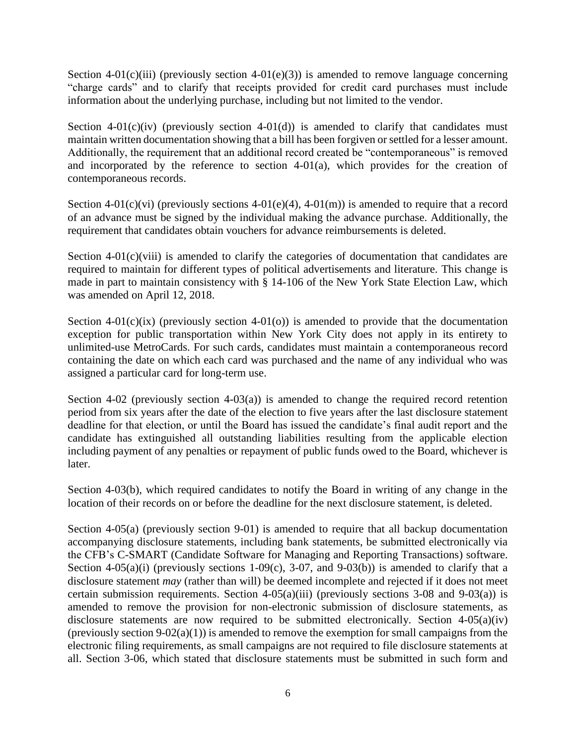Section 4-01(c)(iii) (previously section 4-01(e)(3)) is amended to remove language concerning "charge cards" and to clarify that receipts provided for credit card purchases must include information about the underlying purchase, including but not limited to the vendor.

Section  $4-01(c)(iv)$  (previously section  $4-01(d)$ ) is amended to clarify that candidates must maintain written documentation showing that a bill has been forgiven or settled for a lesser amount. Additionally, the requirement that an additional record created be "contemporaneous" is removed and incorporated by the reference to section 4-01(a), which provides for the creation of contemporaneous records.

Section 4-01(c)(vi) (previously sections 4-01(e)(4), 4-01(m)) is amended to require that a record of an advance must be signed by the individual making the advance purchase. Additionally, the requirement that candidates obtain vouchers for advance reimbursements is deleted.

Section  $4-01(c)$ (viii) is amended to clarify the categories of documentation that candidates are required to maintain for different types of political advertisements and literature. This change is made in part to maintain consistency with § 14-106 of the New York State Election Law, which was amended on April 12, 2018.

Section  $4-01(c)(ix)$  (previously section  $4-01(0)$ ) is amended to provide that the documentation exception for public transportation within New York City does not apply in its entirety to unlimited-use MetroCards. For such cards, candidates must maintain a contemporaneous record containing the date on which each card was purchased and the name of any individual who was assigned a particular card for long-term use.

Section 4-02 (previously section 4-03(a)) is amended to change the required record retention period from six years after the date of the election to five years after the last disclosure statement deadline for that election, or until the Board has issued the candidate's final audit report and the candidate has extinguished all outstanding liabilities resulting from the applicable election including payment of any penalties or repayment of public funds owed to the Board, whichever is later.

Section 4-03(b), which required candidates to notify the Board in writing of any change in the location of their records on or before the deadline for the next disclosure statement, is deleted.

Section 4-05(a) (previously section 9-01) is amended to require that all backup documentation accompanying disclosure statements, including bank statements, be submitted electronically via the CFB's C-SMART (Candidate Software for Managing and Reporting Transactions) software. Section 4-05(a)(i) (previously sections 1-09(c), 3-07, and 9-03(b)) is amended to clarify that a disclosure statement *may* (rather than will) be deemed incomplete and rejected if it does not meet certain submission requirements. Section 4-05(a)(iii) (previously sections 3-08 and 9-03(a)) is amended to remove the provision for non-electronic submission of disclosure statements, as disclosure statements are now required to be submitted electronically. Section 4-05(a)(iv) (previously section  $9-02(a)(1)$ ) is amended to remove the exemption for small campaigns from the electronic filing requirements, as small campaigns are not required to file disclosure statements at all. Section 3-06, which stated that disclosure statements must be submitted in such form and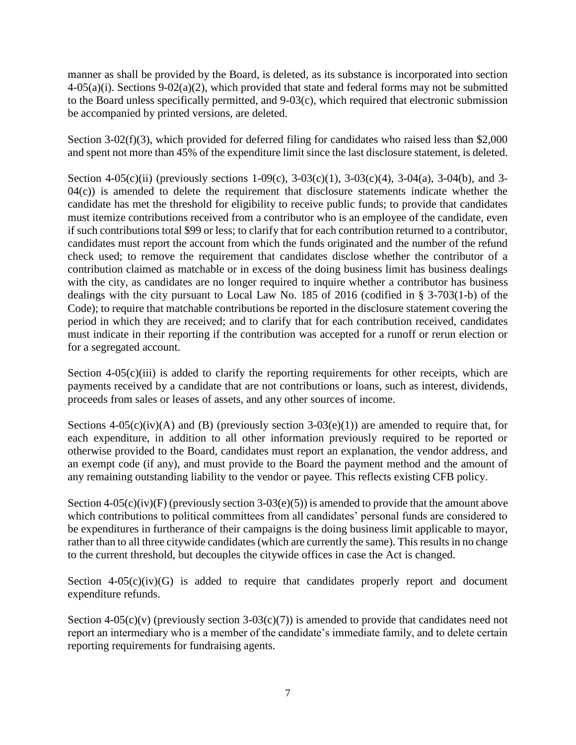manner as shall be provided by the Board, is deleted, as its substance is incorporated into section  $4-05(a)(i)$ . Sections  $9-02(a)(2)$ , which provided that state and federal forms may not be submitted to the Board unless specifically permitted, and 9-03(c), which required that electronic submission be accompanied by printed versions, are deleted.

Section 3-02(f)(3), which provided for deferred filing for candidates who raised less than \$2,000 and spent not more than 45% of the expenditure limit since the last disclosure statement, is deleted.

Section 4-05(c)(ii) (previously sections 1-09(c), 3-03(c)(1), 3-03(c)(4), 3-04(a), 3-04(b), and 3- $04(c)$ ) is amended to delete the requirement that disclosure statements indicate whether the candidate has met the threshold for eligibility to receive public funds; to provide that candidates must itemize contributions received from a contributor who is an employee of the candidate, even if such contributions total \$99 or less; to clarify that for each contribution returned to a contributor, candidates must report the account from which the funds originated and the number of the refund check used; to remove the requirement that candidates disclose whether the contributor of a contribution claimed as matchable or in excess of the doing business limit has business dealings with the city, as candidates are no longer required to inquire whether a contributor has business dealings with the city pursuant to Local Law No. 185 of 2016 (codified in § 3-703(1-b) of the Code); to require that matchable contributions be reported in the disclosure statement covering the period in which they are received; and to clarify that for each contribution received, candidates must indicate in their reporting if the contribution was accepted for a runoff or rerun election or for a segregated account.

Section  $4-05(c)(iii)$  is added to clarify the reporting requirements for other receipts, which are payments received by a candidate that are not contributions or loans, such as interest, dividends, proceeds from sales or leases of assets, and any other sources of income.

Sections  $4-05(c)(iv)(A)$  and (B) (previously section  $3-03(e)(1)$ ) are amended to require that, for each expenditure, in addition to all other information previously required to be reported or otherwise provided to the Board, candidates must report an explanation, the vendor address, and an exempt code (if any), and must provide to the Board the payment method and the amount of any remaining outstanding liability to the vendor or payee. This reflects existing CFB policy.

Section 4-05(c)(iv)(F) (previously section 3-03(e)(5)) is amended to provide that the amount above which contributions to political committees from all candidates' personal funds are considered to be expenditures in furtherance of their campaigns is the doing business limit applicable to mayor, rather than to all three citywide candidates (which are currently the same). This results in no change to the current threshold, but decouples the citywide offices in case the Act is changed.

Section  $4-05(c)(iv)(G)$  is added to require that candidates properly report and document expenditure refunds.

Section 4-05(c)(v) (previously section 3-03(c)(7)) is amended to provide that candidates need not report an intermediary who is a member of the candidate's immediate family, and to delete certain reporting requirements for fundraising agents.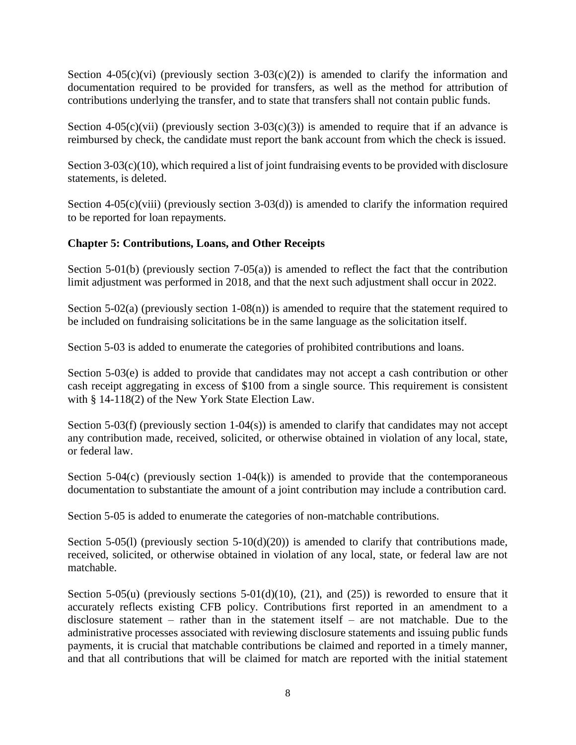Section 4-05(c)(vi) (previously section 3-03(c)(2)) is amended to clarify the information and documentation required to be provided for transfers, as well as the method for attribution of contributions underlying the transfer, and to state that transfers shall not contain public funds.

Section 4-05(c)(vii) (previously section 3-03(c)(3)) is amended to require that if an advance is reimbursed by check, the candidate must report the bank account from which the check is issued.

Section 3-03(c)(10), which required a list of joint fundraising events to be provided with disclosure statements, is deleted.

Section  $4-05(c)(viii)$  (previously section  $3-03(d)$ ) is amended to clarify the information required to be reported for loan repayments.

#### **Chapter 5: Contributions, Loans, and Other Receipts**

Section 5-01(b) (previously section 7-05(a)) is amended to reflect the fact that the contribution limit adjustment was performed in 2018, and that the next such adjustment shall occur in 2022.

Section 5-02(a) (previously section 1-08(n)) is amended to require that the statement required to be included on fundraising solicitations be in the same language as the solicitation itself.

Section 5-03 is added to enumerate the categories of prohibited contributions and loans.

Section 5-03(e) is added to provide that candidates may not accept a cash contribution or other cash receipt aggregating in excess of \$100 from a single source. This requirement is consistent with § 14-118(2) of the New York State Election Law.

Section 5-03(f) (previously section 1-04(s)) is amended to clarify that candidates may not accept any contribution made, received, solicited, or otherwise obtained in violation of any local, state, or federal law.

Section  $5-04(c)$  (previously section  $1-04(k)$ ) is amended to provide that the contemporaneous documentation to substantiate the amount of a joint contribution may include a contribution card.

Section 5-05 is added to enumerate the categories of non-matchable contributions.

Section 5-05(1) (previously section  $5-10(d)(20)$ ) is amended to clarify that contributions made, received, solicited, or otherwise obtained in violation of any local, state, or federal law are not matchable.

Section 5-05(u) (previously sections 5-01(d)(10), (21), and (25)) is reworded to ensure that it accurately reflects existing CFB policy. Contributions first reported in an amendment to a disclosure statement – rather than in the statement itself – are not matchable. Due to the administrative processes associated with reviewing disclosure statements and issuing public funds payments, it is crucial that matchable contributions be claimed and reported in a timely manner, and that all contributions that will be claimed for match are reported with the initial statement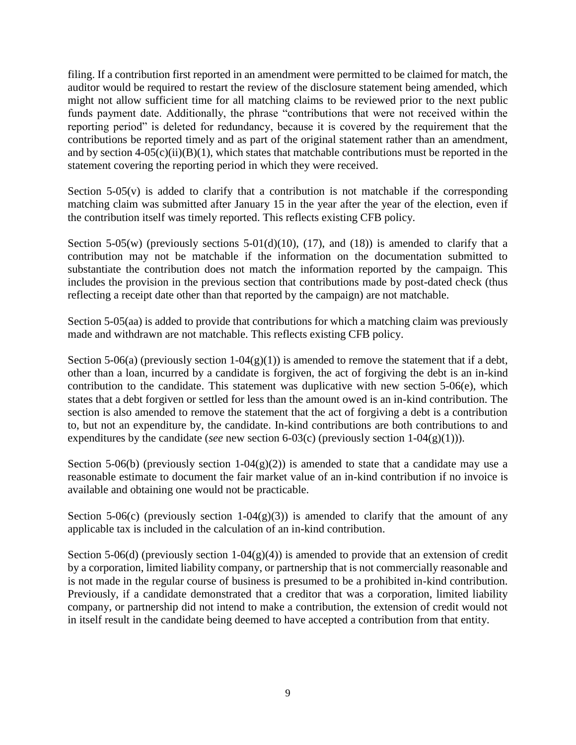filing. If a contribution first reported in an amendment were permitted to be claimed for match, the auditor would be required to restart the review of the disclosure statement being amended, which might not allow sufficient time for all matching claims to be reviewed prior to the next public funds payment date. Additionally, the phrase "contributions that were not received within the reporting period" is deleted for redundancy, because it is covered by the requirement that the contributions be reported timely and as part of the original statement rather than an amendment, and by section  $4-05(c)(ii)(B)(1)$ , which states that matchable contributions must be reported in the statement covering the reporting period in which they were received.

Section  $5-05(y)$  is added to clarify that a contribution is not matchable if the corresponding matching claim was submitted after January 15 in the year after the year of the election, even if the contribution itself was timely reported. This reflects existing CFB policy.

Section 5-05(w) (previously sections 5-01(d)(10), (17), and (18)) is amended to clarify that a contribution may not be matchable if the information on the documentation submitted to substantiate the contribution does not match the information reported by the campaign. This includes the provision in the previous section that contributions made by post-dated check (thus reflecting a receipt date other than that reported by the campaign) are not matchable.

Section 5-05(aa) is added to provide that contributions for which a matching claim was previously made and withdrawn are not matchable. This reflects existing CFB policy.

Section 5-06(a) (previously section 1-04(g)(1)) is amended to remove the statement that if a debt, other than a loan, incurred by a candidate is forgiven, the act of forgiving the debt is an in-kind contribution to the candidate. This statement was duplicative with new section 5-06(e), which states that a debt forgiven or settled for less than the amount owed is an in-kind contribution. The section is also amended to remove the statement that the act of forgiving a debt is a contribution to, but not an expenditure by, the candidate. In-kind contributions are both contributions to and expenditures by the candidate (*see* new section 6-03(c) (previously section 1-04(g)(1))).

Section 5-06(b) (previously section 1-04(g)(2)) is amended to state that a candidate may use a reasonable estimate to document the fair market value of an in-kind contribution if no invoice is available and obtaining one would not be practicable.

Section 5-06(c) (previously section 1-04(g)(3)) is amended to clarify that the amount of any applicable tax is included in the calculation of an in-kind contribution.

Section 5-06(d) (previously section  $1-04(g)(4)$ ) is amended to provide that an extension of credit by a corporation, limited liability company, or partnership that is not commercially reasonable and is not made in the regular course of business is presumed to be a prohibited in-kind contribution. Previously, if a candidate demonstrated that a creditor that was a corporation, limited liability company, or partnership did not intend to make a contribution, the extension of credit would not in itself result in the candidate being deemed to have accepted a contribution from that entity.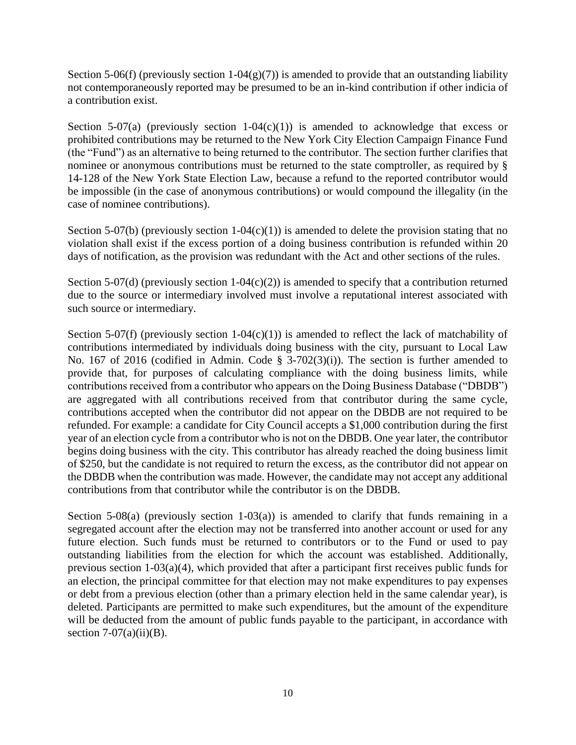Section 5-06(f) (previously section 1-04(g)(7)) is amended to provide that an outstanding liability not contemporaneously reported may be presumed to be an in-kind contribution if other indicia of a contribution exist.

Section 5-07(a) (previously section 1-04(c)(1)) is amended to acknowledge that excess or prohibited contributions may be returned to the New York City Election Campaign Finance Fund (the "Fund") as an alternative to being returned to the contributor. The section further clarifies that nominee or anonymous contributions must be returned to the state comptroller, as required by § 14-128 of the New York State Election Law, because a refund to the reported contributor would be impossible (in the case of anonymous contributions) or would compound the illegality (in the case of nominee contributions).

Section 5-07(b) (previously section 1-04(c)(1)) is amended to delete the provision stating that no violation shall exist if the excess portion of a doing business contribution is refunded within 20 days of notification, as the provision was redundant with the Act and other sections of the rules.

Section 5-07(d) (previously section  $1-04(c)(2)$ ) is amended to specify that a contribution returned due to the source or intermediary involved must involve a reputational interest associated with such source or intermediary.

Section 5-07(f) (previously section 1-04(c)(1)) is amended to reflect the lack of matchability of contributions intermediated by individuals doing business with the city, pursuant to Local Law No. 167 of 2016 (codified in Admin. Code § 3-702(3)(i)). The section is further amended to provide that, for purposes of calculating compliance with the doing business limits, while contributions received from a contributor who appears on the Doing Business Database ("DBDB") are aggregated with all contributions received from that contributor during the same cycle, contributions accepted when the contributor did not appear on the DBDB are not required to be refunded. For example: a candidate for City Council accepts a \$1,000 contribution during the first year of an election cycle from a contributor who is not on the DBDB. One year later, the contributor begins doing business with the city. This contributor has already reached the doing business limit of \$250, but the candidate is not required to return the excess, as the contributor did not appear on the DBDB when the contribution was made. However, the candidate may not accept any additional contributions from that contributor while the contributor is on the DBDB.

Section  $5-08(a)$  (previously section  $1-03(a)$ ) is amended to clarify that funds remaining in a segregated account after the election may not be transferred into another account or used for any future election. Such funds must be returned to contributors or to the Fund or used to pay outstanding liabilities from the election for which the account was established. Additionally, previous section 1-03(a)(4), which provided that after a participant first receives public funds for an election, the principal committee for that election may not make expenditures to pay expenses or debt from a previous election (other than a primary election held in the same calendar year), is deleted. Participants are permitted to make such expenditures, but the amount of the expenditure will be deducted from the amount of public funds payable to the participant, in accordance with section  $7-07(a)(ii)(B)$ .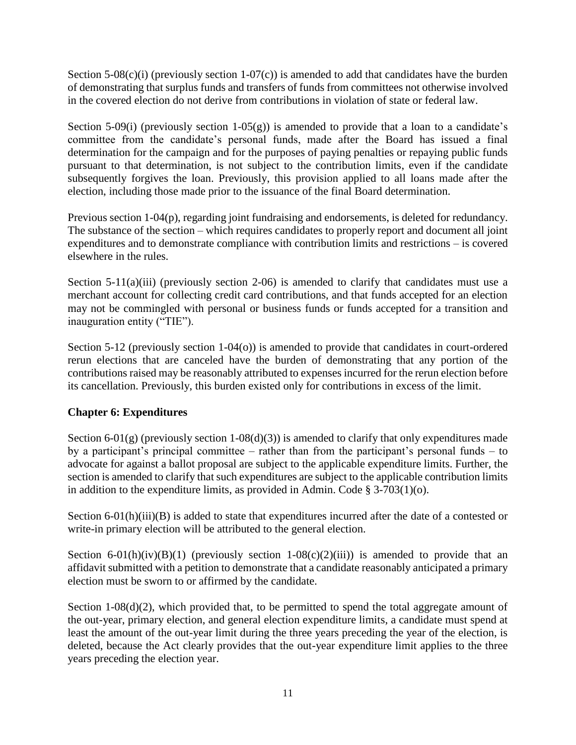Section 5-08(c)(i) (previously section 1-07(c)) is amended to add that candidates have the burden of demonstrating that surplus funds and transfers of funds from committees not otherwise involved in the covered election do not derive from contributions in violation of state or federal law.

Section 5-09(i) (previously section 1-05 $(g)$ ) is amended to provide that a loan to a candidate's committee from the candidate's personal funds, made after the Board has issued a final determination for the campaign and for the purposes of paying penalties or repaying public funds pursuant to that determination, is not subject to the contribution limits, even if the candidate subsequently forgives the loan. Previously, this provision applied to all loans made after the election, including those made prior to the issuance of the final Board determination.

Previous section 1-04(p), regarding joint fundraising and endorsements, is deleted for redundancy. The substance of the section – which requires candidates to properly report and document all joint expenditures and to demonstrate compliance with contribution limits and restrictions – is covered elsewhere in the rules.

Section 5-11(a)(iii) (previously section 2-06) is amended to clarify that candidates must use a merchant account for collecting credit card contributions, and that funds accepted for an election may not be commingled with personal or business funds or funds accepted for a transition and inauguration entity ("TIE").

Section 5-12 (previously section 1-04(o)) is amended to provide that candidates in court-ordered rerun elections that are canceled have the burden of demonstrating that any portion of the contributions raised may be reasonably attributed to expenses incurred for the rerun election before its cancellation. Previously, this burden existed only for contributions in excess of the limit.

## **Chapter 6: Expenditures**

Section 6-01(g) (previously section 1-08(d)(3)) is amended to clarify that only expenditures made by a participant's principal committee – rather than from the participant's personal funds – to advocate for against a ballot proposal are subject to the applicable expenditure limits. Further, the section is amended to clarify that such expenditures are subject to the applicable contribution limits in addition to the expenditure limits, as provided in Admin. Code  $\S$  3-703(1)(o).

Section 6-01(h)(iii)(B) is added to state that expenditures incurred after the date of a contested or write-in primary election will be attributed to the general election.

Section 6-01(h)(iv)(B)(1) (previously section 1-08(c)(2)(iii)) is amended to provide that an affidavit submitted with a petition to demonstrate that a candidate reasonably anticipated a primary election must be sworn to or affirmed by the candidate.

Section 1-08(d)(2), which provided that, to be permitted to spend the total aggregate amount of the out-year, primary election, and general election expenditure limits, a candidate must spend at least the amount of the out-year limit during the three years preceding the year of the election, is deleted, because the Act clearly provides that the out-year expenditure limit applies to the three years preceding the election year.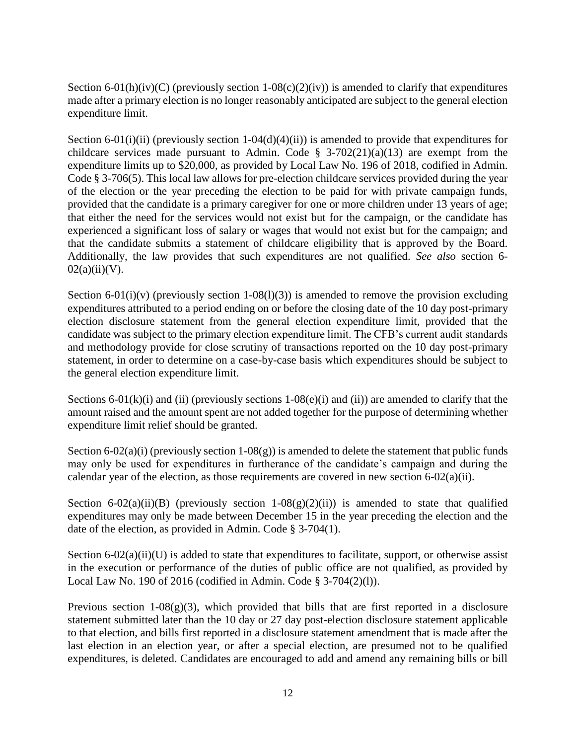Section 6-01(h)(iv)(C) (previously section 1-08(c)(2)(iv)) is amended to clarify that expenditures made after a primary election is no longer reasonably anticipated are subject to the general election expenditure limit.

Section 6-01(i)(ii) (previously section 1-04(d)(4)(ii)) is amended to provide that expenditures for childcare services made pursuant to Admin. Code  $\S$  3-702(21)(a)(13) are exempt from the expenditure limits up to \$20,000, as provided by Local Law No. 196 of 2018, codified in Admin. Code § 3-706(5). This local law allows for pre-election childcare services provided during the year of the election or the year preceding the election to be paid for with private campaign funds, provided that the candidate is a primary caregiver for one or more children under 13 years of age; that either the need for the services would not exist but for the campaign, or the candidate has experienced a significant loss of salary or wages that would not exist but for the campaign; and that the candidate submits a statement of childcare eligibility that is approved by the Board. Additionally, the law provides that such expenditures are not qualified. *See also* section 6-  $02(a)(ii)(V)$ .

Section 6-01(i)(v) (previously section 1-08(l)(3)) is amended to remove the provision excluding expenditures attributed to a period ending on or before the closing date of the 10 day post-primary election disclosure statement from the general election expenditure limit, provided that the candidate was subject to the primary election expenditure limit. The CFB's current audit standards and methodology provide for close scrutiny of transactions reported on the 10 day post-primary statement, in order to determine on a case-by-case basis which expenditures should be subject to the general election expenditure limit.

Sections 6-01(k)(i) and (ii) (previously sections 1-08(e)(i) and (ii)) are amended to clarify that the amount raised and the amount spent are not added together for the purpose of determining whether expenditure limit relief should be granted.

Section 6-02(a)(i) (previously section 1-08(g)) is amended to delete the statement that public funds may only be used for expenditures in furtherance of the candidate's campaign and during the calendar year of the election, as those requirements are covered in new section 6-02(a)(ii).

Section 6-02(a)(ii)(B) (previously section 1-08(g)(2)(ii)) is amended to state that qualified expenditures may only be made between December 15 in the year preceding the election and the date of the election, as provided in Admin. Code § 3-704(1).

Section  $6-02(a)(ii)(U)$  is added to state that expenditures to facilitate, support, or otherwise assist in the execution or performance of the duties of public office are not qualified, as provided by Local Law No. 190 of 2016 (codified in Admin. Code § 3-704(2)(l)).

Previous section  $1-08(g)(3)$ , which provided that bills that are first reported in a disclosure statement submitted later than the 10 day or 27 day post-election disclosure statement applicable to that election, and bills first reported in a disclosure statement amendment that is made after the last election in an election year, or after a special election, are presumed not to be qualified expenditures, is deleted. Candidates are encouraged to add and amend any remaining bills or bill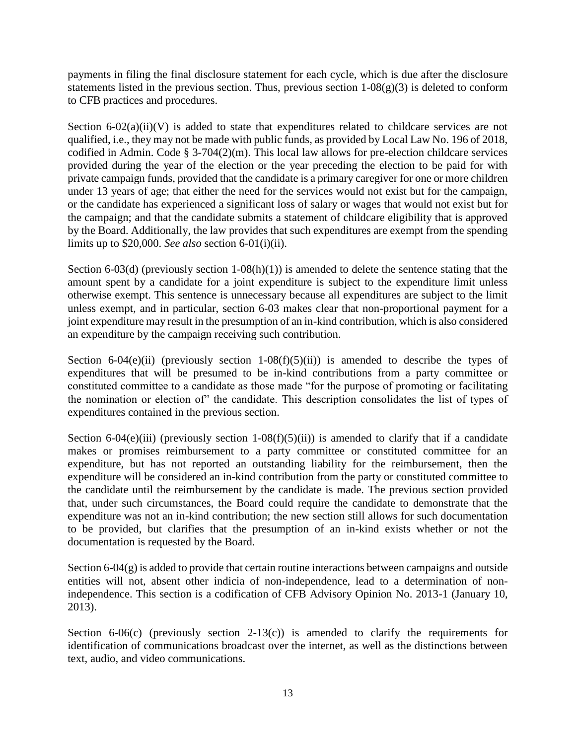payments in filing the final disclosure statement for each cycle, which is due after the disclosure statements listed in the previous section. Thus, previous section  $1-08(g)(3)$  is deleted to conform to CFB practices and procedures.

Section  $6-02(a)(ii)(V)$  is added to state that expenditures related to childcare services are not qualified, i.e., they may not be made with public funds, as provided by Local Law No. 196 of 2018, codified in Admin. Code § 3-704(2)(m). This local law allows for pre-election childcare services provided during the year of the election or the year preceding the election to be paid for with private campaign funds, provided that the candidate is a primary caregiver for one or more children under 13 years of age; that either the need for the services would not exist but for the campaign, or the candidate has experienced a significant loss of salary or wages that would not exist but for the campaign; and that the candidate submits a statement of childcare eligibility that is approved by the Board. Additionally, the law provides that such expenditures are exempt from the spending limits up to \$20,000. *See also* section 6-01(i)(ii).

Section 6-03(d) (previously section 1-08(h)(1)) is amended to delete the sentence stating that the amount spent by a candidate for a joint expenditure is subject to the expenditure limit unless otherwise exempt. This sentence is unnecessary because all expenditures are subject to the limit unless exempt, and in particular, section 6-03 makes clear that non-proportional payment for a joint expenditure may result in the presumption of an in-kind contribution, which is also considered an expenditure by the campaign receiving such contribution.

Section 6-04(e)(ii) (previously section 1-08(f)(5)(ii)) is amended to describe the types of expenditures that will be presumed to be in-kind contributions from a party committee or constituted committee to a candidate as those made "for the purpose of promoting or facilitating the nomination or election of" the candidate. This description consolidates the list of types of expenditures contained in the previous section.

Section 6-04(e)(iii) (previously section 1-08(f)(5)(ii)) is amended to clarify that if a candidate makes or promises reimbursement to a party committee or constituted committee for an expenditure, but has not reported an outstanding liability for the reimbursement, then the expenditure will be considered an in-kind contribution from the party or constituted committee to the candidate until the reimbursement by the candidate is made. The previous section provided that, under such circumstances, the Board could require the candidate to demonstrate that the expenditure was not an in-kind contribution; the new section still allows for such documentation to be provided, but clarifies that the presumption of an in-kind exists whether or not the documentation is requested by the Board.

Section 6-04(g) is added to provide that certain routine interactions between campaigns and outside entities will not, absent other indicia of non-independence, lead to a determination of nonindependence. This section is a codification of CFB Advisory Opinion No. 2013-1 (January 10, 2013).

Section  $6-06(c)$  (previously section  $2-13(c)$ ) is amended to clarify the requirements for identification of communications broadcast over the internet, as well as the distinctions between text, audio, and video communications.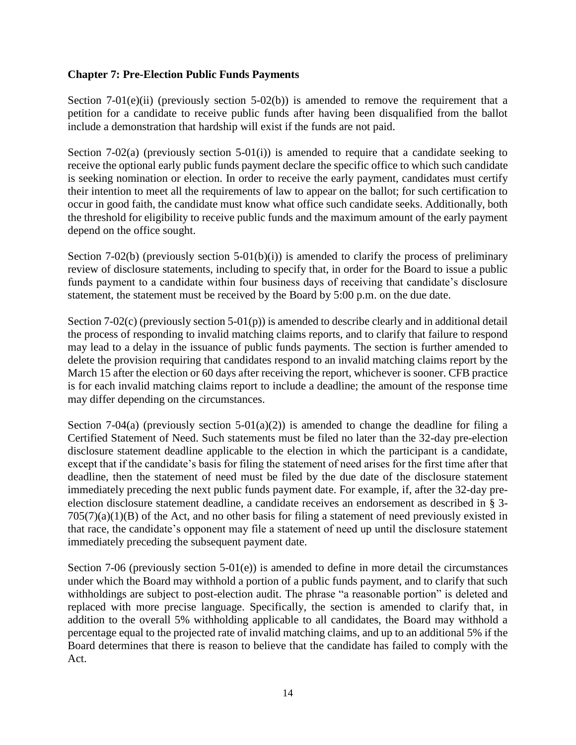#### **Chapter 7: Pre-Election Public Funds Payments**

Section 7-01(e)(ii) (previously section 5-02(b)) is amended to remove the requirement that a petition for a candidate to receive public funds after having been disqualified from the ballot include a demonstration that hardship will exist if the funds are not paid.

Section 7-02(a) (previously section 5-01(i)) is amended to require that a candidate seeking to receive the optional early public funds payment declare the specific office to which such candidate is seeking nomination or election. In order to receive the early payment, candidates must certify their intention to meet all the requirements of law to appear on the ballot; for such certification to occur in good faith, the candidate must know what office such candidate seeks. Additionally, both the threshold for eligibility to receive public funds and the maximum amount of the early payment depend on the office sought.

Section 7-02(b) (previously section 5-01(b)(i)) is amended to clarify the process of preliminary review of disclosure statements, including to specify that, in order for the Board to issue a public funds payment to a candidate within four business days of receiving that candidate's disclosure statement, the statement must be received by the Board by 5:00 p.m. on the due date.

Section 7-02(c) (previously section  $5-01(p)$ ) is amended to describe clearly and in additional detail the process of responding to invalid matching claims reports, and to clarify that failure to respond may lead to a delay in the issuance of public funds payments. The section is further amended to delete the provision requiring that candidates respond to an invalid matching claims report by the March 15 after the election or 60 days after receiving the report, whichever is sooner. CFB practice is for each invalid matching claims report to include a deadline; the amount of the response time may differ depending on the circumstances.

Section 7-04(a) (previously section  $5-01(a)(2)$ ) is amended to change the deadline for filing a Certified Statement of Need. Such statements must be filed no later than the 32-day pre-election disclosure statement deadline applicable to the election in which the participant is a candidate, except that if the candidate's basis for filing the statement of need arises for the first time after that deadline, then the statement of need must be filed by the due date of the disclosure statement immediately preceding the next public funds payment date. For example, if, after the 32-day preelection disclosure statement deadline, a candidate receives an endorsement as described in § 3-  $705(7)(a)(1)(B)$  of the Act, and no other basis for filing a statement of need previously existed in that race, the candidate's opponent may file a statement of need up until the disclosure statement immediately preceding the subsequent payment date.

Section 7-06 (previously section 5-01(e)) is amended to define in more detail the circumstances under which the Board may withhold a portion of a public funds payment, and to clarify that such withholdings are subject to post-election audit. The phrase "a reasonable portion" is deleted and replaced with more precise language. Specifically, the section is amended to clarify that, in addition to the overall 5% withholding applicable to all candidates, the Board may withhold a percentage equal to the projected rate of invalid matching claims, and up to an additional 5% if the Board determines that there is reason to believe that the candidate has failed to comply with the Act.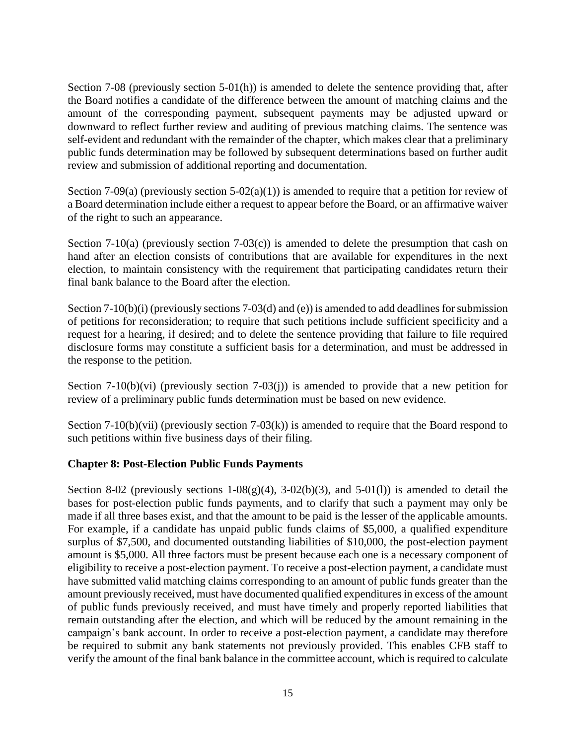Section 7-08 (previously section 5-01(h)) is amended to delete the sentence providing that, after the Board notifies a candidate of the difference between the amount of matching claims and the amount of the corresponding payment, subsequent payments may be adjusted upward or downward to reflect further review and auditing of previous matching claims. The sentence was self-evident and redundant with the remainder of the chapter, which makes clear that a preliminary public funds determination may be followed by subsequent determinations based on further audit review and submission of additional reporting and documentation.

Section 7-09(a) (previously section 5-02(a)(1)) is amended to require that a petition for review of a Board determination include either a request to appear before the Board, or an affirmative waiver of the right to such an appearance.

Section 7-10(a) (previously section 7-03(c)) is amended to delete the presumption that cash on hand after an election consists of contributions that are available for expenditures in the next election, to maintain consistency with the requirement that participating candidates return their final bank balance to the Board after the election.

Section 7-10(b)(i) (previously sections 7-03(d) and (e)) is amended to add deadlines for submission of petitions for reconsideration; to require that such petitions include sufficient specificity and a request for a hearing, if desired; and to delete the sentence providing that failure to file required disclosure forms may constitute a sufficient basis for a determination, and must be addressed in the response to the petition.

Section 7-10(b)(vi) (previously section 7-03(j)) is amended to provide that a new petition for review of a preliminary public funds determination must be based on new evidence.

Section 7-10(b)(vii) (previously section 7-03(k)) is amended to require that the Board respond to such petitions within five business days of their filing.

#### **Chapter 8: Post-Election Public Funds Payments**

Section 8-02 (previously sections  $1-08(g)(4)$ ,  $3-02(b)(3)$ , and  $5-01(1)$ ) is amended to detail the bases for post-election public funds payments, and to clarify that such a payment may only be made if all three bases exist, and that the amount to be paid is the lesser of the applicable amounts. For example, if a candidate has unpaid public funds claims of \$5,000, a qualified expenditure surplus of \$7,500, and documented outstanding liabilities of \$10,000, the post-election payment amount is \$5,000. All three factors must be present because each one is a necessary component of eligibility to receive a post-election payment. To receive a post-election payment, a candidate must have submitted valid matching claims corresponding to an amount of public funds greater than the amount previously received, must have documented qualified expenditures in excess of the amount of public funds previously received, and must have timely and properly reported liabilities that remain outstanding after the election, and which will be reduced by the amount remaining in the campaign's bank account. In order to receive a post-election payment, a candidate may therefore be required to submit any bank statements not previously provided. This enables CFB staff to verify the amount of the final bank balance in the committee account, which is required to calculate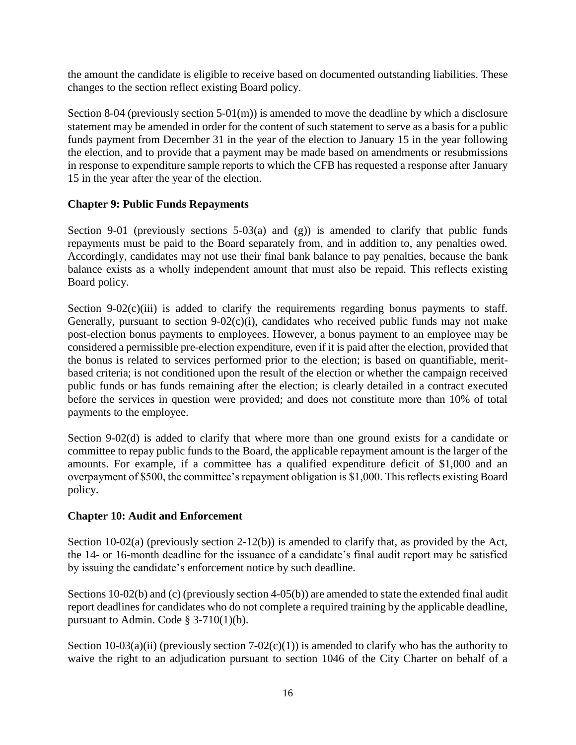the amount the candidate is eligible to receive based on documented outstanding liabilities. These changes to the section reflect existing Board policy.

Section 8-04 (previously section 5-01(m)) is amended to move the deadline by which a disclosure statement may be amended in order for the content of such statement to serve as a basis for a public funds payment from December 31 in the year of the election to January 15 in the year following the election, and to provide that a payment may be made based on amendments or resubmissions in response to expenditure sample reports to which the CFB has requested a response after January 15 in the year after the year of the election.

#### **Chapter 9: Public Funds Repayments**

Section 9-01 (previously sections  $5-03(a)$  and (g)) is amended to clarify that public funds repayments must be paid to the Board separately from, and in addition to, any penalties owed. Accordingly, candidates may not use their final bank balance to pay penalties, because the bank balance exists as a wholly independent amount that must also be repaid. This reflects existing Board policy.

Section 9-02 $(c)$ (iii) is added to clarify the requirements regarding bonus payments to staff. Generally, pursuant to section  $9-02(c)(i)$ , candidates who received public funds may not make post-election bonus payments to employees. However, a bonus payment to an employee may be considered a permissible pre-election expenditure, even if it is paid after the election, provided that the bonus is related to services performed prior to the election; is based on quantifiable, meritbased criteria; is not conditioned upon the result of the election or whether the campaign received public funds or has funds remaining after the election; is clearly detailed in a contract executed before the services in question were provided; and does not constitute more than 10% of total payments to the employee.

Section 9-02(d) is added to clarify that where more than one ground exists for a candidate or committee to repay public funds to the Board, the applicable repayment amount is the larger of the amounts. For example, if a committee has a qualified expenditure deficit of \$1,000 and an overpayment of \$500, the committee's repayment obligation is \$1,000. This reflects existing Board policy.

#### **Chapter 10: Audit and Enforcement**

Section 10-02(a) (previously section 2-12(b)) is amended to clarify that, as provided by the Act, the 14- or 16-month deadline for the issuance of a candidate's final audit report may be satisfied by issuing the candidate's enforcement notice by such deadline.

Sections 10-02(b) and (c) (previously section 4-05(b)) are amended to state the extended final audit report deadlines for candidates who do not complete a required training by the applicable deadline, pursuant to Admin. Code  $\S$  3-710(1)(b).

Section 10-03(a)(ii) (previously section 7-02(c)(1)) is amended to clarify who has the authority to waive the right to an adjudication pursuant to section 1046 of the City Charter on behalf of a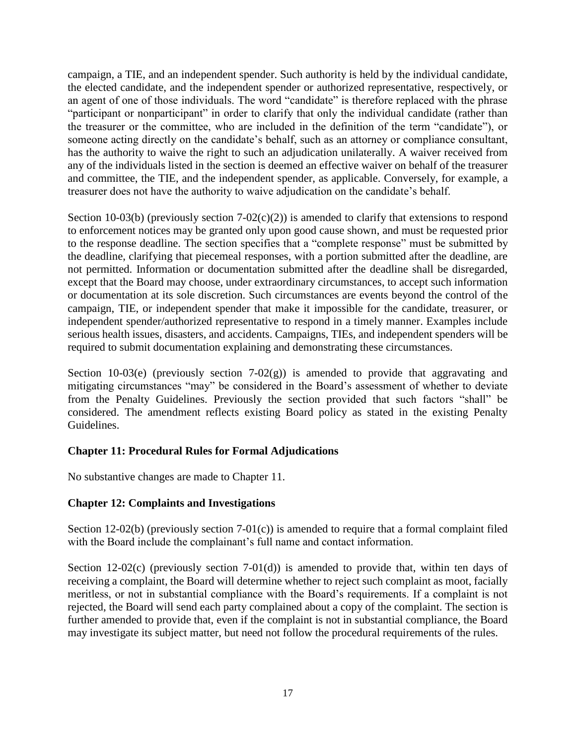campaign, a TIE, and an independent spender. Such authority is held by the individual candidate, the elected candidate, and the independent spender or authorized representative, respectively, or an agent of one of those individuals. The word "candidate" is therefore replaced with the phrase "participant or nonparticipant" in order to clarify that only the individual candidate (rather than the treasurer or the committee, who are included in the definition of the term "candidate"), or someone acting directly on the candidate's behalf, such as an attorney or compliance consultant, has the authority to waive the right to such an adjudication unilaterally. A waiver received from any of the individuals listed in the section is deemed an effective waiver on behalf of the treasurer and committee, the TIE, and the independent spender, as applicable. Conversely, for example, a treasurer does not have the authority to waive adjudication on the candidate's behalf.

Section 10-03(b) (previously section  $7-02(c)(2)$ ) is amended to clarify that extensions to respond to enforcement notices may be granted only upon good cause shown, and must be requested prior to the response deadline. The section specifies that a "complete response" must be submitted by the deadline, clarifying that piecemeal responses, with a portion submitted after the deadline, are not permitted. Information or documentation submitted after the deadline shall be disregarded, except that the Board may choose, under extraordinary circumstances, to accept such information or documentation at its sole discretion. Such circumstances are events beyond the control of the campaign, TIE, or independent spender that make it impossible for the candidate, treasurer, or independent spender/authorized representative to respond in a timely manner. Examples include serious health issues, disasters, and accidents. Campaigns, TIEs, and independent spenders will be required to submit documentation explaining and demonstrating these circumstances.

Section 10-03(e) (previously section  $7-02(g)$ ) is amended to provide that aggravating and mitigating circumstances "may" be considered in the Board's assessment of whether to deviate from the Penalty Guidelines. Previously the section provided that such factors "shall" be considered. The amendment reflects existing Board policy as stated in the existing Penalty Guidelines.

#### **Chapter 11: Procedural Rules for Formal Adjudications**

No substantive changes are made to Chapter 11.

#### **Chapter 12: Complaints and Investigations**

Section 12-02(b) (previously section  $7-01(c)$ ) is amended to require that a formal complaint filed with the Board include the complainant's full name and contact information.

Section 12-02(c) (previously section 7-01(d)) is amended to provide that, within ten days of receiving a complaint, the Board will determine whether to reject such complaint as moot, facially meritless, or not in substantial compliance with the Board's requirements. If a complaint is not rejected, the Board will send each party complained about a copy of the complaint. The section is further amended to provide that, even if the complaint is not in substantial compliance, the Board may investigate its subject matter, but need not follow the procedural requirements of the rules.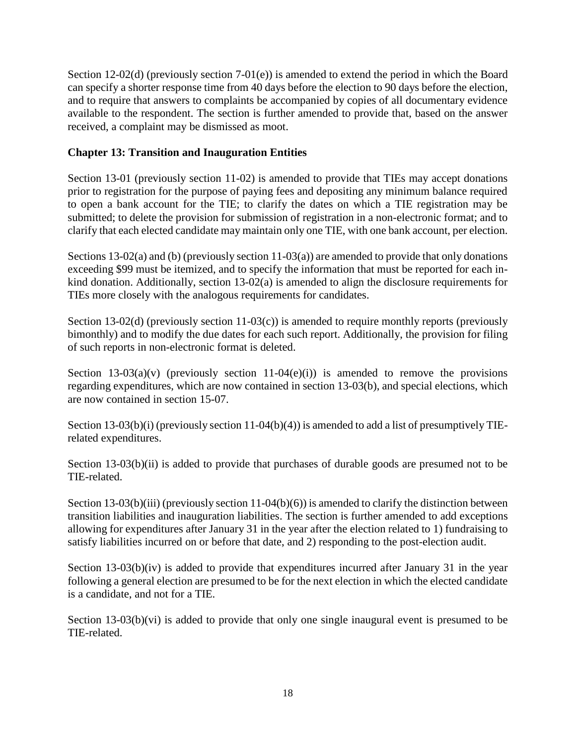Section 12-02(d) (previously section 7-01(e)) is amended to extend the period in which the Board can specify a shorter response time from 40 days before the election to 90 days before the election, and to require that answers to complaints be accompanied by copies of all documentary evidence available to the respondent. The section is further amended to provide that, based on the answer received, a complaint may be dismissed as moot.

#### **Chapter 13: Transition and Inauguration Entities**

Section 13-01 (previously section 11-02) is amended to provide that TIEs may accept donations prior to registration for the purpose of paying fees and depositing any minimum balance required to open a bank account for the TIE; to clarify the dates on which a TIE registration may be submitted; to delete the provision for submission of registration in a non-electronic format; and to clarify that each elected candidate may maintain only one TIE, with one bank account, per election.

Sections 13-02(a) and (b) (previously section 11-03(a)) are amended to provide that only donations exceeding \$99 must be itemized, and to specify the information that must be reported for each inkind donation. Additionally, section 13-02(a) is amended to align the disclosure requirements for TIEs more closely with the analogous requirements for candidates.

Section 13-02(d) (previously section 11-03(c)) is amended to require monthly reports (previously bimonthly) and to modify the due dates for each such report. Additionally, the provision for filing of such reports in non-electronic format is deleted.

Section 13-03(a)(v) (previously section 11-04(e)(i)) is amended to remove the provisions regarding expenditures, which are now contained in section 13-03(b), and special elections, which are now contained in section 15-07.

Section 13-03(b)(i) (previously section 11-04(b)(4)) is amended to add a list of presumptively TIErelated expenditures.

Section 13-03(b)(ii) is added to provide that purchases of durable goods are presumed not to be TIE-related.

Section 13-03(b)(iii) (previously section  $11-04(b)(6)$ ) is amended to clarify the distinction between transition liabilities and inauguration liabilities. The section is further amended to add exceptions allowing for expenditures after January 31 in the year after the election related to 1) fundraising to satisfy liabilities incurred on or before that date, and 2) responding to the post-election audit.

Section 13-03(b)(iv) is added to provide that expenditures incurred after January 31 in the year following a general election are presumed to be for the next election in which the elected candidate is a candidate, and not for a TIE.

Section 13-03(b)(vi) is added to provide that only one single inaugural event is presumed to be TIE-related.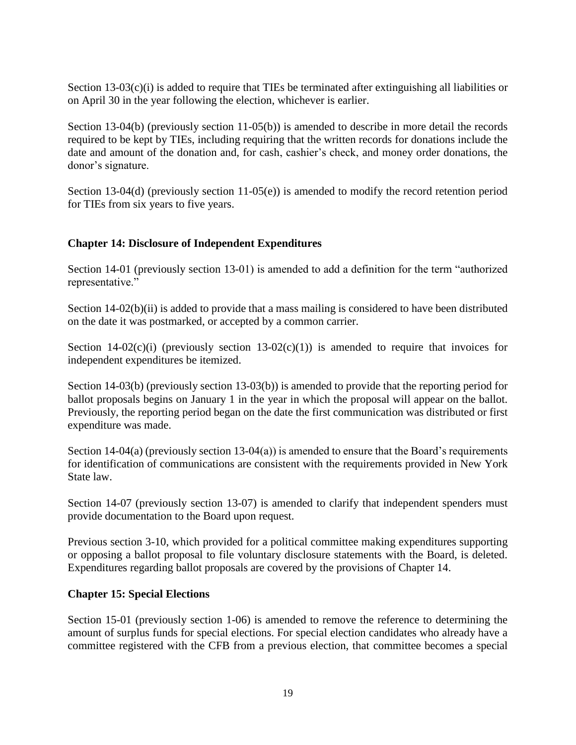Section 13-03(c)(i) is added to require that TIEs be terminated after extinguishing all liabilities or on April 30 in the year following the election, whichever is earlier.

Section 13-04(b) (previously section 11-05(b)) is amended to describe in more detail the records required to be kept by TIEs, including requiring that the written records for donations include the date and amount of the donation and, for cash, cashier's check, and money order donations, the donor's signature.

Section 13-04(d) (previously section 11-05(e)) is amended to modify the record retention period for TIEs from six years to five years.

#### **Chapter 14: Disclosure of Independent Expenditures**

Section 14-01 (previously section 13-01) is amended to add a definition for the term "authorized representative."

Section 14-02(b)(ii) is added to provide that a mass mailing is considered to have been distributed on the date it was postmarked, or accepted by a common carrier.

Section 14-02(c)(i) (previously section 13-02(c)(1)) is amended to require that invoices for independent expenditures be itemized.

Section 14-03(b) (previously section 13-03(b)) is amended to provide that the reporting period for ballot proposals begins on January 1 in the year in which the proposal will appear on the ballot. Previously, the reporting period began on the date the first communication was distributed or first expenditure was made.

Section 14-04(a) (previously section 13-04(a)) is amended to ensure that the Board's requirements for identification of communications are consistent with the requirements provided in New York State law.

Section 14-07 (previously section 13-07) is amended to clarify that independent spenders must provide documentation to the Board upon request.

Previous section 3-10, which provided for a political committee making expenditures supporting or opposing a ballot proposal to file voluntary disclosure statements with the Board, is deleted. Expenditures regarding ballot proposals are covered by the provisions of Chapter 14.

#### **Chapter 15: Special Elections**

Section 15-01 (previously section 1-06) is amended to remove the reference to determining the amount of surplus funds for special elections. For special election candidates who already have a committee registered with the CFB from a previous election, that committee becomes a special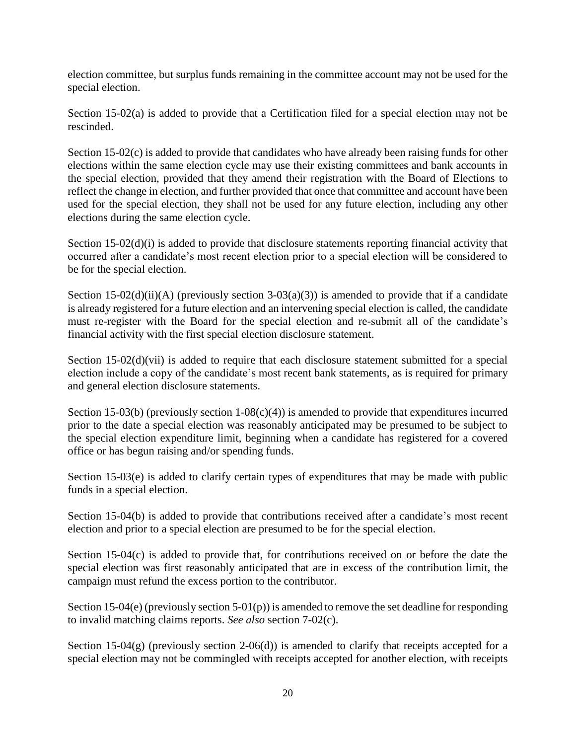election committee, but surplus funds remaining in the committee account may not be used for the special election.

Section 15-02(a) is added to provide that a Certification filed for a special election may not be rescinded.

Section 15-02(c) is added to provide that candidates who have already been raising funds for other elections within the same election cycle may use their existing committees and bank accounts in the special election, provided that they amend their registration with the Board of Elections to reflect the change in election, and further provided that once that committee and account have been used for the special election, they shall not be used for any future election, including any other elections during the same election cycle.

Section 15-02(d)(i) is added to provide that disclosure statements reporting financial activity that occurred after a candidate's most recent election prior to a special election will be considered to be for the special election.

Section 15-02(d)(ii)(A) (previously section 3-03(a)(3)) is amended to provide that if a candidate is already registered for a future election and an intervening special election is called, the candidate must re-register with the Board for the special election and re-submit all of the candidate's financial activity with the first special election disclosure statement.

Section 15-02(d)(vii) is added to require that each disclosure statement submitted for a special election include a copy of the candidate's most recent bank statements, as is required for primary and general election disclosure statements.

Section 15-03(b) (previously section  $1-08(c)(4)$ ) is amended to provide that expenditures incurred prior to the date a special election was reasonably anticipated may be presumed to be subject to the special election expenditure limit, beginning when a candidate has registered for a covered office or has begun raising and/or spending funds.

Section 15-03(e) is added to clarify certain types of expenditures that may be made with public funds in a special election.

Section 15-04(b) is added to provide that contributions received after a candidate's most recent election and prior to a special election are presumed to be for the special election.

Section 15-04(c) is added to provide that, for contributions received on or before the date the special election was first reasonably anticipated that are in excess of the contribution limit, the campaign must refund the excess portion to the contributor.

Section 15-04(e) (previously section 5-01(p)) is amended to remove the set deadline for responding to invalid matching claims reports. *See also* section 7-02(c).

Section 15-04(g) (previously section 2-06(d)) is amended to clarify that receipts accepted for a special election may not be commingled with receipts accepted for another election, with receipts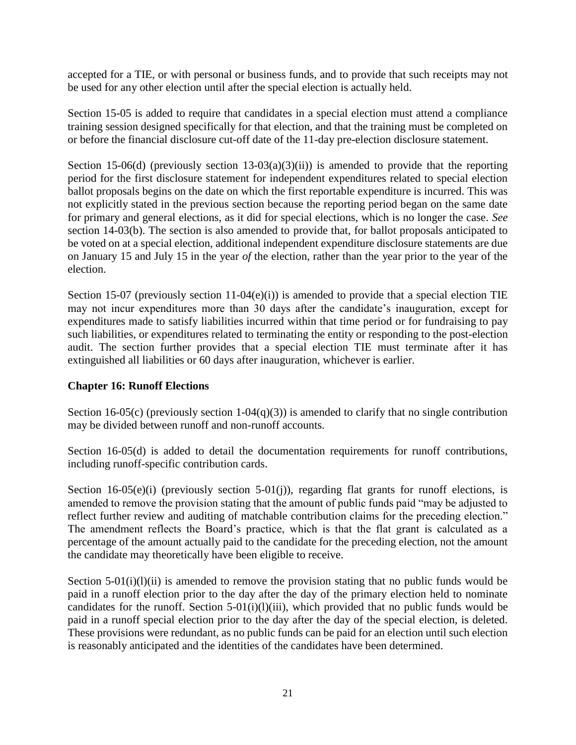accepted for a TIE, or with personal or business funds, and to provide that such receipts may not be used for any other election until after the special election is actually held.

Section 15-05 is added to require that candidates in a special election must attend a compliance training session designed specifically for that election, and that the training must be completed on or before the financial disclosure cut-off date of the 11-day pre-election disclosure statement.

Section 15-06(d) (previously section 13-03(a)(3)(ii)) is amended to provide that the reporting period for the first disclosure statement for independent expenditures related to special election ballot proposals begins on the date on which the first reportable expenditure is incurred. This was not explicitly stated in the previous section because the reporting period began on the same date for primary and general elections, as it did for special elections, which is no longer the case. *See* section 14-03(b). The section is also amended to provide that, for ballot proposals anticipated to be voted on at a special election, additional independent expenditure disclosure statements are due on January 15 and July 15 in the year *of* the election, rather than the year prior to the year of the election.

Section 15-07 (previously section 11-04 $(e)(i)$ ) is amended to provide that a special election TIE may not incur expenditures more than 30 days after the candidate's inauguration, except for expenditures made to satisfy liabilities incurred within that time period or for fundraising to pay such liabilities, or expenditures related to terminating the entity or responding to the post-election audit. The section further provides that a special election TIE must terminate after it has extinguished all liabilities or 60 days after inauguration, whichever is earlier.

#### **Chapter 16: Runoff Elections**

Section 16-05(c) (previously section 1-04(q)(3)) is amended to clarify that no single contribution may be divided between runoff and non-runoff accounts.

Section 16-05(d) is added to detail the documentation requirements for runoff contributions, including runoff-specific contribution cards.

Section 16-05(e)(i) (previously section 5-01(j)), regarding flat grants for runoff elections, is amended to remove the provision stating that the amount of public funds paid "may be adjusted to reflect further review and auditing of matchable contribution claims for the preceding election." The amendment reflects the Board's practice, which is that the flat grant is calculated as a percentage of the amount actually paid to the candidate for the preceding election, not the amount the candidate may theoretically have been eligible to receive.

Section  $5-01(i)(l)(ii)$  is amended to remove the provision stating that no public funds would be paid in a runoff election prior to the day after the day of the primary election held to nominate candidates for the runoff. Section  $5-01(i)(l)(iii)$ , which provided that no public funds would be paid in a runoff special election prior to the day after the day of the special election, is deleted. These provisions were redundant, as no public funds can be paid for an election until such election is reasonably anticipated and the identities of the candidates have been determined.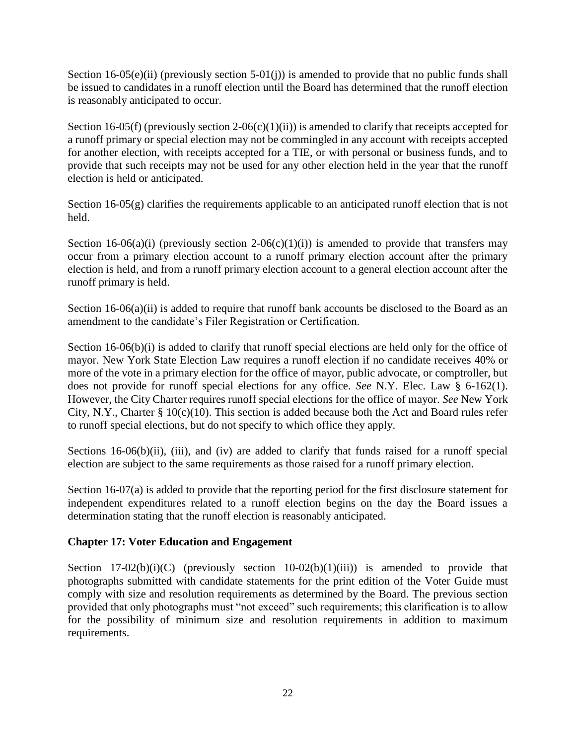Section 16-05(e)(ii) (previously section 5-01(j)) is amended to provide that no public funds shall be issued to candidates in a runoff election until the Board has determined that the runoff election is reasonably anticipated to occur.

Section 16-05(f) (previously section 2-06(c)(1)(ii)) is amended to clarify that receipts accepted for a runoff primary or special election may not be commingled in any account with receipts accepted for another election, with receipts accepted for a TIE, or with personal or business funds, and to provide that such receipts may not be used for any other election held in the year that the runoff election is held or anticipated.

Section 16-05(g) clarifies the requirements applicable to an anticipated runoff election that is not held.

Section 16-06(a)(i) (previously section 2-06(c)(1)(i)) is amended to provide that transfers may occur from a primary election account to a runoff primary election account after the primary election is held, and from a runoff primary election account to a general election account after the runoff primary is held.

Section  $16-06(a)(ii)$  is added to require that runoff bank accounts be disclosed to the Board as an amendment to the candidate's Filer Registration or Certification.

Section 16-06(b)(i) is added to clarify that runoff special elections are held only for the office of mayor. New York State Election Law requires a runoff election if no candidate receives 40% or more of the vote in a primary election for the office of mayor, public advocate, or comptroller, but does not provide for runoff special elections for any office. *See* N.Y. Elec. Law § 6-162(1). However, the City Charter requires runoff special elections for the office of mayor. *See* New York City, N.Y., Charter §  $10(c)(10)$ . This section is added because both the Act and Board rules refer to runoff special elections, but do not specify to which office they apply.

Sections 16-06(b)(ii), (iii), and (iv) are added to clarify that funds raised for a runoff special election are subject to the same requirements as those raised for a runoff primary election.

Section 16-07(a) is added to provide that the reporting period for the first disclosure statement for independent expenditures related to a runoff election begins on the day the Board issues a determination stating that the runoff election is reasonably anticipated.

#### **Chapter 17: Voter Education and Engagement**

Section  $17-02(b)(i)(C)$  (previously section  $10-02(b)(1)(iii)$ ) is amended to provide that photographs submitted with candidate statements for the print edition of the Voter Guide must comply with size and resolution requirements as determined by the Board. The previous section provided that only photographs must "not exceed" such requirements; this clarification is to allow for the possibility of minimum size and resolution requirements in addition to maximum requirements.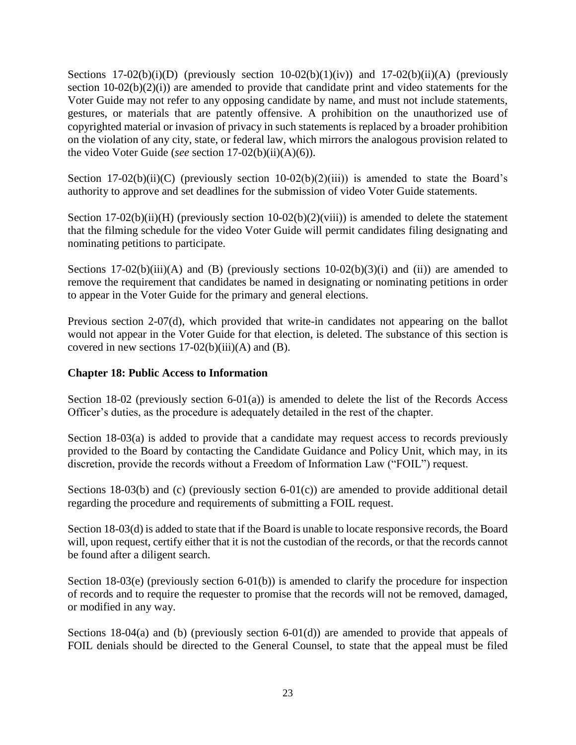Sections  $17-02(b)(i)(D)$  (previously section  $10-02(b)(1)(iv)$ ) and  $17-02(b)(ii)(A)$  (previously section  $10-02(b)(2)(i)$  are amended to provide that candidate print and video statements for the Voter Guide may not refer to any opposing candidate by name, and must not include statements, gestures, or materials that are patently offensive. A prohibition on the unauthorized use of copyrighted material or invasion of privacy in such statements is replaced by a broader prohibition on the violation of any city, state, or federal law, which mirrors the analogous provision related to the video Voter Guide (*see* section 17-02(b)(ii)(A)(6)).

Section 17-02(b)(ii)(C) (previously section 10-02(b)(2)(iii)) is amended to state the Board's authority to approve and set deadlines for the submission of video Voter Guide statements.

Section 17-02(b)(ii)(H) (previously section  $10-02(b)(2)(viii)$ ) is amended to delete the statement that the filming schedule for the video Voter Guide will permit candidates filing designating and nominating petitions to participate.

Sections  $17-02(b)(iii)(A)$  and (B) (previously sections  $10-02(b)(3)(i)$  and (ii)) are amended to remove the requirement that candidates be named in designating or nominating petitions in order to appear in the Voter Guide for the primary and general elections.

Previous section 2-07(d), which provided that write-in candidates not appearing on the ballot would not appear in the Voter Guide for that election, is deleted. The substance of this section is covered in new sections  $17-02(b)(iii)(A)$  and  $(B)$ .

#### **Chapter 18: Public Access to Information**

Section 18-02 (previously section 6-01(a)) is amended to delete the list of the Records Access Officer's duties, as the procedure is adequately detailed in the rest of the chapter.

Section 18-03(a) is added to provide that a candidate may request access to records previously provided to the Board by contacting the Candidate Guidance and Policy Unit, which may, in its discretion, provide the records without a Freedom of Information Law ("FOIL") request.

Sections 18-03(b) and (c) (previously section 6-01(c)) are amended to provide additional detail regarding the procedure and requirements of submitting a FOIL request.

Section 18-03(d) is added to state that if the Board is unable to locate responsive records, the Board will, upon request, certify either that it is not the custodian of the records, or that the records cannot be found after a diligent search.

Section 18-03(e) (previously section 6-01(b)) is amended to clarify the procedure for inspection of records and to require the requester to promise that the records will not be removed, damaged, or modified in any way.

Sections 18-04(a) and (b) (previously section 6-01(d)) are amended to provide that appeals of FOIL denials should be directed to the General Counsel, to state that the appeal must be filed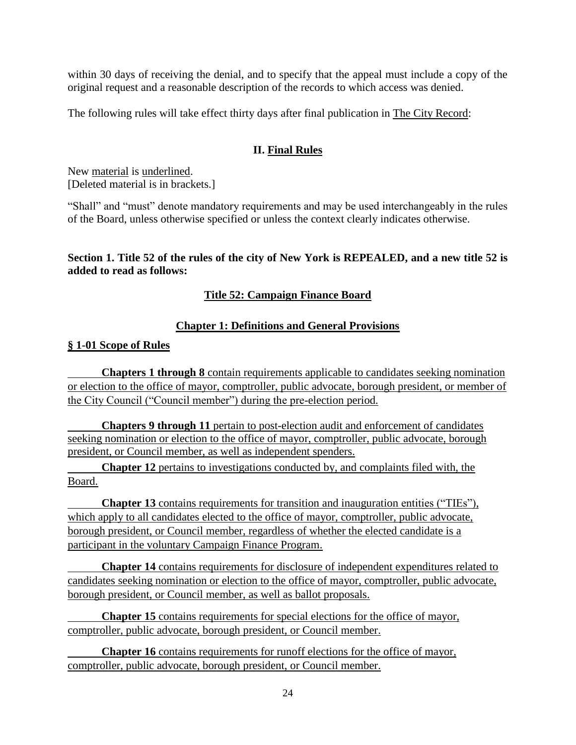within 30 days of receiving the denial, and to specify that the appeal must include a copy of the original request and a reasonable description of the records to which access was denied.

The following rules will take effect thirty days after final publication in The City Record:

## **II. Final Rules**

New material is underlined. [Deleted material is in brackets.]

"Shall" and "must" denote mandatory requirements and may be used interchangeably in the rules of the Board, unless otherwise specified or unless the context clearly indicates otherwise.

#### **Section 1. Title 52 of the rules of the city of New York is REPEALED, and a new title 52 is added to read as follows:**

### **Title 52: Campaign Finance Board**

### **Chapter 1: Definitions and General Provisions**

#### **§ 1-01 Scope of Rules**

**Chapters 1 through 8** contain requirements applicable to candidates seeking nomination or election to the office of mayor, comptroller, public advocate, borough president, or member of the City Council ("Council member") during the pre-election period.

**Chapters 9 through 11** pertain to post-election audit and enforcement of candidates seeking nomination or election to the office of mayor, comptroller, public advocate, borough president, or Council member, as well as independent spenders.

**Chapter 12** pertains to investigations conducted by, and complaints filed with, the Board.

**Chapter 13** contains requirements for transition and inauguration entities ("TIEs"), which apply to all candidates elected to the office of mayor, comptroller, public advocate, borough president, or Council member, regardless of whether the elected candidate is a participant in the voluntary Campaign Finance Program.

**Chapter 14** contains requirements for disclosure of independent expenditures related to candidates seeking nomination or election to the office of mayor, comptroller, public advocate, borough president, or Council member, as well as ballot proposals.

**Chapter 15** contains requirements for special elections for the office of mayor, comptroller, public advocate, borough president, or Council member.

**Chapter 16** contains requirements for runoff elections for the office of mayor, comptroller, public advocate, borough president, or Council member.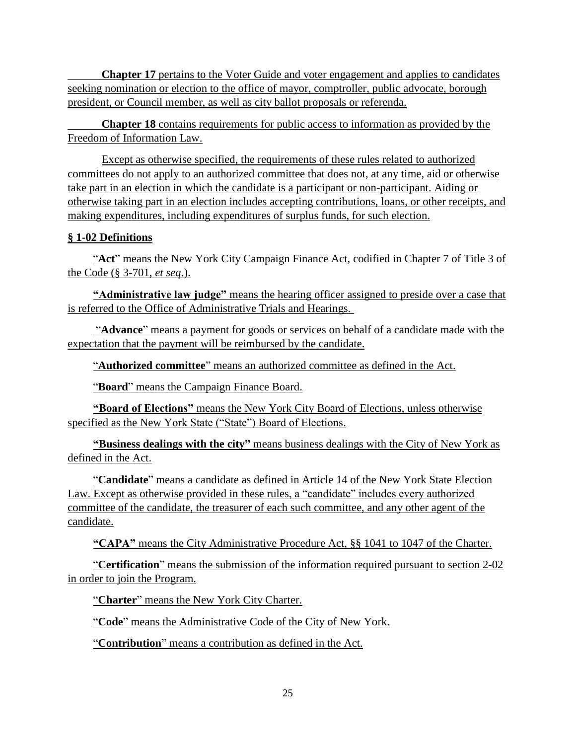**Chapter 17** pertains to the Voter Guide and voter engagement and applies to candidates seeking nomination or election to the office of mayor, comptroller, public advocate, borough president, or Council member, as well as city ballot proposals or referenda.

**Chapter 18** contains requirements for public access to information as provided by the Freedom of Information Law.

Except as otherwise specified, the requirements of these rules related to authorized committees do not apply to an authorized committee that does not, at any time, aid or otherwise take part in an election in which the candidate is a participant or non-participant. Aiding or otherwise taking part in an election includes accepting contributions, loans, or other receipts, and making expenditures, including expenditures of surplus funds, for such election.

### **§ 1-02 Definitions**

"**Act**" means the New York City Campaign Finance Act, codified in Chapter 7 of Title 3 of the Code (§ 3-701, *et seq*.).

**"Administrative law judge"** means the hearing officer assigned to preside over a case that is referred to the Office of Administrative Trials and Hearings.

"**Advance**" means a payment for goods or services on behalf of a candidate made with the expectation that the payment will be reimbursed by the candidate.

"**Authorized committee**" means an authorized committee as defined in the Act.

"**Board**" means the Campaign Finance Board.

**"Board of Elections"** means the New York City Board of Elections, unless otherwise specified as the New York State ("State") Board of Elections.

**"Business dealings with the city"** means business dealings with the City of New York as defined in the Act.

"**Candidate**" means a candidate as defined in Article 14 of the New York State Election Law. Except as otherwise provided in these rules, a "candidate" includes every authorized committee of the candidate, the treasurer of each such committee, and any other agent of the candidate.

**"CAPA"** means the City Administrative Procedure Act, §§ 1041 to 1047 of the Charter.

"**Certification**" means the submission of the information required pursuant to section 2-02 in order to join the Program.

"**Charter**" means the New York City Charter.

"**Code**" means the Administrative Code of the City of New York.

"**Contribution**" means a contribution as defined in the Act.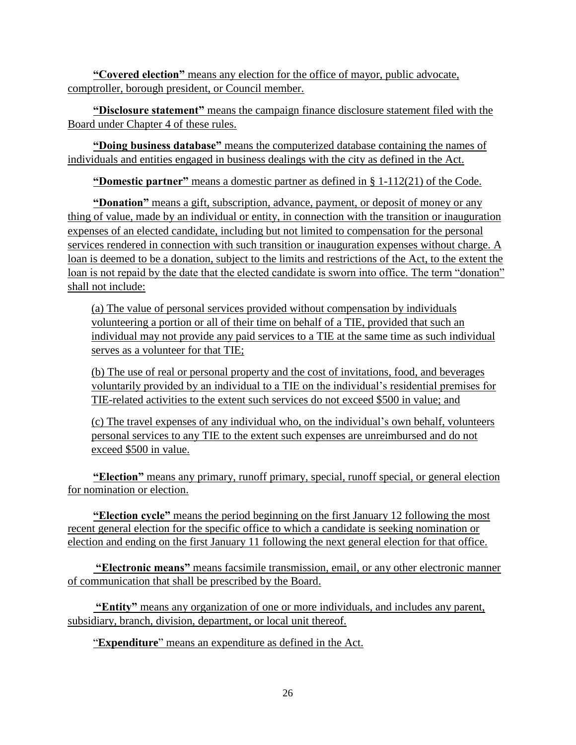**"Covered election"** means any election for the office of mayor, public advocate, comptroller, borough president, or Council member.

**"Disclosure statement"** means the campaign finance disclosure statement filed with the Board under Chapter 4 of these rules.

**"Doing business database"** means the computerized database containing the names of individuals and entities engaged in business dealings with the city as defined in the Act.

**"Domestic partner"** means a domestic partner as defined in § 1-112(21) of the Code.

**"Donation"** means a gift, subscription, advance, payment, or deposit of money or any thing of value, made by an individual or entity, in connection with the transition or inauguration expenses of an elected candidate, including but not limited to compensation for the personal services rendered in connection with such transition or inauguration expenses without charge. A loan is deemed to be a donation, subject to the limits and restrictions of the Act, to the extent the loan is not repaid by the date that the elected candidate is sworn into office. The term "donation" shall not include:

(a) The value of personal services provided without compensation by individuals volunteering a portion or all of their time on behalf of a TIE, provided that such an individual may not provide any paid services to a TIE at the same time as such individual serves as a volunteer for that TIE;

(b) The use of real or personal property and the cost of invitations, food, and beverages voluntarily provided by an individual to a TIE on the individual's residential premises for TIE-related activities to the extent such services do not exceed \$500 in value; and

(c) The travel expenses of any individual who, on the individual's own behalf, volunteers personal services to any TIE to the extent such expenses are unreimbursed and do not exceed \$500 in value.

**"Election"** means any primary, runoff primary, special, runoff special, or general election for nomination or election.

**"Election cycle"** means the period beginning on the first January 12 following the most recent general election for the specific office to which a candidate is seeking nomination or election and ending on the first January 11 following the next general election for that office.

**"Electronic means"** means facsimile transmission, email, or any other electronic manner of communication that shall be prescribed by the Board.

**"Entity"** means any organization of one or more individuals, and includes any parent, subsidiary, branch, division, department, or local unit thereof.

"**Expenditure**" means an expenditure as defined in the Act.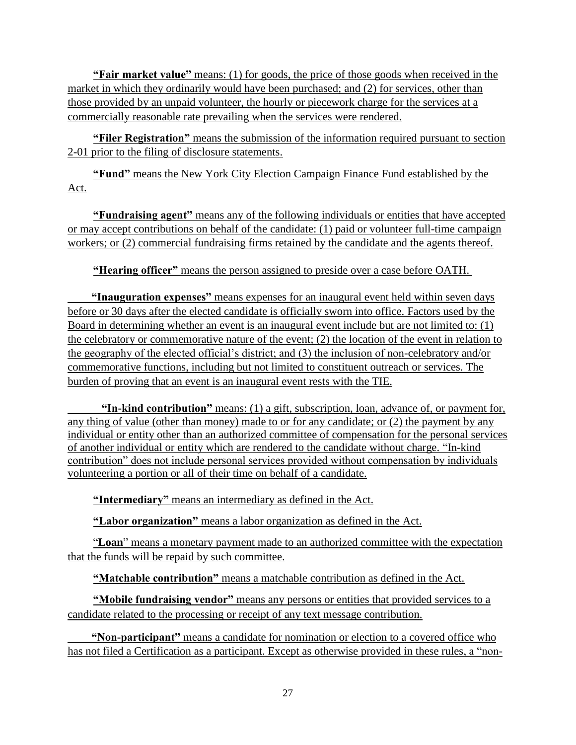**"Fair market value"** means: (1) for goods, the price of those goods when received in the market in which they ordinarily would have been purchased; and (2) for services, other than those provided by an unpaid volunteer, the hourly or piecework charge for the services at a commercially reasonable rate prevailing when the services were rendered.

**"Filer Registration"** means the submission of the information required pursuant to section 2-01 prior to the filing of disclosure statements.

**"Fund"** means the New York City Election Campaign Finance Fund established by the Act.

**"Fundraising agent"** means any of the following individuals or entities that have accepted or may accept contributions on behalf of the candidate: (1) paid or volunteer full-time campaign workers; or (2) commercial fundraising firms retained by the candidate and the agents thereof.

**"Hearing officer"** means the person assigned to preside over a case before OATH.

**"Inauguration expenses"** means expenses for an inaugural event held within seven days before or 30 days after the elected candidate is officially sworn into office. Factors used by the Board in determining whether an event is an inaugural event include but are not limited to: (1) the celebratory or commemorative nature of the event; (2) the location of the event in relation to the geography of the elected official's district; and (3) the inclusion of non-celebratory and/or commemorative functions, including but not limited to constituent outreach or services. The burden of proving that an event is an inaugural event rests with the TIE.

**"In-kind contribution"** means: (1) a gift, subscription, loan, advance of, or payment for, any thing of value (other than money) made to or for any candidate; or (2) the payment by any individual or entity other than an authorized committee of compensation for the personal services of another individual or entity which are rendered to the candidate without charge. "In-kind contribution" does not include personal services provided without compensation by individuals volunteering a portion or all of their time on behalf of a candidate.

**"Intermediary"** means an intermediary as defined in the Act.

**"Labor organization"** means a labor organization as defined in the Act.

"**Loan**" means a monetary payment made to an authorized committee with the expectation that the funds will be repaid by such committee.

**"Matchable contribution"** means a matchable contribution as defined in the Act.

**"Mobile fundraising vendor"** means any persons or entities that provided services to a candidate related to the processing or receipt of any text message contribution.

**"Non-participant"** means a candidate for nomination or election to a covered office who has not filed a Certification as a participant. Except as otherwise provided in these rules, a "non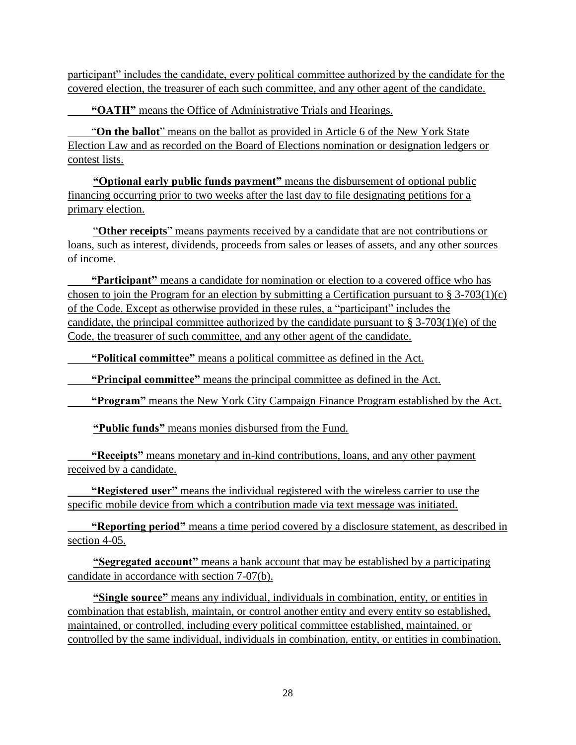participant" includes the candidate, every political committee authorized by the candidate for the covered election, the treasurer of each such committee, and any other agent of the candidate.

**"OATH"** means the Office of Administrative Trials and Hearings.

"**On the ballot**" means on the ballot as provided in Article 6 of the New York State Election Law and as recorded on the Board of Elections nomination or designation ledgers or contest lists.

**"Optional early public funds payment"** means the disbursement of optional public financing occurring prior to two weeks after the last day to file designating petitions for a primary election.

"**Other receipts**" means payments received by a candidate that are not contributions or loans, such as interest, dividends, proceeds from sales or leases of assets, and any other sources of income.

**"Participant"** means a candidate for nomination or election to a covered office who has chosen to join the Program for an election by submitting a Certification pursuant to  $\S 3-703(1)(c)$ of the Code. Except as otherwise provided in these rules, a "participant" includes the candidate, the principal committee authorized by the candidate pursuant to  $\S$  3-703(1)(e) of the Code, the treasurer of such committee, and any other agent of the candidate.

**"Political committee"** means a political committee as defined in the Act.

**"Principal committee"** means the principal committee as defined in the Act.

**"Program"** means the New York City Campaign Finance Program established by the Act.

**"Public funds"** means monies disbursed from the Fund.

**"Receipts"** means monetary and in-kind contributions, loans, and any other payment received by a candidate.

**"Registered user"** means the individual registered with the wireless carrier to use the specific mobile device from which a contribution made via text message was initiated.

**"Reporting period"** means a time period covered by a disclosure statement, as described in section 4-05.

**"Segregated account"** means a bank account that may be established by a participating candidate in accordance with section 7-07(b).

**"Single source"** means any individual, individuals in combination, entity, or entities in combination that establish, maintain, or control another entity and every entity so established, maintained, or controlled, including every political committee established, maintained, or controlled by the same individual, individuals in combination, entity, or entities in combination.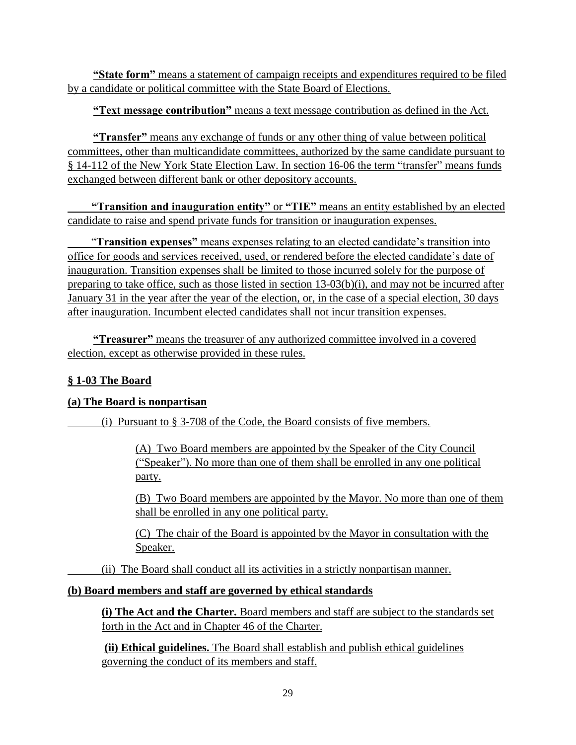**"State form"** means a statement of campaign receipts and expenditures required to be filed by a candidate or political committee with the State Board of Elections.

### **"Text message contribution"** means a text message contribution as defined in the Act.

**"Transfer"** means any exchange of funds or any other thing of value between political committees, other than multicandidate committees, authorized by the same candidate pursuant to § 14-112 of the New York State Election Law. In section 16-06 the term "transfer" means funds exchanged between different bank or other depository accounts.

**"Transition and inauguration entity"** or **"TIE"** means an entity established by an elected candidate to raise and spend private funds for transition or inauguration expenses.

"**Transition expenses"** means expenses relating to an elected candidate's transition into office for goods and services received, used, or rendered before the elected candidate's date of inauguration. Transition expenses shall be limited to those incurred solely for the purpose of preparing to take office, such as those listed in section 13-03(b)(i), and may not be incurred after January 31 in the year after the year of the election, or, in the case of a special election, 30 days after inauguration. Incumbent elected candidates shall not incur transition expenses.

**"Treasurer"** means the treasurer of any authorized committee involved in a covered election, except as otherwise provided in these rules.

## **§ 1-03 The Board**

#### **(a) The Board is nonpartisan**

(i) Pursuant to § 3-708 of the Code, the Board consists of five members.

(A) Two Board members are appointed by the Speaker of the City Council ("Speaker"). No more than one of them shall be enrolled in any one political party.

(B) Two Board members are appointed by the Mayor. No more than one of them shall be enrolled in any one political party.

(C) The chair of the Board is appointed by the Mayor in consultation with the Speaker.

(ii) The Board shall conduct all its activities in a strictly nonpartisan manner.

#### **(b) Board members and staff are governed by ethical standards**

**(i) The Act and the Charter.** Board members and staff are subject to the standards set forth in the Act and in Chapter 46 of the Charter.

**(ii) Ethical guidelines.** The Board shall establish and publish ethical guidelines governing the conduct of its members and staff.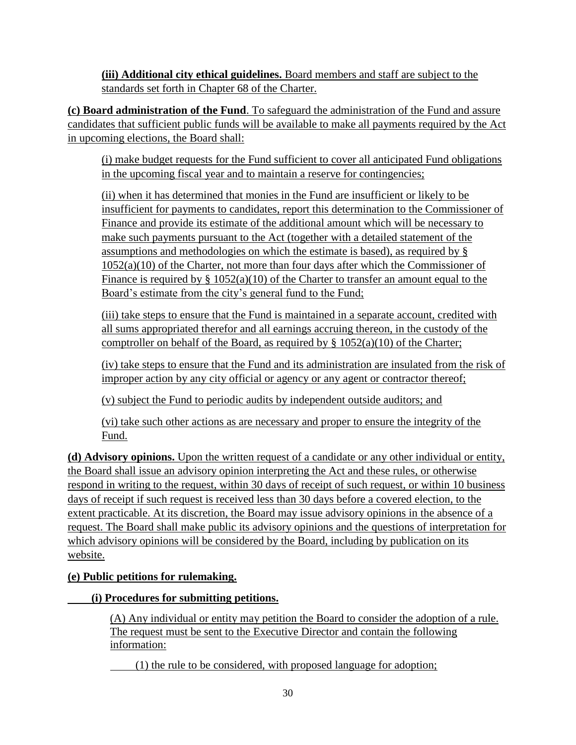**(iii) Additional city ethical guidelines.** Board members and staff are subject to the standards set forth in Chapter 68 of the Charter.

**(c) Board administration of the Fund**. To safeguard the administration of the Fund and assure candidates that sufficient public funds will be available to make all payments required by the Act in upcoming elections, the Board shall:

(i) make budget requests for the Fund sufficient to cover all anticipated Fund obligations in the upcoming fiscal year and to maintain a reserve for contingencies;

(ii) when it has determined that monies in the Fund are insufficient or likely to be insufficient for payments to candidates, report this determination to the Commissioner of Finance and provide its estimate of the additional amount which will be necessary to make such payments pursuant to the Act (together with a detailed statement of the assumptions and methodologies on which the estimate is based), as required by § 1052(a)(10) of the Charter, not more than four days after which the Commissioner of Finance is required by  $\S 1052(a)(10)$  of the Charter to transfer an amount equal to the Board's estimate from the city's general fund to the Fund;

(iii) take steps to ensure that the Fund is maintained in a separate account, credited with all sums appropriated therefor and all earnings accruing thereon, in the custody of the comptroller on behalf of the Board, as required by  $\S$  1052(a)(10) of the Charter;

(iv) take steps to ensure that the Fund and its administration are insulated from the risk of improper action by any city official or agency or any agent or contractor thereof;

(v) subject the Fund to periodic audits by independent outside auditors; and

(vi) take such other actions as are necessary and proper to ensure the integrity of the Fund.

**(d) Advisory opinions.** Upon the written request of a candidate or any other individual or entity, the Board shall issue an advisory opinion interpreting the Act and these rules, or otherwise respond in writing to the request, within 30 days of receipt of such request, or within 10 business days of receipt if such request is received less than 30 days before a covered election, to the extent practicable. At its discretion, the Board may issue advisory opinions in the absence of a request. The Board shall make public its advisory opinions and the questions of interpretation for which advisory opinions will be considered by the Board, including by publication on its website.

# **(e) Public petitions for rulemaking.**

# **(i) Procedures for submitting petitions.**

(A) Any individual or entity may petition the Board to consider the adoption of a rule. The request must be sent to the Executive Director and contain the following information:

(1) the rule to be considered, with proposed language for adoption;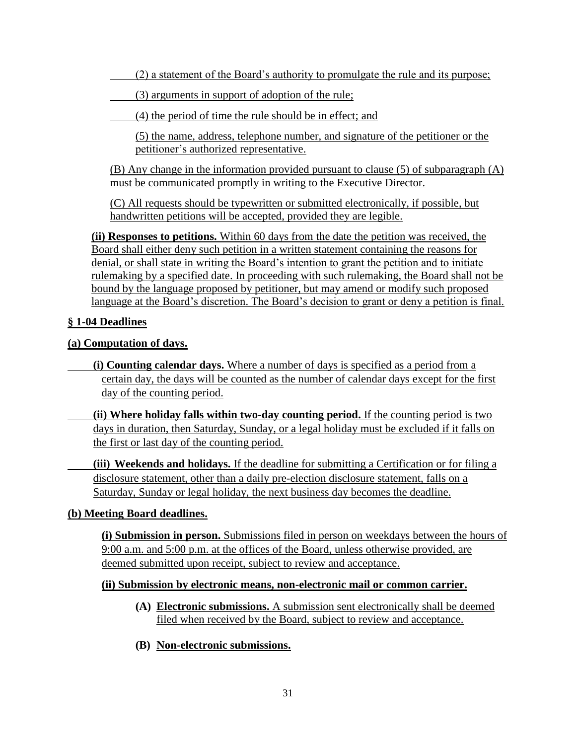(2) a statement of the Board's authority to promulgate the rule and its purpose;

(3) arguments in support of adoption of the rule;

(4) the period of time the rule should be in effect; and

(5) the name, address, telephone number, and signature of the petitioner or the petitioner's authorized representative.

(B) Any change in the information provided pursuant to clause (5) of subparagraph (A) must be communicated promptly in writing to the Executive Director.

(C) All requests should be typewritten or submitted electronically, if possible, but handwritten petitions will be accepted, provided they are legible.

**(ii) Responses to petitions.** Within 60 days from the date the petition was received, the Board shall either deny such petition in a written statement containing the reasons for denial, or shall state in writing the Board's intention to grant the petition and to initiate rulemaking by a specified date. In proceeding with such rulemaking, the Board shall not be bound by the language proposed by petitioner, but may amend or modify such proposed language at the Board's discretion. The Board's decision to grant or deny a petition is final.

### **§ 1-04 Deadlines**

#### **(a) Computation of days.**

**(i) Counting calendar days.** Where a number of days is specified as a period from a certain day, the days will be counted as the number of calendar days except for the first day of the counting period.

**(ii) Where holiday falls within two-day counting period.** If the counting period is two days in duration, then Saturday, Sunday, or a legal holiday must be excluded if it falls on the first or last day of the counting period.

 **(iii) Weekends and holidays.** If the deadline for submitting a Certification or for filing a disclosure statement, other than a daily pre-election disclosure statement, falls on a Saturday, Sunday or legal holiday, the next business day becomes the deadline.

#### **(b) Meeting Board deadlines.**

**(i) Submission in person.** Submissions filed in person on weekdays between the hours of 9:00 a.m. and 5:00 p.m. at the offices of the Board, unless otherwise provided, are deemed submitted upon receipt, subject to review and acceptance.

#### **(ii) Submission by electronic means, non-electronic mail or common carrier.**

- **(A) Electronic submissions.** A submission sent electronically shall be deemed filed when received by the Board, subject to review and acceptance.
- **(B) Non-electronic submissions.**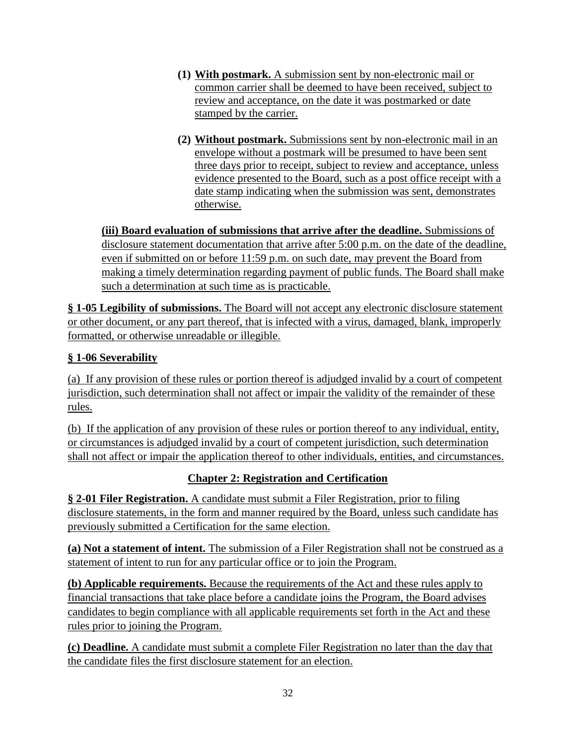- **(1) With postmark.** A submission sent by non-electronic mail or common carrier shall be deemed to have been received, subject to review and acceptance, on the date it was postmarked or date stamped by the carrier.
- **(2) Without postmark.** Submissions sent by non-electronic mail in an envelope without a postmark will be presumed to have been sent three days prior to receipt, subject to review and acceptance, unless evidence presented to the Board, such as a post office receipt with a date stamp indicating when the submission was sent, demonstrates otherwise.

**(iii) Board evaluation of submissions that arrive after the deadline.** Submissions of disclosure statement documentation that arrive after 5:00 p.m. on the date of the deadline, even if submitted on or before 11:59 p.m. on such date, may prevent the Board from making a timely determination regarding payment of public funds. The Board shall make such a determination at such time as is practicable.

**§ 1-05 Legibility of submissions.** The Board will not accept any electronic disclosure statement or other document, or any part thereof, that is infected with a virus, damaged, blank, improperly formatted, or otherwise unreadable or illegible.

## **§ 1-06 Severability**

(a) If any provision of these rules or portion thereof is adjudged invalid by a court of competent jurisdiction, such determination shall not affect or impair the validity of the remainder of these rules.

(b) If the application of any provision of these rules or portion thereof to any individual, entity, or circumstances is adjudged invalid by a court of competent jurisdiction, such determination shall not affect or impair the application thereof to other individuals, entities, and circumstances.

# **Chapter 2: Registration and Certification**

**§ 2-01 Filer Registration.** A candidate must submit a Filer Registration, prior to filing disclosure statements, in the form and manner required by the Board, unless such candidate has previously submitted a Certification for the same election.

**(a) Not a statement of intent.** The submission of a Filer Registration shall not be construed as a statement of intent to run for any particular office or to join the Program.

**(b) Applicable requirements.** Because the requirements of the Act and these rules apply to financial transactions that take place before a candidate joins the Program, the Board advises candidates to begin compliance with all applicable requirements set forth in the Act and these rules prior to joining the Program.

**(c) Deadline.** A candidate must submit a complete Filer Registration no later than the day that the candidate files the first disclosure statement for an election.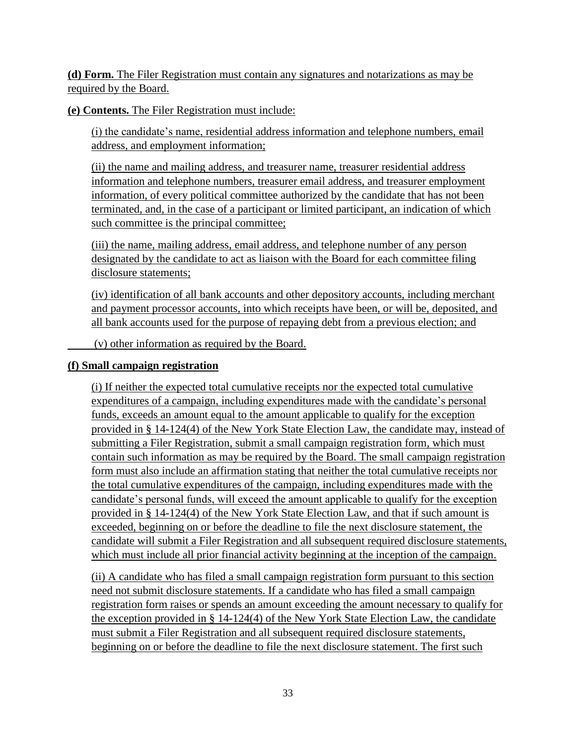**(d) Form.** The Filer Registration must contain any signatures and notarizations as may be required by the Board.

**(e) Contents.** The Filer Registration must include:

(i) the candidate's name, residential address information and telephone numbers, email address, and employment information;

(ii) the name and mailing address, and treasurer name, treasurer residential address information and telephone numbers, treasurer email address, and treasurer employment information, of every political committee authorized by the candidate that has not been terminated, and, in the case of a participant or limited participant, an indication of which such committee is the principal committee;

(iii) the name, mailing address, email address, and telephone number of any person designated by the candidate to act as liaison with the Board for each committee filing disclosure statements;

(iv) identification of all bank accounts and other depository accounts, including merchant and payment processor accounts, into which receipts have been, or will be, deposited, and all bank accounts used for the purpose of repaying debt from a previous election; and

(v) other information as required by the Board.

### **(f) Small campaign registration**

(i) If neither the expected total cumulative receipts nor the expected total cumulative expenditures of a campaign, including expenditures made with the candidate's personal funds, exceeds an amount equal to the amount applicable to qualify for the exception provided in § 14-124(4) of the New York State Election Law, the candidate may, instead of submitting a Filer Registration, submit a small campaign registration form, which must contain such information as may be required by the Board. The small campaign registration form must also include an affirmation stating that neither the total cumulative receipts nor the total cumulative expenditures of the campaign, including expenditures made with the candidate's personal funds, will exceed the amount applicable to qualify for the exception provided in § 14-124(4) of the New York State Election Law, and that if such amount is exceeded, beginning on or before the deadline to file the next disclosure statement, the candidate will submit a Filer Registration and all subsequent required disclosure statements, which must include all prior financial activity beginning at the inception of the campaign.

(ii) A candidate who has filed a small campaign registration form pursuant to this section need not submit disclosure statements. If a candidate who has filed a small campaign registration form raises or spends an amount exceeding the amount necessary to qualify for the exception provided in § 14-124(4) of the New York State Election Law, the candidate must submit a Filer Registration and all subsequent required disclosure statements, beginning on or before the deadline to file the next disclosure statement. The first such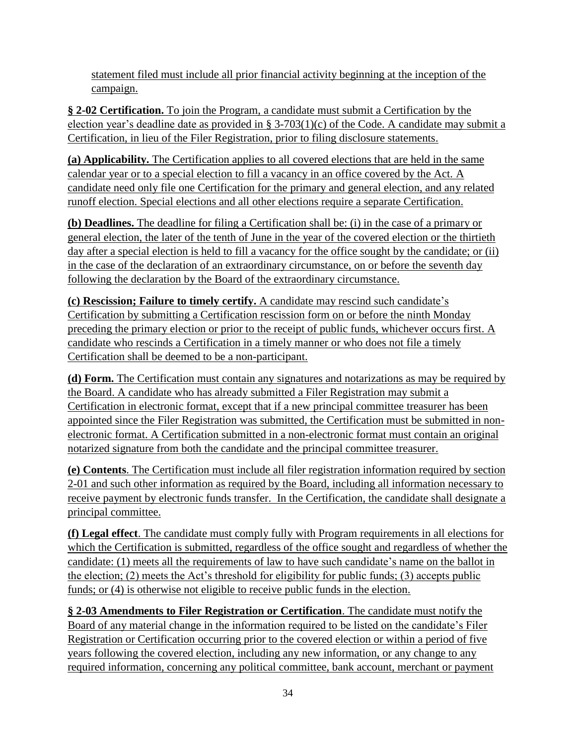statement filed must include all prior financial activity beginning at the inception of the campaign.

**§ 2-02 Certification.** To join the Program, a candidate must submit a Certification by the election year's deadline date as provided in § 3-703(1)(c) of the Code. A candidate may submit a Certification, in lieu of the Filer Registration, prior to filing disclosure statements.

**(a) Applicability.** The Certification applies to all covered elections that are held in the same calendar year or to a special election to fill a vacancy in an office covered by the Act. A candidate need only file one Certification for the primary and general election, and any related runoff election. Special elections and all other elections require a separate Certification.

**(b) Deadlines.** The deadline for filing a Certification shall be: (i) in the case of a primary or general election, the later of the tenth of June in the year of the covered election or the thirtieth day after a special election is held to fill a vacancy for the office sought by the candidate; or (ii) in the case of the declaration of an extraordinary circumstance, on or before the seventh day following the declaration by the Board of the extraordinary circumstance.

**(c) Rescission; Failure to timely certify.** A candidate may rescind such candidate's Certification by submitting a Certification rescission form on or before the ninth Monday preceding the primary election or prior to the receipt of public funds, whichever occurs first. A candidate who rescinds a Certification in a timely manner or who does not file a timely Certification shall be deemed to be a non-participant.

**(d) Form.** The Certification must contain any signatures and notarizations as may be required by the Board. A candidate who has already submitted a Filer Registration may submit a Certification in electronic format, except that if a new principal committee treasurer has been appointed since the Filer Registration was submitted, the Certification must be submitted in nonelectronic format. A Certification submitted in a non-electronic format must contain an original notarized signature from both the candidate and the principal committee treasurer.

**(e) Contents**. The Certification must include all filer registration information required by section 2-01 and such other information as required by the Board, including all information necessary to receive payment by electronic funds transfer. In the Certification, the candidate shall designate a principal committee.

**(f) Legal effect**. The candidate must comply fully with Program requirements in all elections for which the Certification is submitted, regardless of the office sought and regardless of whether the candidate: (1) meets all the requirements of law to have such candidate's name on the ballot in the election; (2) meets the Act's threshold for eligibility for public funds; (3) accepts public funds; or (4) is otherwise not eligible to receive public funds in the election.

**§ 2-03 Amendments to Filer Registration or Certification**. The candidate must notify the Board of any material change in the information required to be listed on the candidate's Filer Registration or Certification occurring prior to the covered election or within a period of five years following the covered election, including any new information, or any change to any required information, concerning any political committee, bank account, merchant or payment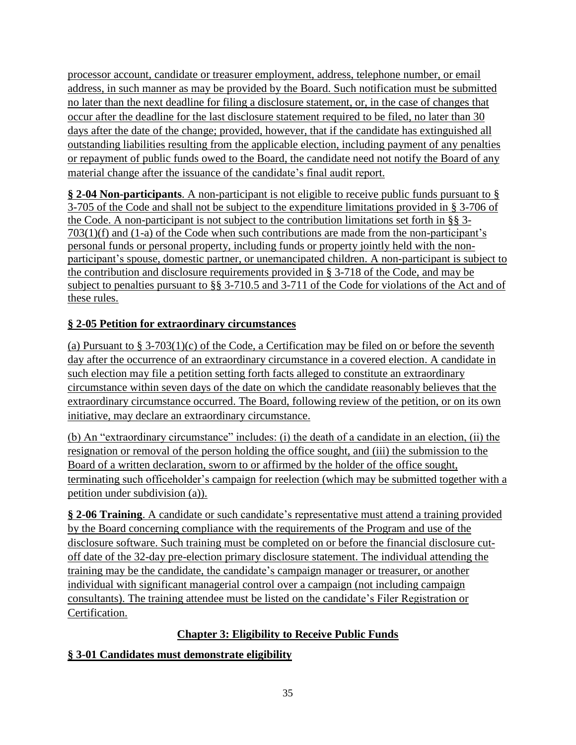processor account, candidate or treasurer employment, address, telephone number, or email address, in such manner as may be provided by the Board. Such notification must be submitted no later than the next deadline for filing a disclosure statement, or, in the case of changes that occur after the deadline for the last disclosure statement required to be filed, no later than 30 days after the date of the change; provided, however, that if the candidate has extinguished all outstanding liabilities resulting from the applicable election, including payment of any penalties or repayment of public funds owed to the Board, the candidate need not notify the Board of any material change after the issuance of the candidate's final audit report.

**§ 2-04 Non-participants**. A non-participant is not eligible to receive public funds pursuant to § 3-705 of the Code and shall not be subject to the expenditure limitations provided in § 3-706 of the Code. A non-participant is not subject to the contribution limitations set forth in §§ 3- 703(1)(f) and (1-a) of the Code when such contributions are made from the non-participant's personal funds or personal property, including funds or property jointly held with the nonparticipant's spouse, domestic partner, or unemancipated children. A non-participant is subject to the contribution and disclosure requirements provided in § 3-718 of the Code, and may be subject to penalties pursuant to §§ 3-710.5 and 3-711 of the Code for violations of the Act and of these rules.

# **§ 2-05 Petition for extraordinary circumstances**

(a) Pursuant to § 3-703(1)(c) of the Code, a Certification may be filed on or before the seventh day after the occurrence of an extraordinary circumstance in a covered election. A candidate in such election may file a petition setting forth facts alleged to constitute an extraordinary circumstance within seven days of the date on which the candidate reasonably believes that the extraordinary circumstance occurred. The Board, following review of the petition, or on its own initiative, may declare an extraordinary circumstance.

(b) An "extraordinary circumstance" includes: (i) the death of a candidate in an election, (ii) the resignation or removal of the person holding the office sought, and (iii) the submission to the Board of a written declaration, sworn to or affirmed by the holder of the office sought, terminating such officeholder's campaign for reelection (which may be submitted together with a petition under subdivision (a)).

**§ 2-06 Training**. A candidate or such candidate's representative must attend a training provided by the Board concerning compliance with the requirements of the Program and use of the disclosure software. Such training must be completed on or before the financial disclosure cutoff date of the 32-day pre-election primary disclosure statement. The individual attending the training may be the candidate, the candidate's campaign manager or treasurer, or another individual with significant managerial control over a campaign (not including campaign consultants). The training attendee must be listed on the candidate's Filer Registration or Certification.

# **Chapter 3: Eligibility to Receive Public Funds**

# **§ 3-01 Candidates must demonstrate eligibility**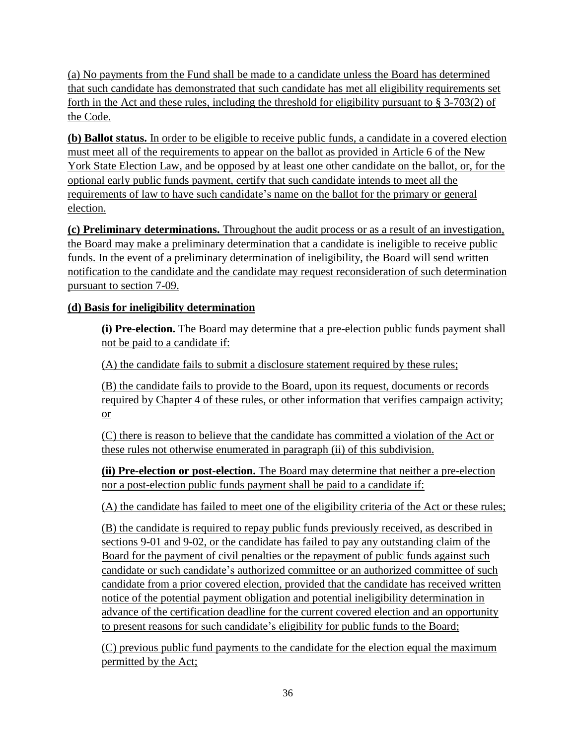(a) No payments from the Fund shall be made to a candidate unless the Board has determined that such candidate has demonstrated that such candidate has met all eligibility requirements set forth in the Act and these rules, including the threshold for eligibility pursuant to § 3-703(2) of the Code.

**(b) Ballot status.** In order to be eligible to receive public funds, a candidate in a covered election must meet all of the requirements to appear on the ballot as provided in Article 6 of the New York State Election Law, and be opposed by at least one other candidate on the ballot, or, for the optional early public funds payment, certify that such candidate intends to meet all the requirements of law to have such candidate's name on the ballot for the primary or general election.

**(c) Preliminary determinations.** Throughout the audit process or as a result of an investigation, the Board may make a preliminary determination that a candidate is ineligible to receive public funds. In the event of a preliminary determination of ineligibility, the Board will send written notification to the candidate and the candidate may request reconsideration of such determination pursuant to section 7-09.

# **(d) Basis for ineligibility determination**

**(i) Pre-election.** The Board may determine that a pre-election public funds payment shall not be paid to a candidate if:

(A) the candidate fails to submit a disclosure statement required by these rules;

(B) the candidate fails to provide to the Board, upon its request, documents or records required by Chapter 4 of these rules, or other information that verifies campaign activity; or

(C) there is reason to believe that the candidate has committed a violation of the Act or these rules not otherwise enumerated in paragraph (ii) of this subdivision.

**(ii) Pre-election or post-election.** The Board may determine that neither a pre-election nor a post-election public funds payment shall be paid to a candidate if:

(A) the candidate has failed to meet one of the eligibility criteria of the Act or these rules;

(B) the candidate is required to repay public funds previously received, as described in sections 9-01 and 9-02, or the candidate has failed to pay any outstanding claim of the Board for the payment of civil penalties or the repayment of public funds against such candidate or such candidate's authorized committee or an authorized committee of such candidate from a prior covered election, provided that the candidate has received written notice of the potential payment obligation and potential ineligibility determination in advance of the certification deadline for the current covered election and an opportunity to present reasons for such candidate's eligibility for public funds to the Board;

(C) previous public fund payments to the candidate for the election equal the maximum permitted by the Act;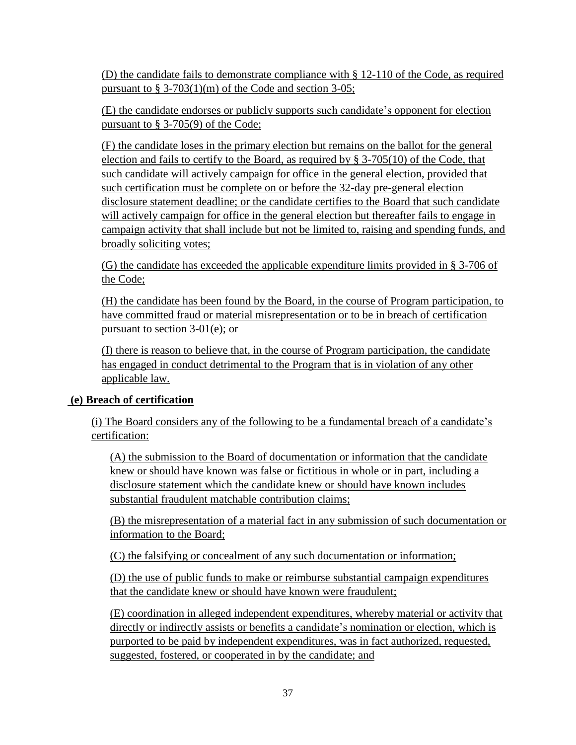(D) the candidate fails to demonstrate compliance with § 12-110 of the Code, as required pursuant to  $\S 3-703(1)(m)$  of the Code and section 3-05;

(E) the candidate endorses or publicly supports such candidate's opponent for election pursuant to § 3-705(9) of the Code;

(F) the candidate loses in the primary election but remains on the ballot for the general election and fails to certify to the Board, as required by § 3-705(10) of the Code, that such candidate will actively campaign for office in the general election, provided that such certification must be complete on or before the 32-day pre-general election disclosure statement deadline; or the candidate certifies to the Board that such candidate will actively campaign for office in the general election but thereafter fails to engage in campaign activity that shall include but not be limited to, raising and spending funds, and broadly soliciting votes;

(G) the candidate has exceeded the applicable expenditure limits provided in § 3-706 of the Code;

(H) the candidate has been found by the Board, in the course of Program participation, to have committed fraud or material misrepresentation or to be in breach of certification pursuant to section 3-01(e); or

(I) there is reason to believe that, in the course of Program participation, the candidate has engaged in conduct detrimental to the Program that is in violation of any other applicable law.

## **(e) Breach of certification**

(i) The Board considers any of the following to be a fundamental breach of a candidate's certification:

(A) the submission to the Board of documentation or information that the candidate knew or should have known was false or fictitious in whole or in part, including a disclosure statement which the candidate knew or should have known includes substantial fraudulent matchable contribution claims;

(B) the misrepresentation of a material fact in any submission of such documentation or information to the Board;

(C) the falsifying or concealment of any such documentation or information;

(D) the use of public funds to make or reimburse substantial campaign expenditures that the candidate knew or should have known were fraudulent;

(E) coordination in alleged independent expenditures, whereby material or activity that directly or indirectly assists or benefits a candidate's nomination or election, which is purported to be paid by independent expenditures, was in fact authorized, requested, suggested, fostered, or cooperated in by the candidate; and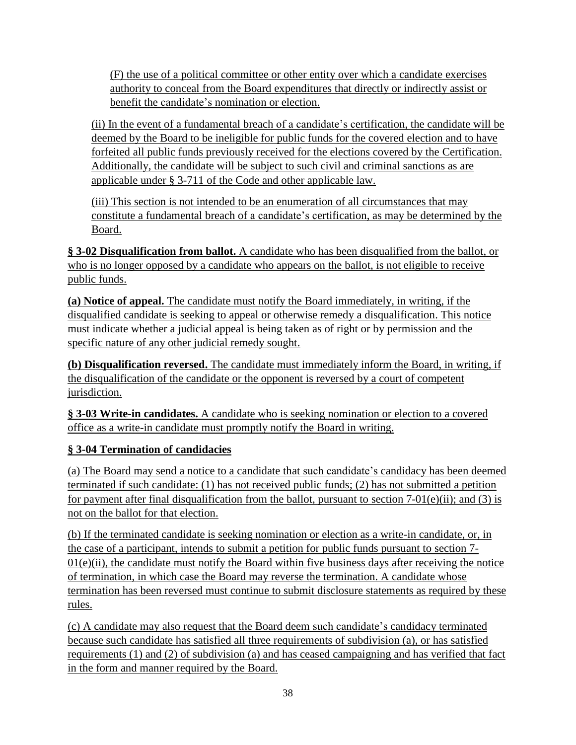(F) the use of a political committee or other entity over which a candidate exercises authority to conceal from the Board expenditures that directly or indirectly assist or benefit the candidate's nomination or election.

(ii) In the event of a fundamental breach of a candidate's certification, the candidate will be deemed by the Board to be ineligible for public funds for the covered election and to have forfeited all public funds previously received for the elections covered by the Certification. Additionally, the candidate will be subject to such civil and criminal sanctions as are applicable under § 3-711 of the Code and other applicable law.

(iii) This section is not intended to be an enumeration of all circumstances that may constitute a fundamental breach of a candidate's certification, as may be determined by the Board.

**§ 3-02 Disqualification from ballot.** A candidate who has been disqualified from the ballot, or who is no longer opposed by a candidate who appears on the ballot, is not eligible to receive public funds.

**(a) Notice of appeal.** The candidate must notify the Board immediately, in writing, if the disqualified candidate is seeking to appeal or otherwise remedy a disqualification. This notice must indicate whether a judicial appeal is being taken as of right or by permission and the specific nature of any other judicial remedy sought.

**(b) Disqualification reversed.** The candidate must immediately inform the Board, in writing, if the disqualification of the candidate or the opponent is reversed by a court of competent jurisdiction.

**§ 3-03 Write-in candidates.** A candidate who is seeking nomination or election to a covered office as a write-in candidate must promptly notify the Board in writing.

# **§ 3-04 Termination of candidacies**

(a) The Board may send a notice to a candidate that such candidate's candidacy has been deemed terminated if such candidate: (1) has not received public funds; (2) has not submitted a petition for payment after final disqualification from the ballot, pursuant to section 7-01(e)(ii); and (3) is not on the ballot for that election.

(b) If the terminated candidate is seeking nomination or election as a write-in candidate, or, in the case of a participant, intends to submit a petition for public funds pursuant to section 7-  $01(e)(ii)$ , the candidate must notify the Board within five business days after receiving the notice of termination, in which case the Board may reverse the termination. A candidate whose termination has been reversed must continue to submit disclosure statements as required by these rules.

(c) A candidate may also request that the Board deem such candidate's candidacy terminated because such candidate has satisfied all three requirements of subdivision (a), or has satisfied requirements (1) and (2) of subdivision (a) and has ceased campaigning and has verified that fact in the form and manner required by the Board.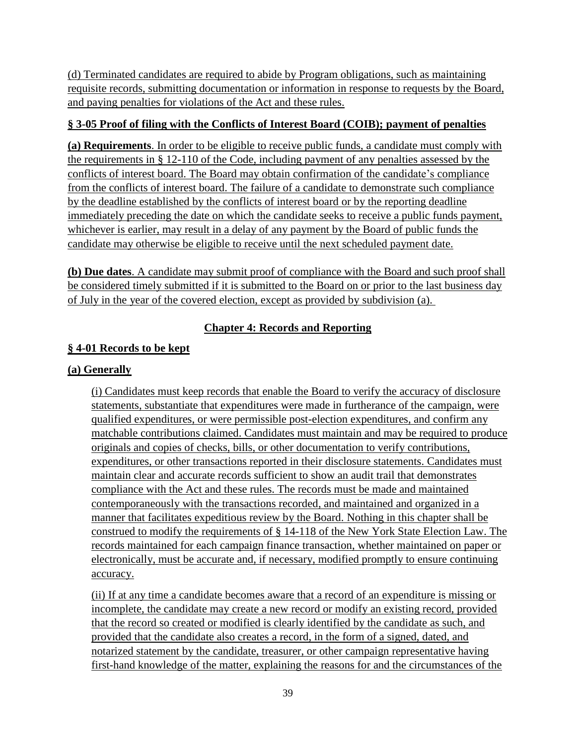(d) Terminated candidates are required to abide by Program obligations, such as maintaining requisite records, submitting documentation or information in response to requests by the Board, and paying penalties for violations of the Act and these rules.

### **§ 3-05 Proof of filing with the Conflicts of Interest Board (COIB); payment of penalties**

**(a) Requirements**. In order to be eligible to receive public funds, a candidate must comply with the requirements in § 12-110 of the Code, including payment of any penalties assessed by the conflicts of interest board. The Board may obtain confirmation of the candidate's compliance from the conflicts of interest board. The failure of a candidate to demonstrate such compliance by the deadline established by the conflicts of interest board or by the reporting deadline immediately preceding the date on which the candidate seeks to receive a public funds payment, whichever is earlier, may result in a delay of any payment by the Board of public funds the candidate may otherwise be eligible to receive until the next scheduled payment date.

**(b) Due dates**. A candidate may submit proof of compliance with the Board and such proof shall be considered timely submitted if it is submitted to the Board on or prior to the last business day of July in the year of the covered election, except as provided by subdivision (a).

## **Chapter 4: Records and Reporting**

## **§ 4-01 Records to be kept**

#### **(a) Generally**

(i) Candidates must keep records that enable the Board to verify the accuracy of disclosure statements, substantiate that expenditures were made in furtherance of the campaign, were qualified expenditures, or were permissible post-election expenditures, and confirm any matchable contributions claimed. Candidates must maintain and may be required to produce originals and copies of checks, bills, or other documentation to verify contributions, expenditures, or other transactions reported in their disclosure statements. Candidates must maintain clear and accurate records sufficient to show an audit trail that demonstrates compliance with the Act and these rules. The records must be made and maintained contemporaneously with the transactions recorded, and maintained and organized in a manner that facilitates expeditious review by the Board. Nothing in this chapter shall be construed to modify the requirements of § 14-118 of the New York State Election Law. The records maintained for each campaign finance transaction, whether maintained on paper or electronically, must be accurate and, if necessary, modified promptly to ensure continuing accuracy.

(ii) If at any time a candidate becomes aware that a record of an expenditure is missing or incomplete, the candidate may create a new record or modify an existing record, provided that the record so created or modified is clearly identified by the candidate as such, and provided that the candidate also creates a record, in the form of a signed, dated, and notarized statement by the candidate, treasurer, or other campaign representative having first-hand knowledge of the matter, explaining the reasons for and the circumstances of the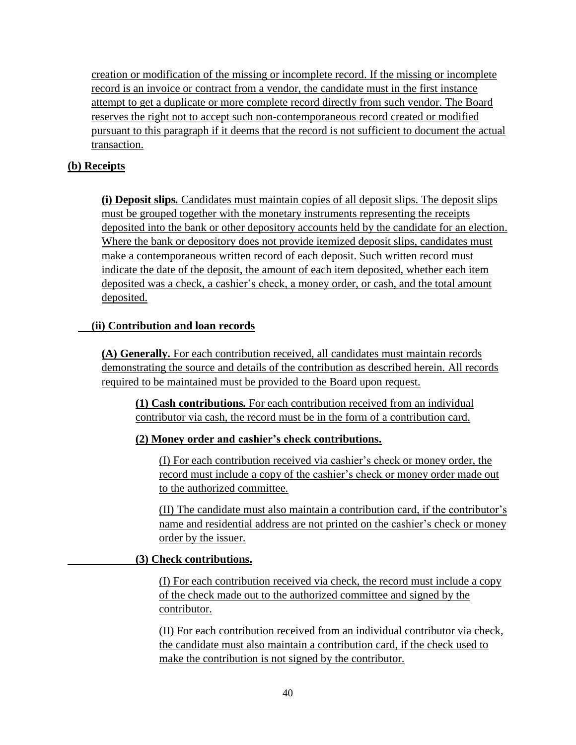creation or modification of the missing or incomplete record. If the missing or incomplete record is an invoice or contract from a vendor, the candidate must in the first instance attempt to get a duplicate or more complete record directly from such vendor. The Board reserves the right not to accept such non-contemporaneous record created or modified pursuant to this paragraph if it deems that the record is not sufficient to document the actual transaction.

### **(b) Receipts**

**(i) Deposit slips***.* Candidates must maintain copies of all deposit slips. The deposit slips must be grouped together with the monetary instruments representing the receipts deposited into the bank or other depository accounts held by the candidate for an election. Where the bank or depository does not provide itemized deposit slips, candidates must make a contemporaneous written record of each deposit. Such written record must indicate the date of the deposit, the amount of each item deposited, whether each item deposited was a check, a cashier's check, a money order, or cash, and the total amount deposited.

### **(ii) Contribution and loan records**

**(A) Generally.** For each contribution received, all candidates must maintain records demonstrating the source and details of the contribution as described herein. All records required to be maintained must be provided to the Board upon request.

**(1) Cash contributions***.* For each contribution received from an individual contributor via cash, the record must be in the form of a contribution card.

#### **(2) Money order and cashier's check contributions.**

(I) For each contribution received via cashier's check or money order, the record must include a copy of the cashier's check or money order made out to the authorized committee.

(II) The candidate must also maintain a contribution card, if the contributor's name and residential address are not printed on the cashier's check or money order by the issuer.

#### **(3) Check contributions.**

(I) For each contribution received via check, the record must include a copy of the check made out to the authorized committee and signed by the contributor.

(II) For each contribution received from an individual contributor via check, the candidate must also maintain a contribution card, if the check used to make the contribution is not signed by the contributor.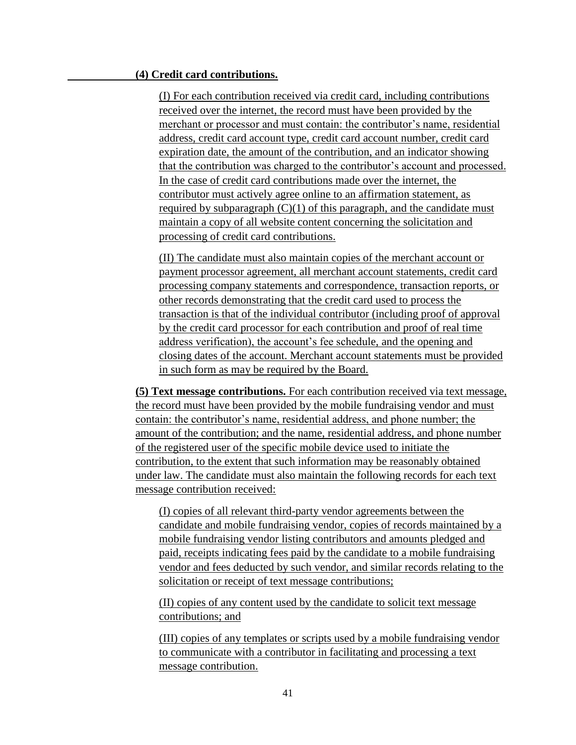#### **(4) Credit card contributions.**

(I) For each contribution received via credit card, including contributions received over the internet, the record must have been provided by the merchant or processor and must contain: the contributor's name, residential address, credit card account type, credit card account number, credit card expiration date, the amount of the contribution, and an indicator showing that the contribution was charged to the contributor's account and processed. In the case of credit card contributions made over the internet, the contributor must actively agree online to an affirmation statement, as required by subparagraph  $(C)(1)$  of this paragraph, and the candidate must maintain a copy of all website content concerning the solicitation and processing of credit card contributions.

(II) The candidate must also maintain copies of the merchant account or payment processor agreement, all merchant account statements, credit card processing company statements and correspondence, transaction reports, or other records demonstrating that the credit card used to process the transaction is that of the individual contributor (including proof of approval by the credit card processor for each contribution and proof of real time address verification), the account's fee schedule, and the opening and closing dates of the account. Merchant account statements must be provided in such form as may be required by the Board.

**(5) Text message contributions.** For each contribution received via text message, the record must have been provided by the mobile fundraising vendor and must contain: the contributor's name, residential address, and phone number; the amount of the contribution; and the name, residential address, and phone number of the registered user of the specific mobile device used to initiate the contribution, to the extent that such information may be reasonably obtained under law. The candidate must also maintain the following records for each text message contribution received:

(I) copies of all relevant third-party vendor agreements between the candidate and mobile fundraising vendor, copies of records maintained by a mobile fundraising vendor listing contributors and amounts pledged and paid, receipts indicating fees paid by the candidate to a mobile fundraising vendor and fees deducted by such vendor, and similar records relating to the solicitation or receipt of text message contributions;

(II) copies of any content used by the candidate to solicit text message contributions; and

(III) copies of any templates or scripts used by a mobile fundraising vendor to communicate with a contributor in facilitating and processing a text message contribution.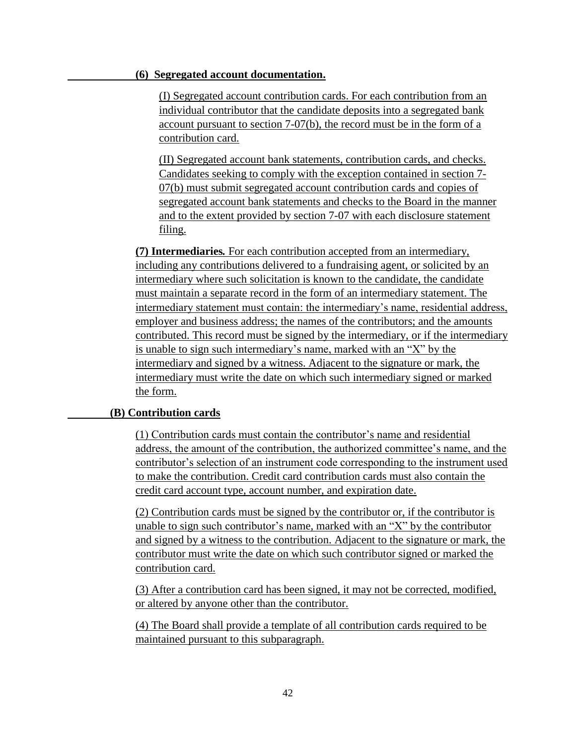#### **(6) Segregated account documentation.**

(I) Segregated account contribution cards. For each contribution from an individual contributor that the candidate deposits into a segregated bank account pursuant to section 7-07(b), the record must be in the form of a contribution card.

(II) Segregated account bank statements, contribution cards, and checks. Candidates seeking to comply with the exception contained in section 7- 07(b) must submit segregated account contribution cards and copies of segregated account bank statements and checks to the Board in the manner and to the extent provided by section 7-07 with each disclosure statement filing.

**(7) Intermediaries***.* For each contribution accepted from an intermediary, including any contributions delivered to a fundraising agent, or solicited by an intermediary where such solicitation is known to the candidate, the candidate must maintain a separate record in the form of an intermediary statement. The intermediary statement must contain: the intermediary's name, residential address, employer and business address; the names of the contributors; and the amounts contributed. This record must be signed by the intermediary, or if the intermediary is unable to sign such intermediary's name, marked with an "X" by the intermediary and signed by a witness. Adjacent to the signature or mark, the intermediary must write the date on which such intermediary signed or marked the form.

#### **(B) Contribution cards**

(1) Contribution cards must contain the contributor's name and residential address, the amount of the contribution, the authorized committee's name, and the contributor's selection of an instrument code corresponding to the instrument used to make the contribution. Credit card contribution cards must also contain the credit card account type, account number, and expiration date.

(2) Contribution cards must be signed by the contributor or, if the contributor is unable to sign such contributor's name, marked with an "X" by the contributor and signed by a witness to the contribution. Adjacent to the signature or mark, the contributor must write the date on which such contributor signed or marked the contribution card.

(3) After a contribution card has been signed, it may not be corrected, modified, or altered by anyone other than the contributor.

(4) The Board shall provide a template of all contribution cards required to be maintained pursuant to this subparagraph.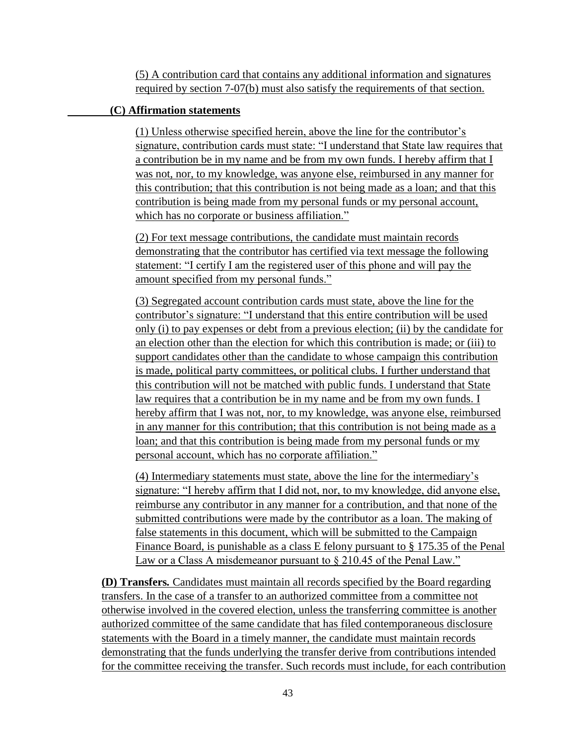(5) A contribution card that contains any additional information and signatures required by section 7-07(b) must also satisfy the requirements of that section.

### **(C) Affirmation statements**

(1) Unless otherwise specified herein, above the line for the contributor's signature, contribution cards must state: "I understand that State law requires that a contribution be in my name and be from my own funds. I hereby affirm that I was not, nor, to my knowledge, was anyone else, reimbursed in any manner for this contribution; that this contribution is not being made as a loan; and that this contribution is being made from my personal funds or my personal account, which has no corporate or business affiliation."

(2) For text message contributions, the candidate must maintain records demonstrating that the contributor has certified via text message the following statement: "I certify I am the registered user of this phone and will pay the amount specified from my personal funds."

(3) Segregated account contribution cards must state, above the line for the contributor's signature: "I understand that this entire contribution will be used only (i) to pay expenses or debt from a previous election; (ii) by the candidate for an election other than the election for which this contribution is made; or (iii) to support candidates other than the candidate to whose campaign this contribution is made, political party committees, or political clubs. I further understand that this contribution will not be matched with public funds. I understand that State law requires that a contribution be in my name and be from my own funds. I hereby affirm that I was not, nor, to my knowledge, was anyone else, reimbursed in any manner for this contribution; that this contribution is not being made as a loan; and that this contribution is being made from my personal funds or my personal account, which has no corporate affiliation."

(4) Intermediary statements must state, above the line for the intermediary's signature: "I hereby affirm that I did not, nor, to my knowledge, did anyone else, reimburse any contributor in any manner for a contribution, and that none of the submitted contributions were made by the contributor as a loan. The making of false statements in this document, which will be submitted to the Campaign Finance Board, is punishable as a class E felony pursuant to § 175.35 of the Penal Law or a Class A misdemeanor pursuant to § 210.45 of the Penal Law."

**(D) Transfers***.* Candidates must maintain all records specified by the Board regarding transfers. In the case of a transfer to an authorized committee from a committee not otherwise involved in the covered election, unless the transferring committee is another authorized committee of the same candidate that has filed contemporaneous disclosure statements with the Board in a timely manner, the candidate must maintain records demonstrating that the funds underlying the transfer derive from contributions intended for the committee receiving the transfer. Such records must include, for each contribution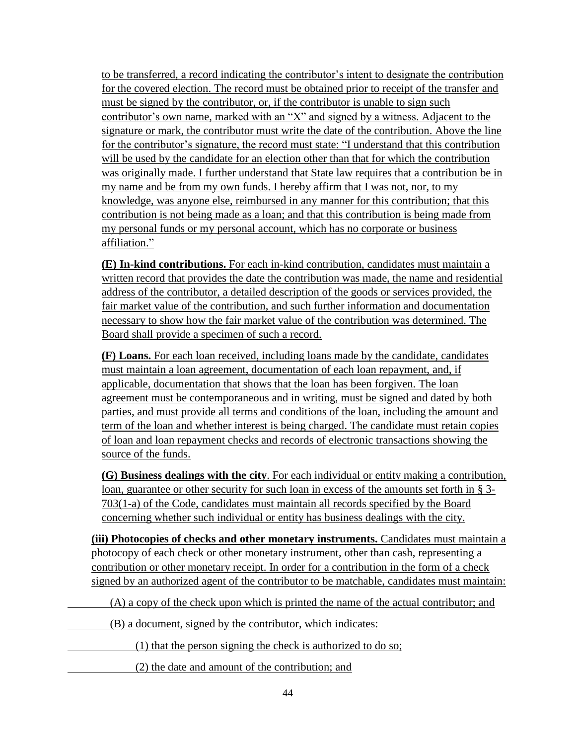to be transferred, a record indicating the contributor's intent to designate the contribution for the covered election. The record must be obtained prior to receipt of the transfer and must be signed by the contributor, or, if the contributor is unable to sign such contributor's own name, marked with an "X" and signed by a witness. Adjacent to the signature or mark, the contributor must write the date of the contribution. Above the line for the contributor's signature, the record must state: "I understand that this contribution will be used by the candidate for an election other than that for which the contribution was originally made. I further understand that State law requires that a contribution be in my name and be from my own funds. I hereby affirm that I was not, nor, to my knowledge, was anyone else, reimbursed in any manner for this contribution; that this contribution is not being made as a loan; and that this contribution is being made from my personal funds or my personal account, which has no corporate or business affiliation."

**(E) In-kind contributions.** For each in-kind contribution, candidates must maintain a written record that provides the date the contribution was made, the name and residential address of the contributor, a detailed description of the goods or services provided, the fair market value of the contribution, and such further information and documentation necessary to show how the fair market value of the contribution was determined. The Board shall provide a specimen of such a record.

**(F) Loans.** For each loan received, including loans made by the candidate, candidates must maintain a loan agreement, documentation of each loan repayment, and, if applicable, documentation that shows that the loan has been forgiven. The loan agreement must be contemporaneous and in writing, must be signed and dated by both parties, and must provide all terms and conditions of the loan, including the amount and term of the loan and whether interest is being charged. The candidate must retain copies of loan and loan repayment checks and records of electronic transactions showing the source of the funds.

**(G) Business dealings with the city**. For each individual or entity making a contribution, loan, guarantee or other security for such loan in excess of the amounts set forth in § 3- 703(1-a) of the Code, candidates must maintain all records specified by the Board concerning whether such individual or entity has business dealings with the city.

**(iii) Photocopies of checks and other monetary instruments.** Candidates must maintain a photocopy of each check or other monetary instrument, other than cash, representing a contribution or other monetary receipt. In order for a contribution in the form of a check signed by an authorized agent of the contributor to be matchable, candidates must maintain:

(A) a copy of the check upon which is printed the name of the actual contributor; and

(B) a document, signed by the contributor, which indicates:

(1) that the person signing the check is authorized to do so;

(2) the date and amount of the contribution; and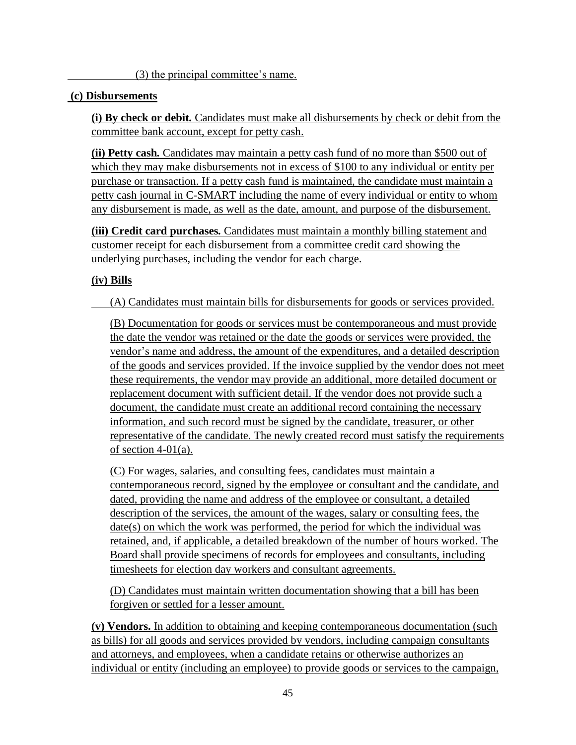(3) the principal committee's name.

### **(c) Disbursements**

**(i) By check or debit***.* Candidates must make all disbursements by check or debit from the committee bank account, except for petty cash.

**(ii) Petty cash***.* Candidates may maintain a petty cash fund of no more than \$500 out of which they may make disbursements not in excess of \$100 to any individual or entity per purchase or transaction. If a petty cash fund is maintained, the candidate must maintain a petty cash journal in C-SMART including the name of every individual or entity to whom any disbursement is made, as well as the date, amount, and purpose of the disbursement.

**(iii) Credit card purchases***.* Candidates must maintain a monthly billing statement and customer receipt for each disbursement from a committee credit card showing the underlying purchases, including the vendor for each charge.

## **(iv) Bills**

(A) Candidates must maintain bills for disbursements for goods or services provided.

(B) Documentation for goods or services must be contemporaneous and must provide the date the vendor was retained or the date the goods or services were provided, the vendor's name and address, the amount of the expenditures, and a detailed description of the goods and services provided. If the invoice supplied by the vendor does not meet these requirements, the vendor may provide an additional, more detailed document or replacement document with sufficient detail. If the vendor does not provide such a document, the candidate must create an additional record containing the necessary information, and such record must be signed by the candidate, treasurer, or other representative of the candidate. The newly created record must satisfy the requirements of section 4-01(a).

(C) For wages, salaries, and consulting fees, candidates must maintain a contemporaneous record, signed by the employee or consultant and the candidate, and dated, providing the name and address of the employee or consultant, a detailed description of the services, the amount of the wages, salary or consulting fees, the date(s) on which the work was performed, the period for which the individual was retained, and, if applicable, a detailed breakdown of the number of hours worked. The Board shall provide specimens of records for employees and consultants, including timesheets for election day workers and consultant agreements.

(D) Candidates must maintain written documentation showing that a bill has been forgiven or settled for a lesser amount.

**(v) Vendors.** In addition to obtaining and keeping contemporaneous documentation (such as bills) for all goods and services provided by vendors, including campaign consultants and attorneys, and employees, when a candidate retains or otherwise authorizes an individual or entity (including an employee) to provide goods or services to the campaign,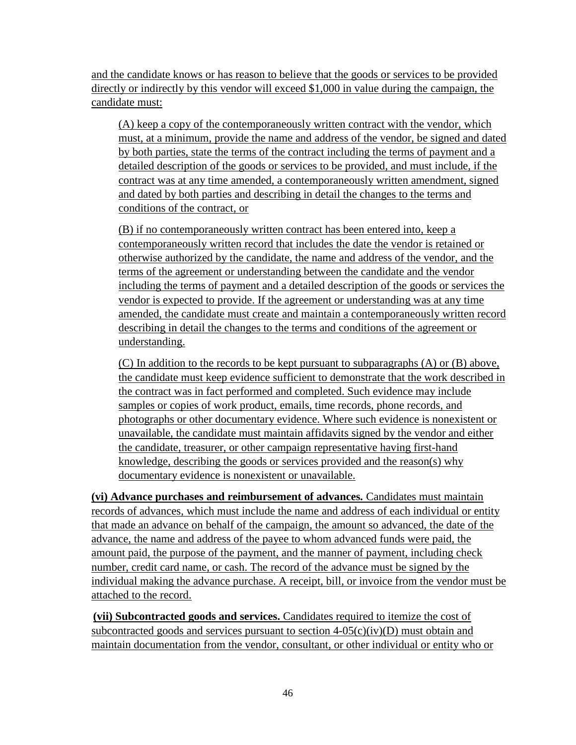and the candidate knows or has reason to believe that the goods or services to be provided directly or indirectly by this vendor will exceed \$1,000 in value during the campaign, the candidate must:

(A) keep a copy of the contemporaneously written contract with the vendor, which must, at a minimum, provide the name and address of the vendor, be signed and dated by both parties, state the terms of the contract including the terms of payment and a detailed description of the goods or services to be provided, and must include, if the contract was at any time amended, a contemporaneously written amendment, signed and dated by both parties and describing in detail the changes to the terms and conditions of the contract, or

(B) if no contemporaneously written contract has been entered into, keep a contemporaneously written record that includes the date the vendor is retained or otherwise authorized by the candidate, the name and address of the vendor, and the terms of the agreement or understanding between the candidate and the vendor including the terms of payment and a detailed description of the goods or services the vendor is expected to provide. If the agreement or understanding was at any time amended, the candidate must create and maintain a contemporaneously written record describing in detail the changes to the terms and conditions of the agreement or understanding.

(C) In addition to the records to be kept pursuant to subparagraphs (A) or (B) above, the candidate must keep evidence sufficient to demonstrate that the work described in the contract was in fact performed and completed. Such evidence may include samples or copies of work product, emails, time records, phone records, and photographs or other documentary evidence. Where such evidence is nonexistent or unavailable, the candidate must maintain affidavits signed by the vendor and either the candidate, treasurer, or other campaign representative having first-hand knowledge, describing the goods or services provided and the reason(s) why documentary evidence is nonexistent or unavailable.

**(vi) Advance purchases and reimbursement of advances***.* Candidates must maintain records of advances, which must include the name and address of each individual or entity that made an advance on behalf of the campaign, the amount so advanced, the date of the advance, the name and address of the payee to whom advanced funds were paid, the amount paid, the purpose of the payment, and the manner of payment, including check number, credit card name, or cash. The record of the advance must be signed by the individual making the advance purchase. A receipt, bill, or invoice from the vendor must be attached to the record.

**(vii) Subcontracted goods and services.** Candidates required to itemize the cost of subcontracted goods and services pursuant to section  $4-05(c)(iv)(D)$  must obtain and maintain documentation from the vendor, consultant, or other individual or entity who or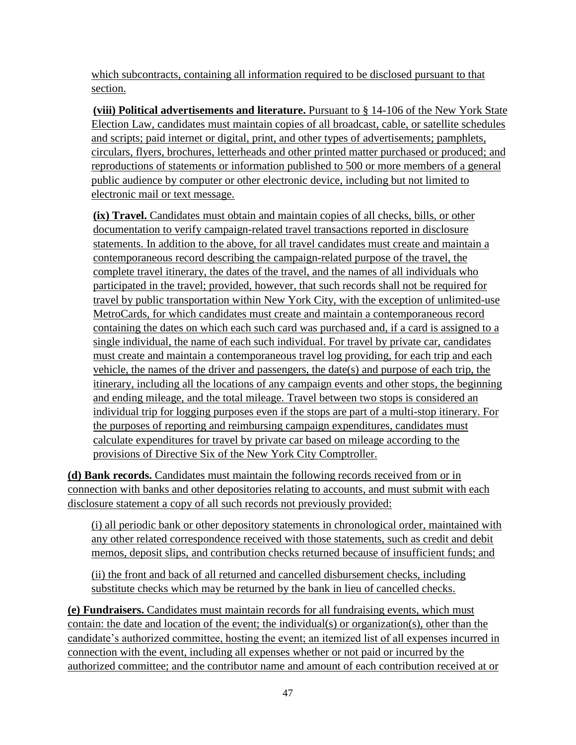which subcontracts, containing all information required to be disclosed pursuant to that section.

**(viii) Political advertisements and literature.** Pursuant to § 14-106 of the New York State Election Law, candidates must maintain copies of all broadcast, cable, or satellite schedules and scripts; paid internet or digital, print, and other types of advertisements; pamphlets, circulars, flyers, brochures, letterheads and other printed matter purchased or produced; and reproductions of statements or information published to 500 or more members of a general public audience by computer or other electronic device, including but not limited to electronic mail or text message.

**(ix) Travel.** Candidates must obtain and maintain copies of all checks, bills, or other documentation to verify campaign-related travel transactions reported in disclosure statements. In addition to the above, for all travel candidates must create and maintain a contemporaneous record describing the campaign-related purpose of the travel, the complete travel itinerary, the dates of the travel, and the names of all individuals who participated in the travel; provided, however, that such records shall not be required for travel by public transportation within New York City, with the exception of unlimited-use MetroCards, for which candidates must create and maintain a contemporaneous record containing the dates on which each such card was purchased and, if a card is assigned to a single individual, the name of each such individual. For travel by private car, candidates must create and maintain a contemporaneous travel log providing, for each trip and each vehicle, the names of the driver and passengers, the date(s) and purpose of each trip, the itinerary, including all the locations of any campaign events and other stops, the beginning and ending mileage, and the total mileage. Travel between two stops is considered an individual trip for logging purposes even if the stops are part of a multi-stop itinerary. For the purposes of reporting and reimbursing campaign expenditures, candidates must calculate expenditures for travel by private car based on mileage according to the provisions of Directive Six of the New York City Comptroller.

**(d) Bank records.** Candidates must maintain the following records received from or in connection with banks and other depositories relating to accounts, and must submit with each disclosure statement a copy of all such records not previously provided:

(i) all periodic bank or other depository statements in chronological order, maintained with any other related correspondence received with those statements, such as credit and debit memos, deposit slips, and contribution checks returned because of insufficient funds; and

(ii) the front and back of all returned and cancelled disbursement checks, including substitute checks which may be returned by the bank in lieu of cancelled checks.

**(e) Fundraisers.** Candidates must maintain records for all fundraising events, which must contain: the date and location of the event; the individual(s) or organization(s), other than the candidate's authorized committee, hosting the event; an itemized list of all expenses incurred in connection with the event, including all expenses whether or not paid or incurred by the authorized committee; and the contributor name and amount of each contribution received at or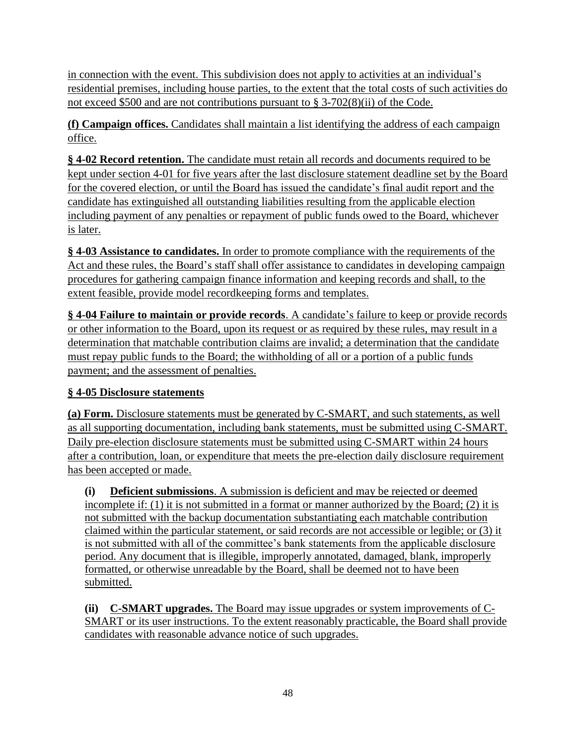in connection with the event. This subdivision does not apply to activities at an individual's residential premises, including house parties, to the extent that the total costs of such activities do not exceed \$500 and are not contributions pursuant to § 3-702(8)(ii) of the Code.

**(f) Campaign offices.** Candidates shall maintain a list identifying the address of each campaign office.

**§ 4-02 Record retention.** The candidate must retain all records and documents required to be kept under section 4-01 for five years after the last disclosure statement deadline set by the Board for the covered election, or until the Board has issued the candidate's final audit report and the candidate has extinguished all outstanding liabilities resulting from the applicable election including payment of any penalties or repayment of public funds owed to the Board, whichever is later.

**§ 4-03 Assistance to candidates.** In order to promote compliance with the requirements of the Act and these rules, the Board's staff shall offer assistance to candidates in developing campaign procedures for gathering campaign finance information and keeping records and shall, to the extent feasible, provide model recordkeeping forms and templates.

**§ 4-04 Failure to maintain or provide records**. A candidate's failure to keep or provide records or other information to the Board, upon its request or as required by these rules, may result in a determination that matchable contribution claims are invalid; a determination that the candidate must repay public funds to the Board; the withholding of all or a portion of a public funds payment; and the assessment of penalties.

## **§ 4-05 Disclosure statements**

**(a) Form.** Disclosure statements must be generated by C-SMART, and such statements, as well as all supporting documentation, including bank statements, must be submitted using C-SMART. Daily pre-election disclosure statements must be submitted using C-SMART within 24 hours after a contribution, loan, or expenditure that meets the pre-election daily disclosure requirement has been accepted or made.

**(i) Deficient submissions**. A submission is deficient and may be rejected or deemed incomplete if: (1) it is not submitted in a format or manner authorized by the Board; (2) it is not submitted with the backup documentation substantiating each matchable contribution claimed within the particular statement, or said records are not accessible or legible; or (3) it is not submitted with all of the committee's bank statements from the applicable disclosure period. Any document that is illegible, improperly annotated, damaged, blank, improperly formatted, or otherwise unreadable by the Board, shall be deemed not to have been submitted.

**(ii) C-SMART upgrades.** The Board may issue upgrades or system improvements of C-SMART or its user instructions. To the extent reasonably practicable, the Board shall provide candidates with reasonable advance notice of such upgrades.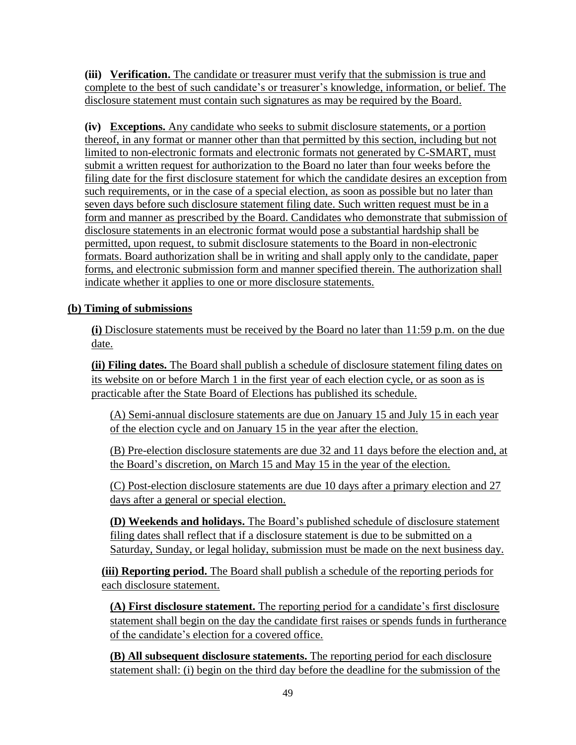**(iii) Verification.** The candidate or treasurer must verify that the submission is true and complete to the best of such candidate's or treasurer's knowledge, information, or belief. The disclosure statement must contain such signatures as may be required by the Board.

**(iv) Exceptions.** Any candidate who seeks to submit disclosure statements, or a portion thereof, in any format or manner other than that permitted by this section, including but not limited to non-electronic formats and electronic formats not generated by C-SMART, must submit a written request for authorization to the Board no later than four weeks before the filing date for the first disclosure statement for which the candidate desires an exception from such requirements, or in the case of a special election, as soon as possible but no later than seven days before such disclosure statement filing date. Such written request must be in a form and manner as prescribed by the Board. Candidates who demonstrate that submission of disclosure statements in an electronic format would pose a substantial hardship shall be permitted, upon request, to submit disclosure statements to the Board in non-electronic formats. Board authorization shall be in writing and shall apply only to the candidate, paper forms, and electronic submission form and manner specified therein. The authorization shall indicate whether it applies to one or more disclosure statements.

## **(b) Timing of submissions**

**(i)** Disclosure statements must be received by the Board no later than 11:59 p.m. on the due date.

**(ii) Filing dates.** The Board shall publish a schedule of disclosure statement filing dates on its website on or before March 1 in the first year of each election cycle, or as soon as is practicable after the State Board of Elections has published its schedule.

(A) Semi-annual disclosure statements are due on January 15 and July 15 in each year of the election cycle and on January 15 in the year after the election.

(B) Pre-election disclosure statements are due 32 and 11 days before the election and, at the Board's discretion, on March 15 and May 15 in the year of the election.

(C) Post-election disclosure statements are due 10 days after a primary election and 27 days after a general or special election.

**(D) Weekends and holidays.** The Board's published schedule of disclosure statement filing dates shall reflect that if a disclosure statement is due to be submitted on a Saturday, Sunday, or legal holiday, submission must be made on the next business day.

**(iii) Reporting period.** The Board shall publish a schedule of the reporting periods for each disclosure statement.

**(A) First disclosure statement.** The reporting period for a candidate's first disclosure statement shall begin on the day the candidate first raises or spends funds in furtherance of the candidate's election for a covered office.

**(B) All subsequent disclosure statements.** The reporting period for each disclosure statement shall: (i) begin on the third day before the deadline for the submission of the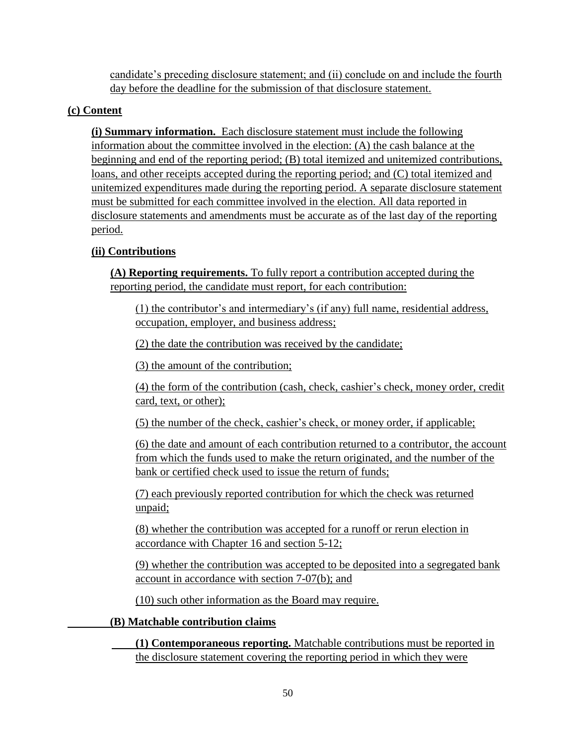candidate's preceding disclosure statement; and (ii) conclude on and include the fourth day before the deadline for the submission of that disclosure statement.

### **(c) Content**

**(i) Summary information.** Each disclosure statement must include the following information about the committee involved in the election: (A) the cash balance at the beginning and end of the reporting period; (B) total itemized and unitemized contributions, loans, and other receipts accepted during the reporting period; and (C) total itemized and unitemized expenditures made during the reporting period. A separate disclosure statement must be submitted for each committee involved in the election. All data reported in disclosure statements and amendments must be accurate as of the last day of the reporting period.

## **(ii) Contributions**

**(A) Reporting requirements.** To fully report a contribution accepted during the reporting period, the candidate must report, for each contribution:

(1) the contributor's and intermediary's (if any) full name, residential address, occupation, employer, and business address;

(2) the date the contribution was received by the candidate;

(3) the amount of the contribution;

(4) the form of the contribution (cash, check, cashier's check, money order, credit card, text, or other);

(5) the number of the check, cashier's check, or money order, if applicable;

(6) the date and amount of each contribution returned to a contributor, the account from which the funds used to make the return originated, and the number of the bank or certified check used to issue the return of funds;

(7) each previously reported contribution for which the check was returned unpaid;

(8) whether the contribution was accepted for a runoff or rerun election in accordance with Chapter 16 and section 5-12;

(9) whether the contribution was accepted to be deposited into a segregated bank account in accordance with section 7-07(b); and

(10) such other information as the Board may require.

#### **(B) Matchable contribution claims**

**(1) Contemporaneous reporting.** Matchable contributions must be reported in the disclosure statement covering the reporting period in which they were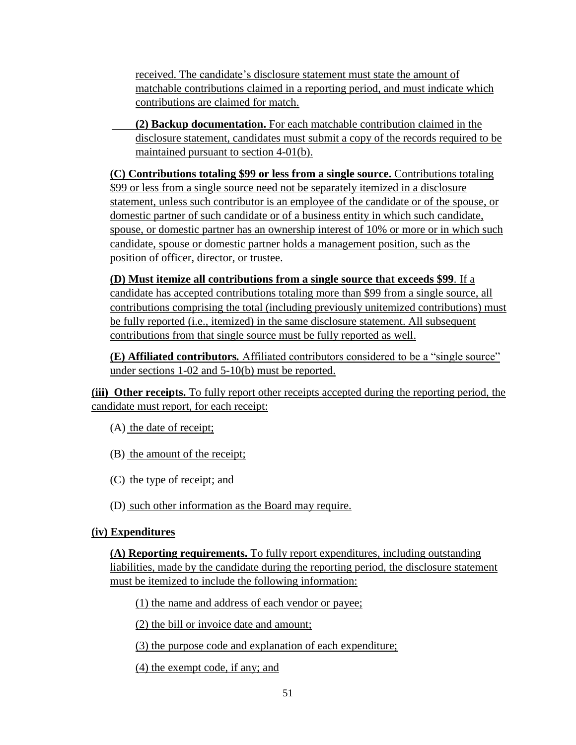received. The candidate's disclosure statement must state the amount of matchable contributions claimed in a reporting period, and must indicate which contributions are claimed for match.

**(2) Backup documentation.** For each matchable contribution claimed in the disclosure statement, candidates must submit a copy of the records required to be maintained pursuant to section 4-01(b).

**(C) Contributions totaling \$99 or less from a single source.** Contributions totaling \$99 or less from a single source need not be separately itemized in a disclosure statement, unless such contributor is an employee of the candidate or of the spouse, or domestic partner of such candidate or of a business entity in which such candidate, spouse, or domestic partner has an ownership interest of 10% or more or in which such candidate, spouse or domestic partner holds a management position, such as the position of officer, director, or trustee.

**(D) Must itemize all contributions from a single source that exceeds \$99***.* If a candidate has accepted contributions totaling more than \$99 from a single source, all contributions comprising the total (including previously unitemized contributions) must be fully reported (i.e., itemized) in the same disclosure statement. All subsequent contributions from that single source must be fully reported as well.

**(E) Affiliated contributors***.* Affiliated contributors considered to be a "single source" under sections 1-02 and 5-10(b) must be reported.

**(iii) Other receipts.** To fully report other receipts accepted during the reporting period, the candidate must report, for each receipt:

- (A) the date of receipt;
- (B) the amount of the receipt;
- (C) the type of receipt; and
- (D) such other information as the Board may require.

#### **(iv) Expenditures**

**(A) Reporting requirements.** To fully report expenditures, including outstanding liabilities, made by the candidate during the reporting period, the disclosure statement must be itemized to include the following information:

(1) the name and address of each vendor or payee;

(2) the bill or invoice date and amount;

(3) the purpose code and explanation of each expenditure;

(4) the exempt code, if any; and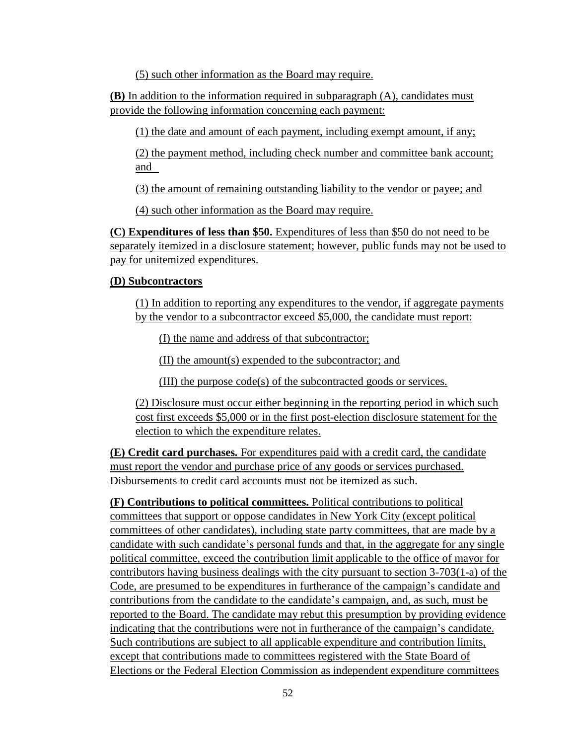(5) such other information as the Board may require.

**(B)** In addition to the information required in subparagraph (A), candidates must provide the following information concerning each payment:

(1) the date and amount of each payment, including exempt amount, if any;

(2) the payment method, including check number and committee bank account; and

(3) the amount of remaining outstanding liability to the vendor or payee; and

(4) such other information as the Board may require.

**(C) Expenditures of less than \$50.** Expenditures of less than \$50 do not need to be separately itemized in a disclosure statement; however, public funds may not be used to pay for unitemized expenditures.

### **(D) Subcontractors**

(1) In addition to reporting any expenditures to the vendor, if aggregate payments by the vendor to a subcontractor exceed \$5,000, the candidate must report:

(I) the name and address of that subcontractor;

(II) the amount(s) expended to the subcontractor; and

(III) the purpose code(s) of the subcontracted goods or services.

(2) Disclosure must occur either beginning in the reporting period in which such cost first exceeds \$5,000 or in the first post-election disclosure statement for the election to which the expenditure relates.

**(E) Credit card purchases***.* For expenditures paid with a credit card, the candidate must report the vendor and purchase price of any goods or services purchased. Disbursements to credit card accounts must not be itemized as such.

**(F) Contributions to political committees.** Political contributions to political committees that support or oppose candidates in New York City (except political committees of other candidates), including state party committees, that are made by a candidate with such candidate's personal funds and that, in the aggregate for any single political committee, exceed the contribution limit applicable to the office of mayor for contributors having business dealings with the city pursuant to section 3-703(1-a) of the Code, are presumed to be expenditures in furtherance of the campaign's candidate and contributions from the candidate to the candidate's campaign, and, as such, must be reported to the Board. The candidate may rebut this presumption by providing evidence indicating that the contributions were not in furtherance of the campaign's candidate. Such contributions are subject to all applicable expenditure and contribution limits, except that contributions made to committees registered with the State Board of Elections or the Federal Election Commission as independent expenditure committees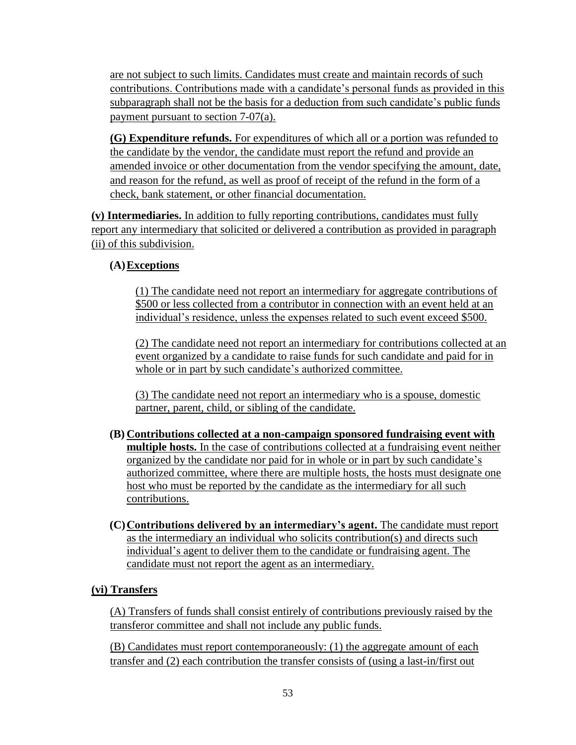are not subject to such limits. Candidates must create and maintain records of such contributions. Contributions made with a candidate's personal funds as provided in this subparagraph shall not be the basis for a deduction from such candidate's public funds payment pursuant to section 7-07(a).

**(G) Expenditure refunds.** For expenditures of which all or a portion was refunded to the candidate by the vendor, the candidate must report the refund and provide an amended invoice or other documentation from the vendor specifying the amount, date, and reason for the refund, as well as proof of receipt of the refund in the form of a check, bank statement, or other financial documentation.

**(v) Intermediaries.** In addition to fully reporting contributions, candidates must fully report any intermediary that solicited or delivered a contribution as provided in paragraph (ii) of this subdivision.

### **(A)Exceptions**

(1) The candidate need not report an intermediary for aggregate contributions of \$500 or less collected from a contributor in connection with an event held at an individual's residence, unless the expenses related to such event exceed \$500.

(2) The candidate need not report an intermediary for contributions collected at an event organized by a candidate to raise funds for such candidate and paid for in whole or in part by such candidate's authorized committee.

(3) The candidate need not report an intermediary who is a spouse, domestic partner, parent, child, or sibling of the candidate.

- **(B) Contributions collected at a non-campaign sponsored fundraising event with multiple hosts.** In the case of contributions collected at a fundraising event neither organized by the candidate nor paid for in whole or in part by such candidate's authorized committee, where there are multiple hosts, the hosts must designate one host who must be reported by the candidate as the intermediary for all such contributions.
- **(C)Contributions delivered by an intermediary's agent.** The candidate must report as the intermediary an individual who solicits contribution(s) and directs such individual's agent to deliver them to the candidate or fundraising agent. The candidate must not report the agent as an intermediary.

## **(vi) Transfers**

(A) Transfers of funds shall consist entirely of contributions previously raised by the transferor committee and shall not include any public funds.

(B) Candidates must report contemporaneously: (1) the aggregate amount of each transfer and (2) each contribution the transfer consists of (using a last-in/first out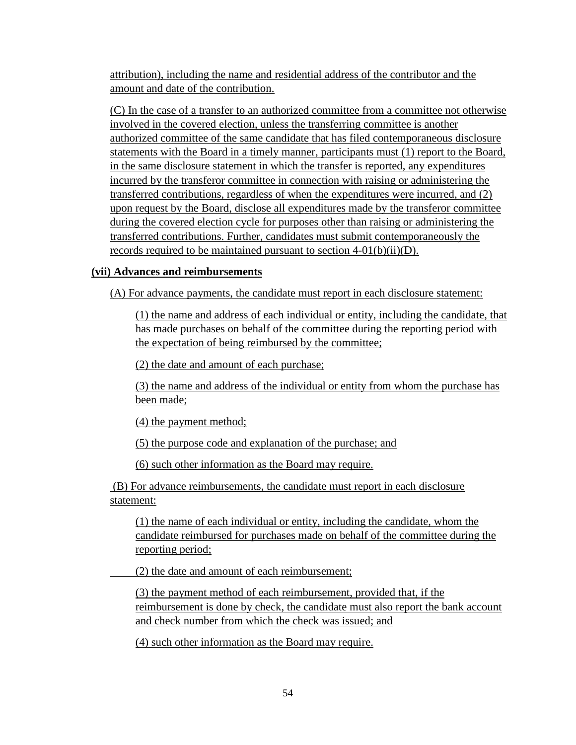attribution), including the name and residential address of the contributor and the amount and date of the contribution.

(C) In the case of a transfer to an authorized committee from a committee not otherwise involved in the covered election, unless the transferring committee is another authorized committee of the same candidate that has filed contemporaneous disclosure statements with the Board in a timely manner, participants must (1) report to the Board, in the same disclosure statement in which the transfer is reported, any expenditures incurred by the transferor committee in connection with raising or administering the transferred contributions, regardless of when the expenditures were incurred, and (2) upon request by the Board, disclose all expenditures made by the transferor committee during the covered election cycle for purposes other than raising or administering the transferred contributions. Further, candidates must submit contemporaneously the records required to be maintained pursuant to section 4-01(b)(ii)(D).

### **(vii) Advances and reimbursements**

(A) For advance payments, the candidate must report in each disclosure statement:

(1) the name and address of each individual or entity, including the candidate, that has made purchases on behalf of the committee during the reporting period with the expectation of being reimbursed by the committee;

(2) the date and amount of each purchase;

(3) the name and address of the individual or entity from whom the purchase has been made;

(4) the payment method;

(5) the purpose code and explanation of the purchase; and

(6) such other information as the Board may require.

(B) For advance reimbursements, the candidate must report in each disclosure statement:

(1) the name of each individual or entity, including the candidate, whom the candidate reimbursed for purchases made on behalf of the committee during the reporting period;

(2) the date and amount of each reimbursement;

(3) the payment method of each reimbursement, provided that, if the reimbursement is done by check, the candidate must also report the bank account and check number from which the check was issued; and

(4) such other information as the Board may require.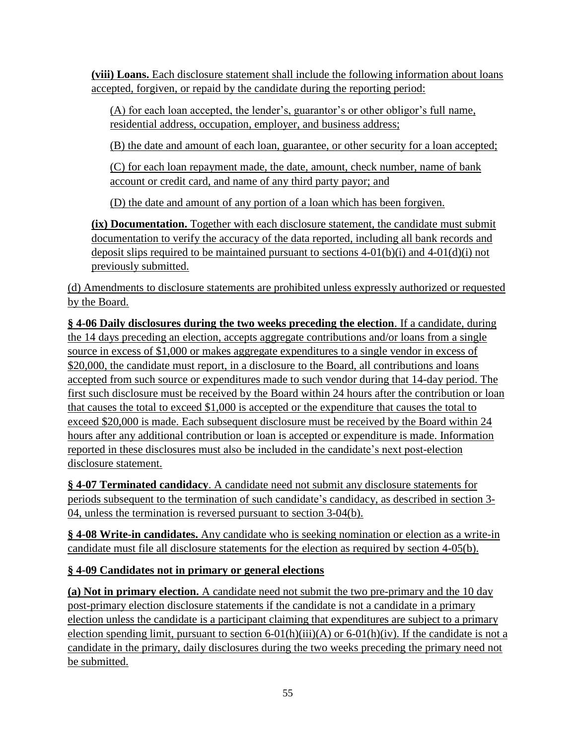**(viii) Loans.** Each disclosure statement shall include the following information about loans accepted, forgiven, or repaid by the candidate during the reporting period:

(A) for each loan accepted, the lender's, guarantor's or other obligor's full name, residential address, occupation, employer, and business address;

(B) the date and amount of each loan, guarantee, or other security for a loan accepted;

(C) for each loan repayment made, the date, amount, check number, name of bank account or credit card, and name of any third party payor; and

(D) the date and amount of any portion of a loan which has been forgiven.

**(ix) Documentation.** Together with each disclosure statement, the candidate must submit documentation to verify the accuracy of the data reported, including all bank records and deposit slips required to be maintained pursuant to sections  $4-01(b)(i)$  and  $4-01(d)(i)$  not previously submitted.

(d) Amendments to disclosure statements are prohibited unless expressly authorized or requested by the Board.

**§ 4-06 Daily disclosures during the two weeks preceding the election**. If a candidate, during the 14 days preceding an election, accepts aggregate contributions and/or loans from a single source in excess of \$1,000 or makes aggregate expenditures to a single vendor in excess of \$20,000, the candidate must report, in a disclosure to the Board, all contributions and loans accepted from such source or expenditures made to such vendor during that 14-day period. The first such disclosure must be received by the Board within 24 hours after the contribution or loan that causes the total to exceed \$1,000 is accepted or the expenditure that causes the total to exceed \$20,000 is made. Each subsequent disclosure must be received by the Board within 24 hours after any additional contribution or loan is accepted or expenditure is made. Information reported in these disclosures must also be included in the candidate's next post-election disclosure statement.

**§ 4-07 Terminated candidacy**. A candidate need not submit any disclosure statements for periods subsequent to the termination of such candidate's candidacy, as described in section 3- 04, unless the termination is reversed pursuant to section 3-04(b).

**§ 4-08 Write-in candidates.** Any candidate who is seeking nomination or election as a write-in candidate must file all disclosure statements for the election as required by section 4-05(b).

## **§ 4-09 Candidates not in primary or general elections**

**(a) Not in primary election.** A candidate need not submit the two pre-primary and the 10 day post-primary election disclosure statements if the candidate is not a candidate in a primary election unless the candidate is a participant claiming that expenditures are subject to a primary election spending limit, pursuant to section  $6-01(h)(iii)(A)$  or  $6-01(h)(iv)$ . If the candidate is not a candidate in the primary, daily disclosures during the two weeks preceding the primary need not be submitted.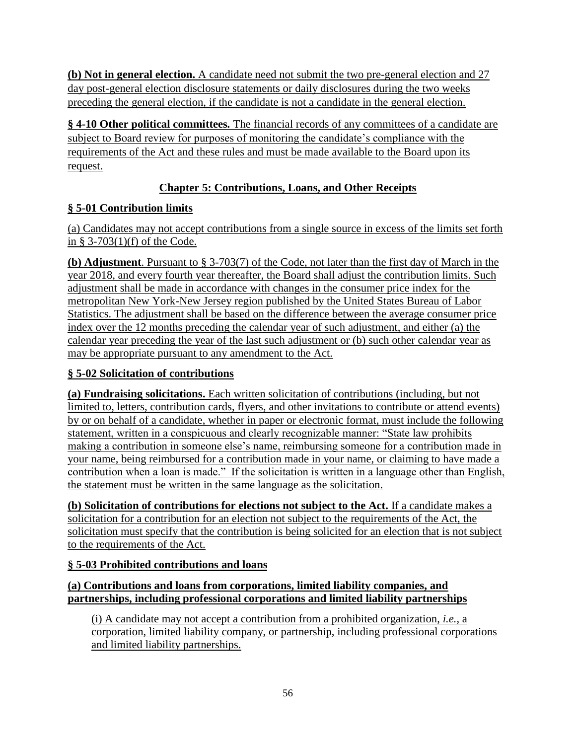**(b) Not in general election.** A candidate need not submit the two pre-general election and 27 day post-general election disclosure statements or daily disclosures during the two weeks preceding the general election, if the candidate is not a candidate in the general election.

**§ 4-10 Other political committees***.* The financial records of any committees of a candidate are subject to Board review for purposes of monitoring the candidate's compliance with the requirements of the Act and these rules and must be made available to the Board upon its request.

## **Chapter 5: Contributions, Loans, and Other Receipts**

## **§ 5-01 Contribution limits**

(a) Candidates may not accept contributions from a single source in excess of the limits set forth in § 3-703(1)(f) of the Code.

**(b) Adjustment**. Pursuant to § 3-703(7) of the Code, not later than the first day of March in the year 2018, and every fourth year thereafter, the Board shall adjust the contribution limits. Such adjustment shall be made in accordance with changes in the consumer price index for the metropolitan New York-New Jersey region published by the United States Bureau of Labor Statistics. The adjustment shall be based on the difference between the average consumer price index over the 12 months preceding the calendar year of such adjustment, and either (a) the calendar year preceding the year of the last such adjustment or (b) such other calendar year as may be appropriate pursuant to any amendment to the Act.

## **§ 5-02 Solicitation of contributions**

**(a) Fundraising solicitations.** Each written solicitation of contributions (including, but not limited to, letters, contribution cards, flyers, and other invitations to contribute or attend events) by or on behalf of a candidate, whether in paper or electronic format, must include the following statement, written in a conspicuous and clearly recognizable manner: "State law prohibits making a contribution in someone else's name, reimbursing someone for a contribution made in your name, being reimbursed for a contribution made in your name, or claiming to have made a contribution when a loan is made." If the solicitation is written in a language other than English, the statement must be written in the same language as the solicitation.

**(b) Solicitation of contributions for elections not subject to the Act.** If a candidate makes a solicitation for a contribution for an election not subject to the requirements of the Act, the solicitation must specify that the contribution is being solicited for an election that is not subject to the requirements of the Act.

# **§ 5-03 Prohibited contributions and loans**

## **(a) Contributions and loans from corporations, limited liability companies, and partnerships, including professional corporations and limited liability partnerships**

(i) A candidate may not accept a contribution from a prohibited organization, *i.e.*, a corporation, limited liability company, or partnership, including professional corporations and limited liability partnerships.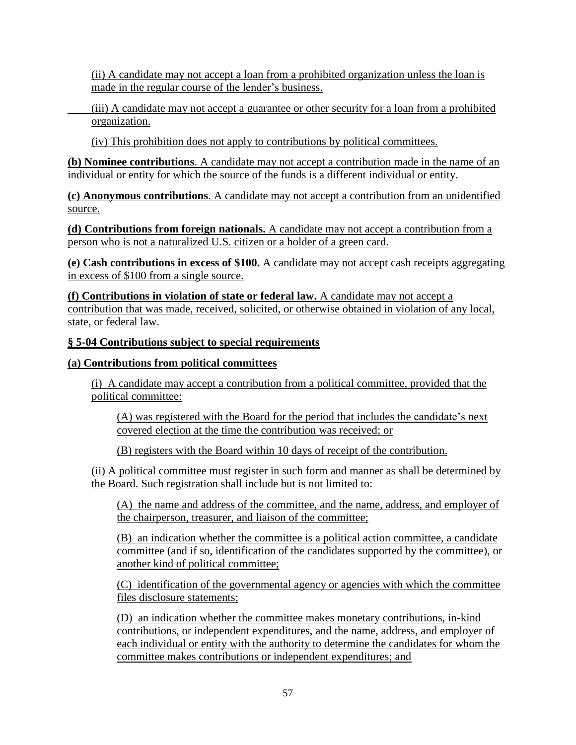(ii) A candidate may not accept a loan from a prohibited organization unless the loan is made in the regular course of the lender's business.

(iii) A candidate may not accept a guarantee or other security for a loan from a prohibited organization.

(iv) This prohibition does not apply to contributions by political committees.

**(b) Nominee contributions**. A candidate may not accept a contribution made in the name of an individual or entity for which the source of the funds is a different individual or entity.

**(c) Anonymous contributions**. A candidate may not accept a contribution from an unidentified source.

**(d) Contributions from foreign nationals.** A candidate may not accept a contribution from a person who is not a naturalized U.S. citizen or a holder of a green card.

**(e) Cash contributions in excess of \$100.** A candidate may not accept cash receipts aggregating in excess of \$100 from a single source.

**(f) Contributions in violation of state or federal law.** A candidate may not accept a contribution that was made, received, solicited, or otherwise obtained in violation of any local, state, or federal law.

#### **§ 5-04 Contributions subject to special requirements**

#### **(a) Contributions from political committees**

(i) A candidate may accept a contribution from a political committee, provided that the political committee:

(A) was registered with the Board for the period that includes the candidate's next covered election at the time the contribution was received; or

(B) registers with the Board within 10 days of receipt of the contribution.

(ii) A political committee must register in such form and manner as shall be determined by the Board. Such registration shall include but is not limited to:

(A) the name and address of the committee, and the name, address, and employer of the chairperson, treasurer, and liaison of the committee;

(B) an indication whether the committee is a political action committee, a candidate committee (and if so, identification of the candidates supported by the committee), or another kind of political committee;

(C) identification of the governmental agency or agencies with which the committee files disclosure statements;

(D) an indication whether the committee makes monetary contributions, in-kind contributions, or independent expenditures, and the name, address, and employer of each individual or entity with the authority to determine the candidates for whom the committee makes contributions or independent expenditures; and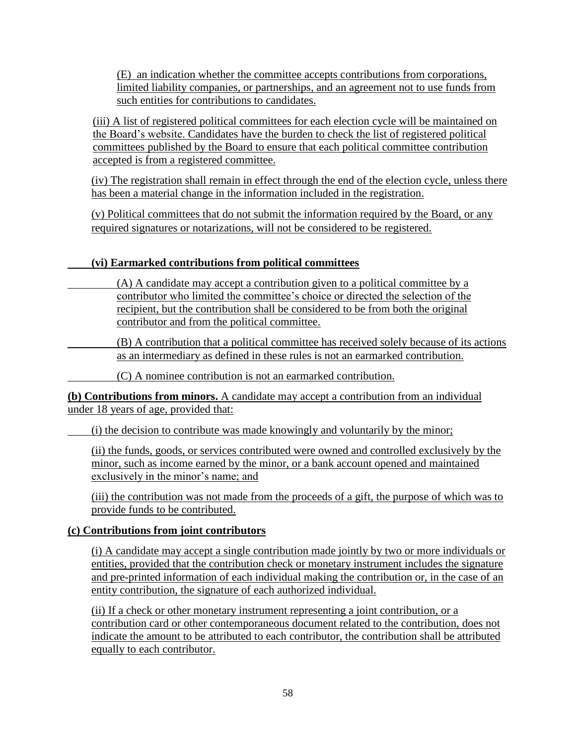(E) an indication whether the committee accepts contributions from corporations, limited liability companies, or partnerships, and an agreement not to use funds from such entities for contributions to candidates.

(iii) A list of registered political committees for each election cycle will be maintained on the Board's website. Candidates have the burden to check the list of registered political committees published by the Board to ensure that each political committee contribution accepted is from a registered committee.

(iv) The registration shall remain in effect through the end of the election cycle, unless there has been a material change in the information included in the registration.

(v) Political committees that do not submit the information required by the Board, or any required signatures or notarizations, will not be considered to be registered.

## **(vi) Earmarked contributions from political committees**

(A) A candidate may accept a contribution given to a political committee by a contributor who limited the committee's choice or directed the selection of the recipient, but the contribution shall be considered to be from both the original contributor and from the political committee.

(B) A contribution that a political committee has received solely because of its actions as an intermediary as defined in these rules is not an earmarked contribution.

(C) A nominee contribution is not an earmarked contribution.

**(b) Contributions from minors.** A candidate may accept a contribution from an individual under 18 years of age, provided that:

(i) the decision to contribute was made knowingly and voluntarily by the minor;

(ii) the funds, goods, or services contributed were owned and controlled exclusively by the minor, such as income earned by the minor, or a bank account opened and maintained exclusively in the minor's name; and

(iii) the contribution was not made from the proceeds of a gift, the purpose of which was to provide funds to be contributed.

## **(c) Contributions from joint contributors**

(i) A candidate may accept a single contribution made jointly by two or more individuals or entities, provided that the contribution check or monetary instrument includes the signature and pre-printed information of each individual making the contribution or, in the case of an entity contribution, the signature of each authorized individual.

(ii) If a check or other monetary instrument representing a joint contribution, or a contribution card or other contemporaneous document related to the contribution, does not indicate the amount to be attributed to each contributor, the contribution shall be attributed equally to each contributor.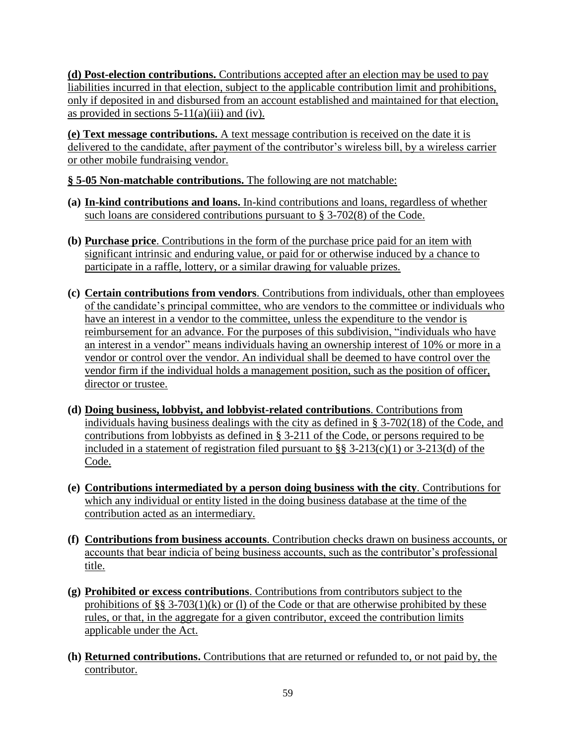**(d) Post-election contributions.** Contributions accepted after an election may be used to pay liabilities incurred in that election, subject to the applicable contribution limit and prohibitions, only if deposited in and disbursed from an account established and maintained for that election, as provided in sections  $5-11(a)(iii)$  and (iv).

**(e) Text message contributions.** A text message contribution is received on the date it is delivered to the candidate, after payment of the contributor's wireless bill, by a wireless carrier or other mobile fundraising vendor.

**§ 5-05 Non-matchable contributions.** The following are not matchable:

- **(a) In-kind contributions and loans.** In-kind contributions and loans, regardless of whether such loans are considered contributions pursuant to § 3-702(8) of the Code.
- **(b) Purchase price**. Contributions in the form of the purchase price paid for an item with significant intrinsic and enduring value, or paid for or otherwise induced by a chance to participate in a raffle, lottery, or a similar drawing for valuable prizes.
- **(c) Certain contributions from vendors**. Contributions from individuals, other than employees of the candidate's principal committee, who are vendors to the committee or individuals who have an interest in a vendor to the committee, unless the expenditure to the vendor is reimbursement for an advance. For the purposes of this subdivision, "individuals who have an interest in a vendor" means individuals having an ownership interest of 10% or more in a vendor or control over the vendor. An individual shall be deemed to have control over the vendor firm if the individual holds a management position, such as the position of officer, director or trustee.
- **(d) Doing business, lobbyist, and lobbyist-related contributions**. Contributions from individuals having business dealings with the city as defined in § 3-702(18) of the Code, and contributions from lobbyists as defined in § 3-211 of the Code, or persons required to be included in a statement of registration filed pursuant to  $\S$ § 3-213(c)(1) or 3-213(d) of the Code.
- **(e) Contributions intermediated by a person doing business with the city**. Contributions for which any individual or entity listed in the doing business database at the time of the contribution acted as an intermediary.
- **(f) Contributions from business accounts**. Contribution checks drawn on business accounts, or accounts that bear indicia of being business accounts, such as the contributor's professional title.
- **(g) Prohibited or excess contributions**. Contributions from contributors subject to the prohibitions of §§ 3-703(1)(k) or (1) of the Code or that are otherwise prohibited by these rules, or that, in the aggregate for a given contributor, exceed the contribution limits applicable under the Act.
- **(h) Returned contributions.** Contributions that are returned or refunded to, or not paid by, the contributor.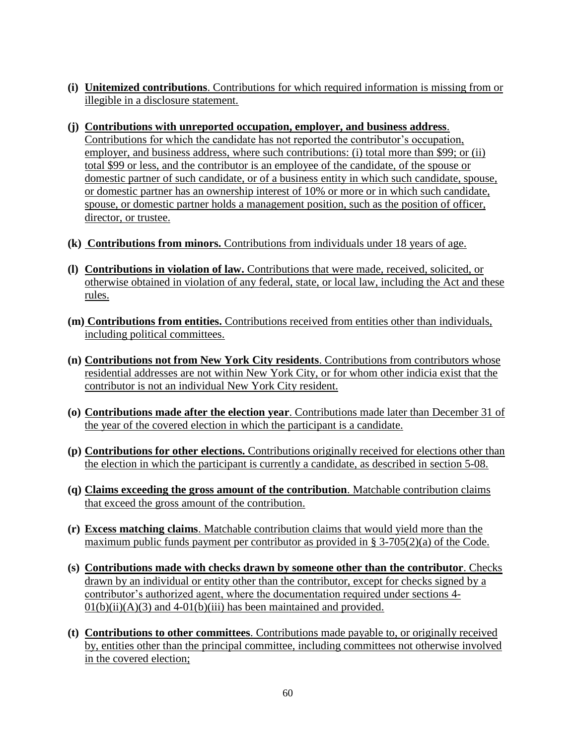- **(i) Unitemized contributions**. Contributions for which required information is missing from or illegible in a disclosure statement.
- **(j) Contributions with unreported occupation, employer, and business address**. Contributions for which the candidate has not reported the contributor's occupation, employer, and business address, where such contributions: (i) total more than \$99; or (ii) total \$99 or less, and the contributor is an employee of the candidate, of the spouse or domestic partner of such candidate, or of a business entity in which such candidate, spouse, or domestic partner has an ownership interest of 10% or more or in which such candidate, spouse, or domestic partner holds a management position, such as the position of officer, director, or trustee.
- **(k) Contributions from minors.** Contributions from individuals under 18 years of age.
- **(l) Contributions in violation of law.** Contributions that were made, received, solicited, or otherwise obtained in violation of any federal, state, or local law, including the Act and these rules.
- **(m) Contributions from entities.** Contributions received from entities other than individuals, including political committees.
- **(n) Contributions not from New York City residents**. Contributions from contributors whose residential addresses are not within New York City, or for whom other indicia exist that the contributor is not an individual New York City resident.
- **(o) Contributions made after the election year**. Contributions made later than December 31 of the year of the covered election in which the participant is a candidate.
- **(p) Contributions for other elections.** Contributions originally received for elections other than the election in which the participant is currently a candidate, as described in section 5-08.
- **(q) Claims exceeding the gross amount of the contribution**. Matchable contribution claims that exceed the gross amount of the contribution.
- **(r) Excess matching claims**. Matchable contribution claims that would yield more than the maximum public funds payment per contributor as provided in  $\S$  3-705(2)(a) of the Code.
- **(s) Contributions made with checks drawn by someone other than the contributor**. Checks drawn by an individual or entity other than the contributor, except for checks signed by a contributor's authorized agent, where the documentation required under sections 4-  $01(b)(ii)(A)(3)$  and  $4-01(b)(iii)$  has been maintained and provided.
- **(t) Contributions to other committees**. Contributions made payable to, or originally received by, entities other than the principal committee, including committees not otherwise involved in the covered election;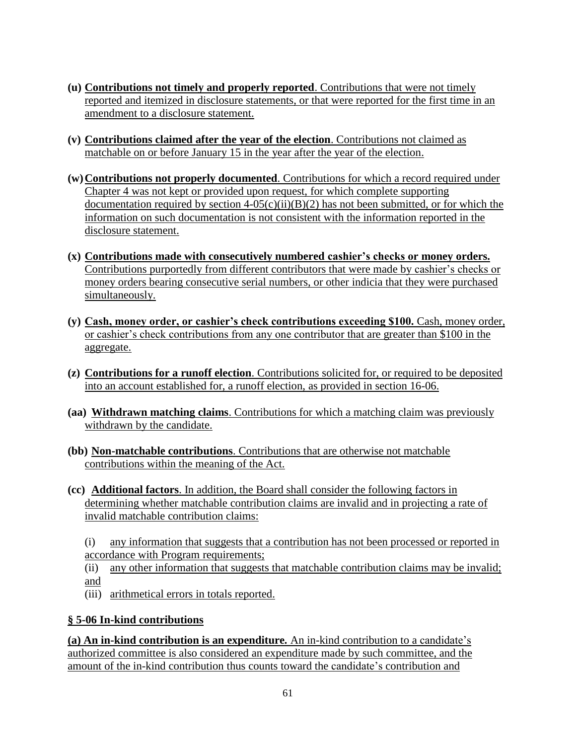- **(u) Contributions not timely and properly reported**. Contributions that were not timely reported and itemized in disclosure statements, or that were reported for the first time in an amendment to a disclosure statement.
- **(v) Contributions claimed after the year of the election**. Contributions not claimed as matchable on or before January 15 in the year after the year of the election.
- **(w)Contributions not properly documented**. Contributions for which a record required under Chapter 4 was not kept or provided upon request, for which complete supporting documentation required by section  $4-05(c)(ii)(B)(2)$  has not been submitted, or for which the information on such documentation is not consistent with the information reported in the disclosure statement.
- **(x) Contributions made with consecutively numbered cashier's checks or money orders.**  Contributions purportedly from different contributors that were made by cashier's checks or money orders bearing consecutive serial numbers, or other indicia that they were purchased simultaneously.
- **(y) Cash, money order, or cashier's check contributions exceeding \$100.** Cash, money order, or cashier's check contributions from any one contributor that are greater than \$100 in the aggregate.
- **(z) Contributions for a runoff election**. Contributions solicited for, or required to be deposited into an account established for, a runoff election, as provided in section 16-06.
- **(aa) Withdrawn matching claims**. Contributions for which a matching claim was previously withdrawn by the candidate.
- **(bb) Non-matchable contributions**. Contributions that are otherwise not matchable contributions within the meaning of the Act.
- **(cc) Additional factors**. In addition, the Board shall consider the following factors in determining whether matchable contribution claims are invalid and in projecting a rate of invalid matchable contribution claims:

(i) any information that suggests that a contribution has not been processed or reported in accordance with Program requirements;

(ii) any other information that suggests that matchable contribution claims may be invalid; and

(iii) arithmetical errors in totals reported.

## **§ 5-06 In-kind contributions**

**(a) An in-kind contribution is an expenditure***.* An in-kind contribution to a candidate's authorized committee is also considered an expenditure made by such committee, and the amount of the in-kind contribution thus counts toward the candidate's contribution and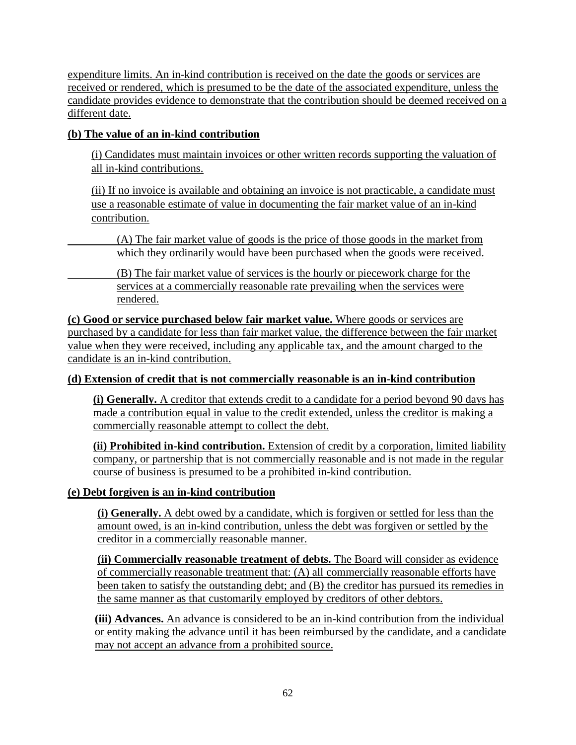expenditure limits. An in-kind contribution is received on the date the goods or services are received or rendered, which is presumed to be the date of the associated expenditure, unless the candidate provides evidence to demonstrate that the contribution should be deemed received on a different date.

## **(b) The value of an in-kind contribution**

(i) Candidates must maintain invoices or other written records supporting the valuation of all in-kind contributions.

(ii) If no invoice is available and obtaining an invoice is not practicable, a candidate must use a reasonable estimate of value in documenting the fair market value of an in-kind contribution.

(A) The fair market value of goods is the price of those goods in the market from which they ordinarily would have been purchased when the goods were received.

(B) The fair market value of services is the hourly or piecework charge for the services at a commercially reasonable rate prevailing when the services were rendered.

**(c) Good or service purchased below fair market value.** Where goods or services are purchased by a candidate for less than fair market value, the difference between the fair market value when they were received, including any applicable tax, and the amount charged to the candidate is an in-kind contribution.

#### **(d) Extension of credit that is not commercially reasonable is an in-kind contribution**

**(i) Generally.** A creditor that extends credit to a candidate for a period beyond 90 days has made a contribution equal in value to the credit extended, unless the creditor is making a commercially reasonable attempt to collect the debt.

**(ii) Prohibited in-kind contribution.** Extension of credit by a corporation, limited liability company, or partnership that is not commercially reasonable and is not made in the regular course of business is presumed to be a prohibited in-kind contribution.

#### **(e) Debt forgiven is an in-kind contribution**

**(i) Generally.** A debt owed by a candidate, which is forgiven or settled for less than the amount owed, is an in-kind contribution, unless the debt was forgiven or settled by the creditor in a commercially reasonable manner.

**(ii) Commercially reasonable treatment of debts.** The Board will consider as evidence of commercially reasonable treatment that: (A) all commercially reasonable efforts have been taken to satisfy the outstanding debt; and (B) the creditor has pursued its remedies in the same manner as that customarily employed by creditors of other debtors.

**(iii) Advances.** An advance is considered to be an in-kind contribution from the individual or entity making the advance until it has been reimbursed by the candidate, and a candidate may not accept an advance from a prohibited source.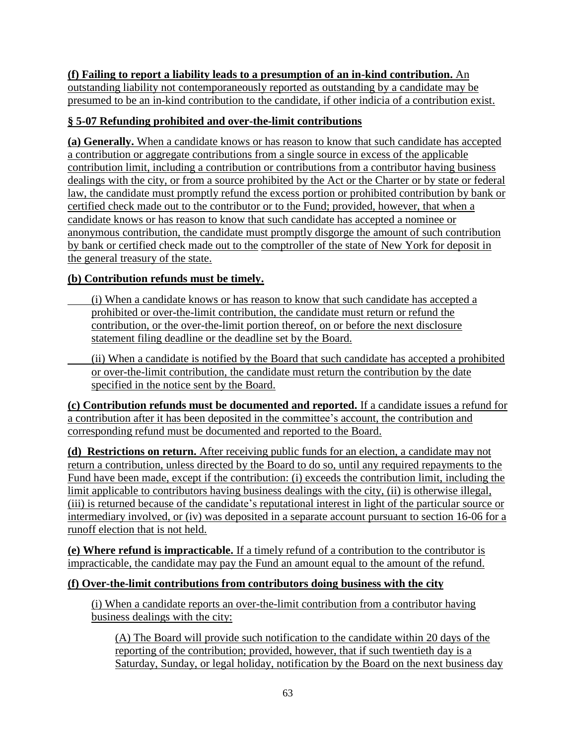## **(f) Failing to report a liability leads to a presumption of an in-kind contribution.** An

outstanding liability not contemporaneously reported as outstanding by a candidate may be presumed to be an in-kind contribution to the candidate, if other indicia of a contribution exist.

## **§ 5-07 Refunding prohibited and over-the-limit contributions**

**(a) Generally.** When a candidate knows or has reason to know that such candidate has accepted a contribution or aggregate contributions from a single source in excess of the applicable contribution limit, including a contribution or contributions from a contributor having business dealings with the city, or from a source prohibited by the Act or the Charter or by state or federal law, the candidate must promptly refund the excess portion or prohibited contribution by bank or certified check made out to the contributor or to the Fund; provided, however, that when a candidate knows or has reason to know that such candidate has accepted a nominee or anonymous contribution, the candidate must promptly disgorge the amount of such contribution by bank or certified check made out to the comptroller of the state of New York for deposit in the general treasury of the state.

# **(b) Contribution refunds must be timely.**

- (i) When a candidate knows or has reason to know that such candidate has accepted a prohibited or over-the-limit contribution, the candidate must return or refund the contribution, or the over-the-limit portion thereof, on or before the next disclosure statement filing deadline or the deadline set by the Board.
- (ii) When a candidate is notified by the Board that such candidate has accepted a prohibited or over-the-limit contribution, the candidate must return the contribution by the date specified in the notice sent by the Board.

**(c) Contribution refunds must be documented and reported.** If a candidate issues a refund for a contribution after it has been deposited in the committee's account, the contribution and corresponding refund must be documented and reported to the Board.

**(d) Restrictions on return.** After receiving public funds for an election, a candidate may not return a contribution, unless directed by the Board to do so, until any required repayments to the Fund have been made, except if the contribution: (i) exceeds the contribution limit, including the limit applicable to contributors having business dealings with the city, (ii) is otherwise illegal, (iii) is returned because of the candidate's reputational interest in light of the particular source or intermediary involved, or (iv) was deposited in a separate account pursuant to section 16-06 for a runoff election that is not held.

**(e) Where refund is impracticable.** If a timely refund of a contribution to the contributor is impracticable, the candidate may pay the Fund an amount equal to the amount of the refund.

# **(f) Over-the-limit contributions from contributors doing business with the city**

(i) When a candidate reports an over-the-limit contribution from a contributor having business dealings with the city:

(A) The Board will provide such notification to the candidate within 20 days of the reporting of the contribution; provided, however, that if such twentieth day is a Saturday, Sunday, or legal holiday, notification by the Board on the next business day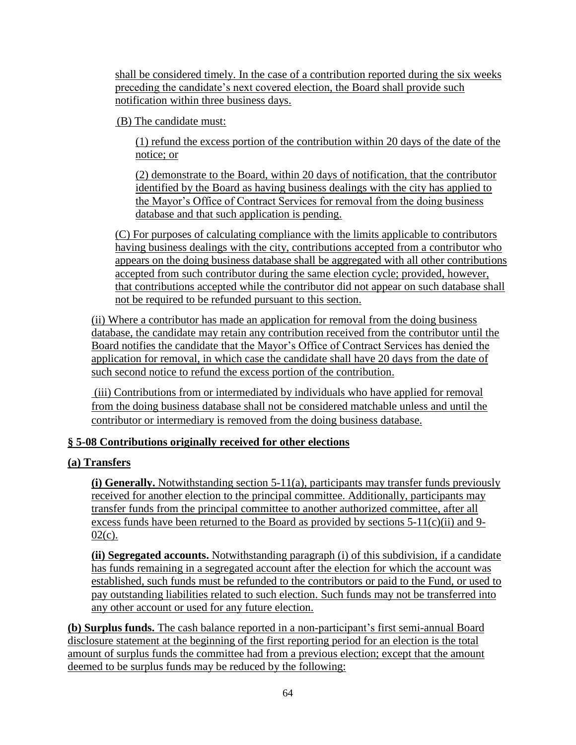shall be considered timely. In the case of a contribution reported during the six weeks preceding the candidate's next covered election, the Board shall provide such notification within three business days.

(B) The candidate must:

(1) refund the excess portion of the contribution within 20 days of the date of the notice; or

(2) demonstrate to the Board, within 20 days of notification, that the contributor identified by the Board as having business dealings with the city has applied to the Mayor's Office of Contract Services for removal from the doing business database and that such application is pending.

(C) For purposes of calculating compliance with the limits applicable to contributors having business dealings with the city, contributions accepted from a contributor who appears on the doing business database shall be aggregated with all other contributions accepted from such contributor during the same election cycle; provided, however, that contributions accepted while the contributor did not appear on such database shall not be required to be refunded pursuant to this section.

(ii) Where a contributor has made an application for removal from the doing business database, the candidate may retain any contribution received from the contributor until the Board notifies the candidate that the Mayor's Office of Contract Services has denied the application for removal, in which case the candidate shall have 20 days from the date of such second notice to refund the excess portion of the contribution.

(iii) Contributions from or intermediated by individuals who have applied for removal from the doing business database shall not be considered matchable unless and until the contributor or intermediary is removed from the doing business database.

## **§ 5-08 Contributions originally received for other elections**

## **(a) Transfers**

**(i) Generally.** Notwithstanding section 5-11(a), participants may transfer funds previously received for another election to the principal committee. Additionally, participants may transfer funds from the principal committee to another authorized committee, after all excess funds have been returned to the Board as provided by sections 5-11(c)(ii) and 9-  $02(c)$ .

**(ii) Segregated accounts.** Notwithstanding paragraph (i) of this subdivision, if a candidate has funds remaining in a segregated account after the election for which the account was established, such funds must be refunded to the contributors or paid to the Fund, or used to pay outstanding liabilities related to such election. Such funds may not be transferred into any other account or used for any future election.

**(b) Surplus funds.** The cash balance reported in a non-participant's first semi-annual Board disclosure statement at the beginning of the first reporting period for an election is the total amount of surplus funds the committee had from a previous election; except that the amount deemed to be surplus funds may be reduced by the following: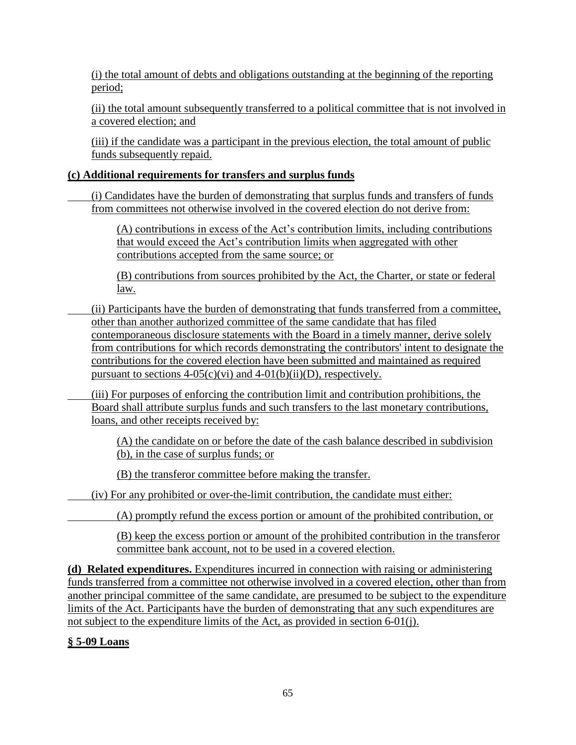(i) the total amount of debts and obligations outstanding at the beginning of the reporting period;

(ii) the total amount subsequently transferred to a political committee that is not involved in a covered election; and

(iii) if the candidate was a participant in the previous election, the total amount of public funds subsequently repaid.

### **(c) Additional requirements for transfers and surplus funds**

(i) Candidates have the burden of demonstrating that surplus funds and transfers of funds from committees not otherwise involved in the covered election do not derive from:

(A) contributions in excess of the Act's contribution limits, including contributions that would exceed the Act's contribution limits when aggregated with other contributions accepted from the same source; or

(B) contributions from sources prohibited by the Act, the Charter, or state or federal law.

- (ii) Participants have the burden of demonstrating that funds transferred from a committee, other than another authorized committee of the same candidate that has filed contemporaneous disclosure statements with the Board in a timely manner, derive solely from contributions for which records demonstrating the contributors' intent to designate the contributions for the covered election have been submitted and maintained as required pursuant to sections  $4-05(c)(vi)$  and  $4-01(b)(ii)(D)$ , respectively.
- (iii) For purposes of enforcing the contribution limit and contribution prohibitions, the Board shall attribute surplus funds and such transfers to the last monetary contributions, loans, and other receipts received by:

(A) the candidate on or before the date of the cash balance described in subdivision (b), in the case of surplus funds; or

(B) the transferor committee before making the transfer.

(iv) For any prohibited or over-the-limit contribution, the candidate must either:

(A) promptly refund the excess portion or amount of the prohibited contribution, or

(B) keep the excess portion or amount of the prohibited contribution in the transferor committee bank account, not to be used in a covered election.

**(d) Related expenditures.** Expenditures incurred in connection with raising or administering funds transferred from a committee not otherwise involved in a covered election, other than from another principal committee of the same candidate, are presumed to be subject to the expenditure limits of the Act. Participants have the burden of demonstrating that any such expenditures are not subject to the expenditure limits of the Act, as provided in section 6-01(j).

## **§ 5-09 Loans**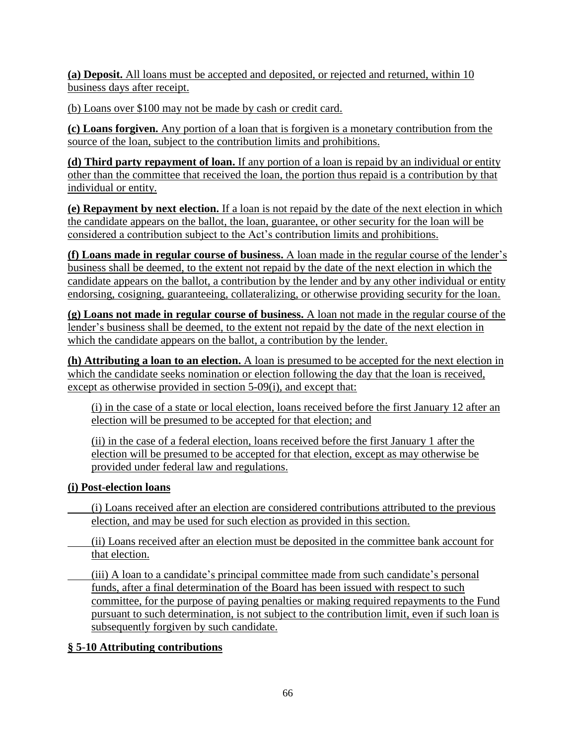**(a) Deposit.** All loans must be accepted and deposited, or rejected and returned, within 10 business days after receipt.

(b) Loans over \$100 may not be made by cash or credit card.

**(c) Loans forgiven.** Any portion of a loan that is forgiven is a monetary contribution from the source of the loan, subject to the contribution limits and prohibitions.

**(d) Third party repayment of loan.** If any portion of a loan is repaid by an individual or entity other than the committee that received the loan, the portion thus repaid is a contribution by that individual or entity.

**(e) Repayment by next election.** If a loan is not repaid by the date of the next election in which the candidate appears on the ballot, the loan, guarantee, or other security for the loan will be considered a contribution subject to the Act's contribution limits and prohibitions.

**(f) Loans made in regular course of business.** A loan made in the regular course of the lender's business shall be deemed, to the extent not repaid by the date of the next election in which the candidate appears on the ballot, a contribution by the lender and by any other individual or entity endorsing, cosigning, guaranteeing, collateralizing, or otherwise providing security for the loan.

**(g) Loans not made in regular course of business.** A loan not made in the regular course of the lender's business shall be deemed, to the extent not repaid by the date of the next election in which the candidate appears on the ballot, a contribution by the lender.

**(h) Attributing a loan to an election.** A loan is presumed to be accepted for the next election in which the candidate seeks nomination or election following the day that the loan is received, except as otherwise provided in section 5-09(i), and except that:

(i) in the case of a state or local election, loans received before the first January 12 after an election will be presumed to be accepted for that election; and

(ii) in the case of a federal election, loans received before the first January 1 after the election will be presumed to be accepted for that election, except as may otherwise be provided under federal law and regulations.

## **(i) Post-election loans**

(i) Loans received after an election are considered contributions attributed to the previous election, and may be used for such election as provided in this section.

- (ii) Loans received after an election must be deposited in the committee bank account for that election.
- (iii) A loan to a candidate's principal committee made from such candidate's personal funds, after a final determination of the Board has been issued with respect to such committee, for the purpose of paying penalties or making required repayments to the Fund pursuant to such determination, is not subject to the contribution limit, even if such loan is subsequently forgiven by such candidate.

## **§ 5**-**10 Attributing contributions**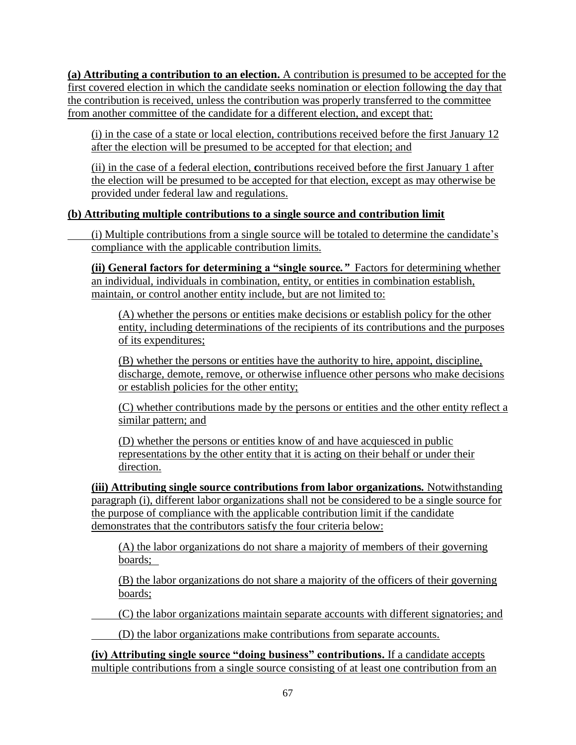**(a) Attributing a contribution to an election.** A contribution is presumed to be accepted for the first covered election in which the candidate seeks nomination or election following the day that the contribution is received, unless the contribution was properly transferred to the committee from another committee of the candidate for a different election, and except that:

(i) in the case of a state or local election, contributions received before the first January 12 after the election will be presumed to be accepted for that election; and

(ii) in the case of a federal election, **c**ontributions received before the first January 1 after the election will be presumed to be accepted for that election, except as may otherwise be provided under federal law and regulations.

## **(b) Attributing multiple contributions to a single source and contribution limit**

(i) Multiple contributions from a single source will be totaled to determine the candidate's compliance with the applicable contribution limits.

**(ii) General factors for determining a "single source***."* Factors for determining whether an individual, individuals in combination, entity, or entities in combination establish, maintain, or control another entity include, but are not limited to:

(A) whether the persons or entities make decisions or establish policy for the other entity, including determinations of the recipients of its contributions and the purposes of its expenditures;

(B) whether the persons or entities have the authority to hire, appoint, discipline, discharge, demote, remove, or otherwise influence other persons who make decisions or establish policies for the other entity;

(C) whether contributions made by the persons or entities and the other entity reflect a similar pattern; and

(D) whether the persons or entities know of and have acquiesced in public representations by the other entity that it is acting on their behalf or under their direction.

**(iii) Attributing single source contributions from labor organizations***.* Notwithstanding paragraph (i), different labor organizations shall not be considered to be a single source for the purpose of compliance with the applicable contribution limit if the candidate demonstrates that the contributors satisfy the four criteria below:

(A) the labor organizations do not share a majority of members of their governing boards;

(B) the labor organizations do not share a majority of the officers of their governing boards;

(C) the labor organizations maintain separate accounts with different signatories; and

(D) the labor organizations make contributions from separate accounts.

**(iv) Attributing single source "doing business" contributions.** If a candidate accepts multiple contributions from a single source consisting of at least one contribution from an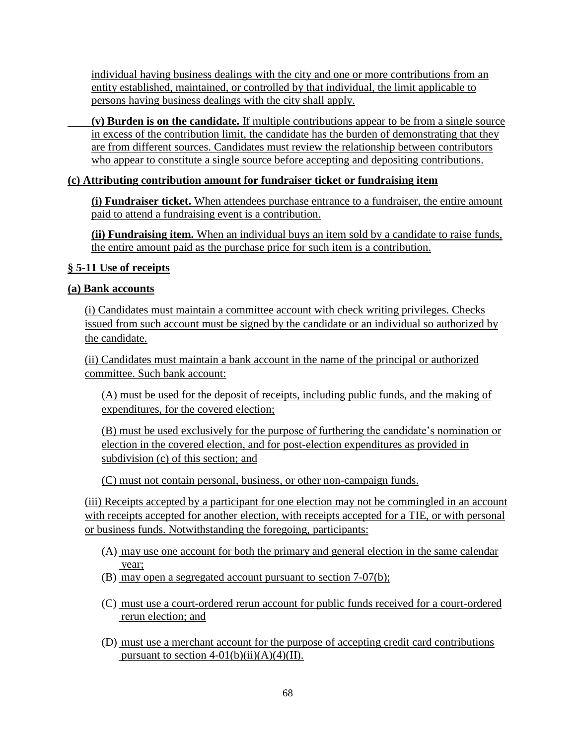individual having business dealings with the city and one or more contributions from an entity established, maintained, or controlled by that individual, the limit applicable to persons having business dealings with the city shall apply.

**(v) Burden is on the candidate.** If multiple contributions appear to be from a single source in excess of the contribution limit, the candidate has the burden of demonstrating that they are from different sources. Candidates must review the relationship between contributors who appear to constitute a single source before accepting and depositing contributions.

### **(c) Attributing contribution amount for fundraiser ticket or fundraising item**

**(i) Fundraiser ticket.** When attendees purchase entrance to a fundraiser, the entire amount paid to attend a fundraising event is a contribution.

**(ii) Fundraising item.** When an individual buys an item sold by a candidate to raise funds, the entire amount paid as the purchase price for such item is a contribution.

### **§ 5-11 Use of receipts**

#### **(a) Bank accounts**

(i) Candidates must maintain a committee account with check writing privileges. Checks issued from such account must be signed by the candidate or an individual so authorized by the candidate.

(ii) Candidates must maintain a bank account in the name of the principal or authorized committee. Such bank account:

(A) must be used for the deposit of receipts, including public funds, and the making of expenditures, for the covered election;

(B) must be used exclusively for the purpose of furthering the candidate's nomination or election in the covered election, and for post-election expenditures as provided in subdivision (c) of this section; and

(C) must not contain personal, business, or other non-campaign funds.

(iii) Receipts accepted by a participant for one election may not be commingled in an account with receipts accepted for another election, with receipts accepted for a TIE, or with personal or business funds. Notwithstanding the foregoing, participants:

- (A) may use one account for both the primary and general election in the same calendar year;
- (B) may open a segregated account pursuant to section 7-07(b);
- (C) must use a court-ordered rerun account for public funds received for a court-ordered rerun election; and
- (D) must use a merchant account for the purpose of accepting credit card contributions pursuant to section  $4-01(b)(ii)(A)(4)(II)$ .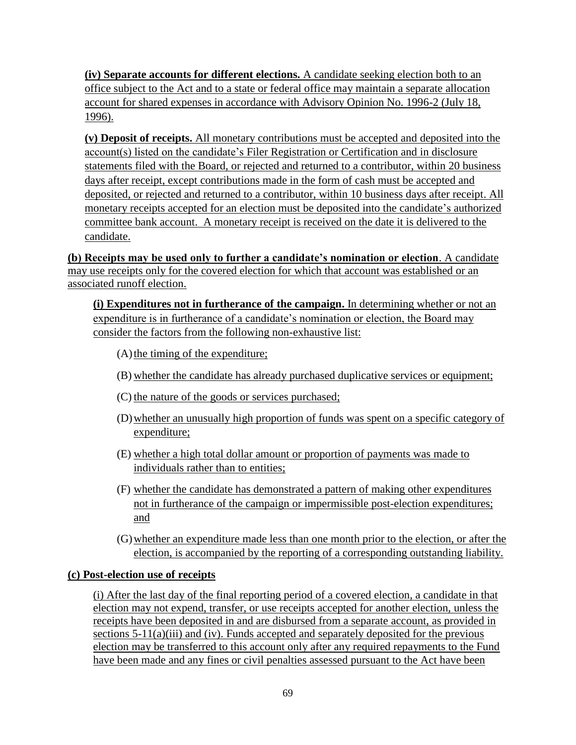**(iv) Separate accounts for different elections.** A candidate seeking election both to an office subject to the Act and to a state or federal office may maintain a separate allocation account for shared expenses in accordance with Advisory Opinion No. 1996-2 (July 18, 1996).

**(v) Deposit of receipts.** All monetary contributions must be accepted and deposited into the account(s) listed on the candidate's Filer Registration or Certification and in disclosure statements filed with the Board, or rejected and returned to a contributor, within 20 business days after receipt, except contributions made in the form of cash must be accepted and deposited, or rejected and returned to a contributor, within 10 business days after receipt. All monetary receipts accepted for an election must be deposited into the candidate's authorized committee bank account.A monetary receipt is received on the date it is delivered to the candidate.

**(b) Receipts may be used only to further a candidate's nomination or election**. A candidate may use receipts only for the covered election for which that account was established or an associated runoff election.

**(i) Expenditures not in furtherance of the campaign.** In determining whether or not an expenditure is in furtherance of a candidate's nomination or election, the Board may consider the factors from the following non-exhaustive list:

- $(A)$  the timing of the expenditure;
- (B) whether the candidate has already purchased duplicative services or equipment;
- (C) the nature of the goods or services purchased;
- (D)whether an unusually high proportion of funds was spent on a specific category of expenditure;
- (E) whether a high total dollar amount or proportion of payments was made to individuals rather than to entities;
- (F) whether the candidate has demonstrated a pattern of making other expenditures not in furtherance of the campaign or impermissible post-election expenditures; and
- (G)whether an expenditure made less than one month prior to the election, or after the election, is accompanied by the reporting of a corresponding outstanding liability.

#### **(c) Post-election use of receipts**

(i) After the last day of the final reporting period of a covered election, a candidate in that election may not expend, transfer, or use receipts accepted for another election, unless the receipts have been deposited in and are disbursed from a separate account, as provided in sections  $5-11(a)(iii)$  and (iv). Funds accepted and separately deposited for the previous election may be transferred to this account only after any required repayments to the Fund have been made and any fines or civil penalties assessed pursuant to the Act have been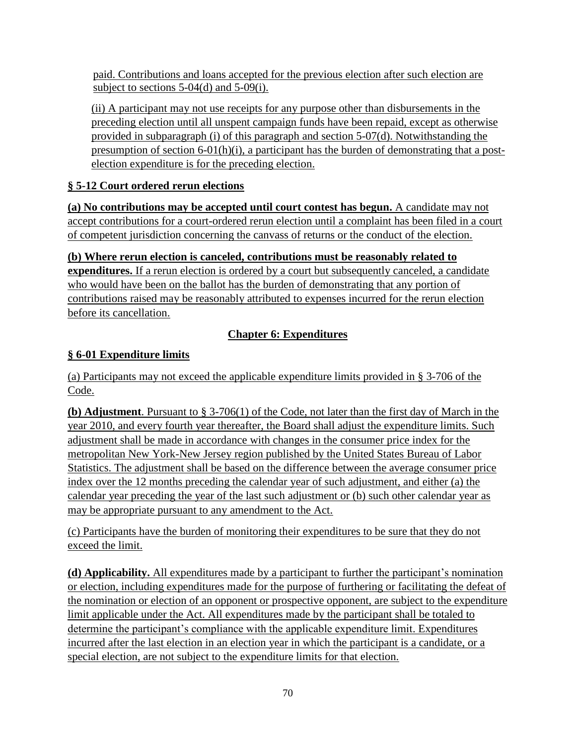paid. Contributions and loans accepted for the previous election after such election are subject to sections 5-04(d) and 5-09(i).

(ii) A participant may not use receipts for any purpose other than disbursements in the preceding election until all unspent campaign funds have been repaid, except as otherwise provided in subparagraph (i) of this paragraph and section 5-07(d). Notwithstanding the presumption of section 6-01(h)(i), a participant has the burden of demonstrating that a postelection expenditure is for the preceding election.

# **§ 5-12 Court ordered rerun elections**

**(a) No contributions may be accepted until court contest has begun.** A candidate may not accept contributions for a court-ordered rerun election until a complaint has been filed in a court of competent jurisdiction concerning the canvass of returns or the conduct of the election.

**(b) Where rerun election is canceled, contributions must be reasonably related to expenditures.** If a rerun election is ordered by a court but subsequently canceled, a candidate who would have been on the ballot has the burden of demonstrating that any portion of contributions raised may be reasonably attributed to expenses incurred for the rerun election before its cancellation.

# **Chapter 6: Expenditures**

# **§ 6-01 Expenditure limits**

(a) Participants may not exceed the applicable expenditure limits provided in § 3-706 of the Code.

**(b) Adjustment**. Pursuant to § 3-706(1) of the Code, not later than the first day of March in the year 2010, and every fourth year thereafter, the Board shall adjust the expenditure limits. Such adjustment shall be made in accordance with changes in the consumer price index for the metropolitan New York-New Jersey region published by the United States Bureau of Labor Statistics. The adjustment shall be based on the difference between the average consumer price index over the 12 months preceding the calendar year of such adjustment, and either (a) the calendar year preceding the year of the last such adjustment or (b) such other calendar year as may be appropriate pursuant to any amendment to the Act.

(c) Participants have the burden of monitoring their expenditures to be sure that they do not exceed the limit.

**(d) Applicability.** All expenditures made by a participant to further the participant's nomination or election, including expenditures made for the purpose of furthering or facilitating the defeat of the nomination or election of an opponent or prospective opponent, are subject to the expenditure limit applicable under the Act. All expenditures made by the participant shall be totaled to determine the participant's compliance with the applicable expenditure limit. Expenditures incurred after the last election in an election year in which the participant is a candidate, or a special election, are not subject to the expenditure limits for that election.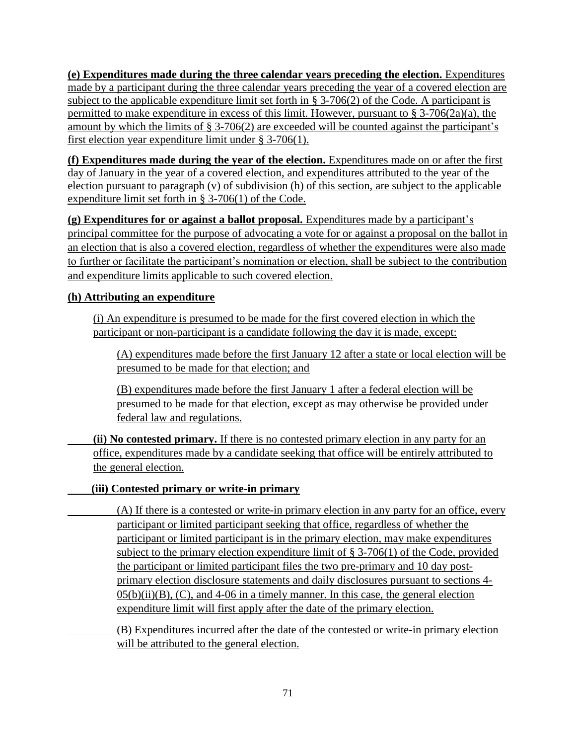**(e) Expenditures made during the three calendar years preceding the election.** Expenditures made by a participant during the three calendar years preceding the year of a covered election are subject to the applicable expenditure limit set forth in § 3-706(2) of the Code. A participant is permitted to make expenditure in excess of this limit. However, pursuant to § 3-706(2a)(a), the amount by which the limits of § 3-706(2) are exceeded will be counted against the participant's first election year expenditure limit under § 3-706(1).

**(f) Expenditures made during the year of the election.** Expenditures made on or after the first day of January in the year of a covered election, and expenditures attributed to the year of the election pursuant to paragraph (v) of subdivision (h) of this section, are subject to the applicable expenditure limit set forth in § 3-706(1) of the Code.

**(g) Expenditures for or against a ballot proposal.** Expenditures made by a participant's principal committee for the purpose of advocating a vote for or against a proposal on the ballot in an election that is also a covered election, regardless of whether the expenditures were also made to further or facilitate the participant's nomination or election, shall be subject to the contribution and expenditure limits applicable to such covered election.

# **(h) Attributing an expenditure**

(i) An expenditure is presumed to be made for the first covered election in which the participant or non-participant is a candidate following the day it is made, except:

(A) expenditures made before the first January 12 after a state or local election will be presumed to be made for that election; and

(B) expenditures made before the first January 1 after a federal election will be presumed to be made for that election, except as may otherwise be provided under federal law and regulations.

**(ii) No contested primary.** If there is no contested primary election in any party for an office, expenditures made by a candidate seeking that office will be entirely attributed to the general election.

## **(iii) Contested primary or write-in primary**

(A) If there is a contested or write-in primary election in any party for an office, every participant or limited participant seeking that office, regardless of whether the participant or limited participant is in the primary election, may make expenditures subject to the primary election expenditure limit of  $\S 3-706(1)$  of the Code, provided the participant or limited participant files the two pre-primary and 10 day postprimary election disclosure statements and daily disclosures pursuant to sections 4-  $0.05(b)(ii)(B)$ , (C), and 4-06 in a timely manner. In this case, the general election expenditure limit will first apply after the date of the primary election.

(B) Expenditures incurred after the date of the contested or write-in primary election will be attributed to the general election.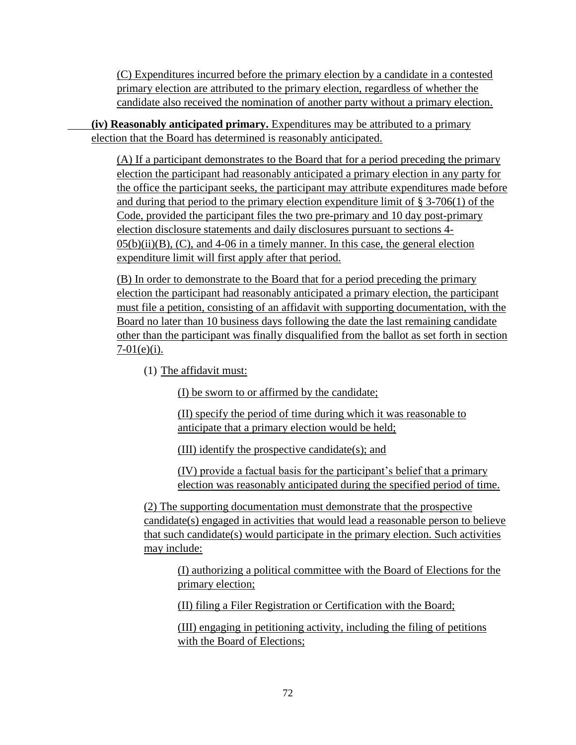(C) Expenditures incurred before the primary election by a candidate in a contested primary election are attributed to the primary election, regardless of whether the candidate also received the nomination of another party without a primary election.

**(iv) Reasonably anticipated primary.** Expenditures may be attributed to a primary election that the Board has determined is reasonably anticipated.

(A) If a participant demonstrates to the Board that for a period preceding the primary election the participant had reasonably anticipated a primary election in any party for the office the participant seeks, the participant may attribute expenditures made before and during that period to the primary election expenditure limit of § 3-706(1) of the Code, provided the participant files the two pre-primary and 10 day post-primary election disclosure statements and daily disclosures pursuant to sections 4-  $05(b)(ii)(B)$ , (C), and 4-06 in a timely manner. In this case, the general election expenditure limit will first apply after that period.

(B) In order to demonstrate to the Board that for a period preceding the primary election the participant had reasonably anticipated a primary election, the participant must file a petition, consisting of an affidavit with supporting documentation, with the Board no later than 10 business days following the date the last remaining candidate other than the participant was finally disqualified from the ballot as set forth in section  $7-01(e)(i)$ .

(1) The affidavit must:

(I) be sworn to or affirmed by the candidate;

(II) specify the period of time during which it was reasonable to anticipate that a primary election would be held;

(III) identify the prospective candidate(s); and

(IV) provide a factual basis for the participant's belief that a primary election was reasonably anticipated during the specified period of time.

(2) The supporting documentation must demonstrate that the prospective candidate(s) engaged in activities that would lead a reasonable person to believe that such candidate(s) would participate in the primary election. Such activities may include:

(I) authorizing a political committee with the Board of Elections for the primary election;

(II) filing a Filer Registration or Certification with the Board;

(III) engaging in petitioning activity, including the filing of petitions with the Board of Elections;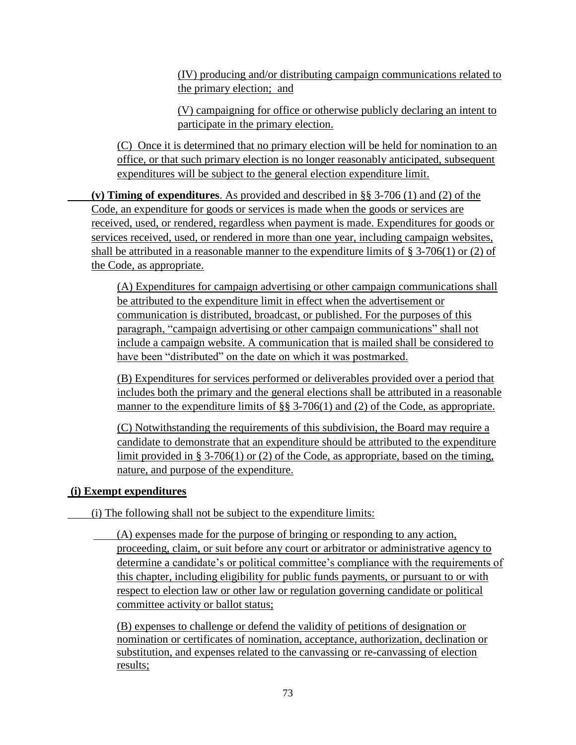(IV) producing and/or distributing campaign communications related to the primary election; and

(V) campaigning for office or otherwise publicly declaring an intent to participate in the primary election.

(C)Once it is determined that no primary election will be held for nomination to an office, or that such primary election is no longer reasonably anticipated, subsequent expenditures will be subject to the general election expenditure limit.

**(v) Timing of expenditures**. As provided and described in §§ 3-706 (1) and (2) of the Code, an expenditure for goods or services is made when the goods or services are received, used, or rendered, regardless when payment is made. Expenditures for goods or services received, used, or rendered in more than one year, including campaign websites, shall be attributed in a reasonable manner to the expenditure limits of  $\S$  3-706(1) or (2) of the Code, as appropriate.

(A) Expenditures for campaign advertising or other campaign communications shall be attributed to the expenditure limit in effect when the advertisement or communication is distributed, broadcast, or published. For the purposes of this paragraph, "campaign advertising or other campaign communications" shall not include a campaign website. A communication that is mailed shall be considered to have been "distributed" on the date on which it was postmarked.

(B) Expenditures for services performed or deliverables provided over a period that includes both the primary and the general elections shall be attributed in a reasonable manner to the expenditure limits of §§ 3-706(1) and (2) of the Code, as appropriate.

(C) Notwithstanding the requirements of this subdivision, the Board may require a candidate to demonstrate that an expenditure should be attributed to the expenditure limit provided in § 3-706(1) or (2) of the Code, as appropriate, based on the timing, nature, and purpose of the expenditure.

## **(i) Exempt expenditures**

(i) The following shall not be subject to the expenditure limits:

(A) expenses made for the purpose of bringing or responding to any action, proceeding, claim, or suit before any court or arbitrator or administrative agency to determine a candidate's or political committee's compliance with the requirements of this chapter, including eligibility for public funds payments, or pursuant to or with respect to election law or other law or regulation governing candidate or political committee activity or ballot status;

(B) expenses to challenge or defend the validity of petitions of designation or nomination or certificates of nomination, acceptance, authorization, declination or substitution, and expenses related to the canvassing or re-canvassing of election results;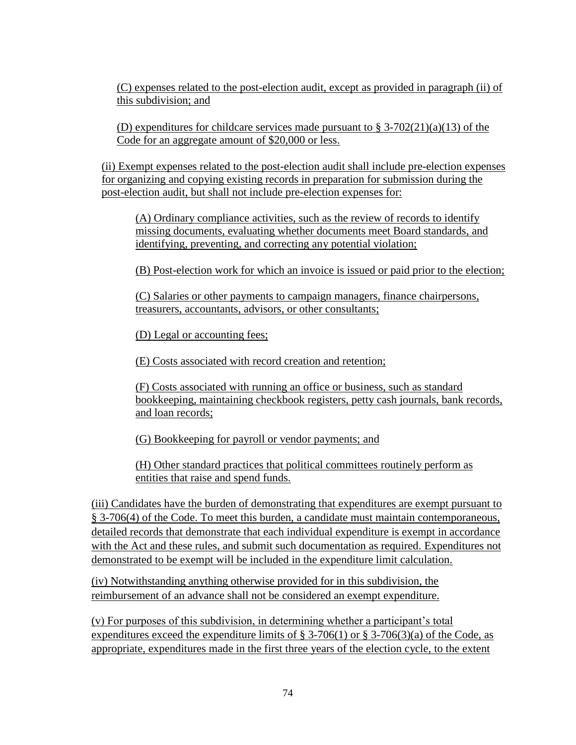(C) expenses related to the post-election audit, except as provided in paragraph (ii) of this subdivision; and

(D) expenditures for childcare services made pursuant to  $\S 3-702(21)(a)(13)$  of the Code for an aggregate amount of \$20,000 or less.

(ii) Exempt expenses related to the post-election audit shall include pre-election expenses for organizing and copying existing records in preparation for submission during the post-election audit, but shall not include pre-election expenses for:

(A) Ordinary compliance activities, such as the review of records to identify missing documents, evaluating whether documents meet Board standards, and identifying, preventing, and correcting any potential violation;

(B) Post-election work for which an invoice is issued or paid prior to the election;

(C) Salaries or other payments to campaign managers, finance chairpersons, treasurers, accountants, advisors, or other consultants;

(D) Legal or accounting fees;

(E) Costs associated with record creation and retention;

(F) Costs associated with running an office or business, such as standard bookkeeping, maintaining checkbook registers, petty cash journals, bank records, and loan records;

(G) Bookkeeping for payroll or vendor payments; and

(H) Other standard practices that political committees routinely perform as entities that raise and spend funds.

(iii) Candidates have the burden of demonstrating that expenditures are exempt pursuant to § 3-706(4) of the Code. To meet this burden, a candidate must maintain contemporaneous, detailed records that demonstrate that each individual expenditure is exempt in accordance with the Act and these rules, and submit such documentation as required. Expenditures not demonstrated to be exempt will be included in the expenditure limit calculation.

(iv) Notwithstanding anything otherwise provided for in this subdivision, the reimbursement of an advance shall not be considered an exempt expenditure.

(v) For purposes of this subdivision, in determining whether a participant's total expenditures exceed the expenditure limits of  $\S 3-706(1)$  or  $\S 3-706(3)(a)$  of the Code, as appropriate, expenditures made in the first three years of the election cycle, to the extent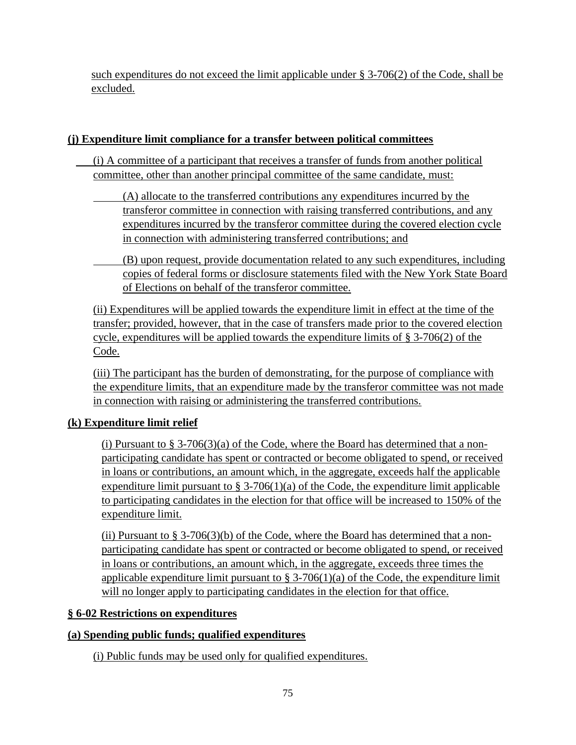such expenditures do not exceed the limit applicable under § 3-706(2) of the Code, shall be excluded.

## **(j) Expenditure limit compliance for a transfer between political committees**

- (i) A committee of a participant that receives a transfer of funds from another political committee, other than another principal committee of the same candidate, must:
	- (A) allocate to the transferred contributions any expenditures incurred by the transferor committee in connection with raising transferred contributions, and any expenditures incurred by the transferor committee during the covered election cycle in connection with administering transferred contributions; and
	- (B) upon request, provide documentation related to any such expenditures, including copies of federal forms or disclosure statements filed with the New York State Board of Elections on behalf of the transferor committee.

(ii) Expenditures will be applied towards the expenditure limit in effect at the time of the transfer; provided, however, that in the case of transfers made prior to the covered election cycle, expenditures will be applied towards the expenditure limits of § 3-706(2) of the Code.

(iii) The participant has the burden of demonstrating, for the purpose of compliance with the expenditure limits, that an expenditure made by the transferor committee was not made in connection with raising or administering the transferred contributions.

# **(k) Expenditure limit relief**

(i) Pursuant to  $\S 3-706(3)(a)$  of the Code, where the Board has determined that a nonparticipating candidate has spent or contracted or become obligated to spend, or received in loans or contributions, an amount which, in the aggregate, exceeds half the applicable expenditure limit pursuant to  $\S 3-706(1)(a)$  of the Code, the expenditure limit applicable to participating candidates in the election for that office will be increased to 150% of the expenditure limit.

(ii) Pursuant to  $\S 3\n-706(3)$ (b) of the Code, where the Board has determined that a nonparticipating candidate has spent or contracted or become obligated to spend, or received in loans or contributions, an amount which, in the aggregate, exceeds three times the applicable expenditure limit pursuant to  $\S 3-706(1)(a)$  of the Code, the expenditure limit will no longer apply to participating candidates in the election for that office.

## **§ 6-02 Restrictions on expenditures**

## **(a) Spending public funds; qualified expenditures**

(i) Public funds may be used only for qualified expenditures.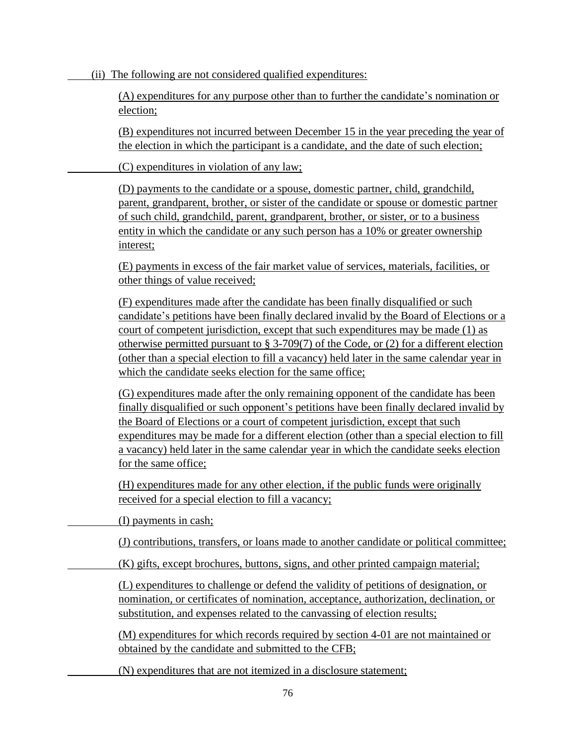(ii) The following are not considered qualified expenditures:

(A) expenditures for any purpose other than to further the candidate's nomination or election;

(B) expenditures not incurred between December 15 in the year preceding the year of the election in which the participant is a candidate, and the date of such election;

(C) expenditures in violation of any law;

(D) payments to the candidate or a spouse, domestic partner, child, grandchild, parent, grandparent, brother, or sister of the candidate or spouse or domestic partner of such child, grandchild, parent, grandparent, brother, or sister, or to a business entity in which the candidate or any such person has a 10% or greater ownership interest;

(E) payments in excess of the fair market value of services, materials, facilities, or other things of value received;

(F) expenditures made after the candidate has been finally disqualified or such candidate's petitions have been finally declared invalid by the Board of Elections or a court of competent jurisdiction, except that such expenditures may be made (1) as otherwise permitted pursuant to § 3-709(7) of the Code, or (2) for a different election (other than a special election to fill a vacancy) held later in the same calendar year in which the candidate seeks election for the same office;

(G) expenditures made after the only remaining opponent of the candidate has been finally disqualified or such opponent's petitions have been finally declared invalid by the Board of Elections or a court of competent jurisdiction, except that such expenditures may be made for a different election (other than a special election to fill a vacancy) held later in the same calendar year in which the candidate seeks election for the same office;

(H) expenditures made for any other election, if the public funds were originally received for a special election to fill a vacancy;

(I) payments in cash;

(J) contributions, transfers, or loans made to another candidate or political committee;

(K) gifts, except brochures, buttons, signs, and other printed campaign material;

(L) expenditures to challenge or defend the validity of petitions of designation, or nomination, or certificates of nomination, acceptance, authorization, declination, or substitution, and expenses related to the canvassing of election results;

(M) expenditures for which records required by section 4-01 are not maintained or obtained by the candidate and submitted to the CFB;

(N) expenditures that are not itemized in a disclosure statement;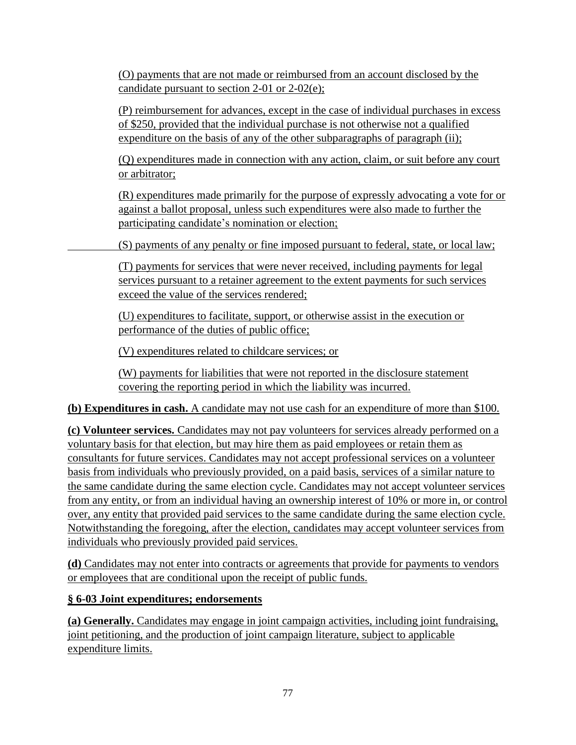(O) payments that are not made or reimbursed from an account disclosed by the candidate pursuant to section 2-01 or 2-02(e);

(P) reimbursement for advances, except in the case of individual purchases in excess of \$250, provided that the individual purchase is not otherwise not a qualified expenditure on the basis of any of the other subparagraphs of paragraph (ii);

(Q) expenditures made in connection with any action, claim, or suit before any court or arbitrator;

(R) expenditures made primarily for the purpose of expressly advocating a vote for or against a ballot proposal, unless such expenditures were also made to further the participating candidate's nomination or election;

(S) payments of any penalty or fine imposed pursuant to federal, state, or local law;

(T) payments for services that were never received, including payments for legal services pursuant to a retainer agreement to the extent payments for such services exceed the value of the services rendered;

(U) expenditures to facilitate, support, or otherwise assist in the execution or performance of the duties of public office;

(V) expenditures related to childcare services; or

(W) payments for liabilities that were not reported in the disclosure statement covering the reporting period in which the liability was incurred.

**(b) Expenditures in cash.** A candidate may not use cash for an expenditure of more than \$100.

**(c) Volunteer services.** Candidates may not pay volunteers for services already performed on a voluntary basis for that election, but may hire them as paid employees or retain them as consultants for future services. Candidates may not accept professional services on a volunteer basis from individuals who previously provided, on a paid basis, services of a similar nature to the same candidate during the same election cycle. Candidates may not accept volunteer services from any entity, or from an individual having an ownership interest of 10% or more in, or control over, any entity that provided paid services to the same candidate during the same election cycle. Notwithstanding the foregoing, after the election, candidates may accept volunteer services from individuals who previously provided paid services.

**(d)** Candidates may not enter into contracts or agreements that provide for payments to vendors or employees that are conditional upon the receipt of public funds.

# **§ 6-03 Joint expenditures; endorsements**

**(a) Generally.** Candidates may engage in joint campaign activities, including joint fundraising, joint petitioning, and the production of joint campaign literature, subject to applicable expenditure limits.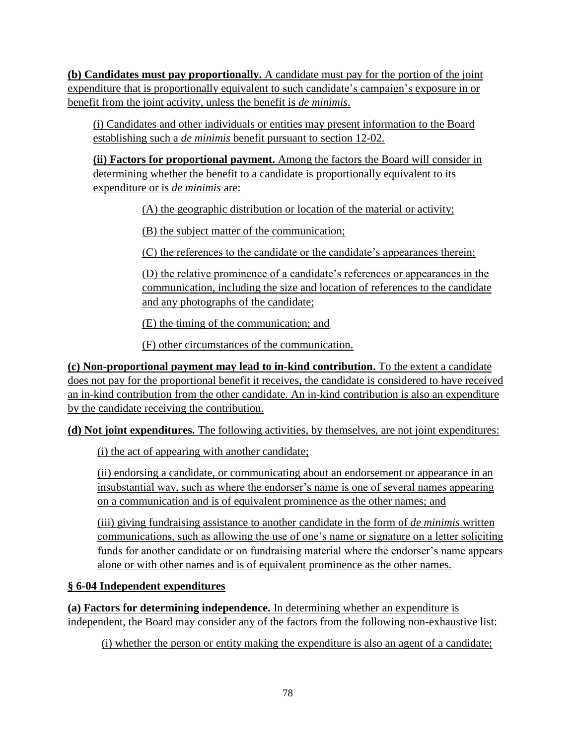**(b) Candidates must pay proportionally.** A candidate must pay for the portion of the joint expenditure that is proportionally equivalent to such candidate's campaign's exposure in or benefit from the joint activity, unless the benefit is *de minimis*.

(i) Candidates and other individuals or entities may present information to the Board establishing such a *de minimis* benefit pursuant to section 12-02.

**(ii) Factors for proportional payment.** Among the factors the Board will consider in determining whether the benefit to a candidate is proportionally equivalent to its expenditure or is *de minimis* are:

(A) the geographic distribution or location of the material or activity;

(B) the subject matter of the communication;

(C) the references to the candidate or the candidate's appearances therein;

(D) the relative prominence of a candidate's references or appearances in the communication, including the size and location of references to the candidate and any photographs of the candidate;

(E) the timing of the communication; and

(F) other circumstances of the communication.

**(c) Non-proportional payment may lead to in-kind contribution.** To the extent a candidate does not pay for the proportional benefit it receives, the candidate is considered to have received an in-kind contribution from the other candidate. An in-kind contribution is also an expenditure by the candidate receiving the contribution.

**(d) Not joint expenditures.** The following activities, by themselves, are not joint expenditures:

(i) the act of appearing with another candidate;

(ii) endorsing a candidate, or communicating about an endorsement or appearance in an insubstantial way, such as where the endorser's name is one of several names appearing on a communication and is of equivalent prominence as the other names; and

(iii) giving fundraising assistance to another candidate in the form of *de minimis* written communications, such as allowing the use of one's name or signature on a letter soliciting funds for another candidate or on fundraising material where the endorser's name appears alone or with other names and is of equivalent prominence as the other names.

# **§ 6-04 Independent expenditures**

**(a) Factors for determining independence.** In determining whether an expenditure is independent, the Board may consider any of the factors from the following non-exhaustive list:

(i) whether the person or entity making the expenditure is also an agent of a candidate;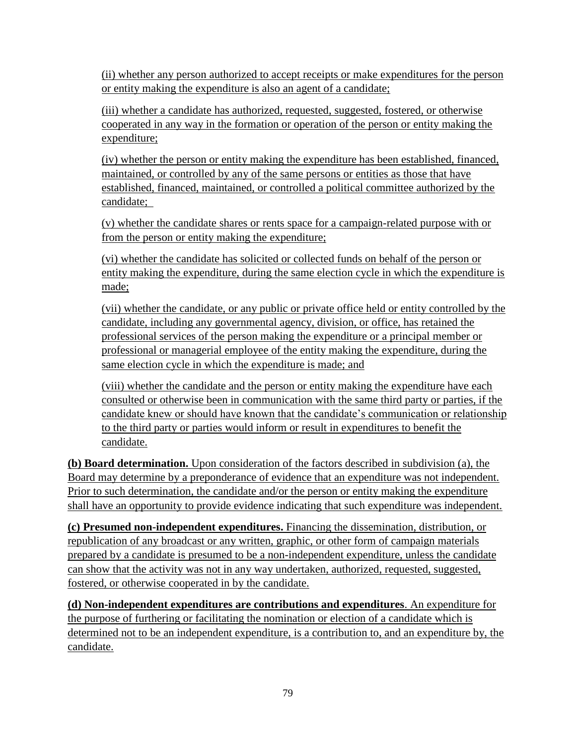(ii) whether any person authorized to accept receipts or make expenditures for the person or entity making the expenditure is also an agent of a candidate;

(iii) whether a candidate has authorized, requested, suggested, fostered, or otherwise cooperated in any way in the formation or operation of the person or entity making the expenditure;

(iv) whether the person or entity making the expenditure has been established, financed, maintained, or controlled by any of the same persons or entities as those that have established, financed, maintained, or controlled a political committee authorized by the candidate;

(v) whether the candidate shares or rents space for a campaign-related purpose with or from the person or entity making the expenditure;

(vi) whether the candidate has solicited or collected funds on behalf of the person or entity making the expenditure, during the same election cycle in which the expenditure is made;

(vii) whether the candidate, or any public or private office held or entity controlled by the candidate, including any governmental agency, division, or office, has retained the professional services of the person making the expenditure or a principal member or professional or managerial employee of the entity making the expenditure, during the same election cycle in which the expenditure is made; and

(viii) whether the candidate and the person or entity making the expenditure have each consulted or otherwise been in communication with the same third party or parties, if the candidate knew or should have known that the candidate's communication or relationship to the third party or parties would inform or result in expenditures to benefit the candidate.

**(b) Board determination.** Upon consideration of the factors described in subdivision (a), the Board may determine by a preponderance of evidence that an expenditure was not independent. Prior to such determination, the candidate and/or the person or entity making the expenditure shall have an opportunity to provide evidence indicating that such expenditure was independent.

**(c) Presumed non-independent expenditures.** Financing the dissemination, distribution, or republication of any broadcast or any written, graphic, or other form of campaign materials prepared by a candidate is presumed to be a non-independent expenditure, unless the candidate can show that the activity was not in any way undertaken, authorized, requested, suggested, fostered, or otherwise cooperated in by the candidate.

**(d) Non-independent expenditures are contributions and expenditures**. An expenditure for the purpose of furthering or facilitating the nomination or election of a candidate which is determined not to be an independent expenditure, is a contribution to, and an expenditure by, the candidate.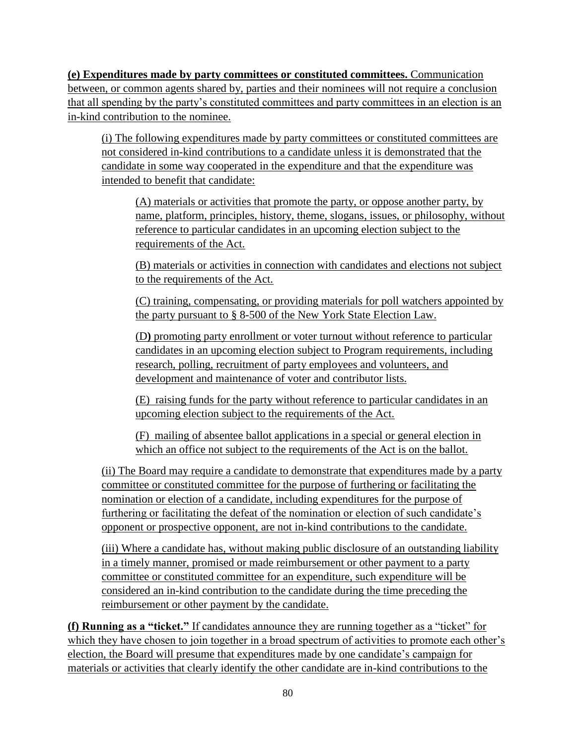**(e) Expenditures made by party committees or constituted committees.** Communication between, or common agents shared by, parties and their nominees will not require a conclusion that all spending by the party's constituted committees and party committees in an election is an in-kind contribution to the nominee.

(i) The following expenditures made by party committees or constituted committees are not considered in-kind contributions to a candidate unless it is demonstrated that the candidate in some way cooperated in the expenditure and that the expenditure was intended to benefit that candidate:

(A) materials or activities that promote the party, or oppose another party, by name, platform, principles, history, theme, slogans, issues, or philosophy, without reference to particular candidates in an upcoming election subject to the requirements of the Act.

(B) materials or activities in connection with candidates and elections not subject to the requirements of the Act.

(C) training, compensating, or providing materials for poll watchers appointed by the party pursuant to § 8-500 of the New York State Election Law.

(D**)** promoting party enrollment or voter turnout without reference to particular candidates in an upcoming election subject to Program requirements, including research, polling, recruitment of party employees and volunteers, and development and maintenance of voter and contributor lists.

(E) raising funds for the party without reference to particular candidates in an upcoming election subject to the requirements of the Act.

(F) mailing of absentee ballot applications in a special or general election in which an office not subject to the requirements of the Act is on the ballot.

(ii) The Board may require a candidate to demonstrate that expenditures made by a party committee or constituted committee for the purpose of furthering or facilitating the nomination or election of a candidate, including expenditures for the purpose of furthering or facilitating the defeat of the nomination or election of such candidate's opponent or prospective opponent, are not in-kind contributions to the candidate.

(iii) Where a candidate has, without making public disclosure of an outstanding liability in a timely manner, promised or made reimbursement or other payment to a party committee or constituted committee for an expenditure, such expenditure will be considered an in-kind contribution to the candidate during the time preceding the reimbursement or other payment by the candidate.

**(f) Running as a "ticket."** If candidates announce they are running together as a "ticket" for which they have chosen to join together in a broad spectrum of activities to promote each other's election, the Board will presume that expenditures made by one candidate's campaign for materials or activities that clearly identify the other candidate are in-kind contributions to the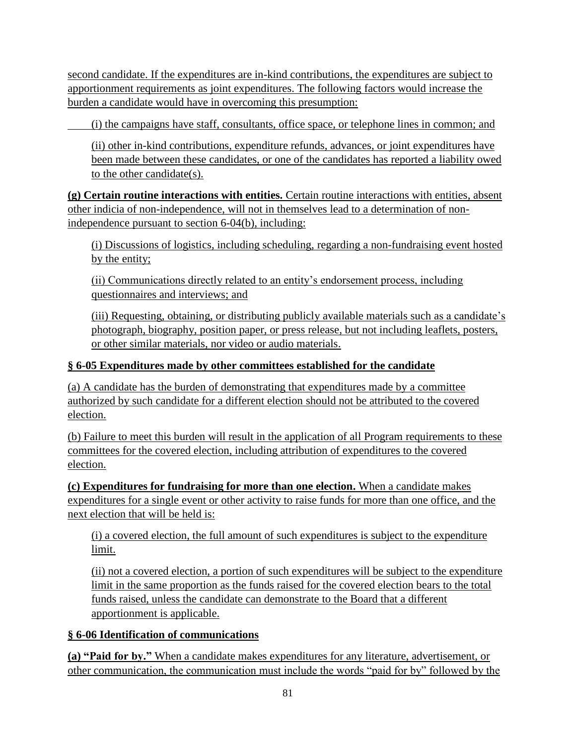second candidate. If the expenditures are in-kind contributions, the expenditures are subject to apportionment requirements as joint expenditures. The following factors would increase the burden a candidate would have in overcoming this presumption:

(i) the campaigns have staff, consultants, office space, or telephone lines in common; and

(ii) other in-kind contributions, expenditure refunds, advances, or joint expenditures have been made between these candidates, or one of the candidates has reported a liability owed to the other candidate(s).

**(g) Certain routine interactions with entities.** Certain routine interactions with entities, absent other indicia of non-independence, will not in themselves lead to a determination of nonindependence pursuant to section 6-04(b), including:

(i) Discussions of logistics, including scheduling, regarding a non-fundraising event hosted by the entity;

(ii) Communications directly related to an entity's endorsement process, including questionnaires and interviews; and

(iii) Requesting, obtaining, or distributing publicly available materials such as a candidate's photograph, biography, position paper, or press release, but not including leaflets, posters, or other similar materials, nor video or audio materials.

## **§ 6-05 Expenditures made by other committees established for the candidate**

(a) A candidate has the burden of demonstrating that expenditures made by a committee authorized by such candidate for a different election should not be attributed to the covered election.

(b) Failure to meet this burden will result in the application of all Program requirements to these committees for the covered election, including attribution of expenditures to the covered election.

**(c) Expenditures for fundraising for more than one election.** When a candidate makes expenditures for a single event or other activity to raise funds for more than one office, and the next election that will be held is:

(i) a covered election, the full amount of such expenditures is subject to the expenditure limit.

(ii) not a covered election, a portion of such expenditures will be subject to the expenditure limit in the same proportion as the funds raised for the covered election bears to the total funds raised, unless the candidate can demonstrate to the Board that a different apportionment is applicable.

## **§ 6-06 Identification of communications**

**(a) "Paid for by."** When a candidate makes expenditures for any literature, advertisement, or other communication, the communication must include the words "paid for by" followed by the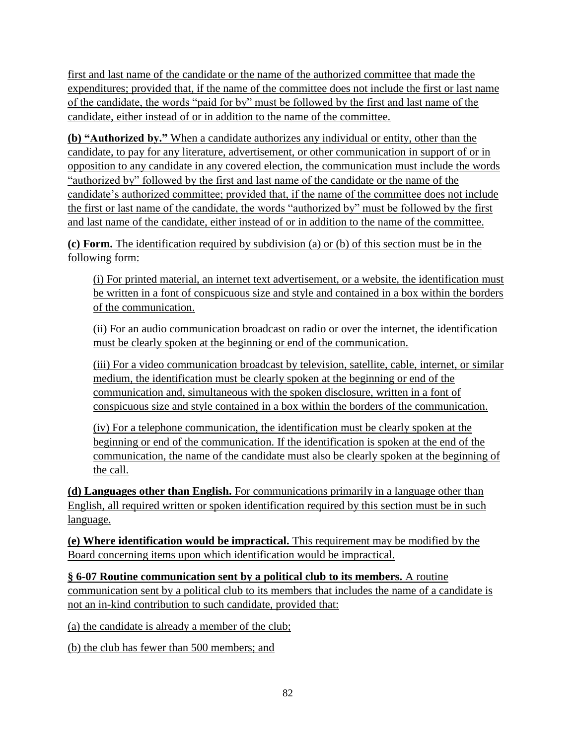first and last name of the candidate or the name of the authorized committee that made the expenditures; provided that, if the name of the committee does not include the first or last name of the candidate, the words "paid for by" must be followed by the first and last name of the candidate, either instead of or in addition to the name of the committee.

**(b) "Authorized by."** When a candidate authorizes any individual or entity, other than the candidate, to pay for any literature, advertisement, or other communication in support of or in opposition to any candidate in any covered election, the communication must include the words "authorized by" followed by the first and last name of the candidate or the name of the candidate's authorized committee; provided that, if the name of the committee does not include the first or last name of the candidate, the words "authorized by" must be followed by the first and last name of the candidate, either instead of or in addition to the name of the committee.

**(c) Form.** The identification required by subdivision (a) or (b) of this section must be in the following form:

(i) For printed material, an internet text advertisement, or a website, the identification must be written in a font of conspicuous size and style and contained in a box within the borders of the communication.

(ii) For an audio communication broadcast on radio or over the internet, the identification must be clearly spoken at the beginning or end of the communication.

(iii) For a video communication broadcast by television, satellite, cable, internet, or similar medium, the identification must be clearly spoken at the beginning or end of the communication and, simultaneous with the spoken disclosure, written in a font of conspicuous size and style contained in a box within the borders of the communication.

(iv) For a telephone communication, the identification must be clearly spoken at the beginning or end of the communication. If the identification is spoken at the end of the communication, the name of the candidate must also be clearly spoken at the beginning of the call.

**(d) Languages other than English.** For communications primarily in a language other than English, all required written or spoken identification required by this section must be in such language.

**(e) Where identification would be impractical.** This requirement may be modified by the Board concerning items upon which identification would be impractical.

**§ 6-07 Routine communication sent by a political club to its members.** A routine communication sent by a political club to its members that includes the name of a candidate is not an in-kind contribution to such candidate, provided that:

(a) the candidate is already a member of the club;

(b) the club has fewer than 500 members; and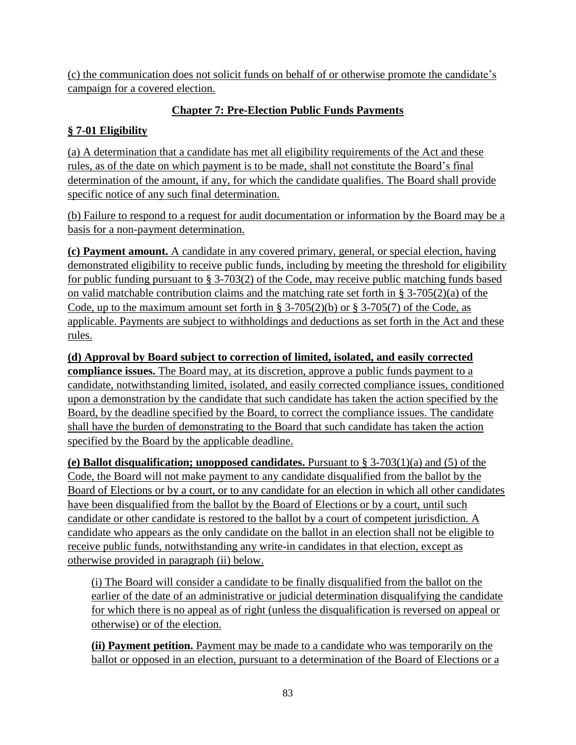(c) the communication does not solicit funds on behalf of or otherwise promote the candidate's campaign for a covered election.

# **Chapter 7: Pre-Election Public Funds Payments**

# **§ 7-01 Eligibility**

(a) A determination that a candidate has met all eligibility requirements of the Act and these rules, as of the date on which payment is to be made, shall not constitute the Board's final determination of the amount, if any, for which the candidate qualifies. The Board shall provide specific notice of any such final determination.

(b) Failure to respond to a request for audit documentation or information by the Board may be a basis for a non-payment determination.

**(c) Payment amount.** A candidate in any covered primary, general, or special election, having demonstrated eligibility to receive public funds, including by meeting the threshold for eligibility for public funding pursuant to § 3-703(2) of the Code, may receive public matching funds based on valid matchable contribution claims and the matching rate set forth in  $\S 3-705(2)(a)$  of the Code, up to the maximum amount set forth in  $\S 3-705(2)(b)$  or  $\S 3-705(7)$  of the Code, as applicable. Payments are subject to withholdings and deductions as set forth in the Act and these rules.

**(d) Approval by Board subject to correction of limited, isolated, and easily corrected compliance issues.** The Board may, at its discretion, approve a public funds payment to a candidate, notwithstanding limited, isolated, and easily corrected compliance issues, conditioned upon a demonstration by the candidate that such candidate has taken the action specified by the Board, by the deadline specified by the Board, to correct the compliance issues. The candidate shall have the burden of demonstrating to the Board that such candidate has taken the action specified by the Board by the applicable deadline.

**(e) Ballot disqualification; unopposed candidates.** Pursuant to § 3-703(1)(a) and (5) of the Code, the Board will not make payment to any candidate disqualified from the ballot by the Board of Elections or by a court, or to any candidate for an election in which all other candidates have been disqualified from the ballot by the Board of Elections or by a court, until such candidate or other candidate is restored to the ballot by a court of competent jurisdiction. A candidate who appears as the only candidate on the ballot in an election shall not be eligible to receive public funds, notwithstanding any write-in candidates in that election, except as otherwise provided in paragraph (ii) below.

(i) The Board will consider a candidate to be finally disqualified from the ballot on the earlier of the date of an administrative or judicial determination disqualifying the candidate for which there is no appeal as of right (unless the disqualification is reversed on appeal or otherwise) or of the election.

**(ii) Payment petition.** Payment may be made to a candidate who was temporarily on the ballot or opposed in an election, pursuant to a determination of the Board of Elections or a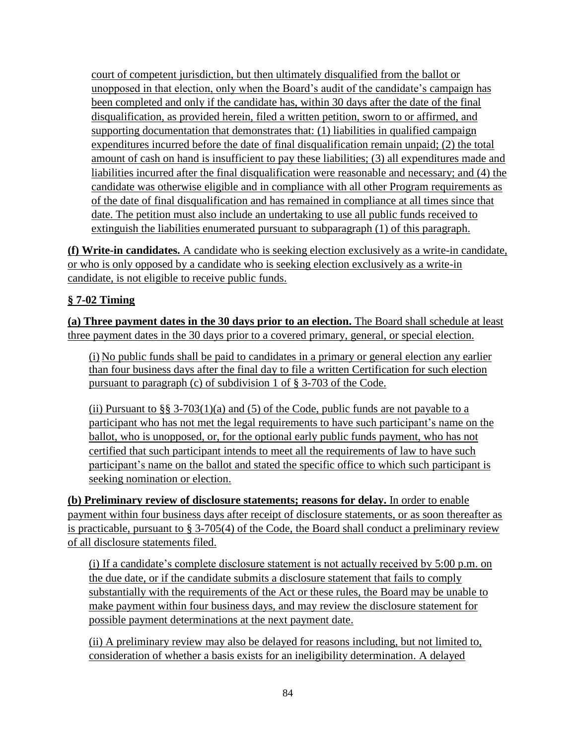court of competent jurisdiction, but then ultimately disqualified from the ballot or unopposed in that election, only when the Board's audit of the candidate's campaign has been completed and only if the candidate has, within 30 days after the date of the final disqualification, as provided herein, filed a written petition, sworn to or affirmed, and supporting documentation that demonstrates that: (1) liabilities in qualified campaign expenditures incurred before the date of final disqualification remain unpaid; (2) the total amount of cash on hand is insufficient to pay these liabilities; (3) all expenditures made and liabilities incurred after the final disqualification were reasonable and necessary; and (4) the candidate was otherwise eligible and in compliance with all other Program requirements as of the date of final disqualification and has remained in compliance at all times since that date. The petition must also include an undertaking to use all public funds received to extinguish the liabilities enumerated pursuant to subparagraph (1) of this paragraph.

**(f) Write-in candidates.** A candidate who is seeking election exclusively as a write-in candidate, or who is only opposed by a candidate who is seeking election exclusively as a write-in candidate, is not eligible to receive public funds.

## **§ 7-02 Timing**

**(a) Three payment dates in the 30 days prior to an election.** The Board shall schedule at least three payment dates in the 30 days prior to a covered primary, general, or special election.

(i) No public funds shall be paid to candidates in a primary or general election any earlier than four business days after the final day to file a written Certification for such election pursuant to paragraph (c) of subdivision 1 of § 3-703 of the Code.

(ii) Pursuant to  $\S$ § 3-703(1)(a) and (5) of the Code, public funds are not payable to a participant who has not met the legal requirements to have such participant's name on the ballot, who is unopposed, or, for the optional early public funds payment, who has not certified that such participant intends to meet all the requirements of law to have such participant's name on the ballot and stated the specific office to which such participant is seeking nomination or election.

**(b) Preliminary review of disclosure statements; reasons for delay.** In order to enable payment within four business days after receipt of disclosure statements, or as soon thereafter as is practicable, pursuant to § 3-705(4) of the Code, the Board shall conduct a preliminary review of all disclosure statements filed.

(i) If a candidate's complete disclosure statement is not actually received by 5:00 p.m. on the due date, or if the candidate submits a disclosure statement that fails to comply substantially with the requirements of the Act or these rules, the Board may be unable to make payment within four business days, and may review the disclosure statement for possible payment determinations at the next payment date.

(ii) A preliminary review may also be delayed for reasons including, but not limited to, consideration of whether a basis exists for an ineligibility determination. A delayed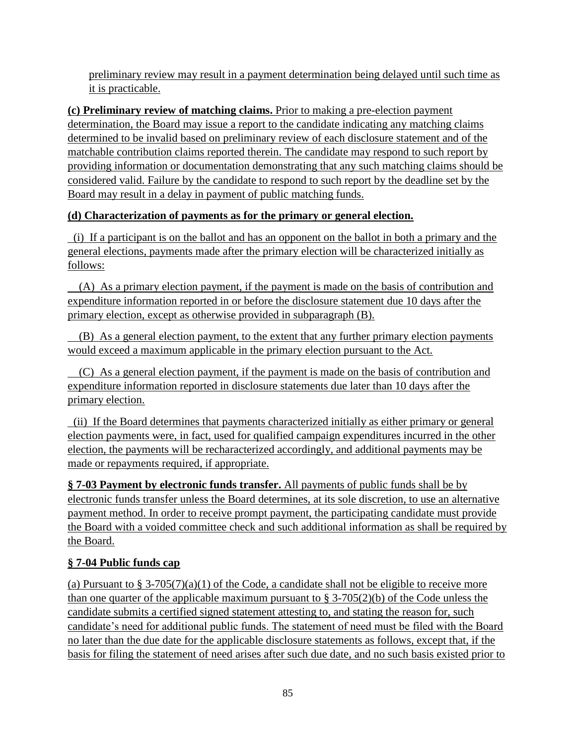preliminary review may result in a payment determination being delayed until such time as it is practicable.

**(c) Preliminary review of matching claims.** Prior to making a pre-election payment determination, the Board may issue a report to the candidate indicating any matching claims determined to be invalid based on preliminary review of each disclosure statement and of the matchable contribution claims reported therein. The candidate may respond to such report by providing information or documentation demonstrating that any such matching claims should be considered valid. Failure by the candidate to respond to such report by the deadline set by the Board may result in a delay in payment of public matching funds.

# **(d) Characterization of payments as for the primary or general election.**

 (i) If a participant is on the ballot and has an opponent on the ballot in both a primary and the general elections, payments made after the primary election will be characterized initially as follows:

 (A) As a primary election payment, if the payment is made on the basis of contribution and expenditure information reported in or before the disclosure statement due 10 days after the primary election, except as otherwise provided in subparagraph (B).

 (B) As a general election payment, to the extent that any further primary election payments would exceed a maximum applicable in the primary election pursuant to the Act.

 (C) As a general election payment, if the payment is made on the basis of contribution and expenditure information reported in disclosure statements due later than 10 days after the primary election.

 (ii) If the Board determines that payments characterized initially as either primary or general election payments were, in fact, used for qualified campaign expenditures incurred in the other election, the payments will be recharacterized accordingly, and additional payments may be made or repayments required, if appropriate.

**§ 7-03 Payment by electronic funds transfer.** All payments of public funds shall be by electronic funds transfer unless the Board determines, at its sole discretion, to use an alternative payment method. In order to receive prompt payment, the participating candidate must provide the Board with a voided committee check and such additional information as shall be required by the Board.

# **§ 7-04 Public funds cap**

(a) Pursuant to § 3-705(7)(a)(1) of the Code, a candidate shall not be eligible to receive more than one quarter of the applicable maximum pursuant to  $\S 3-705(2)(b)$  of the Code unless the candidate submits a certified signed statement attesting to, and stating the reason for, such candidate's need for additional public funds. The statement of need must be filed with the Board no later than the due date for the applicable disclosure statements as follows, except that, if the basis for filing the statement of need arises after such due date, and no such basis existed prior to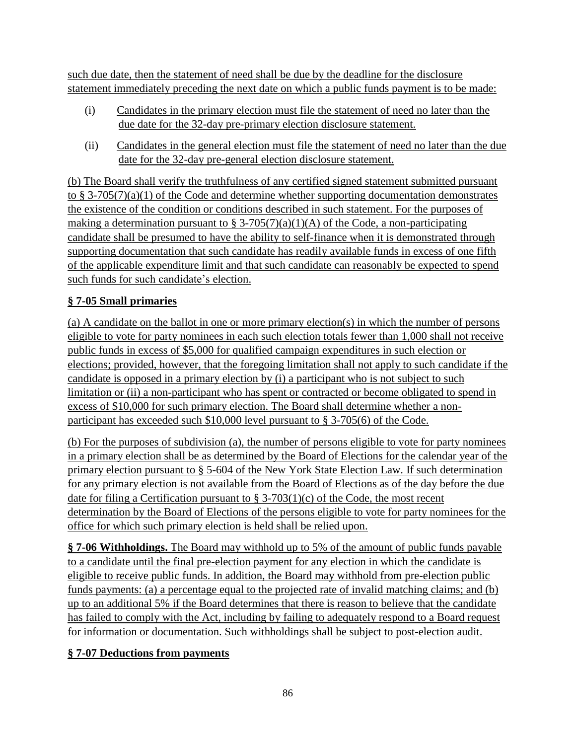such due date, then the statement of need shall be due by the deadline for the disclosure statement immediately preceding the next date on which a public funds payment is to be made:

- (i) Candidates in the primary election must file the statement of need no later than the due date for the 32-day pre-primary election disclosure statement.
- (ii) Candidates in the general election must file the statement of need no later than the due date for the 32-day pre-general election disclosure statement.

(b) The Board shall verify the truthfulness of any certified signed statement submitted pursuant to § 3-705(7)(a)(1) of the Code and determine whether supporting documentation demonstrates the existence of the condition or conditions described in such statement. For the purposes of making a determination pursuant to  $\S 3-705(7)(a)(1)(A)$  of the Code, a non-participating candidate shall be presumed to have the ability to self-finance when it is demonstrated through supporting documentation that such candidate has readily available funds in excess of one fifth of the applicable expenditure limit and that such candidate can reasonably be expected to spend such funds for such candidate's election.

## **§ 7-05 Small primaries**

(a) A candidate on the ballot in one or more primary election(s) in which the number of persons eligible to vote for party nominees in each such election totals fewer than 1,000 shall not receive public funds in excess of \$5,000 for qualified campaign expenditures in such election or elections; provided, however, that the foregoing limitation shall not apply to such candidate if the candidate is opposed in a primary election by (i) a participant who is not subject to such limitation or (ii) a non-participant who has spent or contracted or become obligated to spend in excess of \$10,000 for such primary election. The Board shall determine whether a nonparticipant has exceeded such \$10,000 level pursuant to § 3-705(6) of the Code.

(b) For the purposes of subdivision (a), the number of persons eligible to vote for party nominees in a primary election shall be as determined by the Board of Elections for the calendar year of the primary election pursuant to § 5-604 of the New York State Election Law. If such determination for any primary election is not available from the Board of Elections as of the day before the due date for filing a Certification pursuant to § 3-703(1)(c) of the Code, the most recent determination by the Board of Elections of the persons eligible to vote for party nominees for the office for which such primary election is held shall be relied upon.

**§ 7-06 Withholdings.** The Board may withhold up to 5% of the amount of public funds payable to a candidate until the final pre-election payment for any election in which the candidate is eligible to receive public funds. In addition, the Board may withhold from pre-election public funds payments: (a) a percentage equal to the projected rate of invalid matching claims; and (b) up to an additional 5% if the Board determines that there is reason to believe that the candidate has failed to comply with the Act, including by failing to adequately respond to a Board request for information or documentation. Such withholdings shall be subject to post-election audit.

## **§ 7-07 Deductions from payments**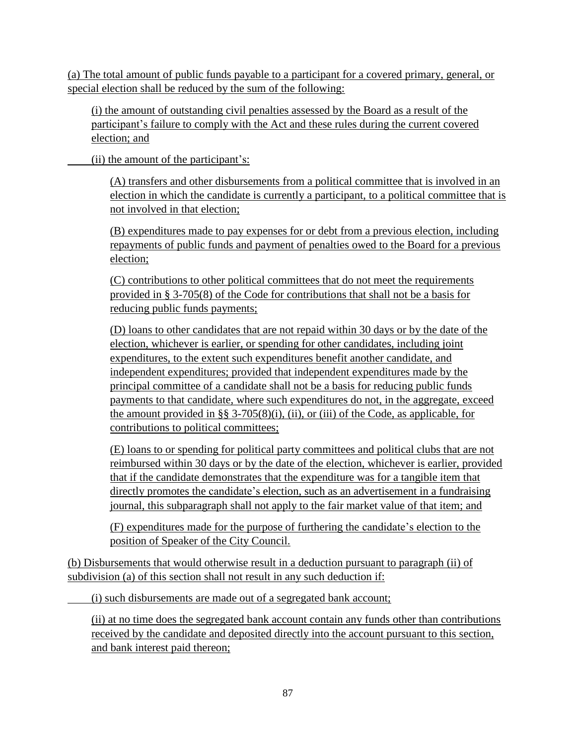(a) The total amount of public funds payable to a participant for a covered primary, general, or special election shall be reduced by the sum of the following:

(i) the amount of outstanding civil penalties assessed by the Board as a result of the participant's failure to comply with the Act and these rules during the current covered election; and

(ii) the amount of the participant's:

(A) transfers and other disbursements from a political committee that is involved in an election in which the candidate is currently a participant, to a political committee that is not involved in that election;

(B) expenditures made to pay expenses for or debt from a previous election, including repayments of public funds and payment of penalties owed to the Board for a previous election;

(C) contributions to other political committees that do not meet the requirements provided in § 3-705(8) of the Code for contributions that shall not be a basis for reducing public funds payments;

(D) loans to other candidates that are not repaid within 30 days or by the date of the election, whichever is earlier, or spending for other candidates, including joint expenditures, to the extent such expenditures benefit another candidate, and independent expenditures; provided that independent expenditures made by the principal committee of a candidate shall not be a basis for reducing public funds payments to that candidate, where such expenditures do not, in the aggregate, exceed the amount provided in §§ 3-705(8)(i), (ii), or (iii) of the Code, as applicable, for contributions to political committees;

(E) loans to or spending for political party committees and political clubs that are not reimbursed within 30 days or by the date of the election, whichever is earlier, provided that if the candidate demonstrates that the expenditure was for a tangible item that directly promotes the candidate's election, such as an advertisement in a fundraising journal, this subparagraph shall not apply to the fair market value of that item; and

(F) expenditures made for the purpose of furthering the candidate's election to the position of Speaker of the City Council.

(b) Disbursements that would otherwise result in a deduction pursuant to paragraph (ii) of subdivision (a) of this section shall not result in any such deduction if:

(i) such disbursements are made out of a segregated bank account;

(ii) at no time does the segregated bank account contain any funds other than contributions received by the candidate and deposited directly into the account pursuant to this section, and bank interest paid thereon;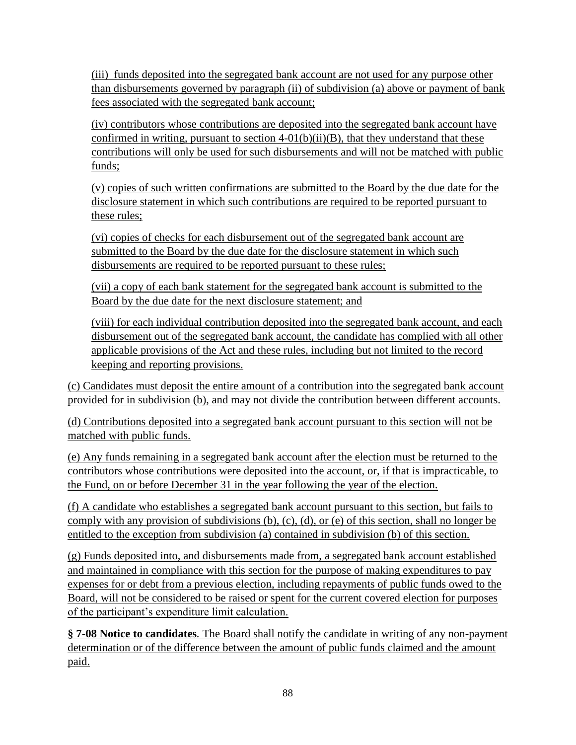(iii) funds deposited into the segregated bank account are not used for any purpose other than disbursements governed by paragraph (ii) of subdivision (a) above or payment of bank fees associated with the segregated bank account;

(iv) contributors whose contributions are deposited into the segregated bank account have confirmed in writing, pursuant to section  $4-01(b)(ii)(B)$ , that they understand that these contributions will only be used for such disbursements and will not be matched with public funds;

(v) copies of such written confirmations are submitted to the Board by the due date for the disclosure statement in which such contributions are required to be reported pursuant to these rules;

(vi) copies of checks for each disbursement out of the segregated bank account are submitted to the Board by the due date for the disclosure statement in which such disbursements are required to be reported pursuant to these rules;

(vii) a copy of each bank statement for the segregated bank account is submitted to the Board by the due date for the next disclosure statement; and

(viii) for each individual contribution deposited into the segregated bank account, and each disbursement out of the segregated bank account, the candidate has complied with all other applicable provisions of the Act and these rules, including but not limited to the record keeping and reporting provisions.

(c) Candidates must deposit the entire amount of a contribution into the segregated bank account provided for in subdivision (b), and may not divide the contribution between different accounts.

(d) Contributions deposited into a segregated bank account pursuant to this section will not be matched with public funds.

(e) Any funds remaining in a segregated bank account after the election must be returned to the contributors whose contributions were deposited into the account, or, if that is impracticable, to the Fund, on or before December 31 in the year following the year of the election.

(f) A candidate who establishes a segregated bank account pursuant to this section, but fails to comply with any provision of subdivisions (b), (c), (d), or (e) of this section, shall no longer be entitled to the exception from subdivision (a) contained in subdivision (b) of this section.

(g) Funds deposited into, and disbursements made from, a segregated bank account established and maintained in compliance with this section for the purpose of making expenditures to pay expenses for or debt from a previous election, including repayments of public funds owed to the Board, will not be considered to be raised or spent for the current covered election for purposes of the participant's expenditure limit calculation.

**§ 7-08 Notice to candidates***.* The Board shall notify the candidate in writing of any non-payment determination or of the difference between the amount of public funds claimed and the amount paid.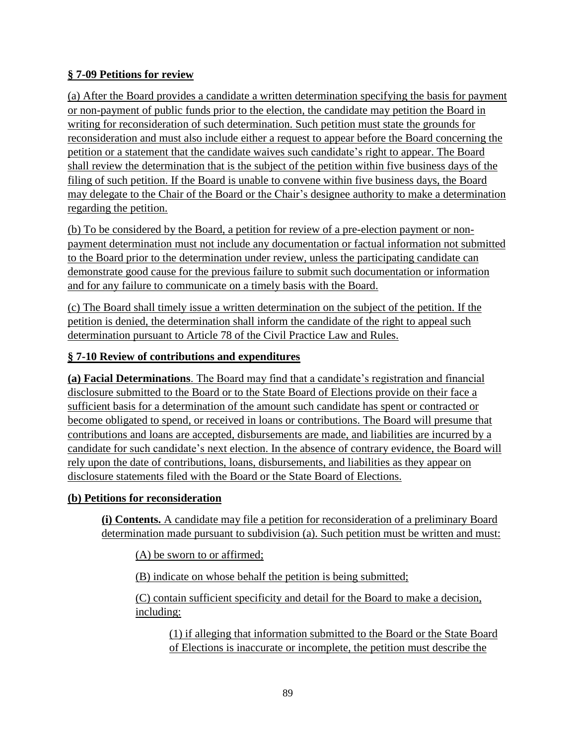### **§ 7-09 Petitions for review**

(a) After the Board provides a candidate a written determination specifying the basis for payment or non-payment of public funds prior to the election, the candidate may petition the Board in writing for reconsideration of such determination. Such petition must state the grounds for reconsideration and must also include either a request to appear before the Board concerning the petition or a statement that the candidate waives such candidate's right to appear. The Board shall review the determination that is the subject of the petition within five business days of the filing of such petition. If the Board is unable to convene within five business days, the Board may delegate to the Chair of the Board or the Chair's designee authority to make a determination regarding the petition.

(b) To be considered by the Board, a petition for review of a pre-election payment or nonpayment determination must not include any documentation or factual information not submitted to the Board prior to the determination under review, unless the participating candidate can demonstrate good cause for the previous failure to submit such documentation or information and for any failure to communicate on a timely basis with the Board.

(c) The Board shall timely issue a written determination on the subject of the petition. If the petition is denied, the determination shall inform the candidate of the right to appeal such determination pursuant to Article 78 of the Civil Practice Law and Rules.

### **§ 7-10 Review of contributions and expenditures**

**(a) Facial Determinations**. The Board may find that a candidate's registration and financial disclosure submitted to the Board or to the State Board of Elections provide on their face a sufficient basis for a determination of the amount such candidate has spent or contracted or become obligated to spend, or received in loans or contributions. The Board will presume that contributions and loans are accepted, disbursements are made, and liabilities are incurred by a candidate for such candidate's next election. In the absence of contrary evidence, the Board will rely upon the date of contributions, loans, disbursements, and liabilities as they appear on disclosure statements filed with the Board or the State Board of Elections.

#### **(b) Petitions for reconsideration**

**(i) Contents.** A candidate may file a petition for reconsideration of a preliminary Board determination made pursuant to subdivision (a). Such petition must be written and must:

(A) be sworn to or affirmed;

(B) indicate on whose behalf the petition is being submitted;

(C) contain sufficient specificity and detail for the Board to make a decision, including:

(1) if alleging that information submitted to the Board or the State Board of Elections is inaccurate or incomplete, the petition must describe the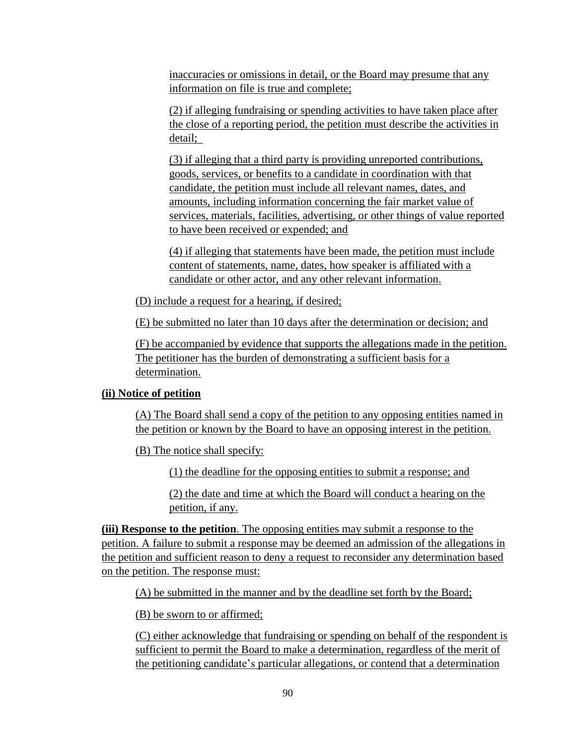inaccuracies or omissions in detail, or the Board may presume that any information on file is true and complete;

(2) if alleging fundraising or spending activities to have taken place after the close of a reporting period, the petition must describe the activities in detail;

(3) if alleging that a third party is providing unreported contributions, goods, services, or benefits to a candidate in coordination with that candidate, the petition must include all relevant names, dates, and amounts, including information concerning the fair market value of services, materials, facilities, advertising, or other things of value reported to have been received or expended; and

(4) if alleging that statements have been made, the petition must include content of statements, name, dates, how speaker is affiliated with a candidate or other actor, and any other relevant information.

(D) include a request for a hearing, if desired;

(E) be submitted no later than 10 days after the determination or decision; and

(F) be accompanied by evidence that supports the allegations made in the petition. The petitioner has the burden of demonstrating a sufficient basis for a determination.

#### **(ii) Notice of petition**

(A) The Board shall send a copy of the petition to any opposing entities named in the petition or known by the Board to have an opposing interest in the petition.

(B) The notice shall specify:

(1) the deadline for the opposing entities to submit a response; and

(2) the date and time at which the Board will conduct a hearing on the petition, if any.

**(iii) Response to the petition**. The opposing entities may submit a response to the petition. A failure to submit a response may be deemed an admission of the allegations in the petition and sufficient reason to deny a request to reconsider any determination based on the petition. The response must:

(A) be submitted in the manner and by the deadline set forth by the Board;

(B) be sworn to or affirmed;

(C) either acknowledge that fundraising or spending on behalf of the respondent is sufficient to permit the Board to make a determination, regardless of the merit of the petitioning candidate's particular allegations, or contend that a determination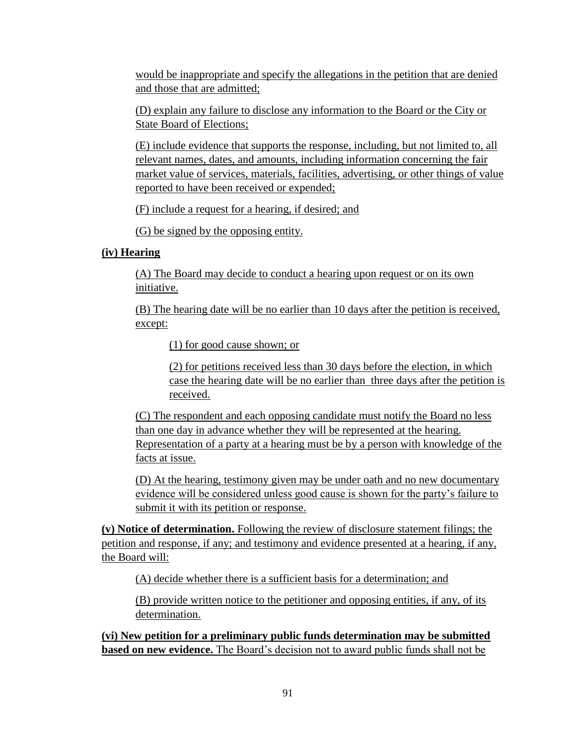would be inappropriate and specify the allegations in the petition that are denied and those that are admitted;

(D) explain any failure to disclose any information to the Board or the City or State Board of Elections;

(E) include evidence that supports the response, including, but not limited to, all relevant names, dates, and amounts, including information concerning the fair market value of services, materials, facilities, advertising, or other things of value reported to have been received or expended;

(F) include a request for a hearing, if desired; and

(G) be signed by the opposing entity.

## **(iv) Hearing**

(A) The Board may decide to conduct a hearing upon request or on its own initiative.

(B) The hearing date will be no earlier than 10 days after the petition is received, except:

(1) for good cause shown; or

(2) for petitions received less than 30 days before the election, in which case the hearing date will be no earlier than three days after the petition is received.

(C) The respondent and each opposing candidate must notify the Board no less than one day in advance whether they will be represented at the hearing. Representation of a party at a hearing must be by a person with knowledge of the facts at issue.

(D) At the hearing, testimony given may be under oath and no new documentary evidence will be considered unless good cause is shown for the party's failure to submit it with its petition or response.

**(v) Notice of determination.** Following the review of disclosure statement filings; the petition and response, if any; and testimony and evidence presented at a hearing, if any, the Board will:

(A) decide whether there is a sufficient basis for a determination; and

(B) provide written notice to the petitioner and opposing entities, if any, of its determination.

**(vi) New petition for a preliminary public funds determination may be submitted based on new evidence.** The Board's decision not to award public funds shall not be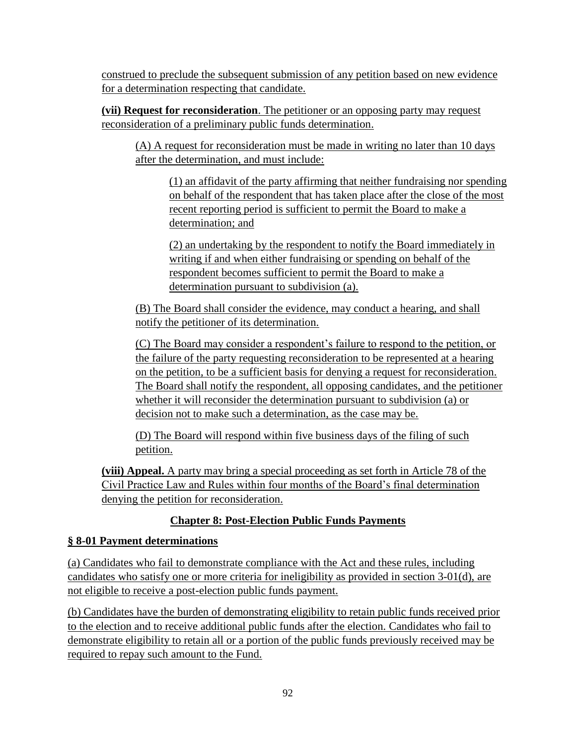construed to preclude the subsequent submission of any petition based on new evidence for a determination respecting that candidate.

**(vii) Request for reconsideration**. The petitioner or an opposing party may request reconsideration of a preliminary public funds determination.

(A) A request for reconsideration must be made in writing no later than 10 days after the determination, and must include:

(1) an affidavit of the party affirming that neither fundraising nor spending on behalf of the respondent that has taken place after the close of the most recent reporting period is sufficient to permit the Board to make a determination; and

(2) an undertaking by the respondent to notify the Board immediately in writing if and when either fundraising or spending on behalf of the respondent becomes sufficient to permit the Board to make a determination pursuant to subdivision (a).

(B) The Board shall consider the evidence, may conduct a hearing, and shall notify the petitioner of its determination.

(C) The Board may consider a respondent's failure to respond to the petition, or the failure of the party requesting reconsideration to be represented at a hearing on the petition, to be a sufficient basis for denying a request for reconsideration. The Board shall notify the respondent, all opposing candidates, and the petitioner whether it will reconsider the determination pursuant to subdivision (a) or decision not to make such a determination, as the case may be.

(D) The Board will respond within five business days of the filing of such petition.

**(viii) Appeal.** A party may bring a special proceeding as set forth in Article 78 of the Civil Practice Law and Rules within four months of the Board's final determination denying the petition for reconsideration.

# **Chapter 8: Post-Election Public Funds Payments**

## **§ 8-01 Payment determinations**

(a) Candidates who fail to demonstrate compliance with the Act and these rules, including candidates who satisfy one or more criteria for ineligibility as provided in section 3-01(d), are not eligible to receive a post-election public funds payment.

(b) Candidates have the burden of demonstrating eligibility to retain public funds received prior to the election and to receive additional public funds after the election. Candidates who fail to demonstrate eligibility to retain all or a portion of the public funds previously received may be required to repay such amount to the Fund.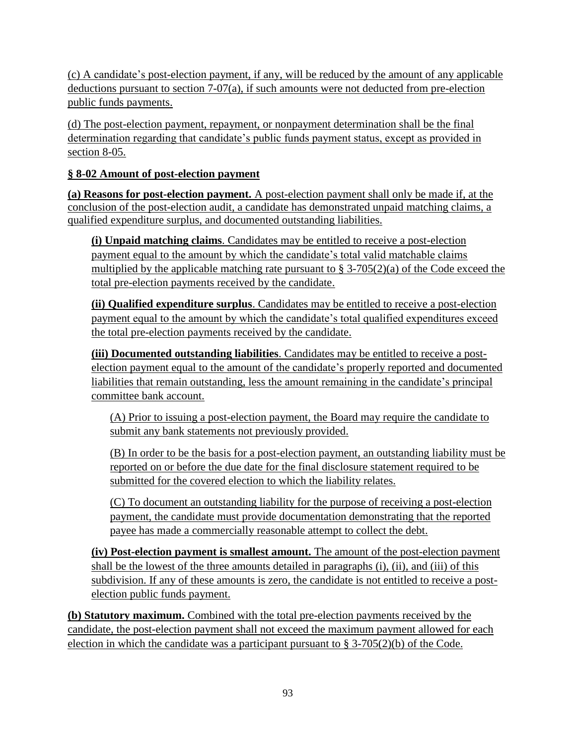(c) A candidate's post-election payment, if any, will be reduced by the amount of any applicable deductions pursuant to section 7-07(a), if such amounts were not deducted from pre-election public funds payments.

(d) The post-election payment, repayment, or nonpayment determination shall be the final determination regarding that candidate's public funds payment status, except as provided in section 8-05.

## **§ 8-02 Amount of post-election payment**

**(a) Reasons for post-election payment.** A post-election payment shall only be made if, at the conclusion of the post-election audit, a candidate has demonstrated unpaid matching claims, a qualified expenditure surplus, and documented outstanding liabilities.

**(i) Unpaid matching claims**. Candidates may be entitled to receive a post-election payment equal to the amount by which the candidate's total valid matchable claims multiplied by the applicable matching rate pursuant to  $\S 3-705(2)(a)$  of the Code exceed the total pre-election payments received by the candidate.

**(ii) Qualified expenditure surplus**. Candidates may be entitled to receive a post-election payment equal to the amount by which the candidate's total qualified expenditures exceed the total pre-election payments received by the candidate.

**(iii) Documented outstanding liabilities**. Candidates may be entitled to receive a postelection payment equal to the amount of the candidate's properly reported and documented liabilities that remain outstanding, less the amount remaining in the candidate's principal committee bank account.

(A) Prior to issuing a post-election payment, the Board may require the candidate to submit any bank statements not previously provided.

(B) In order to be the basis for a post-election payment, an outstanding liability must be reported on or before the due date for the final disclosure statement required to be submitted for the covered election to which the liability relates.

(C) To document an outstanding liability for the purpose of receiving a post-election payment, the candidate must provide documentation demonstrating that the reported payee has made a commercially reasonable attempt to collect the debt.

**(iv) Post-election payment is smallest amount.** The amount of the post-election payment shall be the lowest of the three amounts detailed in paragraphs (i), (ii), and (iii) of this subdivision. If any of these amounts is zero, the candidate is not entitled to receive a postelection public funds payment.

**(b) Statutory maximum.** Combined with the total pre-election payments received by the candidate, the post-election payment shall not exceed the maximum payment allowed for each election in which the candidate was a participant pursuant to § 3-705(2)(b) of the Code.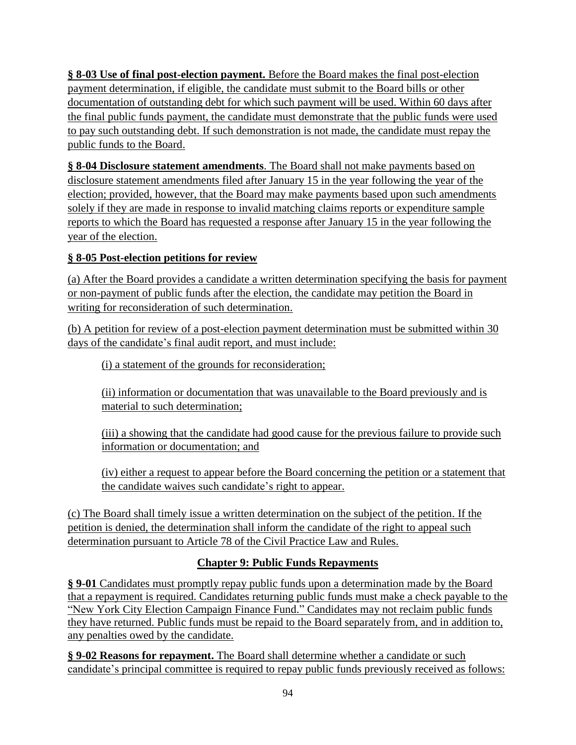**§ 8-03 Use of final post-election payment.** Before the Board makes the final post-election payment determination, if eligible, the candidate must submit to the Board bills or other documentation of outstanding debt for which such payment will be used. Within 60 days after the final public funds payment, the candidate must demonstrate that the public funds were used to pay such outstanding debt. If such demonstration is not made, the candidate must repay the public funds to the Board.

**§ 8-04 Disclosure statement amendments**. The Board shall not make payments based on disclosure statement amendments filed after January 15 in the year following the year of the election; provided, however, that the Board may make payments based upon such amendments solely if they are made in response to invalid matching claims reports or expenditure sample reports to which the Board has requested a response after January 15 in the year following the year of the election.

## **§ 8-05 Post-election petitions for review**

(a) After the Board provides a candidate a written determination specifying the basis for payment or non-payment of public funds after the election, the candidate may petition the Board in writing for reconsideration of such determination.

(b) A petition for review of a post-election payment determination must be submitted within 30 days of the candidate's final audit report, and must include:

(i) a statement of the grounds for reconsideration;

(ii) information or documentation that was unavailable to the Board previously and is material to such determination;

(iii) a showing that the candidate had good cause for the previous failure to provide such information or documentation; and

(iv) either a request to appear before the Board concerning the petition or a statement that the candidate waives such candidate's right to appear.

(c) The Board shall timely issue a written determination on the subject of the petition. If the petition is denied, the determination shall inform the candidate of the right to appeal such determination pursuant to Article 78 of the Civil Practice Law and Rules.

# **Chapter 9: Public Funds Repayments**

**§ 9-01** Candidates must promptly repay public funds upon a determination made by the Board that a repayment is required. Candidates returning public funds must make a check payable to the "New York City Election Campaign Finance Fund." Candidates may not reclaim public funds they have returned. Public funds must be repaid to the Board separately from, and in addition to, any penalties owed by the candidate.

**§ 9-02 Reasons for repayment.** The Board shall determine whether a candidate or such candidate's principal committee is required to repay public funds previously received as follows: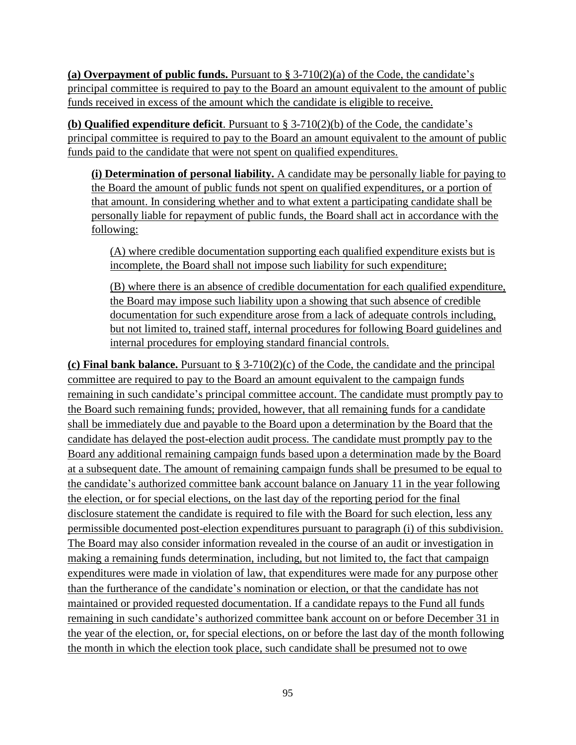(a) Overpayment of public funds. Pursuant to  $\S 3-710(2)(a)$  of the Code, the candidate's principal committee is required to pay to the Board an amount equivalent to the amount of public funds received in excess of the amount which the candidate is eligible to receive.

**(b) Qualified expenditure deficit**. Pursuant to § 3-710(2)(b) of the Code, the candidate's principal committee is required to pay to the Board an amount equivalent to the amount of public funds paid to the candidate that were not spent on qualified expenditures.

**(i) Determination of personal liability.** A candidate may be personally liable for paying to the Board the amount of public funds not spent on qualified expenditures, or a portion of that amount. In considering whether and to what extent a participating candidate shall be personally liable for repayment of public funds, the Board shall act in accordance with the following:

(A) where credible documentation supporting each qualified expenditure exists but is incomplete, the Board shall not impose such liability for such expenditure;

(B) where there is an absence of credible documentation for each qualified expenditure, the Board may impose such liability upon a showing that such absence of credible documentation for such expenditure arose from a lack of adequate controls including, but not limited to, trained staff, internal procedures for following Board guidelines and internal procedures for employing standard financial controls.

**(c) Final bank balance.** Pursuant to § 3-710(2)(c) of the Code, the candidate and the principal committee are required to pay to the Board an amount equivalent to the campaign funds remaining in such candidate's principal committee account. The candidate must promptly pay to the Board such remaining funds; provided, however, that all remaining funds for a candidate shall be immediately due and payable to the Board upon a determination by the Board that the candidate has delayed the post-election audit process. The candidate must promptly pay to the Board any additional remaining campaign funds based upon a determination made by the Board at a subsequent date. The amount of remaining campaign funds shall be presumed to be equal to the candidate's authorized committee bank account balance on January 11 in the year following the election, or for special elections, on the last day of the reporting period for the final disclosure statement the candidate is required to file with the Board for such election, less any permissible documented post-election expenditures pursuant to paragraph (i) of this subdivision. The Board may also consider information revealed in the course of an audit or investigation in making a remaining funds determination, including, but not limited to, the fact that campaign expenditures were made in violation of law, that expenditures were made for any purpose other than the furtherance of the candidate's nomination or election, or that the candidate has not maintained or provided requested documentation. If a candidate repays to the Fund all funds remaining in such candidate's authorized committee bank account on or before December 31 in the year of the election, or, for special elections, on or before the last day of the month following the month in which the election took place, such candidate shall be presumed not to owe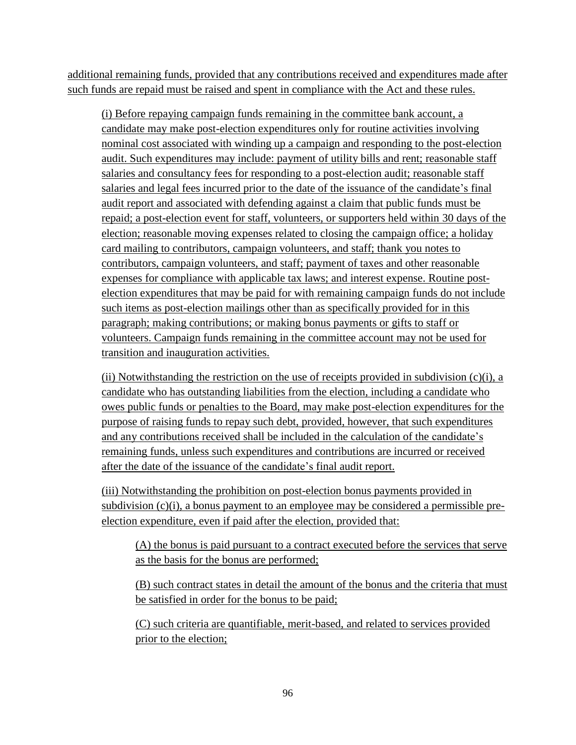additional remaining funds, provided that any contributions received and expenditures made after such funds are repaid must be raised and spent in compliance with the Act and these rules.

(i) Before repaying campaign funds remaining in the committee bank account, a candidate may make post-election expenditures only for routine activities involving nominal cost associated with winding up a campaign and responding to the post-election audit. Such expenditures may include: payment of utility bills and rent; reasonable staff salaries and consultancy fees for responding to a post-election audit; reasonable staff salaries and legal fees incurred prior to the date of the issuance of the candidate's final audit report and associated with defending against a claim that public funds must be repaid; a post-election event for staff, volunteers, or supporters held within 30 days of the election; reasonable moving expenses related to closing the campaign office; a holiday card mailing to contributors, campaign volunteers, and staff; thank you notes to contributors, campaign volunteers, and staff; payment of taxes and other reasonable expenses for compliance with applicable tax laws; and interest expense. Routine postelection expenditures that may be paid for with remaining campaign funds do not include such items as post-election mailings other than as specifically provided for in this paragraph; making contributions; or making bonus payments or gifts to staff or volunteers. Campaign funds remaining in the committee account may not be used for transition and inauguration activities.

(ii) Notwithstanding the restriction on the use of receipts provided in subdivision  $(c)(i)$ , a candidate who has outstanding liabilities from the election, including a candidate who owes public funds or penalties to the Board, may make post-election expenditures for the purpose of raising funds to repay such debt, provided, however, that such expenditures and any contributions received shall be included in the calculation of the candidate's remaining funds, unless such expenditures and contributions are incurred or received after the date of the issuance of the candidate's final audit report.

(iii) Notwithstanding the prohibition on post-election bonus payments provided in subdivision  $(c)(i)$ , a bonus payment to an employee may be considered a permissible preelection expenditure, even if paid after the election, provided that:

(A) the bonus is paid pursuant to a contract executed before the services that serve as the basis for the bonus are performed;

(B) such contract states in detail the amount of the bonus and the criteria that must be satisfied in order for the bonus to be paid;

(C) such criteria are quantifiable, merit-based, and related to services provided prior to the election;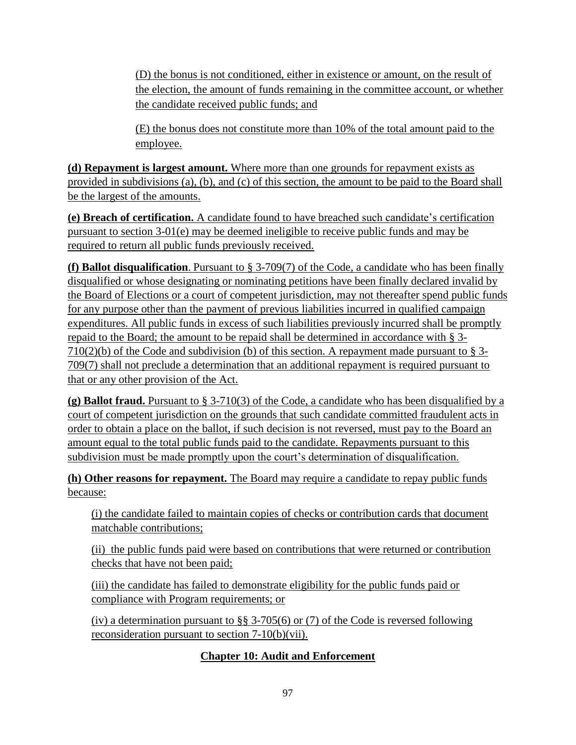(D) the bonus is not conditioned, either in existence or amount, on the result of the election, the amount of funds remaining in the committee account, or whether the candidate received public funds; and

(E) the bonus does not constitute more than 10% of the total amount paid to the employee.

**(d) Repayment is largest amount.** Where more than one grounds for repayment exists as provided in subdivisions (a), (b), and (c) of this section, the amount to be paid to the Board shall be the largest of the amounts.

**(e) Breach of certification.** A candidate found to have breached such candidate's certification pursuant to section 3-01(e) may be deemed ineligible to receive public funds and may be required to return all public funds previously received.

**(f) Ballot disqualification**. Pursuant to § 3-709(7) of the Code, a candidate who has been finally disqualified or whose designating or nominating petitions have been finally declared invalid by the Board of Elections or a court of competent jurisdiction, may not thereafter spend public funds for any purpose other than the payment of previous liabilities incurred in qualified campaign expenditures. All public funds in excess of such liabilities previously incurred shall be promptly repaid to the Board; the amount to be repaid shall be determined in accordance with § 3-  $710(2)(b)$  of the Code and subdivision (b) of this section. A repayment made pursuant to § 3-709(7) shall not preclude a determination that an additional repayment is required pursuant to that or any other provision of the Act.

**(g) Ballot fraud.** Pursuant to § 3-710(3) of the Code, a candidate who has been disqualified by a court of competent jurisdiction on the grounds that such candidate committed fraudulent acts in order to obtain a place on the ballot, if such decision is not reversed, must pay to the Board an amount equal to the total public funds paid to the candidate. Repayments pursuant to this subdivision must be made promptly upon the court's determination of disqualification.

**(h) Other reasons for repayment.** The Board may require a candidate to repay public funds because:

(i) the candidate failed to maintain copies of checks or contribution cards that document matchable contributions;

(ii) the public funds paid were based on contributions that were returned or contribution checks that have not been paid;

(iii) the candidate has failed to demonstrate eligibility for the public funds paid or compliance with Program requirements; or

(iv) a determination pursuant to §§ 3-705(6) or (7) of the Code is reversed following reconsideration pursuant to section 7-10(b)(vii).

# **Chapter 10: Audit and Enforcement**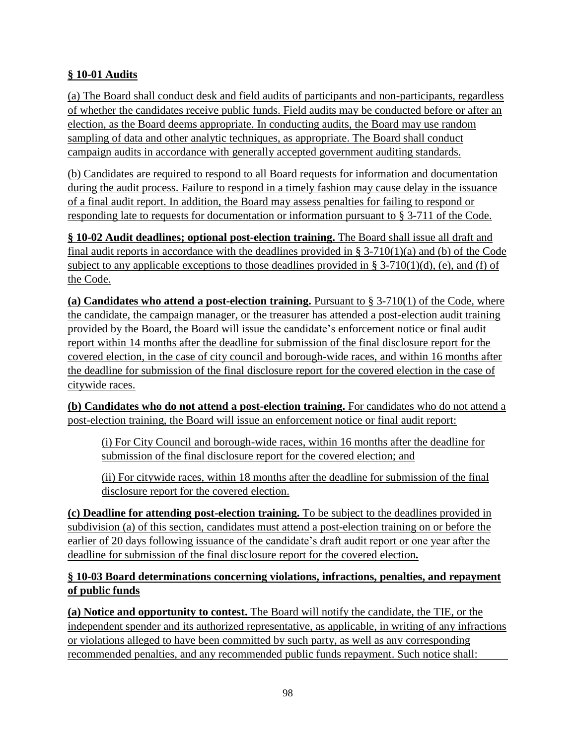## **§ 10-01 Audits**

(a) The Board shall conduct desk and field audits of participants and non-participants, regardless of whether the candidates receive public funds. Field audits may be conducted before or after an election, as the Board deems appropriate. In conducting audits, the Board may use random sampling of data and other analytic techniques, as appropriate. The Board shall conduct campaign audits in accordance with generally accepted government auditing standards.

(b) Candidates are required to respond to all Board requests for information and documentation during the audit process. Failure to respond in a timely fashion may cause delay in the issuance of a final audit report. In addition, the Board may assess penalties for failing to respond or responding late to requests for documentation or information pursuant to § 3-711 of the Code.

**§ 10-02 Audit deadlines; optional post-election training.** The Board shall issue all draft and final audit reports in accordance with the deadlines provided in  $\S 3-710(1)(a)$  and (b) of the Code subject to any applicable exceptions to those deadlines provided in § 3-710(1)(d), (e), and (f) of the Code.

**(a) Candidates who attend a post-election training.** Pursuant to § 3-710(1) of the Code, where the candidate, the campaign manager, or the treasurer has attended a post-election audit training provided by the Board, the Board will issue the candidate's enforcement notice or final audit report within 14 months after the deadline for submission of the final disclosure report for the covered election, in the case of city council and borough-wide races, and within 16 months after the deadline for submission of the final disclosure report for the covered election in the case of citywide races.

**(b) Candidates who do not attend a post-election training.** For candidates who do not attend a post-election training, the Board will issue an enforcement notice or final audit report:

(i) For City Council and borough-wide races, within 16 months after the deadline for submission of the final disclosure report for the covered election; and

(ii) For citywide races, within 18 months after the deadline for submission of the final disclosure report for the covered election.

**(c) Deadline for attending post-election training.** To be subject to the deadlines provided in subdivision (a) of this section, candidates must attend a post-election training on or before the earlier of 20 days following issuance of the candidate's draft audit report or one year after the deadline for submission of the final disclosure report for the covered election*.*

### **§ 10-03 Board determinations concerning violations, infractions, penalties, and repayment of public funds**

**(a) Notice and opportunity to contest.** The Board will notify the candidate, the TIE, or the independent spender and its authorized representative, as applicable, in writing of any infractions or violations alleged to have been committed by such party, as well as any corresponding recommended penalties, and any recommended public funds repayment. Such notice shall: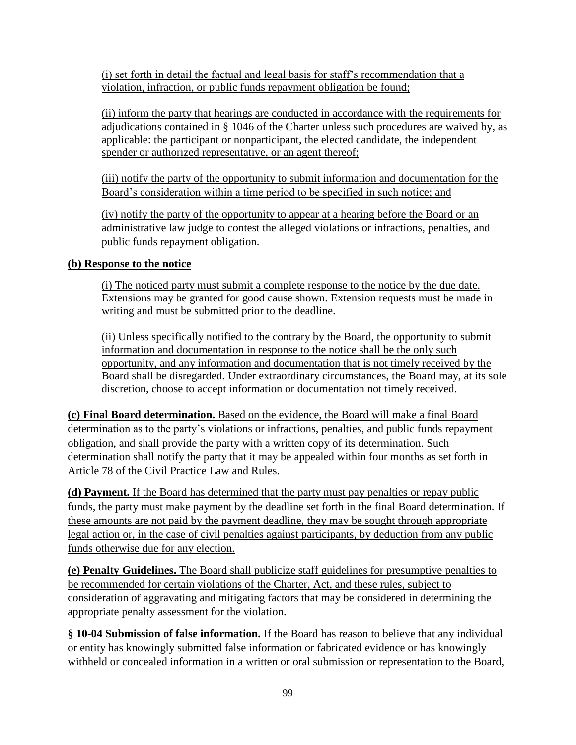(i) set forth in detail the factual and legal basis for staff's recommendation that a violation, infraction, or public funds repayment obligation be found;

(ii) inform the party that hearings are conducted in accordance with the requirements for adjudications contained in § 1046 of the Charter unless such procedures are waived by, as applicable: the participant or nonparticipant, the elected candidate, the independent spender or authorized representative, or an agent thereof;

(iii) notify the party of the opportunity to submit information and documentation for the Board's consideration within a time period to be specified in such notice; and

(iv) notify the party of the opportunity to appear at a hearing before the Board or an administrative law judge to contest the alleged violations or infractions, penalties, and public funds repayment obligation.

### **(b) Response to the notice**

(i) The noticed party must submit a complete response to the notice by the due date. Extensions may be granted for good cause shown. Extension requests must be made in writing and must be submitted prior to the deadline.

(ii) Unless specifically notified to the contrary by the Board, the opportunity to submit information and documentation in response to the notice shall be the only such opportunity, and any information and documentation that is not timely received by the Board shall be disregarded. Under extraordinary circumstances, the Board may, at its sole discretion, choose to accept information or documentation not timely received.

**(c) Final Board determination.** Based on the evidence, the Board will make a final Board determination as to the party's violations or infractions, penalties, and public funds repayment obligation, and shall provide the party with a written copy of its determination. Such determination shall notify the party that it may be appealed within four months as set forth in Article 78 of the Civil Practice Law and Rules.

**(d) Payment.** If the Board has determined that the party must pay penalties or repay public funds, the party must make payment by the deadline set forth in the final Board determination. If these amounts are not paid by the payment deadline, they may be sought through appropriate legal action or, in the case of civil penalties against participants, by deduction from any public funds otherwise due for any election.

**(e) Penalty Guidelines.** The Board shall publicize staff guidelines for presumptive penalties to be recommended for certain violations of the Charter, Act, and these rules, subject to consideration of aggravating and mitigating factors that may be considered in determining the appropriate penalty assessment for the violation.

**§ 10-04 Submission of false information.** If the Board has reason to believe that any individual or entity has knowingly submitted false information or fabricated evidence or has knowingly withheld or concealed information in a written or oral submission or representation to the Board,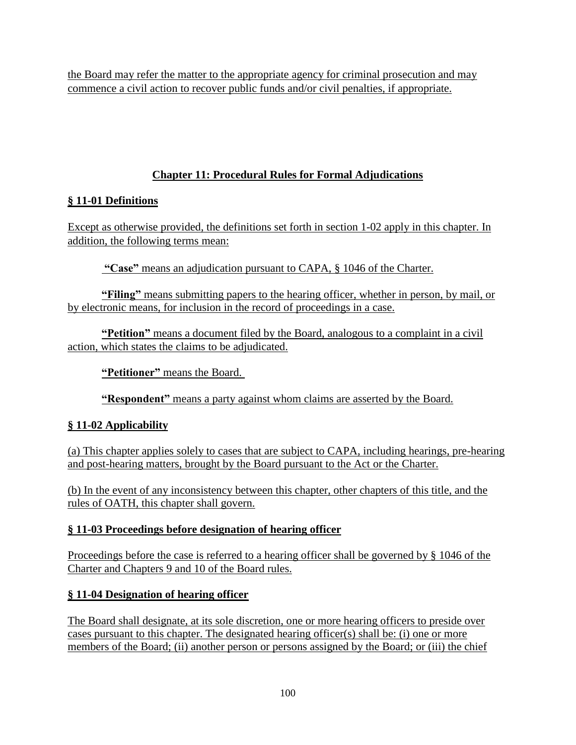the Board may refer the matter to the appropriate agency for criminal prosecution and may commence a civil action to recover public funds and/or civil penalties, if appropriate.

# **Chapter 11: Procedural Rules for Formal Adjudications**

# **§ 11-01 Definitions**

Except as otherwise provided, the definitions set forth in section 1-02 apply in this chapter. In addition, the following terms mean:

**"Case"** means an adjudication pursuant to CAPA, § 1046 of the Charter.

**"Filing"** means submitting papers to the hearing officer, whether in person, by mail, or by electronic means, for inclusion in the record of proceedings in a case.

**"Petition"** means a document filed by the Board, analogous to a complaint in a civil action, which states the claims to be adjudicated.

**"Petitioner"** means the Board.

**"Respondent"** means a party against whom claims are asserted by the Board.

# **§ 11-02 Applicability**

(a) This chapter applies solely to cases that are subject to CAPA, including hearings, pre-hearing and post-hearing matters, brought by the Board pursuant to the Act or the Charter.

(b) In the event of any inconsistency between this chapter, other chapters of this title, and the rules of OATH, this chapter shall govern.

# **§ 11-03 Proceedings before designation of hearing officer**

Proceedings before the case is referred to a hearing officer shall be governed by § 1046 of the Charter and Chapters 9 and 10 of the Board rules.

# **§ 11-04 Designation of hearing officer**

The Board shall designate, at its sole discretion, one or more hearing officers to preside over cases pursuant to this chapter. The designated hearing officer(s) shall be: (i) one or more members of the Board; (ii) another person or persons assigned by the Board; or (iii) the chief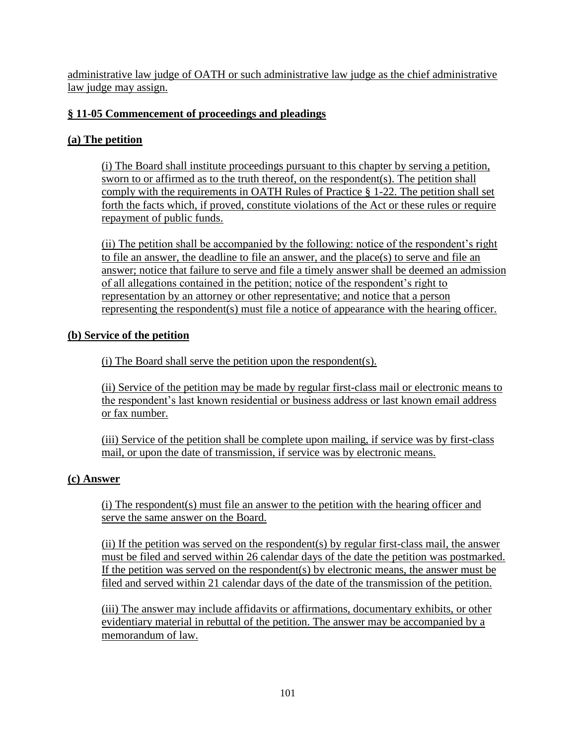administrative law judge of OATH or such administrative law judge as the chief administrative law judge may assign.

## **§ 11-05 Commencement of proceedings and pleadings**

## **(a) The petition**

(i) The Board shall institute proceedings pursuant to this chapter by serving a petition, sworn to or affirmed as to the truth thereof, on the respondent(s). The petition shall comply with the requirements in OATH Rules of Practice § 1-22. The petition shall set forth the facts which, if proved, constitute violations of the Act or these rules or require repayment of public funds.

(ii) The petition shall be accompanied by the following: notice of the respondent's right to file an answer, the deadline to file an answer, and the place(s) to serve and file an answer; notice that failure to serve and file a timely answer shall be deemed an admission of all allegations contained in the petition; notice of the respondent's right to representation by an attorney or other representative; and notice that a person representing the respondent(s) must file a notice of appearance with the hearing officer.

### **(b) Service of the petition**

(i) The Board shall serve the petition upon the respondent(s).

(ii) Service of the petition may be made by regular first-class mail or electronic means to the respondent's last known residential or business address or last known email address or fax number.

(iii) Service of the petition shall be complete upon mailing, if service was by first-class mail, or upon the date of transmission, if service was by electronic means.

## **(c) Answer**

(i) The respondent(s) must file an answer to the petition with the hearing officer and serve the same answer on the Board.

(ii) If the petition was served on the respondent(s) by regular first-class mail, the answer must be filed and served within 26 calendar days of the date the petition was postmarked. If the petition was served on the respondent(s) by electronic means, the answer must be filed and served within 21 calendar days of the date of the transmission of the petition.

(iii) The answer may include affidavits or affirmations, documentary exhibits, or other evidentiary material in rebuttal of the petition. The answer may be accompanied by a memorandum of law.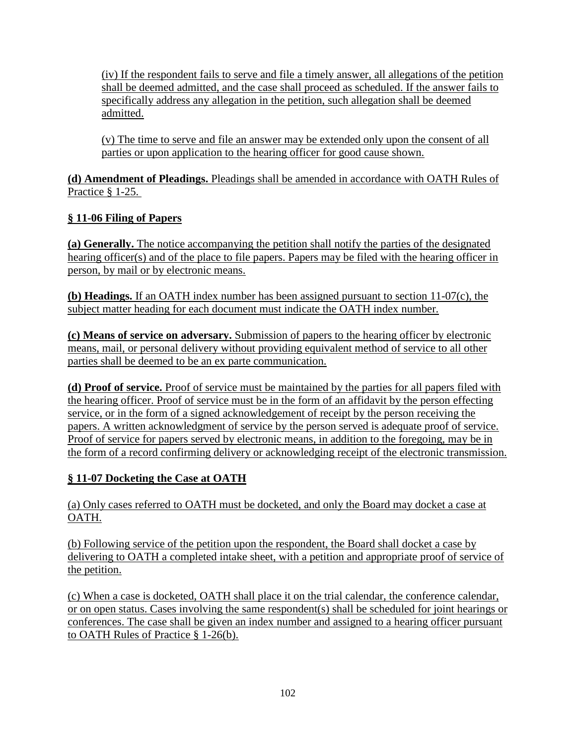(iv) If the respondent fails to serve and file a timely answer, all allegations of the petition shall be deemed admitted, and the case shall proceed as scheduled. If the answer fails to specifically address any allegation in the petition, such allegation shall be deemed admitted.

(v) The time to serve and file an answer may be extended only upon the consent of all parties or upon application to the hearing officer for good cause shown.

**(d) Amendment of Pleadings.** Pleadings shall be amended in accordance with OATH Rules of Practice § 1-25.

## **§ 11-06 Filing of Papers**

**(a) Generally.** The notice accompanying the petition shall notify the parties of the designated hearing officer(s) and of the place to file papers. Papers may be filed with the hearing officer in person, by mail or by electronic means.

**(b) Headings.** If an OATH index number has been assigned pursuant to section 11-07(c), the subject matter heading for each document must indicate the OATH index number.

**(c) Means of service on adversary.** Submission of papers to the hearing officer by electronic means, mail, or personal delivery without providing equivalent method of service to all other parties shall be deemed to be an ex parte communication.

**(d) Proof of service.** Proof of service must be maintained by the parties for all papers filed with the hearing officer. Proof of service must be in the form of an affidavit by the person effecting service, or in the form of a signed acknowledgement of receipt by the person receiving the papers. A written acknowledgment of service by the person served is adequate proof of service. Proof of service for papers served by electronic means, in addition to the foregoing, may be in the form of a record confirming delivery or acknowledging receipt of the electronic transmission.

## **§ 11-07 Docketing the Case at OATH**

(a) Only cases referred to OATH must be docketed, and only the Board may docket a case at OATH.

(b) Following service of the petition upon the respondent, the Board shall docket a case by delivering to OATH a completed intake sheet, with a petition and appropriate proof of service of the petition.

(c) When a case is docketed, OATH shall place it on the trial calendar, the conference calendar, or on open status. Cases involving the same respondent(s) shall be scheduled for joint hearings or conferences. The case shall be given an index number and assigned to a hearing officer pursuant to OATH Rules of Practice § 1-26(b).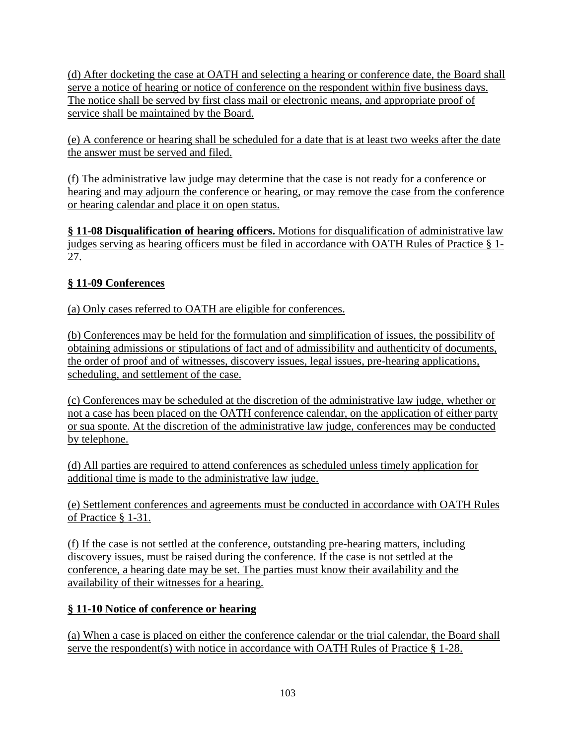(d) After docketing the case at OATH and selecting a hearing or conference date, the Board shall serve a notice of hearing or notice of conference on the respondent within five business days. The notice shall be served by first class mail or electronic means, and appropriate proof of service shall be maintained by the Board.

(e) A conference or hearing shall be scheduled for a date that is at least two weeks after the date the answer must be served and filed.

(f) The administrative law judge may determine that the case is not ready for a conference or hearing and may adjourn the conference or hearing, or may remove the case from the conference or hearing calendar and place it on open status.

**§ 11-08 Disqualification of hearing officers.** Motions for disqualification of administrative law judges serving as hearing officers must be filed in accordance with OATH Rules of Practice § 1- 27.

# **§ 11-09 Conferences**

(a) Only cases referred to OATH are eligible for conferences.

(b) Conferences may be held for the formulation and simplification of issues, the possibility of obtaining admissions or stipulations of fact and of admissibility and authenticity of documents, the order of proof and of witnesses, discovery issues, legal issues, pre-hearing applications, scheduling, and settlement of the case.

(c) Conferences may be scheduled at the discretion of the administrative law judge, whether or not a case has been placed on the OATH conference calendar, on the application of either party or sua sponte. At the discretion of the administrative law judge, conferences may be conducted by telephone.

(d) All parties are required to attend conferences as scheduled unless timely application for additional time is made to the administrative law judge.

(e) Settlement conferences and agreements must be conducted in accordance with OATH Rules of Practice § 1-31.

(f) If the case is not settled at the conference, outstanding pre-hearing matters, including discovery issues, must be raised during the conference. If the case is not settled at the conference, a hearing date may be set. The parties must know their availability and the availability of their witnesses for a hearing.

# **§ 11-10 Notice of conference or hearing**

(a) When a case is placed on either the conference calendar or the trial calendar, the Board shall serve the respondent(s) with notice in accordance with OATH Rules of Practice § 1-28.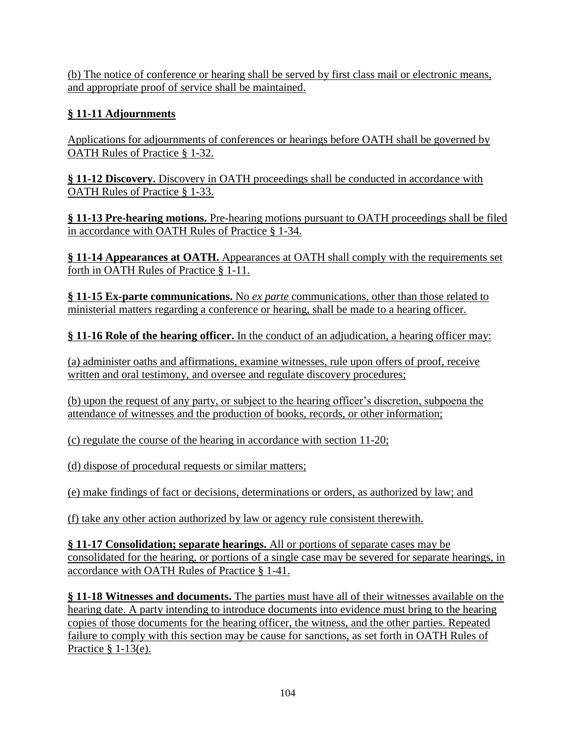(b) The notice of conference or hearing shall be served by first class mail or electronic means, and appropriate proof of service shall be maintained.

# **§ 11-11 Adjournments**

Applications for adjournments of conferences or hearings before OATH shall be governed by OATH Rules of Practice § 1-32.

**§ 11-12 Discovery.** Discovery in OATH proceedings shall be conducted in accordance with OATH Rules of Practice § 1-33.

**§ 11-13 Pre-hearing motions.** Pre-hearing motions pursuant to OATH proceedings shall be filed in accordance with OATH Rules of Practice § 1-34.

**§ 11-14 Appearances at OATH.** Appearances at OATH shall comply with the requirements set forth in OATH Rules of Practice § 1-11.

**§ 11-15 Ex-parte communications.** No *ex parte* communications, other than those related to ministerial matters regarding a conference or hearing, shall be made to a hearing officer.

**§ 11-16 Role of the hearing officer.** In the conduct of an adjudication, a hearing officer may:

(a) administer oaths and affirmations, examine witnesses, rule upon offers of proof, receive written and oral testimony, and oversee and regulate discovery procedures;

(b) upon the request of any party, or subject to the hearing officer's discretion, subpoena the attendance of witnesses and the production of books, records, or other information;

(c) regulate the course of the hearing in accordance with section 11-20;

(d) dispose of procedural requests or similar matters;

(e) make findings of fact or decisions, determinations or orders, as authorized by law; and

(f) take any other action authorized by law or agency rule consistent therewith.

**§ 11-17 Consolidation; separate hearings.** All or portions of separate cases may be consolidated for the hearing, or portions of a single case may be severed for separate hearings, in accordance with OATH Rules of Practice § 1-41.

**§ 11-18 Witnesses and documents.** The parties must have all of their witnesses available on the hearing date. A party intending to introduce documents into evidence must bring to the hearing copies of those documents for the hearing officer, the witness, and the other parties. Repeated failure to comply with this section may be cause for sanctions, as set forth in OATH Rules of Practice  $§$  1-13(e).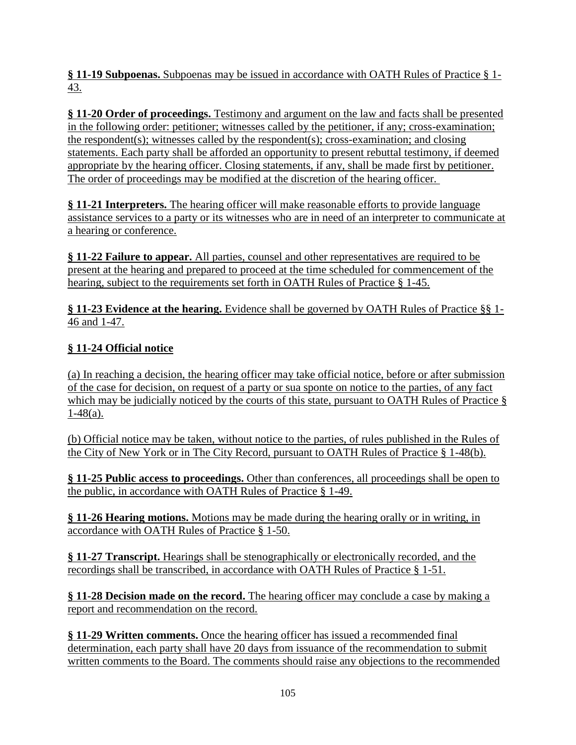**§ 11-19 Subpoenas.** Subpoenas may be issued in accordance with OATH Rules of Practice § 1- 43.

**§ 11-20 Order of proceedings.** Testimony and argument on the law and facts shall be presented in the following order: petitioner; witnesses called by the petitioner, if any; cross-examination; the respondent(s); witnesses called by the respondent(s); cross-examination; and closing statements. Each party shall be afforded an opportunity to present rebuttal testimony, if deemed appropriate by the hearing officer. Closing statements, if any, shall be made first by petitioner. The order of proceedings may be modified at the discretion of the hearing officer.

**§ 11-21 Interpreters.** The hearing officer will make reasonable efforts to provide language assistance services to a party or its witnesses who are in need of an interpreter to communicate at a hearing or conference.

**§ 11-22 Failure to appear.** All parties, counsel and other representatives are required to be present at the hearing and prepared to proceed at the time scheduled for commencement of the hearing, subject to the requirements set forth in OATH Rules of Practice § 1-45.

**§ 11-23 Evidence at the hearing.** Evidence shall be governed by OATH Rules of Practice §§ 1- 46 and 1-47.

# **§ 11-24 Official notice**

(a) In reaching a decision, the hearing officer may take official notice, before or after submission of the case for decision, on request of a party or sua sponte on notice to the parties, of any fact which may be judicially noticed by the courts of this state, pursuant to OATH Rules of Practice §  $1-48(a)$ .

(b) Official notice may be taken, without notice to the parties, of rules published in the Rules of the City of New York or in The City Record, pursuant to OATH Rules of Practice § 1-48(b).

**§ 11-25 Public access to proceedings.** Other than conferences, all proceedings shall be open to the public, in accordance with OATH Rules of Practice § 1-49.

**§ 11-26 Hearing motions.** Motions may be made during the hearing orally or in writing, in accordance with OATH Rules of Practice § 1-50.

**§ 11-27 Transcript.** Hearings shall be stenographically or electronically recorded, and the recordings shall be transcribed, in accordance with OATH Rules of Practice § 1-51.

**§ 11-28 Decision made on the record.** The hearing officer may conclude a case by making a report and recommendation on the record.

**§ 11-29 Written comments.** Once the hearing officer has issued a recommended final determination, each party shall have 20 days from issuance of the recommendation to submit written comments to the Board. The comments should raise any objections to the recommended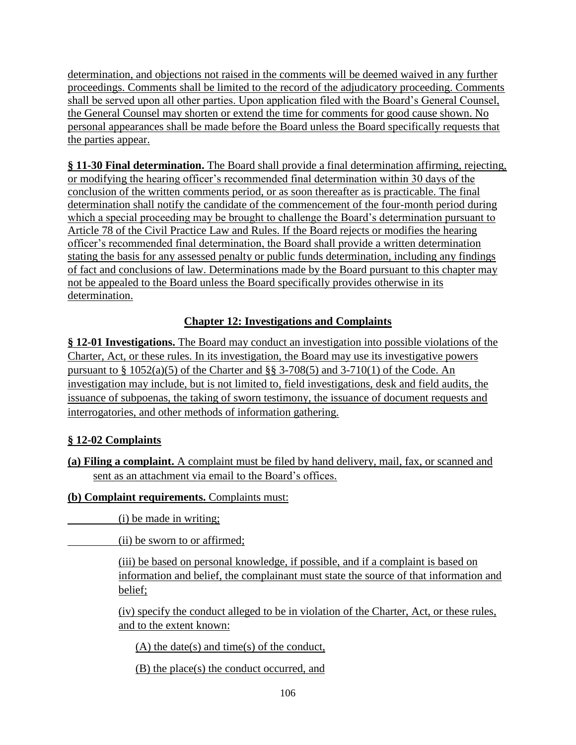determination, and objections not raised in the comments will be deemed waived in any further proceedings. Comments shall be limited to the record of the adjudicatory proceeding. Comments shall be served upon all other parties. Upon application filed with the Board's General Counsel, the General Counsel may shorten or extend the time for comments for good cause shown. No personal appearances shall be made before the Board unless the Board specifically requests that the parties appear.

§ 11-30 Final determination. The Board shall provide a final determination affirming, rejecting, or modifying the hearing officer's recommended final determination within 30 days of the conclusion of the written comments period, or as soon thereafter as is practicable. The final determination shall notify the candidate of the commencement of the four-month period during which a special proceeding may be brought to challenge the Board's determination pursuant to Article 78 of the Civil Practice Law and Rules. If the Board rejects or modifies the hearing officer's recommended final determination, the Board shall provide a written determination stating the basis for any assessed penalty or public funds determination, including any findings of fact and conclusions of law. Determinations made by the Board pursuant to this chapter may not be appealed to the Board unless the Board specifically provides otherwise in its determination.

## **Chapter 12: Investigations and Complaints**

**§ 12-01 Investigations.** The Board may conduct an investigation into possible violations of the Charter, Act, or these rules. In its investigation, the Board may use its investigative powers pursuant to  $\S 1052(a)(5)$  of the Charter and  $\S \ \ -3708(5)$  and  $3-710(1)$  of the Code. An investigation may include, but is not limited to, field investigations, desk and field audits, the issuance of subpoenas, the taking of sworn testimony, the issuance of document requests and interrogatories, and other methods of information gathering.

## **§ 12-02 Complaints**

**(a) Filing a complaint.** A complaint must be filed by hand delivery, mail, fax, or scanned and sent as an attachment via email to the Board's offices.

#### **(b) Complaint requirements.** Complaints must:

(i) be made in writing;

(ii) be sworn to or affirmed;

(iii) be based on personal knowledge, if possible, and if a complaint is based on information and belief, the complainant must state the source of that information and belief;

(iv) specify the conduct alleged to be in violation of the Charter, Act, or these rules, and to the extent known:

(A) the date(s) and time(s) of the conduct,

(B) the place(s) the conduct occurred, and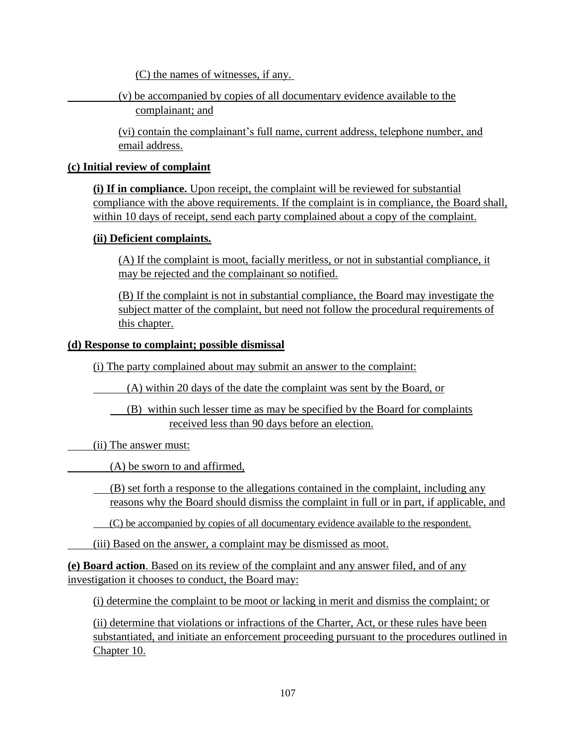(C) the names of witnesses, if any.

(v) be accompanied by copies of all documentary evidence available to the complainant; and

(vi) contain the complainant's full name, current address, telephone number, and email address.

#### **(c) Initial review of complaint**

**(i) If in compliance.** Upon receipt, the complaint will be reviewed for substantial compliance with the above requirements. If the complaint is in compliance, the Board shall, within 10 days of receipt, send each party complained about a copy of the complaint.

#### **(ii) Deficient complaints.**

(A) If the complaint is moot, facially meritless, or not in substantial compliance, it may be rejected and the complainant so notified.

(B) If the complaint is not in substantial compliance, the Board may investigate the subject matter of the complaint, but need not follow the procedural requirements of this chapter.

#### **(d) Response to complaint; possible dismissal**

(i) The party complained about may submit an answer to the complaint:

(A) within 20 days of the date the complaint was sent by the Board, or

 (B) within such lesser time as may be specified by the Board for complaints received less than 90 days before an election.

(ii) The answer must:

(A) be sworn to and affirmed,

(B) set forth a response to the allegations contained in the complaint, including any reasons why the Board should dismiss the complaint in full or in part, if applicable, and

(C) be accompanied by copies of all documentary evidence available to the respondent.

(iii) Based on the answer, a complaint may be dismissed as moot.

**(e) Board action**. Based on its review of the complaint and any answer filed, and of any investigation it chooses to conduct, the Board may:

(i) determine the complaint to be moot or lacking in merit and dismiss the complaint; or

(ii) determine that violations or infractions of the Charter, Act, or these rules have been substantiated, and initiate an enforcement proceeding pursuant to the procedures outlined in Chapter 10.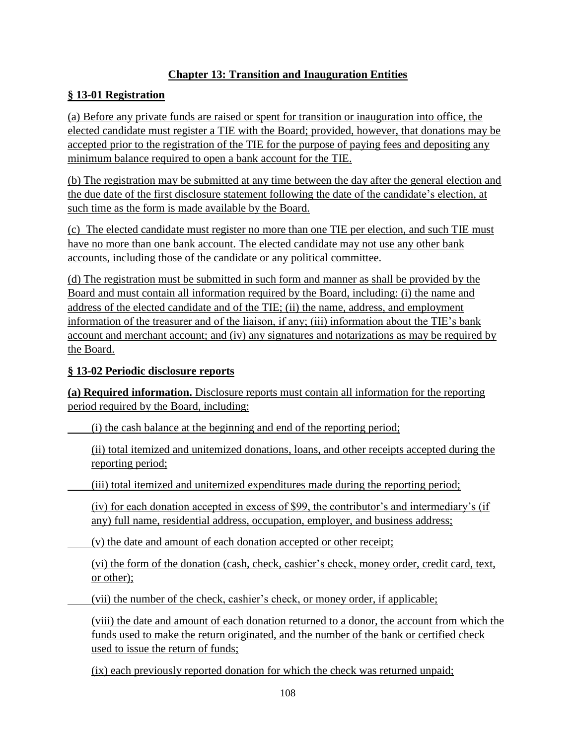## **Chapter 13: Transition and Inauguration Entities**

### **§ 13-01 Registration**

(a) Before any private funds are raised or spent for transition or inauguration into office, the elected candidate must register a TIE with the Board; provided, however, that donations may be accepted prior to the registration of the TIE for the purpose of paying fees and depositing any minimum balance required to open a bank account for the TIE.

(b) The registration may be submitted at any time between the day after the general election and the due date of the first disclosure statement following the date of the candidate's election, at such time as the form is made available by the Board.

(c) The elected candidate must register no more than one TIE per election, and such TIE must have no more than one bank account. The elected candidate may not use any other bank accounts, including those of the candidate or any political committee.

(d) The registration must be submitted in such form and manner as shall be provided by the Board and must contain all information required by the Board, including: (i) the name and address of the elected candidate and of the TIE; (ii) the name, address, and employment information of the treasurer and of the liaison, if any; (iii) information about the TIE's bank account and merchant account; and (iv) any signatures and notarizations as may be required by the Board.

#### **§ 13-02 Periodic disclosure reports**

**(a) Required information.** Disclosure reports must contain all information for the reporting period required by the Board, including:

(i) the cash balance at the beginning and end of the reporting period;

(ii) total itemized and unitemized donations, loans, and other receipts accepted during the reporting period;

(iii) total itemized and unitemized expenditures made during the reporting period;

(iv) for each donation accepted in excess of \$99, the contributor's and intermediary's (if any) full name, residential address, occupation, employer, and business address;

(v) the date and amount of each donation accepted or other receipt;

(vi) the form of the donation (cash, check, cashier's check, money order, credit card, text, or other);

(vii) the number of the check, cashier's check, or money order, if applicable;

(viii) the date and amount of each donation returned to a donor, the account from which the funds used to make the return originated, and the number of the bank or certified check used to issue the return of funds;

(ix) each previously reported donation for which the check was returned unpaid;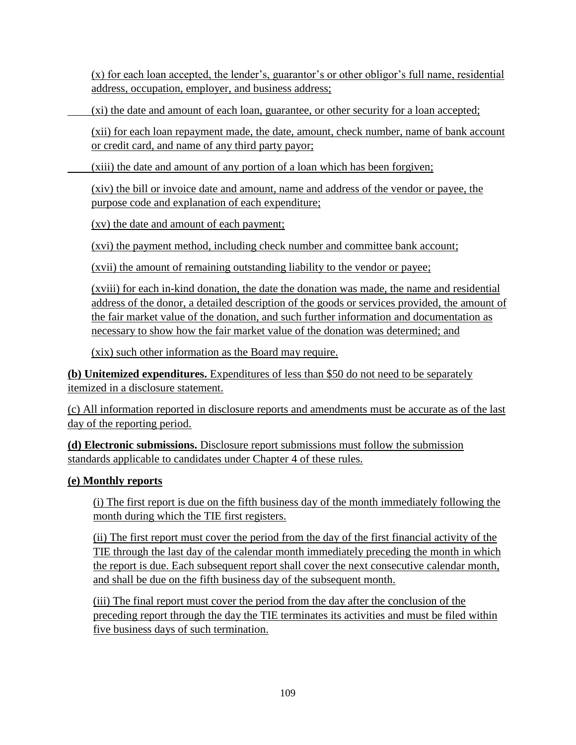(x) for each loan accepted, the lender's, guarantor's or other obligor's full name, residential address, occupation, employer, and business address;

(xi) the date and amount of each loan, guarantee, or other security for a loan accepted;

(xii) for each loan repayment made, the date, amount, check number, name of bank account or credit card, and name of any third party payor;

(xiii) the date and amount of any portion of a loan which has been forgiven;

(xiv) the bill or invoice date and amount, name and address of the vendor or payee, the purpose code and explanation of each expenditure;

(xv) the date and amount of each payment;

(xvi) the payment method, including check number and committee bank account;

(xvii) the amount of remaining outstanding liability to the vendor or payee;

(xviii) for each in-kind donation, the date the donation was made, the name and residential address of the donor, a detailed description of the goods or services provided, the amount of the fair market value of the donation, and such further information and documentation as necessary to show how the fair market value of the donation was determined; and

(xix) such other information as the Board may require.

**(b) Unitemized expenditures.** Expenditures of less than \$50 do not need to be separately itemized in a disclosure statement.

(c) All information reported in disclosure reports and amendments must be accurate as of the last day of the reporting period.

**(d) Electronic submissions.** Disclosure report submissions must follow the submission standards applicable to candidates under Chapter 4 of these rules.

## **(e) Monthly reports**

(i) The first report is due on the fifth business day of the month immediately following the month during which the TIE first registers.

(ii) The first report must cover the period from the day of the first financial activity of the TIE through the last day of the calendar month immediately preceding the month in which the report is due. Each subsequent report shall cover the next consecutive calendar month, and shall be due on the fifth business day of the subsequent month.

(iii) The final report must cover the period from the day after the conclusion of the preceding report through the day the TIE terminates its activities and must be filed within five business days of such termination.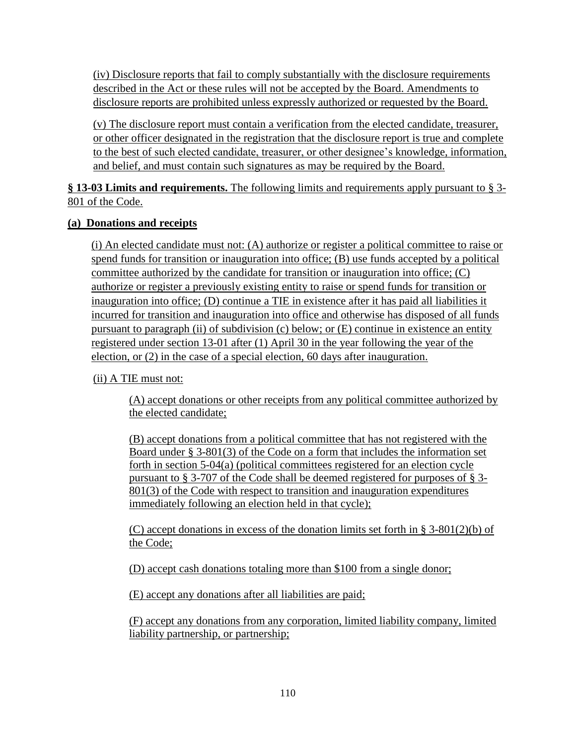(iv) Disclosure reports that fail to comply substantially with the disclosure requirements described in the Act or these rules will not be accepted by the Board. Amendments to disclosure reports are prohibited unless expressly authorized or requested by the Board.

(v) The disclosure report must contain a verification from the elected candidate, treasurer, or other officer designated in the registration that the disclosure report is true and complete to the best of such elected candidate, treasurer, or other designee's knowledge, information, and belief, and must contain such signatures as may be required by the Board.

**§ 13-03 Limits and requirements.** The following limits and requirements apply pursuant to § 3- 801 of the Code.

### **(a) Donations and receipts**

(i) An elected candidate must not: (A) authorize or register a political committee to raise or spend funds for transition or inauguration into office; (B) use funds accepted by a political committee authorized by the candidate for transition or inauguration into office; (C) authorize or register a previously existing entity to raise or spend funds for transition or inauguration into office; (D) continue a TIE in existence after it has paid all liabilities it incurred for transition and inauguration into office and otherwise has disposed of all funds pursuant to paragraph (ii) of subdivision (c) below; or (E) continue in existence an entity registered under section 13-01 after (1) April 30 in the year following the year of the election, or (2) in the case of a special election, 60 days after inauguration.

### (ii) A TIE must not:

(A) accept donations or other receipts from any political committee authorized by the elected candidate;

(B) accept donations from a political committee that has not registered with the Board under § 3-801(3) of the Code on a form that includes the information set forth in section 5-04(a) (political committees registered for an election cycle pursuant to § 3-707 of the Code shall be deemed registered for purposes of § 3- 801(3) of the Code with respect to transition and inauguration expenditures immediately following an election held in that cycle);

(C) accept donations in excess of the donation limits set forth in § 3-801(2)(b) of the Code;

(D) accept cash donations totaling more than \$100 from a single donor;

(E) accept any donations after all liabilities are paid;

(F) accept any donations from any corporation, limited liability company, limited liability partnership, or partnership;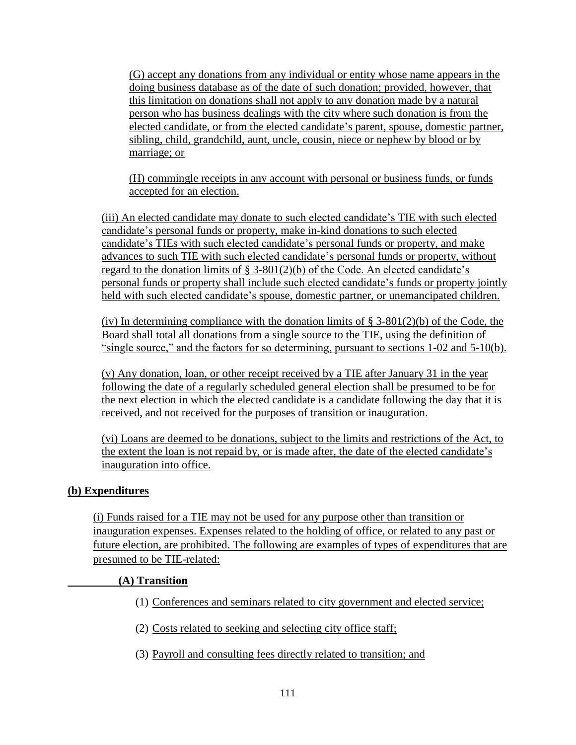(G) accept any donations from any individual or entity whose name appears in the doing business database as of the date of such donation; provided, however, that this limitation on donations shall not apply to any donation made by a natural person who has business dealings with the city where such donation is from the elected candidate, or from the elected candidate's parent, spouse, domestic partner, sibling, child, grandchild, aunt, uncle, cousin, niece or nephew by blood or by marriage; or

(H) commingle receipts in any account with personal or business funds, or funds accepted for an election.

(iii) An elected candidate may donate to such elected candidate's TIE with such elected candidate's personal funds or property, make in-kind donations to such elected candidate's TIEs with such elected candidate's personal funds or property, and make advances to such TIE with such elected candidate's personal funds or property, without regard to the donation limits of § 3-801(2)(b) of the Code. An elected candidate's personal funds or property shall include such elected candidate's funds or property jointly held with such elected candidate's spouse, domestic partner, or unemancipated children.

(iv) In determining compliance with the donation limits of  $\S$  3-801(2)(b) of the Code, the Board shall total all donations from a single source to the TIE, using the definition of "single source," and the factors for so determining, pursuant to sections 1-02 and 5-10(b).

(v) Any donation, loan, or other receipt received by a TIE after January 31 in the year following the date of a regularly scheduled general election shall be presumed to be for the next election in which the elected candidate is a candidate following the day that it is received, and not received for the purposes of transition or inauguration.

(vi) Loans are deemed to be donations, subject to the limits and restrictions of the Act, to the extent the loan is not repaid by, or is made after, the date of the elected candidate's inauguration into office.

#### **(b) Expenditures**

(i) Funds raised for a TIE may not be used for any purpose other than transition or inauguration expenses. Expenses related to the holding of office, or related to any past or future election, are prohibited. The following are examples of types of expenditures that are presumed to be TIE-related:

#### **(A) Transition**

- (1) Conferences and seminars related to city government and elected service;
- (2) Costs related to seeking and selecting city office staff;
- (3) Payroll and consulting fees directly related to transition; and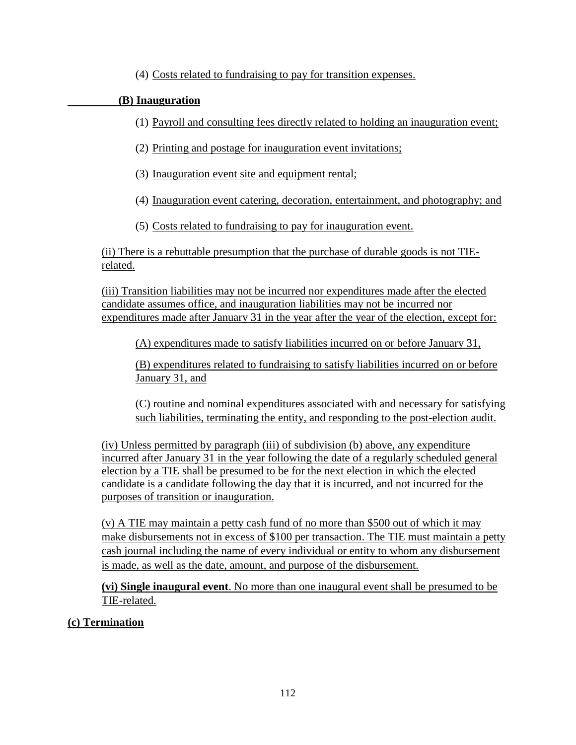(4) Costs related to fundraising to pay for transition expenses.

## **(B) Inauguration**

- (1) Payroll and consulting fees directly related to holding an inauguration event;
- (2) Printing and postage for inauguration event invitations;
- (3) Inauguration event site and equipment rental;
- (4) Inauguration event catering, decoration, entertainment, and photography; and
- (5) Costs related to fundraising to pay for inauguration event.

(ii) There is a rebuttable presumption that the purchase of durable goods is not TIErelated.

(iii) Transition liabilities may not be incurred nor expenditures made after the elected candidate assumes office, and inauguration liabilities may not be incurred nor expenditures made after January 31 in the year after the year of the election, except for:

(A) expenditures made to satisfy liabilities incurred on or before January 31,

(B) expenditures related to fundraising to satisfy liabilities incurred on or before January 31, and

(C) routine and nominal expenditures associated with and necessary for satisfying such liabilities, terminating the entity, and responding to the post-election audit.

(iv) Unless permitted by paragraph (iii) of subdivision (b) above, any expenditure incurred after January 31 in the year following the date of a regularly scheduled general election by a TIE shall be presumed to be for the next election in which the elected candidate is a candidate following the day that it is incurred, and not incurred for the purposes of transition or inauguration.

(v) A TIE may maintain a petty cash fund of no more than \$500 out of which it may make disbursements not in excess of \$100 per transaction. The TIE must maintain a petty cash journal including the name of every individual or entity to whom any disbursement is made, as well as the date, amount, and purpose of the disbursement.

**(vi) Single inaugural event**. No more than one inaugural event shall be presumed to be TIE-related.

## **(c) Termination**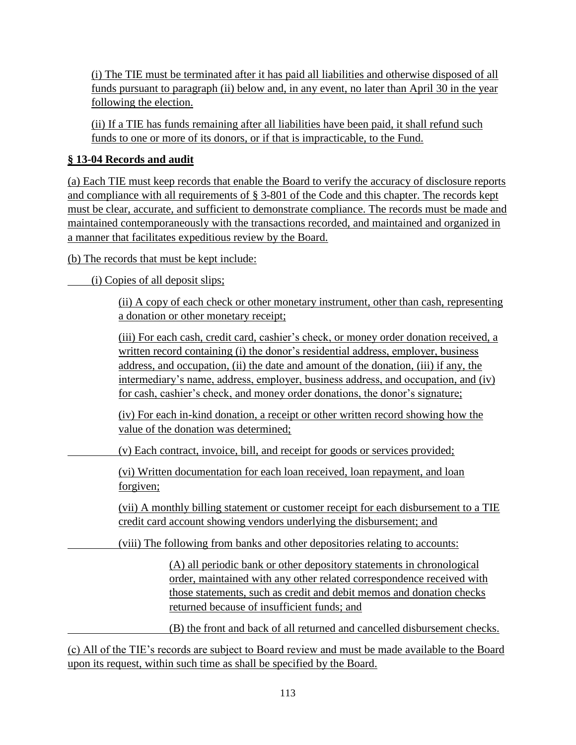(i) The TIE must be terminated after it has paid all liabilities and otherwise disposed of all funds pursuant to paragraph (ii) below and, in any event, no later than April 30 in the year following the election.

(ii) If a TIE has funds remaining after all liabilities have been paid, it shall refund such funds to one or more of its donors, or if that is impracticable, to the Fund.

## **§ 13-04 Records and audit**

(a) Each TIE must keep records that enable the Board to verify the accuracy of disclosure reports and compliance with all requirements of § 3-801 of the Code and this chapter. The records kept must be clear, accurate, and sufficient to demonstrate compliance. The records must be made and maintained contemporaneously with the transactions recorded, and maintained and organized in a manner that facilitates expeditious review by the Board.

(b) The records that must be kept include:

(i) Copies of all deposit slips;

(ii) A copy of each check or other monetary instrument, other than cash, representing a donation or other monetary receipt;

(iii) For each cash, credit card, cashier's check, or money order donation received, a written record containing (i) the donor's residential address, employer, business address, and occupation, (ii) the date and amount of the donation, (iii) if any, the intermediary's name, address, employer, business address, and occupation, and (iv) for cash, cashier's check, and money order donations, the donor's signature;

(iv) For each in-kind donation, a receipt or other written record showing how the value of the donation was determined;

(v) Each contract, invoice, bill, and receipt for goods or services provided;

(vi) Written documentation for each loan received, loan repayment, and loan forgiven;

(vii) A monthly billing statement or customer receipt for each disbursement to a TIE credit card account showing vendors underlying the disbursement; and

(viii) The following from banks and other depositories relating to accounts:

(A) all periodic bank or other depository statements in chronological order, maintained with any other related correspondence received with those statements, such as credit and debit memos and donation checks returned because of insufficient funds; and

(B) the front and back of all returned and cancelled disbursement checks.

(c) All of the TIE's records are subject to Board review and must be made available to the Board upon its request, within such time as shall be specified by the Board.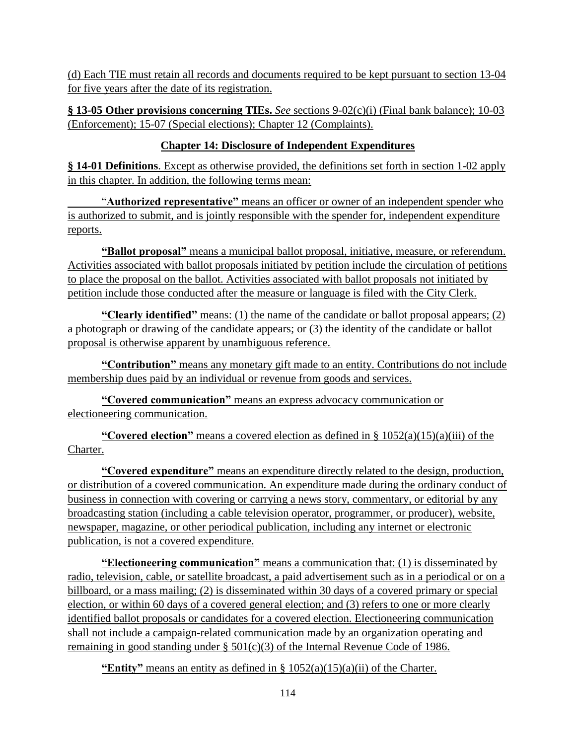(d) Each TIE must retain all records and documents required to be kept pursuant to section 13-04 for five years after the date of its registration.

**§ 13-05 Other provisions concerning TIEs.** *See* sections 9-02(c)(i) (Final bank balance); 10-03 (Enforcement); 15-07 (Special elections); Chapter 12 (Complaints).

## **Chapter 14: Disclosure of Independent Expenditures**

**§ 14-01 Definitions**. Except as otherwise provided, the definitions set forth in section 1-02 apply in this chapter. In addition, the following terms mean:

"**Authorized representative"** means an officer or owner of an independent spender who is authorized to submit, and is jointly responsible with the spender for, independent expenditure reports.

**"Ballot proposal"** means a municipal ballot proposal, initiative, measure, or referendum. Activities associated with ballot proposals initiated by petition include the circulation of petitions to place the proposal on the ballot. Activities associated with ballot proposals not initiated by petition include those conducted after the measure or language is filed with the City Clerk.

**"Clearly identified"** means: (1) the name of the candidate or ballot proposal appears; (2) a photograph or drawing of the candidate appears; or (3) the identity of the candidate or ballot proposal is otherwise apparent by unambiguous reference.

**"Contribution"** means any monetary gift made to an entity. Contributions do not include membership dues paid by an individual or revenue from goods and services.

**"Covered communication"** means an express advocacy communication or electioneering communication.

**"Covered election"** means a covered election as defined in § 1052(a)(15)(a)(iii) of the Charter.

**"Covered expenditure"** means an expenditure directly related to the design, production, or distribution of a covered communication. An expenditure made during the ordinary conduct of business in connection with covering or carrying a news story, commentary, or editorial by any broadcasting station (including a cable television operator, programmer, or producer), website, newspaper, magazine, or other periodical publication, including any internet or electronic publication, is not a covered expenditure.

**"Electioneering communication"** means a communication that: (1) is disseminated by radio, television, cable, or satellite broadcast, a paid advertisement such as in a periodical or on a billboard, or a mass mailing; (2) is disseminated within 30 days of a covered primary or special election, or within 60 days of a covered general election; and (3) refers to one or more clearly identified ballot proposals or candidates for a covered election. Electioneering communication shall not include a campaign-related communication made by an organization operating and remaining in good standing under § 501(c)(3) of the Internal Revenue Code of 1986.

**"Entity"** means an entity as defined in  $\S$  1052(a)(15)(a)(ii) of the Charter.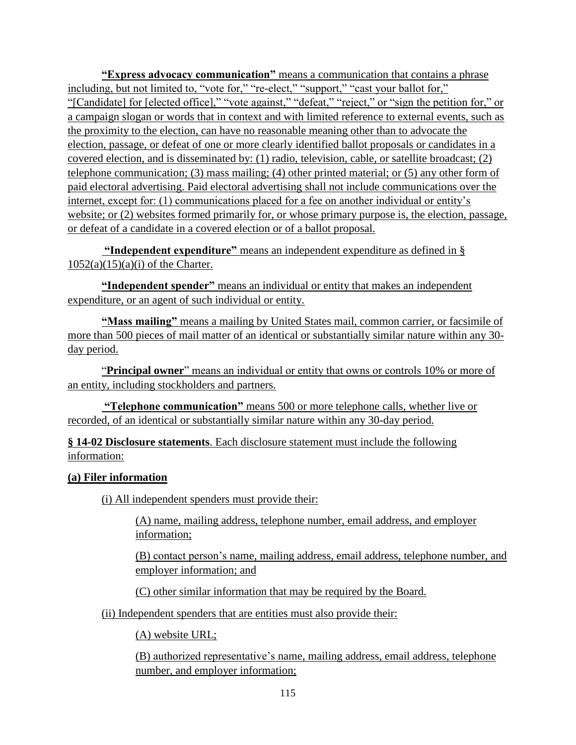**"Express advocacy communication"** means a communication that contains a phrase including, but not limited to, "vote for," "re-elect," "support," "cast your ballot for," "[Candidate] for [elected office]," "vote against," "defeat," "reject," or "sign the petition for," or a campaign slogan or words that in context and with limited reference to external events, such as the proximity to the election, can have no reasonable meaning other than to advocate the election, passage, or defeat of one or more clearly identified ballot proposals or candidates in a covered election, and is disseminated by: (1) radio, television, cable, or satellite broadcast; (2) telephone communication; (3) mass mailing; (4) other printed material; or (5) any other form of paid electoral advertising. Paid electoral advertising shall not include communications over the internet, except for: (1) communications placed for a fee on another individual or entity's website; or (2) websites formed primarily for, or whose primary purpose is, the election, passage, or defeat of a candidate in a covered election or of a ballot proposal.

**"Independent expenditure"** means an independent expenditure as defined in §  $1052(a)(15)(a)(i)$  of the Charter.

**"Independent spender"** means an individual or entity that makes an independent expenditure, or an agent of such individual or entity.

**"Mass mailing"** means a mailing by United States mail, common carrier, or facsimile of more than 500 pieces of mail matter of an identical or substantially similar nature within any 30 day period.

"**Principal owner**" means an individual or entity that owns or controls 10% or more of an entity, including stockholders and partners.

**"Telephone communication"** means 500 or more telephone calls, whether live or recorded, of an identical or substantially similar nature within any 30-day period.

**§ 14-02 Disclosure statements**. Each disclosure statement must include the following information:

#### **(a) Filer information**

(i) All independent spenders must provide their:

(A) name, mailing address, telephone number, email address, and employer information;

(B) contact person's name, mailing address, email address, telephone number, and employer information; and

(C) other similar information that may be required by the Board.

(ii) Independent spenders that are entities must also provide their:

(A) website URL;

(B) authorized representative's name, mailing address, email address, telephone number, and employer information;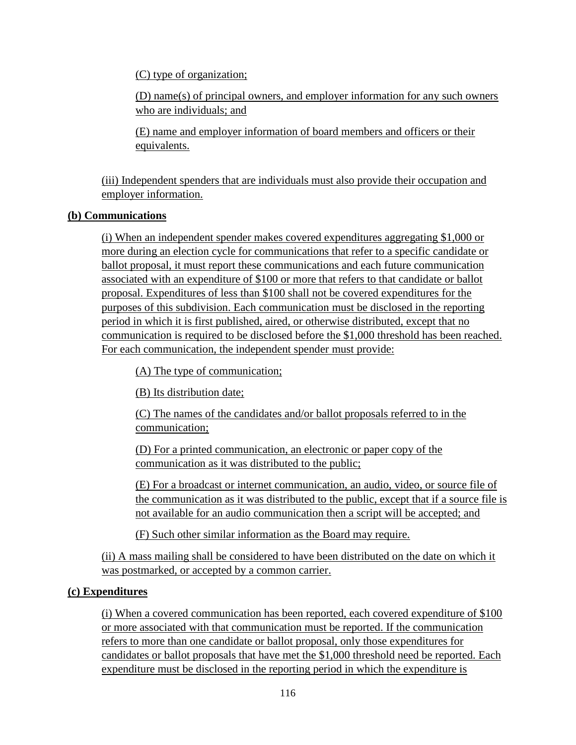(C) type of organization;

(D) name(s) of principal owners, and employer information for any such owners who are individuals; and

(E) name and employer information of board members and officers or their equivalents.

(iii) Independent spenders that are individuals must also provide their occupation and employer information.

### **(b) Communications**

(i) When an independent spender makes covered expenditures aggregating \$1,000 or more during an election cycle for communications that refer to a specific candidate or ballot proposal, it must report these communications and each future communication associated with an expenditure of \$100 or more that refers to that candidate or ballot proposal. Expenditures of less than \$100 shall not be covered expenditures for the purposes of this subdivision. Each communication must be disclosed in the reporting period in which it is first published, aired, or otherwise distributed, except that no communication is required to be disclosed before the \$1,000 threshold has been reached. For each communication, the independent spender must provide:

(A) The type of communication;

(B) Its distribution date;

(C) The names of the candidates and/or ballot proposals referred to in the communication;

(D) For a printed communication, an electronic or paper copy of the communication as it was distributed to the public;

(E) For a broadcast or internet communication, an audio, video, or source file of the communication as it was distributed to the public, except that if a source file is not available for an audio communication then a script will be accepted; and

(F) Such other similar information as the Board may require.

(ii) A mass mailing shall be considered to have been distributed on the date on which it was postmarked, or accepted by a common carrier.

## **(c) Expenditures**

(i) When a covered communication has been reported, each covered expenditure of \$100 or more associated with that communication must be reported. If the communication refers to more than one candidate or ballot proposal, only those expenditures for candidates or ballot proposals that have met the \$1,000 threshold need be reported. Each expenditure must be disclosed in the reporting period in which the expenditure is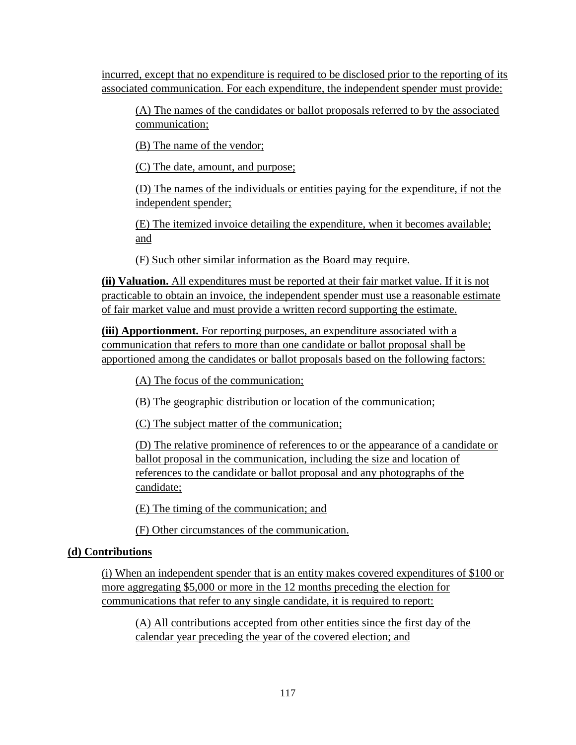incurred, except that no expenditure is required to be disclosed prior to the reporting of its associated communication. For each expenditure, the independent spender must provide:

(A) The names of the candidates or ballot proposals referred to by the associated communication;

(B) The name of the vendor;

(C) The date, amount, and purpose;

(D) The names of the individuals or entities paying for the expenditure, if not the independent spender;

(E) The itemized invoice detailing the expenditure, when it becomes available; and

(F) Such other similar information as the Board may require.

**(ii) Valuation.** All expenditures must be reported at their fair market value. If it is not practicable to obtain an invoice, the independent spender must use a reasonable estimate of fair market value and must provide a written record supporting the estimate.

**(iii) Apportionment.** For reporting purposes, an expenditure associated with a communication that refers to more than one candidate or ballot proposal shall be apportioned among the candidates or ballot proposals based on the following factors:

(A) The focus of the communication;

(B) The geographic distribution or location of the communication;

(C) The subject matter of the communication;

(D) The relative prominence of references to or the appearance of a candidate or ballot proposal in the communication, including the size and location of references to the candidate or ballot proposal and any photographs of the candidate;

(E) The timing of the communication; and

(F) Other circumstances of the communication.

## **(d) Contributions**

(i) When an independent spender that is an entity makes covered expenditures of \$100 or more aggregating \$5,000 or more in the 12 months preceding the election for communications that refer to any single candidate, it is required to report:

(A) All contributions accepted from other entities since the first day of the calendar year preceding the year of the covered election; and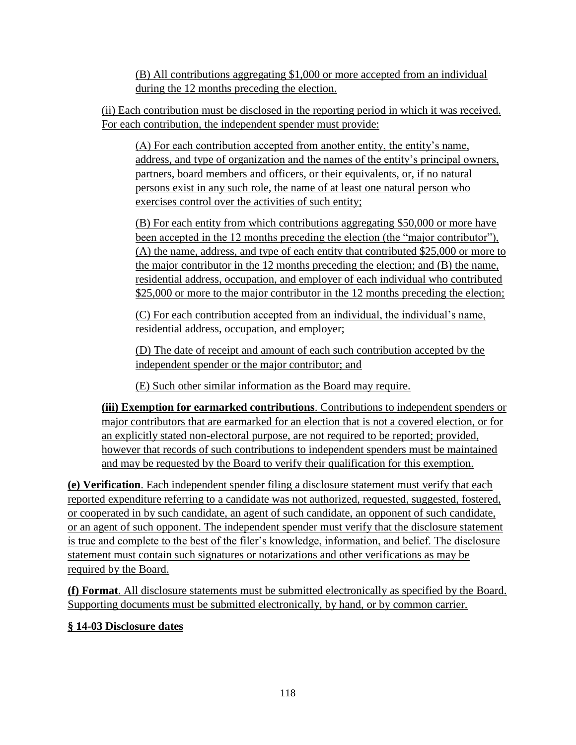(B) All contributions aggregating \$1,000 or more accepted from an individual during the 12 months preceding the election.

(ii) Each contribution must be disclosed in the reporting period in which it was received. For each contribution, the independent spender must provide:

(A) For each contribution accepted from another entity, the entity's name, address, and type of organization and the names of the entity's principal owners, partners, board members and officers, or their equivalents, or, if no natural persons exist in any such role, the name of at least one natural person who exercises control over the activities of such entity;

(B) For each entity from which contributions aggregating \$50,000 or more have been accepted in the 12 months preceding the election (the "major contributor"), (A) the name, address, and type of each entity that contributed \$25,000 or more to the major contributor in the 12 months preceding the election; and (B) the name, residential address, occupation, and employer of each individual who contributed \$25,000 or more to the major contributor in the 12 months preceding the election;

(C) For each contribution accepted from an individual, the individual's name, residential address, occupation, and employer;

(D) The date of receipt and amount of each such contribution accepted by the independent spender or the major contributor; and

(E) Such other similar information as the Board may require.

**(iii) Exemption for earmarked contributions**. Contributions to independent spenders or major contributors that are earmarked for an election that is not a covered election, or for an explicitly stated non-electoral purpose, are not required to be reported; provided, however that records of such contributions to independent spenders must be maintained and may be requested by the Board to verify their qualification for this exemption.

**(e) Verification**. Each independent spender filing a disclosure statement must verify that each reported expenditure referring to a candidate was not authorized, requested, suggested, fostered, or cooperated in by such candidate, an agent of such candidate, an opponent of such candidate, or an agent of such opponent. The independent spender must verify that the disclosure statement is true and complete to the best of the filer's knowledge, information, and belief. The disclosure statement must contain such signatures or notarizations and other verifications as may be required by the Board.

**(f) Format**. All disclosure statements must be submitted electronically as specified by the Board. Supporting documents must be submitted electronically, by hand, or by common carrier.

## **§ 14-03 Disclosure dates**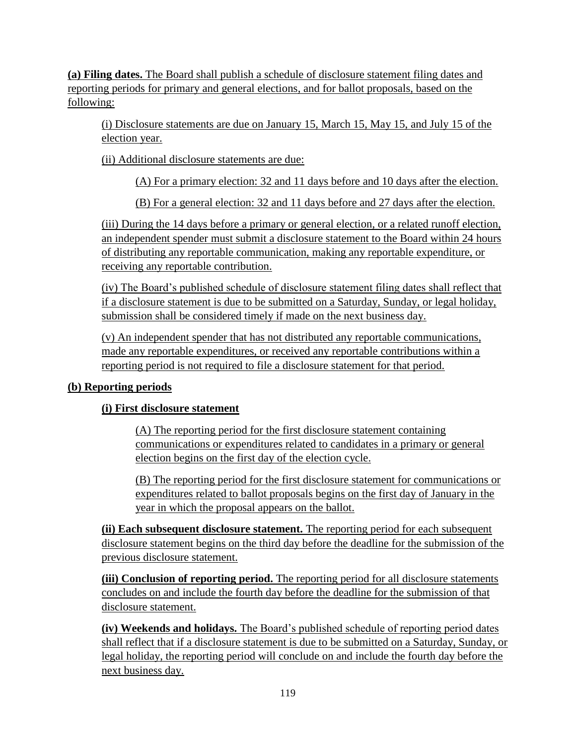**(a) Filing dates.** The Board shall publish a schedule of disclosure statement filing dates and reporting periods for primary and general elections, and for ballot proposals, based on the following:

(i) Disclosure statements are due on January 15, March 15, May 15, and July 15 of the election year.

(ii) Additional disclosure statements are due:

(A) For a primary election: 32 and 11 days before and 10 days after the election.

(B) For a general election: 32 and 11 days before and 27 days after the election.

(iii) During the 14 days before a primary or general election, or a related runoff election, an independent spender must submit a disclosure statement to the Board within 24 hours of distributing any reportable communication, making any reportable expenditure, or receiving any reportable contribution.

(iv) The Board's published schedule of disclosure statement filing dates shall reflect that if a disclosure statement is due to be submitted on a Saturday, Sunday, or legal holiday, submission shall be considered timely if made on the next business day.

(v) An independent spender that has not distributed any reportable communications, made any reportable expenditures, or received any reportable contributions within a reporting period is not required to file a disclosure statement for that period.

## **(b) Reporting periods**

## **(i) First disclosure statement**

(A) The reporting period for the first disclosure statement containing communications or expenditures related to candidates in a primary or general election begins on the first day of the election cycle.

(B) The reporting period for the first disclosure statement for communications or expenditures related to ballot proposals begins on the first day of January in the year in which the proposal appears on the ballot.

**(ii) Each subsequent disclosure statement.** The reporting period for each subsequent disclosure statement begins on the third day before the deadline for the submission of the previous disclosure statement.

**(iii) Conclusion of reporting period.** The reporting period for all disclosure statements concludes on and include the fourth day before the deadline for the submission of that disclosure statement.

**(iv) Weekends and holidays.** The Board's published schedule of reporting period dates shall reflect that if a disclosure statement is due to be submitted on a Saturday, Sunday, or legal holiday, the reporting period will conclude on and include the fourth day before the next business day.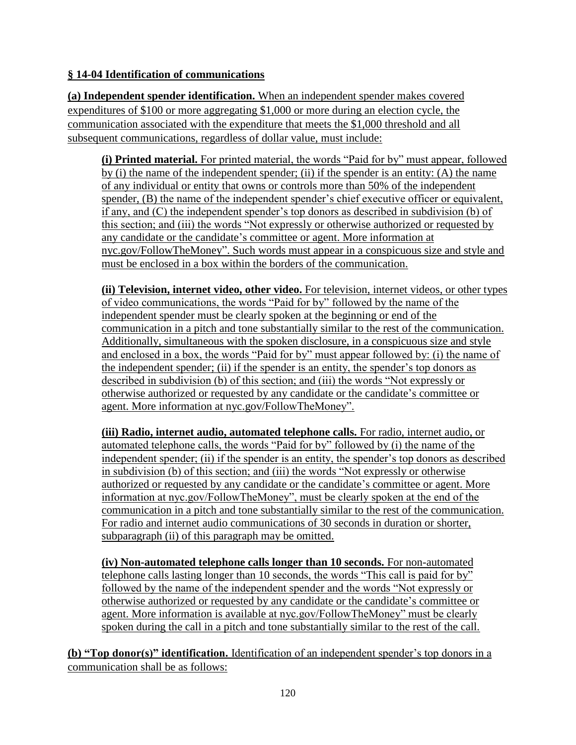### **§ 14-04 Identification of communications**

**(a) Independent spender identification.** When an independent spender makes covered expenditures of \$100 or more aggregating \$1,000 or more during an election cycle, the communication associated with the expenditure that meets the \$1,000 threshold and all subsequent communications, regardless of dollar value, must include:

**(i) Printed material.** For printed material, the words "Paid for by" must appear, followed by (i) the name of the independent spender; (ii) if the spender is an entity: (A) the name of any individual or entity that owns or controls more than 50% of the independent spender, (B) the name of the independent spender's chief executive officer or equivalent, if any, and (C) the independent spender's top donors as described in subdivision (b) of this section; and (iii) the words "Not expressly or otherwise authorized or requested by any candidate or the candidate's committee or agent. More information at nyc.gov/FollowTheMoney". Such words must appear in a conspicuous size and style and must be enclosed in a box within the borders of the communication.

**(ii) Television, internet video, other video.** For television, internet videos, or other types of video communications, the words "Paid for by" followed by the name of the independent spender must be clearly spoken at the beginning or end of the communication in a pitch and tone substantially similar to the rest of the communication. Additionally, simultaneous with the spoken disclosure, in a conspicuous size and style and enclosed in a box, the words "Paid for by" must appear followed by: (i) the name of the independent spender; (ii) if the spender is an entity, the spender's top donors as described in subdivision (b) of this section; and (iii) the words "Not expressly or otherwise authorized or requested by any candidate or the candidate's committee or agent. More information at nyc.gov/FollowTheMoney".

**(iii) Radio, internet audio, automated telephone calls.** For radio, internet audio, or automated telephone calls, the words "Paid for by" followed by (i) the name of the independent spender; (ii) if the spender is an entity, the spender's top donors as described in subdivision (b) of this section; and (iii) the words "Not expressly or otherwise authorized or requested by any candidate or the candidate's committee or agent. More information at nyc.gov/FollowTheMoney", must be clearly spoken at the end of the communication in a pitch and tone substantially similar to the rest of the communication. For radio and internet audio communications of 30 seconds in duration or shorter, subparagraph (ii) of this paragraph may be omitted.

**(iv) Non-automated telephone calls longer than 10 seconds.** For non-automated telephone calls lasting longer than 10 seconds, the words "This call is paid for by" followed by the name of the independent spender and the words "Not expressly or otherwise authorized or requested by any candidate or the candidate's committee or agent. More information is available at nyc.gov/FollowTheMoney" must be clearly spoken during the call in a pitch and tone substantially similar to the rest of the call.

**(b) "Top donor(s)" identification.** Identification of an independent spender's top donors in a communication shall be as follows: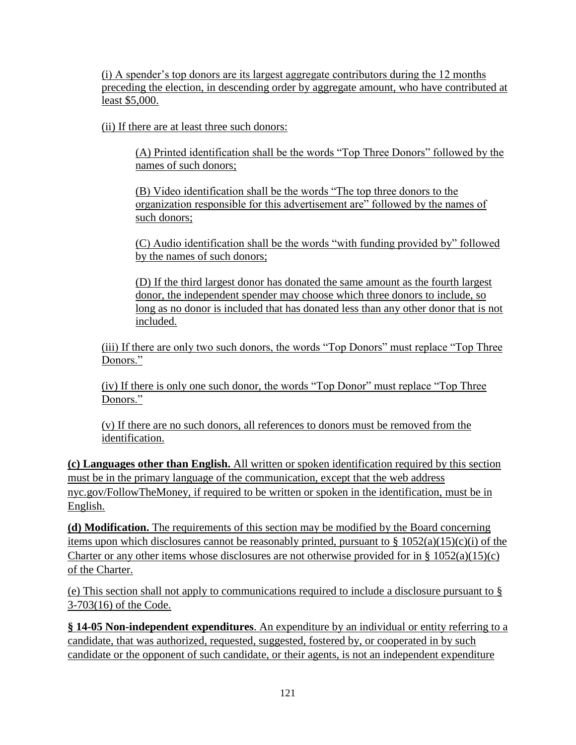(i) A spender's top donors are its largest aggregate contributors during the 12 months preceding the election, in descending order by aggregate amount, who have contributed at least \$5,000.

(ii) If there are at least three such donors:

(A) Printed identification shall be the words "Top Three Donors" followed by the names of such donors;

(B) Video identification shall be the words "The top three donors to the organization responsible for this advertisement are" followed by the names of such donors;

(C) Audio identification shall be the words "with funding provided by" followed by the names of such donors;

(D) If the third largest donor has donated the same amount as the fourth largest donor, the independent spender may choose which three donors to include, so long as no donor is included that has donated less than any other donor that is not included.

(iii) If there are only two such donors, the words "Top Donors" must replace "Top Three Donors."

(iv) If there is only one such donor, the words "Top Donor" must replace "Top Three Donors."

(v) If there are no such donors, all references to donors must be removed from the identification.

**(c) Languages other than English.** All written or spoken identification required by this section must be in the primary language of the communication, except that the web address nyc.gov/FollowTheMoney, if required to be written or spoken in the identification, must be in English.

**(d) Modification.** The requirements of this section may be modified by the Board concerning items upon which disclosures cannot be reasonably printed, pursuant to  $\S 1052(a)(15)(c)(i)$  of the Charter or any other items whose disclosures are not otherwise provided for in  $\S 1052(a)(15)(c)$ of the Charter.

(e) This section shall not apply to communications required to include a disclosure pursuant to § 3-703(16) of the Code.

**§ 14-05 Non-independent expenditures**. An expenditure by an individual or entity referring to a candidate, that was authorized, requested, suggested, fostered by, or cooperated in by such candidate or the opponent of such candidate, or their agents, is not an independent expenditure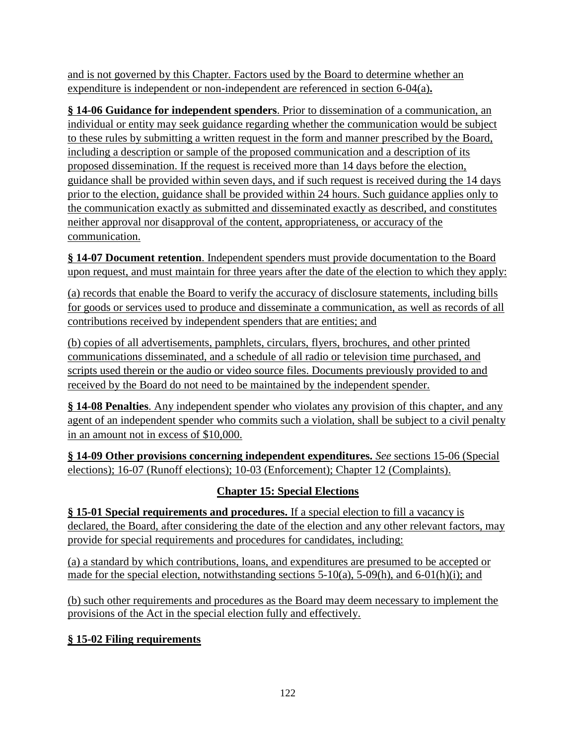and is not governed by this Chapter. Factors used by the Board to determine whether an expenditure is independent or non-independent are referenced in section 6-04(a)**.**

**§ 14-06 Guidance for independent spenders**. Prior to dissemination of a communication, an individual or entity may seek guidance regarding whether the communication would be subject to these rules by submitting a written request in the form and manner prescribed by the Board, including a description or sample of the proposed communication and a description of its proposed dissemination. If the request is received more than 14 days before the election, guidance shall be provided within seven days, and if such request is received during the 14 days prior to the election, guidance shall be provided within 24 hours. Such guidance applies only to the communication exactly as submitted and disseminated exactly as described, and constitutes neither approval nor disapproval of the content, appropriateness, or accuracy of the communication.

**§ 14-07 Document retention**. Independent spenders must provide documentation to the Board upon request, and must maintain for three years after the date of the election to which they apply:

(a) records that enable the Board to verify the accuracy of disclosure statements, including bills for goods or services used to produce and disseminate a communication, as well as records of all contributions received by independent spenders that are entities; and

(b) copies of all advertisements, pamphlets, circulars, flyers, brochures, and other printed communications disseminated, and a schedule of all radio or television time purchased, and scripts used therein or the audio or video source files. Documents previously provided to and received by the Board do not need to be maintained by the independent spender.

**§ 14-08 Penalties**. Any independent spender who violates any provision of this chapter, and any agent of an independent spender who commits such a violation, shall be subject to a civil penalty in an amount not in excess of \$10,000.

**§ 14-09 Other provisions concerning independent expenditures.** *See* sections 15-06 (Special elections); 16-07 (Runoff elections); 10-03 (Enforcement); Chapter 12 (Complaints).

# **Chapter 15: Special Elections**

**§ 15-01 Special requirements and procedures.** If a special election to fill a vacancy is declared, the Board, after considering the date of the election and any other relevant factors, may provide for special requirements and procedures for candidates, including:

(a) a standard by which contributions, loans, and expenditures are presumed to be accepted or made for the special election, notwithstanding sections 5-10(a), 5-09(h), and 6-01(h)(i); and

(b) such other requirements and procedures as the Board may deem necessary to implement the provisions of the Act in the special election fully and effectively.

## **§ 15-02 Filing requirements**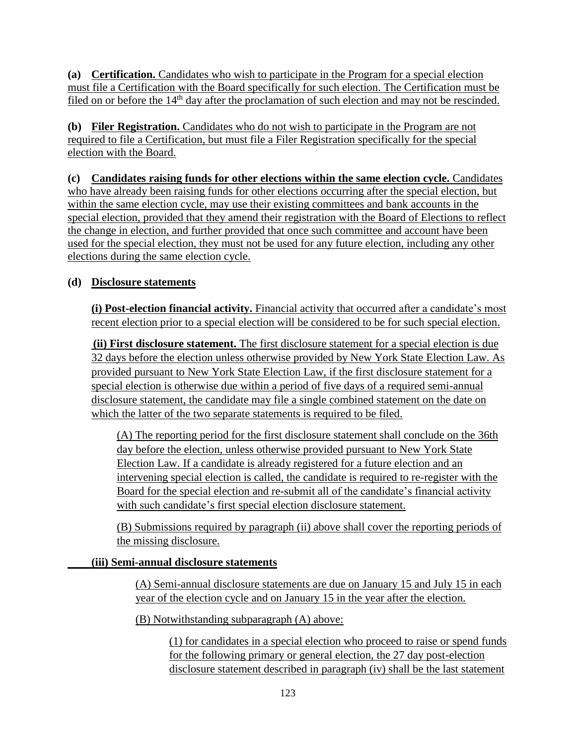**(a) Certification.** Candidates who wish to participate in the Program for a special election must file a Certification with the Board specifically for such election. The Certification must be filed on or before the 14<sup>th</sup> day after the proclamation of such election and may not be rescinded.

**(b) Filer Registration.** Candidates who do not wish to participate in the Program are not required to file a Certification, but must file a Filer Registration specifically for the special election with the Board.

**(c) Candidates raising funds for other elections within the same election cycle.** Candidates who have already been raising funds for other elections occurring after the special election, but within the same election cycle, may use their existing committees and bank accounts in the special election, provided that they amend their registration with the Board of Elections to reflect the change in election, and further provided that once such committee and account have been used for the special election, they must not be used for any future election, including any other elections during the same election cycle.

## **(d) Disclosure statements**

**(i) Post-election financial activity.** Financial activity that occurred after a candidate's most recent election prior to a special election will be considered to be for such special election.

**(ii) First disclosure statement.** The first disclosure statement for a special election is due 32 days before the election unless otherwise provided by New York State Election Law. As provided pursuant to New York State Election Law, if the first disclosure statement for a special election is otherwise due within a period of five days of a required semi-annual disclosure statement, the candidate may file a single combined statement on the date on which the latter of the two separate statements is required to be filed.

(A) The reporting period for the first disclosure statement shall conclude on the 36th day before the election, unless otherwise provided pursuant to New York State Election Law. If a candidate is already registered for a future election and an intervening special election is called, the candidate is required to re-register with the Board for the special election and re-submit all of the candidate's financial activity with such candidate's first special election disclosure statement.

(B) Submissions required by paragraph (ii) above shall cover the reporting periods of the missing disclosure.

## **(iii) Semi-annual disclosure statements**

(A) Semi-annual disclosure statements are due on January 15 and July 15 in each year of the election cycle and on January 15 in the year after the election.

(B) Notwithstanding subparagraph (A) above:

(1) for candidates in a special election who proceed to raise or spend funds for the following primary or general election, the 27 day post-election disclosure statement described in paragraph (iv) shall be the last statement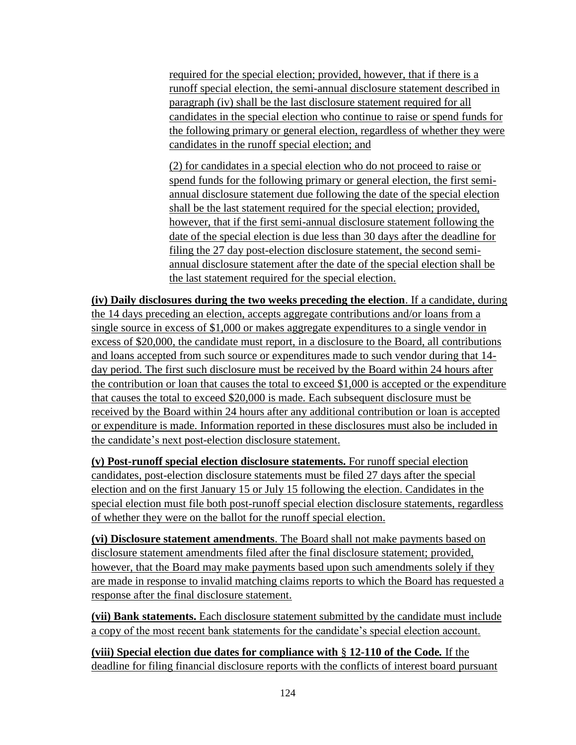required for the special election; provided, however, that if there is a runoff special election, the semi-annual disclosure statement described in paragraph (iv) shall be the last disclosure statement required for all candidates in the special election who continue to raise or spend funds for the following primary or general election, regardless of whether they were candidates in the runoff special election; and

(2) for candidates in a special election who do not proceed to raise or spend funds for the following primary or general election, the first semiannual disclosure statement due following the date of the special election shall be the last statement required for the special election; provided, however, that if the first semi-annual disclosure statement following the date of the special election is due less than 30 days after the deadline for filing the 27 day post-election disclosure statement, the second semiannual disclosure statement after the date of the special election shall be the last statement required for the special election.

**(iv) Daily disclosures during the two weeks preceding the election**. If a candidate, during the 14 days preceding an election, accepts aggregate contributions and/or loans from a single source in excess of \$1,000 or makes aggregate expenditures to a single vendor in excess of \$20,000, the candidate must report, in a disclosure to the Board, all contributions and loans accepted from such source or expenditures made to such vendor during that 14 day period. The first such disclosure must be received by the Board within 24 hours after the contribution or loan that causes the total to exceed \$1,000 is accepted or the expenditure that causes the total to exceed \$20,000 is made. Each subsequent disclosure must be received by the Board within 24 hours after any additional contribution or loan is accepted or expenditure is made. Information reported in these disclosures must also be included in the candidate's next post-election disclosure statement.

**(v) Post-runoff special election disclosure statements.** For runoff special election candidates, post-election disclosure statements must be filed 27 days after the special election and on the first January 15 or July 15 following the election. Candidates in the special election must file both post-runoff special election disclosure statements, regardless of whether they were on the ballot for the runoff special election.

**(vi) Disclosure statement amendments**. The Board shall not make payments based on disclosure statement amendments filed after the final disclosure statement; provided, however, that the Board may make payments based upon such amendments solely if they are made in response to invalid matching claims reports to which the Board has requested a response after the final disclosure statement.

**(vii) Bank statements.** Each disclosure statement submitted by the candidate must include a copy of the most recent bank statements for the candidate's special election account.

**(viii) Special election due dates for compliance with** § **12-110 of the Code***.* If the deadline for filing financial disclosure reports with the conflicts of interest board pursuant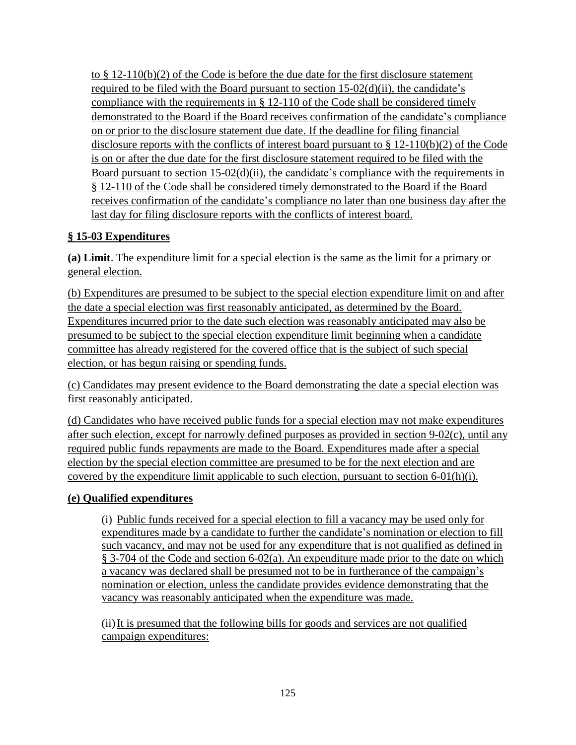to § 12-110(b)(2) of the Code is before the due date for the first disclosure statement required to be filed with the Board pursuant to section 15-02(d)(ii), the candidate's compliance with the requirements in § 12-110 of the Code shall be considered timely demonstrated to the Board if the Board receives confirmation of the candidate's compliance on or prior to the disclosure statement due date. If the deadline for filing financial disclosure reports with the conflicts of interest board pursuant to § 12-110(b)(2) of the Code is on or after the due date for the first disclosure statement required to be filed with the Board pursuant to section 15-02(d)(ii), the candidate's compliance with the requirements in § 12-110 of the Code shall be considered timely demonstrated to the Board if the Board receives confirmation of the candidate's compliance no later than one business day after the last day for filing disclosure reports with the conflicts of interest board.

## **§ 15-03 Expenditures**

**(a) Limit**. The expenditure limit for a special election is the same as the limit for a primary or general election.

(b) Expenditures are presumed to be subject to the special election expenditure limit on and after the date a special election was first reasonably anticipated, as determined by the Board. Expenditures incurred prior to the date such election was reasonably anticipated may also be presumed to be subject to the special election expenditure limit beginning when a candidate committee has already registered for the covered office that is the subject of such special election, or has begun raising or spending funds.

(c) Candidates may present evidence to the Board demonstrating the date a special election was first reasonably anticipated.

(d) Candidates who have received public funds for a special election may not make expenditures after such election, except for narrowly defined purposes as provided in section 9-02(c), until any required public funds repayments are made to the Board. Expenditures made after a special election by the special election committee are presumed to be for the next election and are covered by the expenditure limit applicable to such election, pursuant to section 6-01(h)(i).

#### **(e) Qualified expenditures**

(i) Public funds received for a special election to fill a vacancy may be used only for expenditures made by a candidate to further the candidate's nomination or election to fill such vacancy, and may not be used for any expenditure that is not qualified as defined in § 3-704 of the Code and section 6-02(a). An expenditure made prior to the date on which a vacancy was declared shall be presumed not to be in furtherance of the campaign's nomination or election, unless the candidate provides evidence demonstrating that the vacancy was reasonably anticipated when the expenditure was made.

(ii)It is presumed that the following bills for goods and services are not qualified campaign expenditures: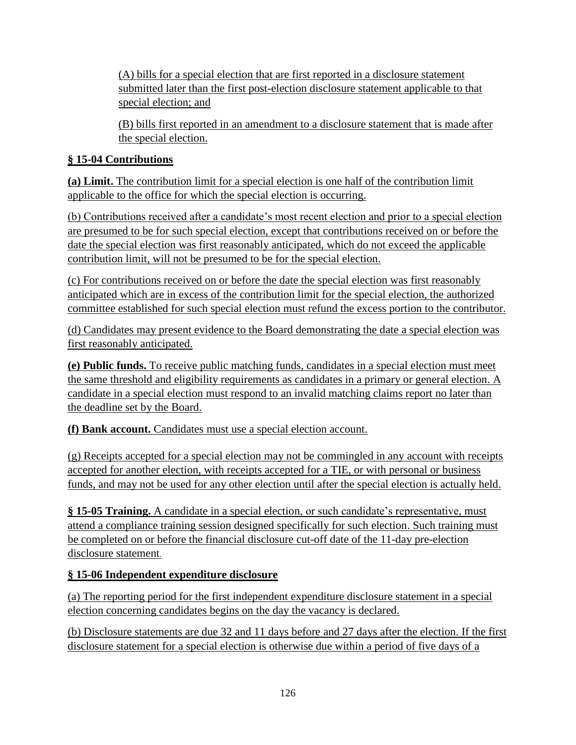(A) bills for a special election that are first reported in a disclosure statement submitted later than the first post-election disclosure statement applicable to that special election; and

(B) bills first reported in an amendment to a disclosure statement that is made after the special election.

## **§ 15-04 Contributions**

**(a) Limit.** The contribution limit for a special election is one half of the contribution limit applicable to the office for which the special election is occurring.

(b) Contributions received after a candidate's most recent election and prior to a special election are presumed to be for such special election, except that contributions received on or before the date the special election was first reasonably anticipated, which do not exceed the applicable contribution limit, will not be presumed to be for the special election.

(c) For contributions received on or before the date the special election was first reasonably anticipated which are in excess of the contribution limit for the special election, the authorized committee established for such special election must refund the excess portion to the contributor.

(d) Candidates may present evidence to the Board demonstrating the date a special election was first reasonably anticipated.

**(e) Public funds.** To receive public matching funds, candidates in a special election must meet the same threshold and eligibility requirements as candidates in a primary or general election. A candidate in a special election must respond to an invalid matching claims report no later than the deadline set by the Board.

**(f) Bank account.** Candidates must use a special election account.

(g) Receipts accepted for a special election may not be commingled in any account with receipts accepted for another election, with receipts accepted for a TIE, or with personal or business funds, and may not be used for any other election until after the special election is actually held.

**§ 15-05 Training.** A candidate in a special election, or such candidate's representative, must attend a compliance training session designed specifically for such election. Such training must be completed on or before the financial disclosure cut-off date of the 11-day pre-election disclosure statement.

## **§ 15-06 Independent expenditure disclosure**

(a) The reporting period for the first independent expenditure disclosure statement in a special election concerning candidates begins on the day the vacancy is declared.

(b) Disclosure statements are due 32 and 11 days before and 27 days after the election. If the first disclosure statement for a special election is otherwise due within a period of five days of a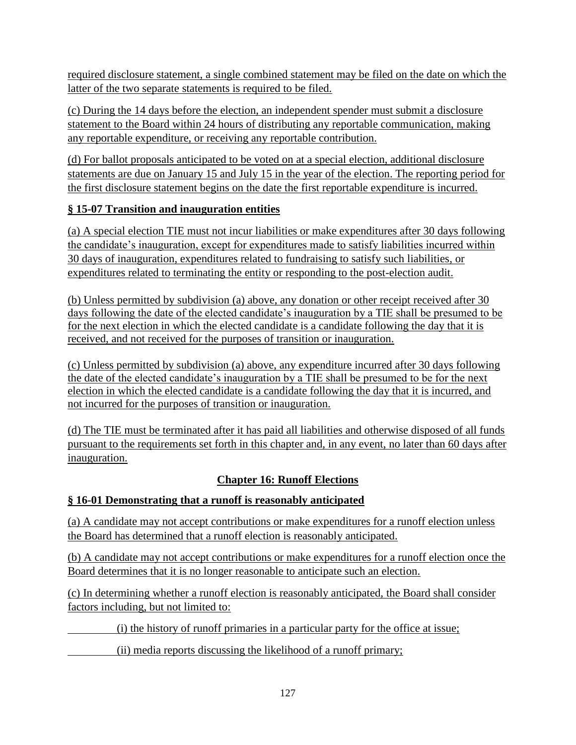required disclosure statement, a single combined statement may be filed on the date on which the latter of the two separate statements is required to be filed.

(c) During the 14 days before the election, an independent spender must submit a disclosure statement to the Board within 24 hours of distributing any reportable communication, making any reportable expenditure, or receiving any reportable contribution.

(d) For ballot proposals anticipated to be voted on at a special election, additional disclosure statements are due on January 15 and July 15 in the year of the election. The reporting period for the first disclosure statement begins on the date the first reportable expenditure is incurred.

## **§ 15-07 Transition and inauguration entities**

(a) A special election TIE must not incur liabilities or make expenditures after 30 days following the candidate's inauguration, except for expenditures made to satisfy liabilities incurred within 30 days of inauguration, expenditures related to fundraising to satisfy such liabilities, or expenditures related to terminating the entity or responding to the post-election audit.

(b) Unless permitted by subdivision (a) above, any donation or other receipt received after 30 days following the date of the elected candidate's inauguration by a TIE shall be presumed to be for the next election in which the elected candidate is a candidate following the day that it is received, and not received for the purposes of transition or inauguration.

(c) Unless permitted by subdivision (a) above, any expenditure incurred after 30 days following the date of the elected candidate's inauguration by a TIE shall be presumed to be for the next election in which the elected candidate is a candidate following the day that it is incurred, and not incurred for the purposes of transition or inauguration.

(d) The TIE must be terminated after it has paid all liabilities and otherwise disposed of all funds pursuant to the requirements set forth in this chapter and, in any event, no later than 60 days after inauguration.

## **Chapter 16: Runoff Elections**

## **§ 16-01 Demonstrating that a runoff is reasonably anticipated**

(a) A candidate may not accept contributions or make expenditures for a runoff election unless the Board has determined that a runoff election is reasonably anticipated.

(b) A candidate may not accept contributions or make expenditures for a runoff election once the Board determines that it is no longer reasonable to anticipate such an election.

(c) In determining whether a runoff election is reasonably anticipated, the Board shall consider factors including, but not limited to:

(i) the history of runoff primaries in a particular party for the office at issue;

(ii) media reports discussing the likelihood of a runoff primary;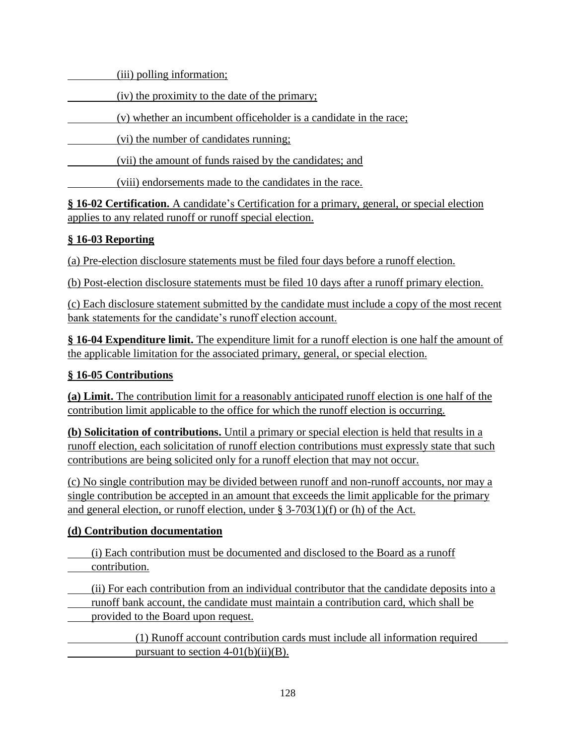(iii) polling information;

(iv) the proximity to the date of the primary;

(v) whether an incumbent officeholder is a candidate in the race;

(vi) the number of candidates running;

(vii) the amount of funds raised by the candidates; and

(viii) endorsements made to the candidates in the race.

**§ 16-02 Certification.** A candidate's Certification for a primary, general, or special election applies to any related runoff or runoff special election.

# **§ 16-03 Reporting**

(a) Pre-election disclosure statements must be filed four days before a runoff election.

(b) Post-election disclosure statements must be filed 10 days after a runoff primary election.

(c) Each disclosure statement submitted by the candidate must include a copy of the most recent bank statements for the candidate's runoff election account.

**§ 16-04 Expenditure limit.** The expenditure limit for a runoff election is one half the amount of the applicable limitation for the associated primary, general, or special election.

# **§ 16-05 Contributions**

**(a) Limit.** The contribution limit for a reasonably anticipated runoff election is one half of the contribution limit applicable to the office for which the runoff election is occurring.

**(b) Solicitation of contributions.** Until a primary or special election is held that results in a runoff election, each solicitation of runoff election contributions must expressly state that such contributions are being solicited only for a runoff election that may not occur.

(c) No single contribution may be divided between runoff and non-runoff accounts, nor may a single contribution be accepted in an amount that exceeds the limit applicable for the primary and general election, or runoff election, under § 3-703(1)(f) or (h) of the Act.

## **(d) Contribution documentation**

(i) Each contribution must be documented and disclosed to the Board as a runoff contribution.

(ii) For each contribution from an individual contributor that the candidate deposits into a runoff bank account, the candidate must maintain a contribution card, which shall be provided to the Board upon request.

(1) Runoff account contribution cards must include all information required pursuant to section  $4-01(b)(ii)(B)$ .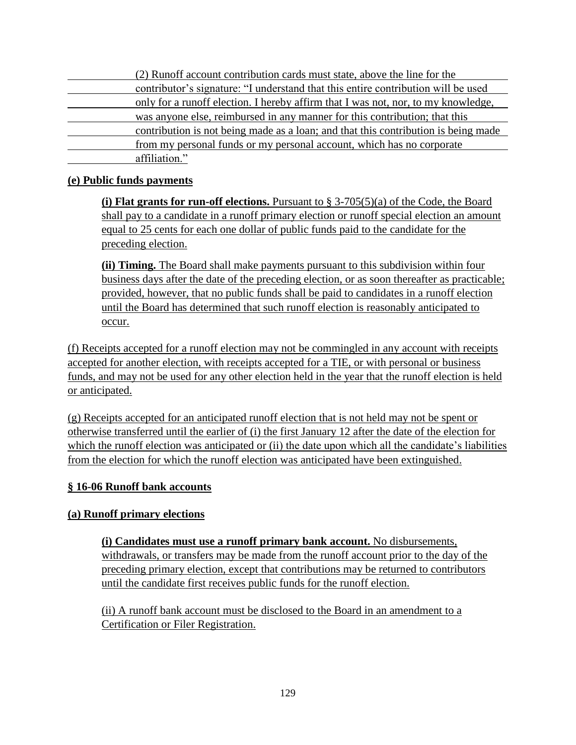(2) Runoff account contribution cards must state, above the line for the contributor's signature: "I understand that this entire contribution will be used only for a runoff election. I hereby affirm that I was not, nor, to my knowledge, was anyone else, reimbursed in any manner for this contribution; that this contribution is not being made as a loan; and that this contribution is being made from my personal funds or my personal account, which has no corporate affiliation."

#### **(e) Public funds payments**

**(i) Flat grants for run-off elections.** Pursuant to § 3-705(5)(a) of the Code, the Board shall pay to a candidate in a runoff primary election or runoff special election an amount equal to 25 cents for each one dollar of public funds paid to the candidate for the preceding election.

**(ii) Timing.** The Board shall make payments pursuant to this subdivision within four business days after the date of the preceding election, or as soon thereafter as practicable; provided, however, that no public funds shall be paid to candidates in a runoff election until the Board has determined that such runoff election is reasonably anticipated to occur.

(f) Receipts accepted for a runoff election may not be commingled in any account with receipts accepted for another election, with receipts accepted for a TIE, or with personal or business funds, and may not be used for any other election held in the year that the runoff election is held or anticipated.

(g) Receipts accepted for an anticipated runoff election that is not held may not be spent or otherwise transferred until the earlier of (i) the first January 12 after the date of the election for which the runoff election was anticipated or (ii) the date upon which all the candidate's liabilities from the election for which the runoff election was anticipated have been extinguished.

#### **§ 16-06 Runoff bank accounts**

#### **(a) Runoff primary elections**

**(i) Candidates must use a runoff primary bank account.** No disbursements, withdrawals, or transfers may be made from the runoff account prior to the day of the preceding primary election, except that contributions may be returned to contributors until the candidate first receives public funds for the runoff election.

(ii) A runoff bank account must be disclosed to the Board in an amendment to a Certification or Filer Registration.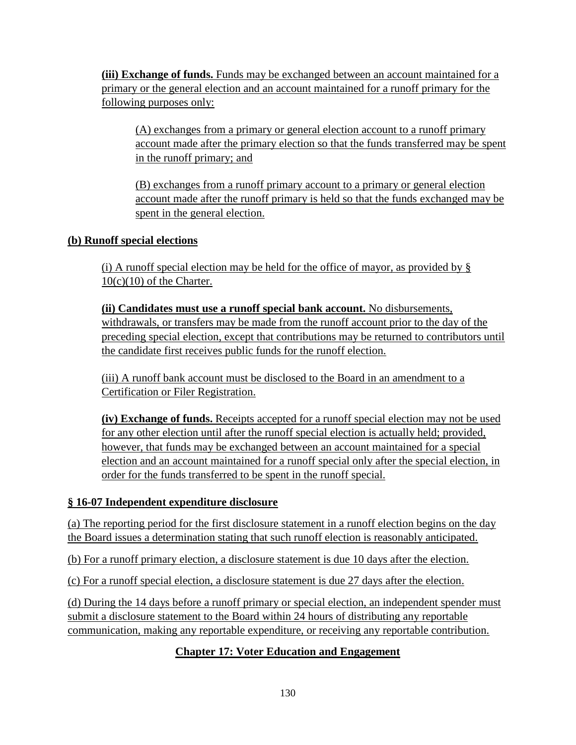**(iii) Exchange of funds.** Funds may be exchanged between an account maintained for a primary or the general election and an account maintained for a runoff primary for the following purposes only:

(A) exchanges from a primary or general election account to a runoff primary account made after the primary election so that the funds transferred may be spent in the runoff primary; and

(B) exchanges from a runoff primary account to a primary or general election account made after the runoff primary is held so that the funds exchanged may be spent in the general election.

### **(b) Runoff special elections**

(i) A runoff special election may be held for the office of mayor, as provided by  $\S$  $10(c)(10)$  of the Charter.

**(ii) Candidates must use a runoff special bank account.** No disbursements, withdrawals, or transfers may be made from the runoff account prior to the day of the preceding special election, except that contributions may be returned to contributors until the candidate first receives public funds for the runoff election.

(iii) A runoff bank account must be disclosed to the Board in an amendment to a Certification or Filer Registration.

**(iv) Exchange of funds.** Receipts accepted for a runoff special election may not be used for any other election until after the runoff special election is actually held; provided, however, that funds may be exchanged between an account maintained for a special election and an account maintained for a runoff special only after the special election, in order for the funds transferred to be spent in the runoff special.

#### **§ 16-07 Independent expenditure disclosure**

(a) The reporting period for the first disclosure statement in a runoff election begins on the day the Board issues a determination stating that such runoff election is reasonably anticipated.

(b) For a runoff primary election, a disclosure statement is due 10 days after the election.

(c) For a runoff special election, a disclosure statement is due 27 days after the election.

(d) During the 14 days before a runoff primary or special election, an independent spender must submit a disclosure statement to the Board within 24 hours of distributing any reportable communication, making any reportable expenditure, or receiving any reportable contribution.

## **Chapter 17: Voter Education and Engagement**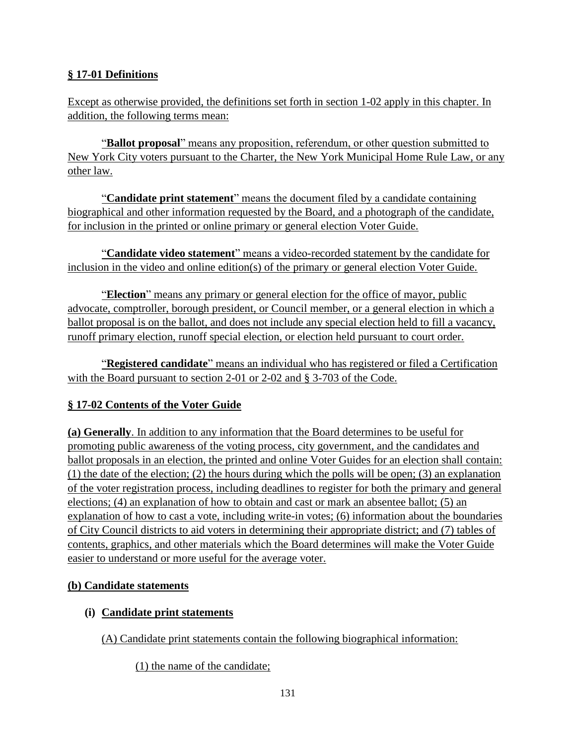## **§ 17-01 Definitions**

Except as otherwise provided, the definitions set forth in section 1-02 apply in this chapter. In addition, the following terms mean:

"**Ballot proposal**" means any proposition, referendum, or other question submitted to New York City voters pursuant to the Charter, the New York Municipal Home Rule Law, or any other law.

"**Candidate print statement**" means the document filed by a candidate containing biographical and other information requested by the Board, and a photograph of the candidate, for inclusion in the printed or online primary or general election Voter Guide.

"**Candidate video statement**" means a video-recorded statement by the candidate for inclusion in the video and online edition(s) of the primary or general election Voter Guide.

"**Election**" means any primary or general election for the office of mayor, public advocate, comptroller, borough president, or Council member, or a general election in which a ballot proposal is on the ballot, and does not include any special election held to fill a vacancy, runoff primary election, runoff special election, or election held pursuant to court order.

"**Registered candidate**" means an individual who has registered or filed a Certification with the Board pursuant to section 2-01 or 2-02 and § 3-703 of the Code.

#### **§ 17-02 Contents of the Voter Guide**

**(a) Generally**. In addition to any information that the Board determines to be useful for promoting public awareness of the voting process, city government, and the candidates and ballot proposals in an election, the printed and online Voter Guides for an election shall contain: (1) the date of the election; (2) the hours during which the polls will be open; (3) an explanation of the voter registration process, including deadlines to register for both the primary and general elections; (4) an explanation of how to obtain and cast or mark an absentee ballot; (5) an explanation of how to cast a vote, including write-in votes; (6) information about the boundaries of City Council districts to aid voters in determining their appropriate district; and (7) tables of contents, graphics, and other materials which the Board determines will make the Voter Guide easier to understand or more useful for the average voter.

#### **(b) Candidate statements**

#### **(i) Candidate print statements**

(A) Candidate print statements contain the following biographical information:

(1) the name of the candidate;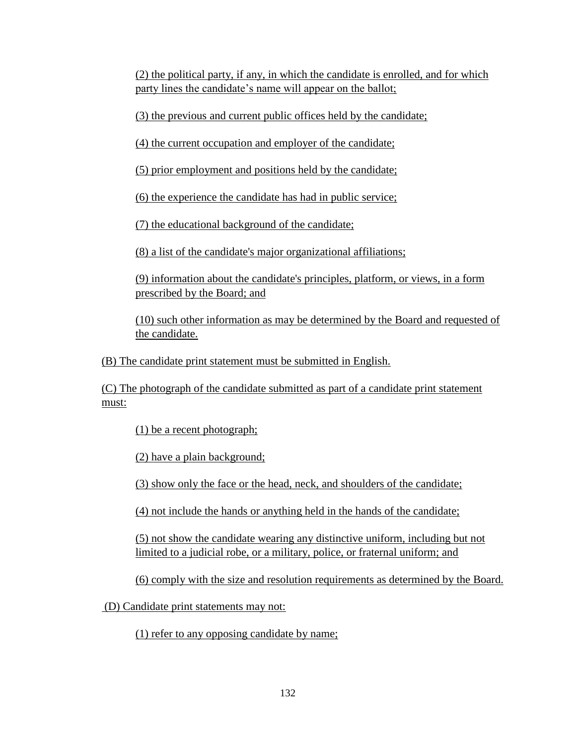(2) the political party, if any, in which the candidate is enrolled, and for which party lines the candidate's name will appear on the ballot;

(3) the previous and current public offices held by the candidate;

(4) the current occupation and employer of the candidate;

(5) prior employment and positions held by the candidate;

(6) the experience the candidate has had in public service;

(7) the educational background of the candidate;

(8) a list of the candidate's major organizational affiliations;

(9) information about the candidate's principles, platform, or views, in a form prescribed by the Board; and

(10) such other information as may be determined by the Board and requested of the candidate.

(B) The candidate print statement must be submitted in English.

(C) The photograph of the candidate submitted as part of a candidate print statement must:

(1) be a recent photograph;

(2) have a plain background;

(3) show only the face or the head, neck, and shoulders of the candidate;

(4) not include the hands or anything held in the hands of the candidate;

(5) not show the candidate wearing any distinctive uniform, including but not limited to a judicial robe, or a military, police, or fraternal uniform; and

(6) comply with the size and resolution requirements as determined by the Board.

(D) Candidate print statements may not:

(1) refer to any opposing candidate by name;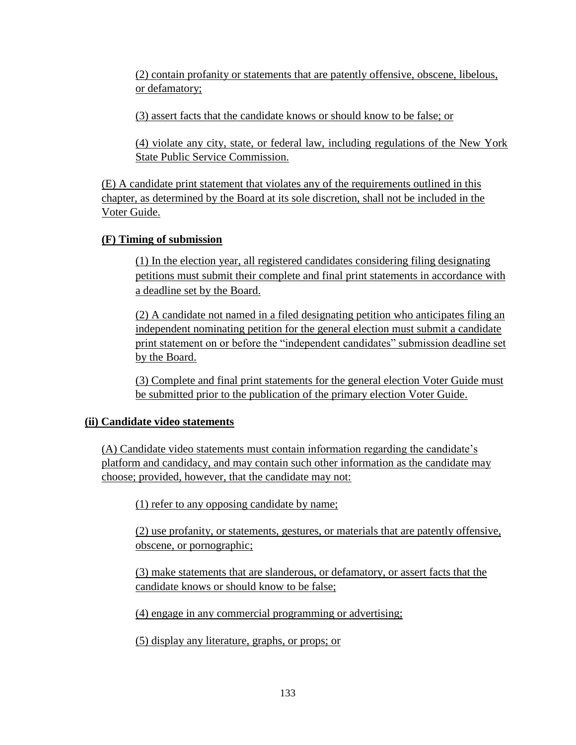(2) contain profanity or statements that are patently offensive, obscene, libelous, or defamatory;

(3) assert facts that the candidate knows or should know to be false; or

(4) violate any city, state, or federal law, including regulations of the New York State Public Service Commission.

(E) A candidate print statement that violates any of the requirements outlined in this chapter, as determined by the Board at its sole discretion, shall not be included in the Voter Guide.

### **(F) Timing of submission**

(1) In the election year, all registered candidates considering filing designating petitions must submit their complete and final print statements in accordance with a deadline set by the Board.

(2) A candidate not named in a filed designating petition who anticipates filing an independent nominating petition for the general election must submit a candidate print statement on or before the "independent candidates" submission deadline set by the Board.

(3) Complete and final print statements for the general election Voter Guide must be submitted prior to the publication of the primary election Voter Guide.

## **(ii) Candidate video statements**

(A) Candidate video statements must contain information regarding the candidate's platform and candidacy, and may contain such other information as the candidate may choose; provided, however, that the candidate may not:

(1) refer to any opposing candidate by name;

(2) use profanity, or statements, gestures, or materials that are patently offensive, obscene, or pornographic;

(3) make statements that are slanderous, or defamatory, or assert facts that the candidate knows or should know to be false;

(4) engage in any commercial programming or advertising;

(5) display any literature, graphs, or props; or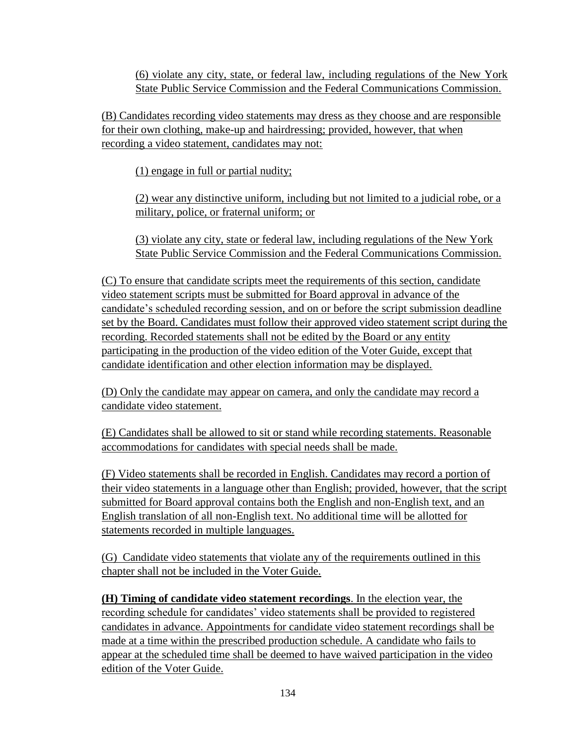(6) violate any city, state, or federal law, including regulations of the New York State Public Service Commission and the Federal Communications Commission.

(B) Candidates recording video statements may dress as they choose and are responsible for their own clothing, make-up and hairdressing; provided, however, that when recording a video statement, candidates may not:

(1) engage in full or partial nudity;

(2) wear any distinctive uniform, including but not limited to a judicial robe, or a military, police, or fraternal uniform; or

(3) violate any city, state or federal law, including regulations of the New York State Public Service Commission and the Federal Communications Commission.

(C) To ensure that candidate scripts meet the requirements of this section, candidate video statement scripts must be submitted for Board approval in advance of the candidate's scheduled recording session, and on or before the script submission deadline set by the Board. Candidates must follow their approved video statement script during the recording. Recorded statements shall not be edited by the Board or any entity participating in the production of the video edition of the Voter Guide, except that candidate identification and other election information may be displayed.

(D) Only the candidate may appear on camera, and only the candidate may record a candidate video statement.

(E) Candidates shall be allowed to sit or stand while recording statements. Reasonable accommodations for candidates with special needs shall be made.

(F) Video statements shall be recorded in English. Candidates may record a portion of their video statements in a language other than English; provided, however, that the script submitted for Board approval contains both the English and non-English text, and an English translation of all non-English text. No additional time will be allotted for statements recorded in multiple languages.

(G) Candidate video statements that violate any of the requirements outlined in this chapter shall not be included in the Voter Guide.

**(H) Timing of candidate video statement recordings**. In the election year, the recording schedule for candidates' video statements shall be provided to registered candidates in advance. Appointments for candidate video statement recordings shall be made at a time within the prescribed production schedule. A candidate who fails to appear at the scheduled time shall be deemed to have waived participation in the video edition of the Voter Guide.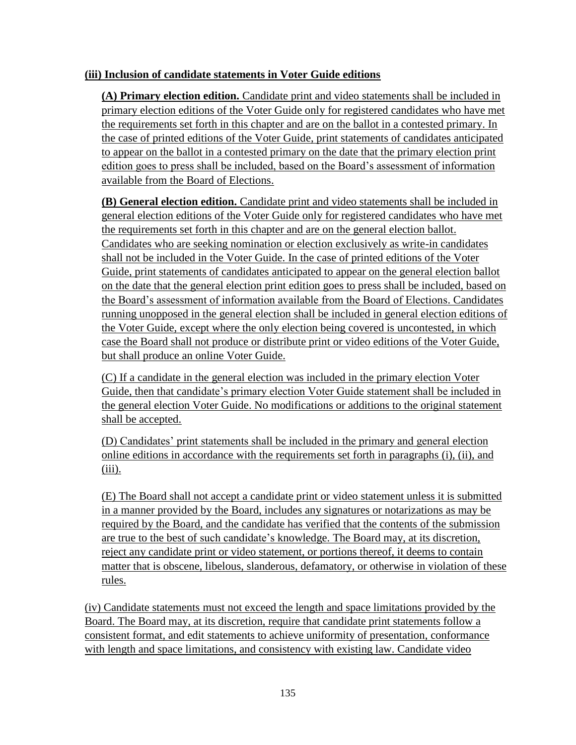#### **(iii) Inclusion of candidate statements in Voter Guide editions**

**(A) Primary election edition.** Candidate print and video statements shall be included in primary election editions of the Voter Guide only for registered candidates who have met the requirements set forth in this chapter and are on the ballot in a contested primary. In the case of printed editions of the Voter Guide, print statements of candidates anticipated to appear on the ballot in a contested primary on the date that the primary election print edition goes to press shall be included, based on the Board's assessment of information available from the Board of Elections.

**(B) General election edition.** Candidate print and video statements shall be included in general election editions of the Voter Guide only for registered candidates who have met the requirements set forth in this chapter and are on the general election ballot. Candidates who are seeking nomination or election exclusively as write-in candidates shall not be included in the Voter Guide. In the case of printed editions of the Voter Guide, print statements of candidates anticipated to appear on the general election ballot on the date that the general election print edition goes to press shall be included, based on the Board's assessment of information available from the Board of Elections. Candidates running unopposed in the general election shall be included in general election editions of the Voter Guide, except where the only election being covered is uncontested, in which case the Board shall not produce or distribute print or video editions of the Voter Guide, but shall produce an online Voter Guide.

(C) If a candidate in the general election was included in the primary election Voter Guide, then that candidate's primary election Voter Guide statement shall be included in the general election Voter Guide. No modifications or additions to the original statement shall be accepted.

(D) Candidates' print statements shall be included in the primary and general election online editions in accordance with the requirements set forth in paragraphs (i), (ii), and  $(iii)$ .

(E) The Board shall not accept a candidate print or video statement unless it is submitted in a manner provided by the Board, includes any signatures or notarizations as may be required by the Board, and the candidate has verified that the contents of the submission are true to the best of such candidate's knowledge. The Board may, at its discretion, reject any candidate print or video statement, or portions thereof, it deems to contain matter that is obscene, libelous, slanderous, defamatory, or otherwise in violation of these rules.

(iv) Candidate statements must not exceed the length and space limitations provided by the Board. The Board may, at its discretion, require that candidate print statements follow a consistent format, and edit statements to achieve uniformity of presentation, conformance with length and space limitations, and consistency with existing law. Candidate video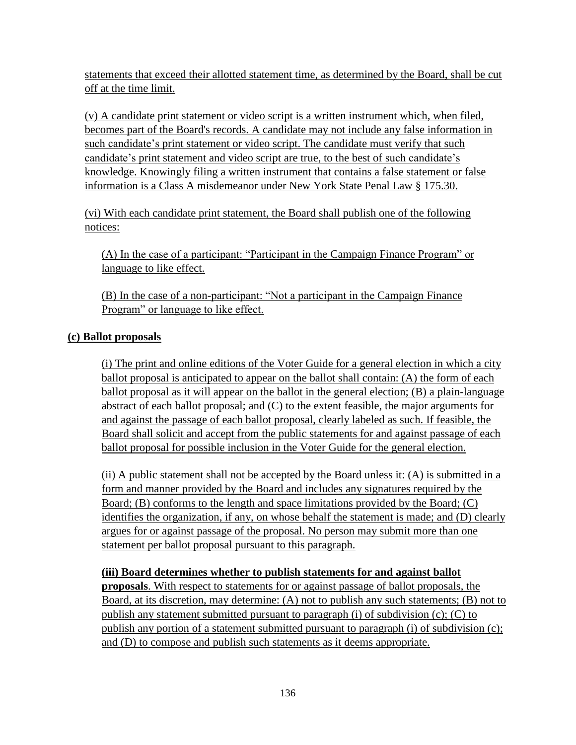statements that exceed their allotted statement time, as determined by the Board, shall be cut off at the time limit.

(v) A candidate print statement or video script is a written instrument which, when filed, becomes part of the Board's records. A candidate may not include any false information in such candidate's print statement or video script. The candidate must verify that such candidate's print statement and video script are true, to the best of such candidate's knowledge. Knowingly filing a written instrument that contains a false statement or false information is a Class A misdemeanor under New York State Penal Law § 175.30.

(vi) With each candidate print statement, the Board shall publish one of the following notices:

(A) In the case of a participant: "Participant in the Campaign Finance Program" or language to like effect.

(B) In the case of a non-participant: "Not a participant in the Campaign Finance Program" or language to like effect.

### **(c) Ballot proposals**

(i) The print and online editions of the Voter Guide for a general election in which a city ballot proposal is anticipated to appear on the ballot shall contain: (A) the form of each ballot proposal as it will appear on the ballot in the general election; (B) a plain-language abstract of each ballot proposal; and (C) to the extent feasible, the major arguments for and against the passage of each ballot proposal, clearly labeled as such. If feasible, the Board shall solicit and accept from the public statements for and against passage of each ballot proposal for possible inclusion in the Voter Guide for the general election.

(ii) A public statement shall not be accepted by the Board unless it: (A) is submitted in a form and manner provided by the Board and includes any signatures required by the Board; (B) conforms to the length and space limitations provided by the Board; (C) identifies the organization, if any, on whose behalf the statement is made; and (D) clearly argues for or against passage of the proposal. No person may submit more than one statement per ballot proposal pursuant to this paragraph.

#### **(iii) Board determines whether to publish statements for and against ballot**

**proposals**. With respect to statements for or against passage of ballot proposals, the Board, at its discretion, may determine: (A) not to publish any such statements; (B) not to publish any statement submitted pursuant to paragraph (i) of subdivision (c); (C) to publish any portion of a statement submitted pursuant to paragraph (i) of subdivision (c); and (D) to compose and publish such statements as it deems appropriate.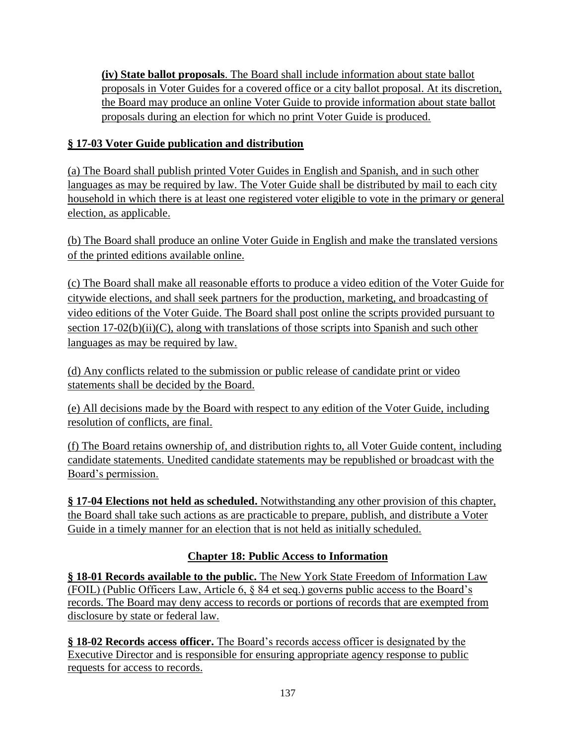**(iv) State ballot proposals**. The Board shall include information about state ballot proposals in Voter Guides for a covered office or a city ballot proposal. At its discretion, the Board may produce an online Voter Guide to provide information about state ballot proposals during an election for which no print Voter Guide is produced.

## **§ 17-03 Voter Guide publication and distribution**

(a) The Board shall publish printed Voter Guides in English and Spanish, and in such other languages as may be required by law. The Voter Guide shall be distributed by mail to each city household in which there is at least one registered voter eligible to vote in the primary or general election, as applicable.

(b) The Board shall produce an online Voter Guide in English and make the translated versions of the printed editions available online.

(c) The Board shall make all reasonable efforts to produce a video edition of the Voter Guide for citywide elections, and shall seek partners for the production, marketing, and broadcasting of video editions of the Voter Guide. The Board shall post online the scripts provided pursuant to section  $17-02(b)(ii)(C)$ , along with translations of those scripts into Spanish and such other languages as may be required by law.

(d) Any conflicts related to the submission or public release of candidate print or video statements shall be decided by the Board.

(e) All decisions made by the Board with respect to any edition of the Voter Guide, including resolution of conflicts, are final.

(f) The Board retains ownership of, and distribution rights to, all Voter Guide content, including candidate statements. Unedited candidate statements may be republished or broadcast with the Board's permission.

**§ 17-04 Elections not held as scheduled.** Notwithstanding any other provision of this chapter, the Board shall take such actions as are practicable to prepare, publish, and distribute a Voter Guide in a timely manner for an election that is not held as initially scheduled.

## **Chapter 18: Public Access to Information**

**§ 18-01 Records available to the public.** The New York State Freedom of Information Law (FOIL) (Public Officers Law, Article 6, § 84 et seq.) governs public access to the Board's records. The Board may deny access to records or portions of records that are exempted from disclosure by state or federal law.

**§ 18-02 Records access officer.** The Board's records access officer is designated by the Executive Director and is responsible for ensuring appropriate agency response to public requests for access to records.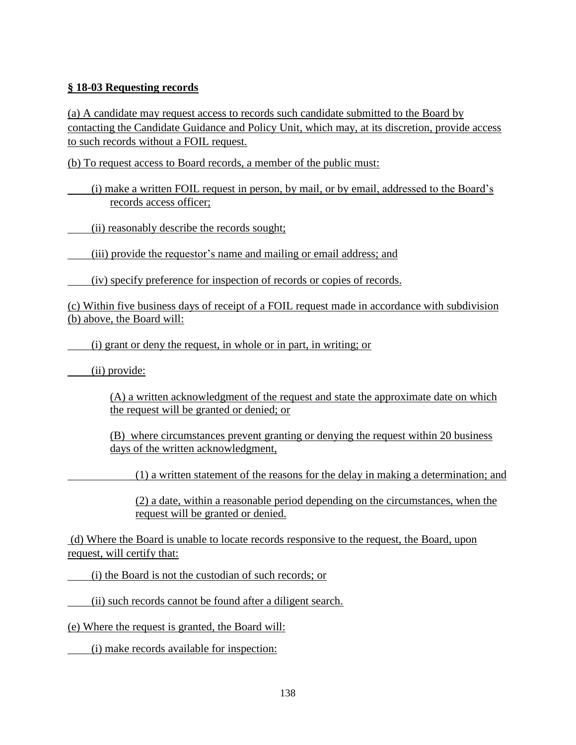### **§ 18-03 Requesting records**

(a) A candidate may request access to records such candidate submitted to the Board by contacting the Candidate Guidance and Policy Unit, which may, at its discretion, provide access to such records without a FOIL request.

(b) To request access to Board records, a member of the public must:

(i) make a written FOIL request in person, by mail, or by email, addressed to the Board's records access officer;

(ii) reasonably describe the records sought;

(iii) provide the requestor's name and mailing or email address; and

(iv) specify preference for inspection of records or copies of records.

(c) Within five business days of receipt of a FOIL request made in accordance with subdivision (b) above, the Board will:

(i) grant or deny the request, in whole or in part, in writing; or

(ii) provide:

(A) a written acknowledgment of the request and state the approximate date on which the request will be granted or denied; or

(B) where circumstances prevent granting or denying the request within 20 business days of the written acknowledgment,

(1) a written statement of the reasons for the delay in making a determination; and

(2) a date, within a reasonable period depending on the circumstances, when the request will be granted or denied.

(d) Where the Board is unable to locate records responsive to the request, the Board, upon request, will certify that:

(i) the Board is not the custodian of such records; or

(ii) such records cannot be found after a diligent search.

(e) Where the request is granted, the Board will:

(i) make records available for inspection: